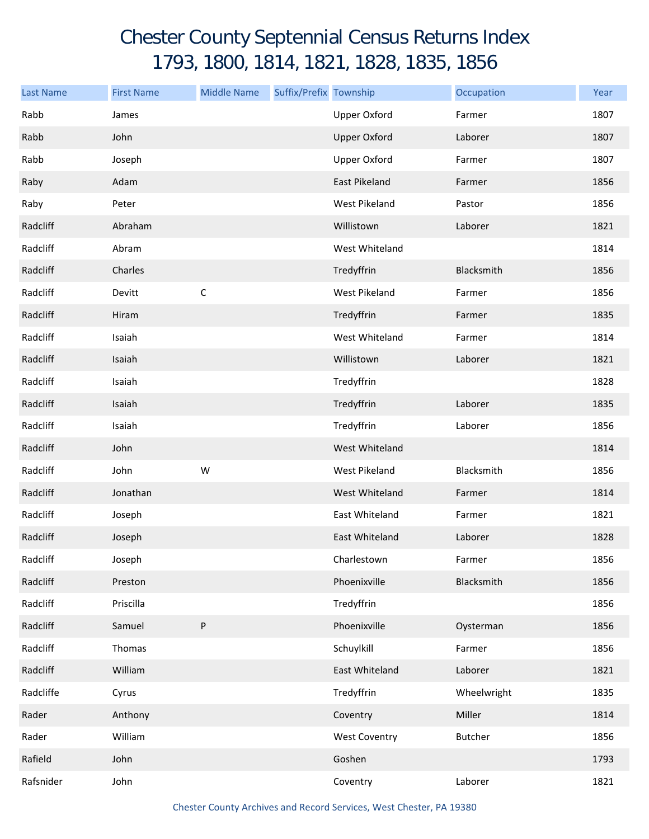## Chester County Septennial Census Returns Index 1793, 1800, 1814, 1821, 1828, 1835, 1856

| <b>Last Name</b> | <b>First Name</b> | <b>Middle Name</b> | Suffix/Prefix Township |                      | Occupation  | Year |
|------------------|-------------------|--------------------|------------------------|----------------------|-------------|------|
| Rabb             | James             |                    |                        | <b>Upper Oxford</b>  | Farmer      | 1807 |
| Rabb             | John              |                    |                        | <b>Upper Oxford</b>  | Laborer     | 1807 |
| Rabb             | Joseph            |                    |                        | <b>Upper Oxford</b>  | Farmer      | 1807 |
| Raby             | Adam              |                    |                        | East Pikeland        | Farmer      | 1856 |
| Raby             | Peter             |                    |                        | West Pikeland        | Pastor      | 1856 |
| Radcliff         | Abraham           |                    |                        | Willistown           | Laborer     | 1821 |
| Radcliff         | Abram             |                    |                        | West Whiteland       |             | 1814 |
| Radcliff         | Charles           |                    |                        | Tredyffrin           | Blacksmith  | 1856 |
| Radcliff         | Devitt            | $\mathsf C$        |                        | <b>West Pikeland</b> | Farmer      | 1856 |
| Radcliff         | Hiram             |                    |                        | Tredyffrin           | Farmer      | 1835 |
| Radcliff         | Isaiah            |                    |                        | West Whiteland       | Farmer      | 1814 |
| Radcliff         | Isaiah            |                    |                        | Willistown           | Laborer     | 1821 |
| Radcliff         | Isaiah            |                    |                        | Tredyffrin           |             | 1828 |
| Radcliff         | Isaiah            |                    |                        | Tredyffrin           | Laborer     | 1835 |
| Radcliff         | Isaiah            |                    |                        | Tredyffrin           | Laborer     | 1856 |
| Radcliff         | John              |                    |                        | West Whiteland       |             | 1814 |
| Radcliff         | John              | W                  |                        | West Pikeland        | Blacksmith  | 1856 |
| Radcliff         | Jonathan          |                    |                        | West Whiteland       | Farmer      | 1814 |
| Radcliff         | Joseph            |                    |                        | East Whiteland       | Farmer      | 1821 |
| Radcliff         | Joseph            |                    |                        | East Whiteland       | Laborer     | 1828 |
| Radcliff         | Joseph            |                    |                        | Charlestown          | Farmer      | 1856 |
| Radcliff         | Preston           |                    |                        | Phoenixville         | Blacksmith  | 1856 |
| Radcliff         | Priscilla         |                    |                        | Tredyffrin           |             | 1856 |
| Radcliff         | Samuel            | $\sf P$            |                        | Phoenixville         | Oysterman   | 1856 |
| Radcliff         | Thomas            |                    |                        | Schuylkill           | Farmer      | 1856 |
| Radcliff         | William           |                    |                        | East Whiteland       | Laborer     | 1821 |
| Radcliffe        | Cyrus             |                    |                        | Tredyffrin           | Wheelwright | 1835 |
| Rader            | Anthony           |                    |                        | Coventry             | Miller      | 1814 |
| Rader            | William           |                    |                        | <b>West Coventry</b> | Butcher     | 1856 |
| Rafield          | John              |                    |                        | Goshen               |             | 1793 |
| Rafsnider        | John              |                    |                        | Coventry             | Laborer     | 1821 |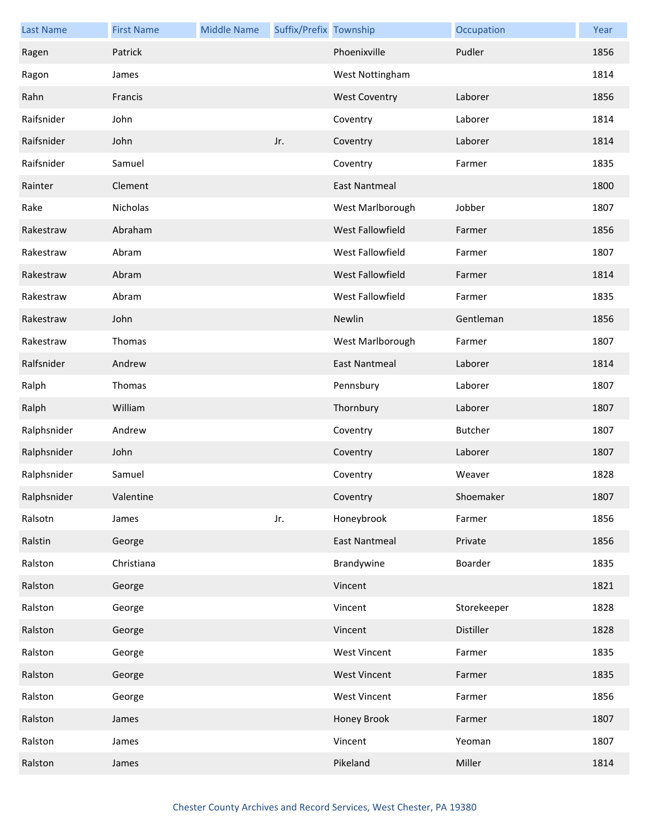| <b>Last Name</b> | <b>First Name</b> | <b>Middle Name</b> | Suffix/Prefix Township |                         | Occupation  | Year |
|------------------|-------------------|--------------------|------------------------|-------------------------|-------------|------|
| Ragen            | Patrick           |                    |                        | Phoenixville            | Pudler      | 1856 |
| Ragon            | James             |                    |                        | West Nottingham         |             | 1814 |
| Rahn             | Francis           |                    |                        | <b>West Coventry</b>    | Laborer     | 1856 |
| Raifsnider       | John              |                    |                        | Coventry                | Laborer     | 1814 |
| Raifsnider       | John              |                    | Jr.                    | Coventry                | Laborer     | 1814 |
| Raifsnider       | Samuel            |                    |                        | Coventry                | Farmer      | 1835 |
| Rainter          | Clement           |                    |                        | <b>East Nantmeal</b>    |             | 1800 |
| Rake             | Nicholas          |                    |                        | West Marlborough        | Jobber      | 1807 |
| Rakestraw        | Abraham           |                    |                        | West Fallowfield        | Farmer      | 1856 |
| Rakestraw        | Abram             |                    |                        | West Fallowfield        | Farmer      | 1807 |
| Rakestraw        | Abram             |                    |                        | <b>West Fallowfield</b> | Farmer      | 1814 |
| Rakestraw        | Abram             |                    |                        | West Fallowfield        | Farmer      | 1835 |
| Rakestraw        | John              |                    |                        | Newlin                  | Gentleman   | 1856 |
| Rakestraw        | Thomas            |                    |                        | West Marlborough        | Farmer      | 1807 |
| Ralfsnider       | Andrew            |                    |                        | <b>East Nantmeal</b>    | Laborer     | 1814 |
| Ralph            | Thomas            |                    |                        | Pennsbury               | Laborer     | 1807 |
| Ralph            | William           |                    |                        | Thornbury               | Laborer     | 1807 |
| Ralphsnider      | Andrew            |                    |                        | Coventry                | Butcher     | 1807 |
| Ralphsnider      | John              |                    |                        | Coventry                | Laborer     | 1807 |
| Ralphsnider      | Samuel            |                    |                        | Coventry                | Weaver      | 1828 |
| Ralphsnider      | Valentine         |                    |                        | Coventry                | Shoemaker   | 1807 |
| Ralsotn          | James             |                    | Jr.                    | Honeybrook              | Farmer      | 1856 |
| Ralstin          | George            |                    |                        | <b>East Nantmeal</b>    | Private     | 1856 |
| Ralston          | Christiana        |                    |                        | Brandywine              | Boarder     | 1835 |
| Ralston          | George            |                    |                        | Vincent                 |             | 1821 |
| Ralston          | George            |                    |                        | Vincent                 | Storekeeper | 1828 |
| Ralston          | George            |                    |                        | Vincent                 | Distiller   | 1828 |
| Ralston          | George            |                    |                        | <b>West Vincent</b>     | Farmer      | 1835 |
| Ralston          | George            |                    |                        | <b>West Vincent</b>     | Farmer      | 1835 |
| Ralston          | George            |                    |                        | <b>West Vincent</b>     | Farmer      | 1856 |
| Ralston          | James             |                    |                        | Honey Brook             | Farmer      | 1807 |
| Ralston          | James             |                    |                        | Vincent                 | Yeoman      | 1807 |
| Ralston          | James             |                    |                        | Pikeland                | Miller      | 1814 |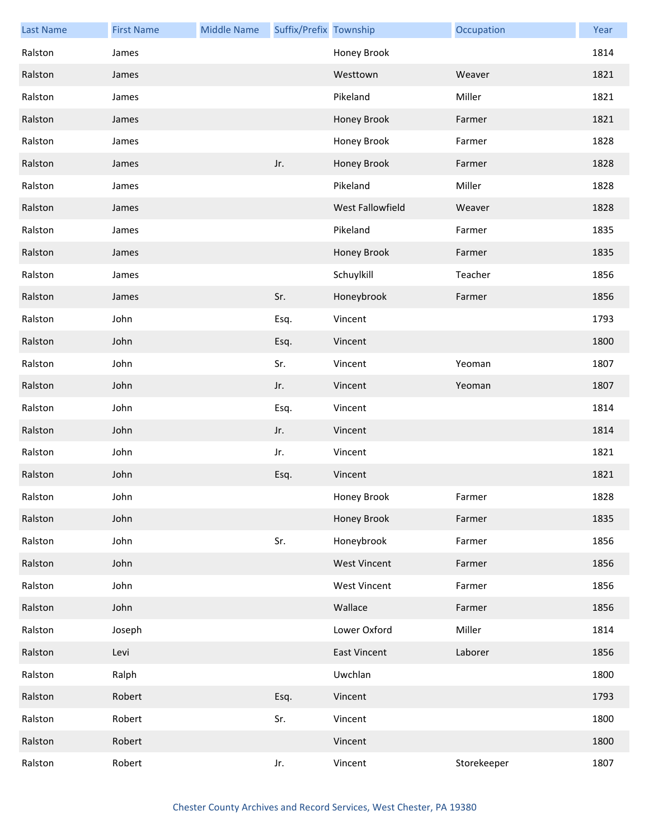| <b>Last Name</b> | <b>First Name</b> | <b>Middle Name</b> | Suffix/Prefix Township |                     | Occupation  | Year |
|------------------|-------------------|--------------------|------------------------|---------------------|-------------|------|
| Ralston          | James             |                    |                        | Honey Brook         |             | 1814 |
| Ralston          | James             |                    |                        | Westtown            | Weaver      | 1821 |
| Ralston          | James             |                    |                        | Pikeland            | Miller      | 1821 |
| Ralston          | James             |                    |                        | Honey Brook         | Farmer      | 1821 |
| Ralston          | James             |                    |                        | Honey Brook         | Farmer      | 1828 |
| Ralston          | James             |                    | Jr.                    | Honey Brook         | Farmer      | 1828 |
| Ralston          | James             |                    |                        | Pikeland            | Miller      | 1828 |
| Ralston          | James             |                    |                        | West Fallowfield    | Weaver      | 1828 |
| Ralston          | James             |                    |                        | Pikeland            | Farmer      | 1835 |
| Ralston          | James             |                    |                        | Honey Brook         | Farmer      | 1835 |
| Ralston          | James             |                    |                        | Schuylkill          | Teacher     | 1856 |
| Ralston          | James             |                    | Sr.                    | Honeybrook          | Farmer      | 1856 |
| Ralston          | John              |                    | Esq.                   | Vincent             |             | 1793 |
| Ralston          | John              |                    | Esq.                   | Vincent             |             | 1800 |
| Ralston          | John              |                    | Sr.                    | Vincent             | Yeoman      | 1807 |
| Ralston          | John              |                    | Jr.                    | Vincent             | Yeoman      | 1807 |
| Ralston          | John              |                    | Esq.                   | Vincent             |             | 1814 |
| Ralston          | John              |                    | Jr.                    | Vincent             |             | 1814 |
| Ralston          | John              |                    | Jr.                    | Vincent             |             | 1821 |
| Ralston          | John              |                    | Esq.                   | Vincent             |             | 1821 |
| Ralston          | John              |                    |                        | Honey Brook         | Farmer      | 1828 |
| Ralston          | John              |                    |                        | Honey Brook         | Farmer      | 1835 |
| Ralston          | John              |                    | Sr.                    | Honeybrook          | Farmer      | 1856 |
| Ralston          | John              |                    |                        | <b>West Vincent</b> | Farmer      | 1856 |
| Ralston          | John              |                    |                        | <b>West Vincent</b> | Farmer      | 1856 |
| Ralston          | John              |                    |                        | Wallace             | Farmer      | 1856 |
| Ralston          | Joseph            |                    |                        | Lower Oxford        | Miller      | 1814 |
| Ralston          | Levi              |                    |                        | <b>East Vincent</b> | Laborer     | 1856 |
| Ralston          | Ralph             |                    |                        | Uwchlan             |             | 1800 |
| Ralston          | Robert            |                    | Esq.                   | Vincent             |             | 1793 |
| Ralston          | Robert            |                    | Sr.                    | Vincent             |             | 1800 |
| Ralston          | Robert            |                    |                        | Vincent             |             | 1800 |
| Ralston          | Robert            |                    | Jr.                    | Vincent             | Storekeeper | 1807 |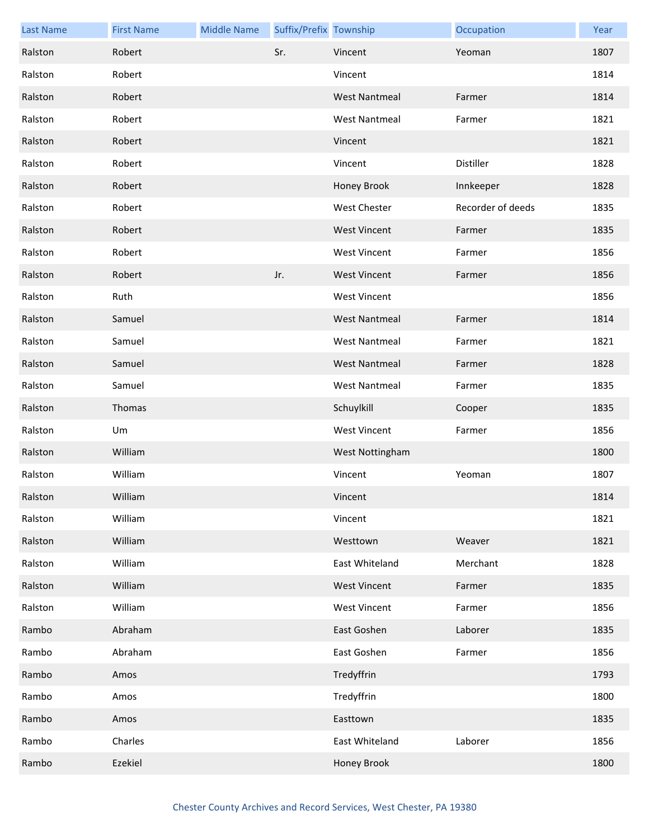| <b>Last Name</b> | <b>First Name</b> | <b>Middle Name</b> | Suffix/Prefix Township |                      | Occupation        | Year |
|------------------|-------------------|--------------------|------------------------|----------------------|-------------------|------|
| Ralston          | Robert            |                    | Sr.                    | Vincent              | Yeoman            | 1807 |
| Ralston          | Robert            |                    |                        | Vincent              |                   | 1814 |
| Ralston          | Robert            |                    |                        | <b>West Nantmeal</b> | Farmer            | 1814 |
| Ralston          | Robert            |                    |                        | <b>West Nantmeal</b> | Farmer            | 1821 |
| Ralston          | Robert            |                    |                        | Vincent              |                   | 1821 |
| Ralston          | Robert            |                    |                        | Vincent              | Distiller         | 1828 |
| Ralston          | Robert            |                    |                        | Honey Brook          | Innkeeper         | 1828 |
| Ralston          | Robert            |                    |                        | <b>West Chester</b>  | Recorder of deeds | 1835 |
| Ralston          | Robert            |                    |                        | <b>West Vincent</b>  | Farmer            | 1835 |
| Ralston          | Robert            |                    |                        | <b>West Vincent</b>  | Farmer            | 1856 |
| Ralston          | Robert            |                    | Jr.                    | <b>West Vincent</b>  | Farmer            | 1856 |
| Ralston          | Ruth              |                    |                        | <b>West Vincent</b>  |                   | 1856 |
| Ralston          | Samuel            |                    |                        | <b>West Nantmeal</b> | Farmer            | 1814 |
| Ralston          | Samuel            |                    |                        | <b>West Nantmeal</b> | Farmer            | 1821 |
| Ralston          | Samuel            |                    |                        | <b>West Nantmeal</b> | Farmer            | 1828 |
| Ralston          | Samuel            |                    |                        | <b>West Nantmeal</b> | Farmer            | 1835 |
| Ralston          | Thomas            |                    |                        | Schuylkill           | Cooper            | 1835 |
| Ralston          | Um                |                    |                        | <b>West Vincent</b>  | Farmer            | 1856 |
| Ralston          | William           |                    |                        | West Nottingham      |                   | 1800 |
| Ralston          | William           |                    |                        | Vincent              | Yeoman            | 1807 |
| Ralston          | William           |                    |                        | Vincent              |                   | 1814 |
| Ralston          | William           |                    |                        | Vincent              |                   | 1821 |
| Ralston          | William           |                    |                        | Westtown             | Weaver            | 1821 |
| Ralston          | William           |                    |                        | East Whiteland       | Merchant          | 1828 |
| Ralston          | William           |                    |                        | <b>West Vincent</b>  | Farmer            | 1835 |
| Ralston          | William           |                    |                        | <b>West Vincent</b>  | Farmer            | 1856 |
| Rambo            | Abraham           |                    |                        | East Goshen          | Laborer           | 1835 |
| Rambo            | Abraham           |                    |                        | East Goshen          | Farmer            | 1856 |
| Rambo            | Amos              |                    |                        | Tredyffrin           |                   | 1793 |
| Rambo            | Amos              |                    |                        | Tredyffrin           |                   | 1800 |
| Rambo            | Amos              |                    |                        | Easttown             |                   | 1835 |
| Rambo            | Charles           |                    |                        | East Whiteland       | Laborer           | 1856 |
| Rambo            | Ezekiel           |                    |                        | Honey Brook          |                   | 1800 |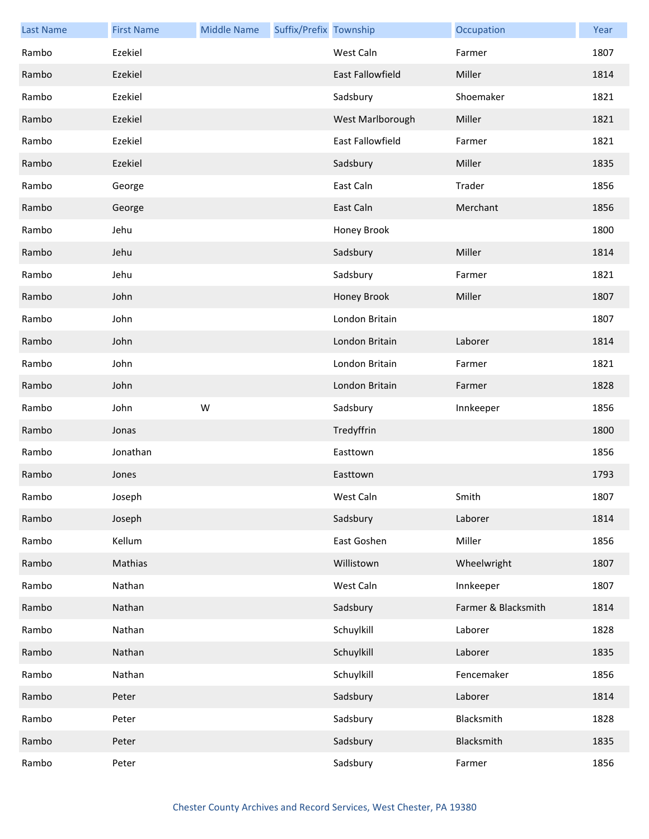| <b>Last Name</b> | <b>First Name</b> | <b>Middle Name</b> | Suffix/Prefix Township |                         | Occupation          | Year |
|------------------|-------------------|--------------------|------------------------|-------------------------|---------------------|------|
| Rambo            | Ezekiel           |                    |                        | West Caln               | Farmer              | 1807 |
| Rambo            | Ezekiel           |                    |                        | <b>East Fallowfield</b> | Miller              | 1814 |
| Rambo            | Ezekiel           |                    |                        | Sadsbury                | Shoemaker           | 1821 |
| Rambo            | Ezekiel           |                    |                        | West Marlborough        | Miller              | 1821 |
| Rambo            | Ezekiel           |                    |                        | East Fallowfield        | Farmer              | 1821 |
| Rambo            | Ezekiel           |                    |                        | Sadsbury                | Miller              | 1835 |
| Rambo            | George            |                    |                        | East Caln               | Trader              | 1856 |
| Rambo            | George            |                    |                        | East Caln               | Merchant            | 1856 |
| Rambo            | Jehu              |                    |                        | Honey Brook             |                     | 1800 |
| Rambo            | Jehu              |                    |                        | Sadsbury                | Miller              | 1814 |
| Rambo            | Jehu              |                    |                        | Sadsbury                | Farmer              | 1821 |
| Rambo            | John              |                    |                        | Honey Brook             | Miller              | 1807 |
| Rambo            | John              |                    |                        | London Britain          |                     | 1807 |
| Rambo            | John              |                    |                        | London Britain          | Laborer             | 1814 |
| Rambo            | John              |                    |                        | London Britain          | Farmer              | 1821 |
| Rambo            | John              |                    |                        | London Britain          | Farmer              | 1828 |
| Rambo            | John              | W                  |                        | Sadsbury                | Innkeeper           | 1856 |
| Rambo            | Jonas             |                    |                        | Tredyffrin              |                     | 1800 |
| Rambo            | Jonathan          |                    |                        | Easttown                |                     | 1856 |
| Rambo            | Jones             |                    |                        | Easttown                |                     | 1793 |
| Rambo            | Joseph            |                    |                        | West Caln               | Smith               | 1807 |
| Rambo            | Joseph            |                    |                        | Sadsbury                | Laborer             | 1814 |
| Rambo            | Kellum            |                    |                        | East Goshen             | Miller              | 1856 |
| Rambo            | Mathias           |                    |                        | Willistown              | Wheelwright         | 1807 |
| Rambo            | Nathan            |                    |                        | West Caln               | Innkeeper           | 1807 |
| Rambo            | Nathan            |                    |                        | Sadsbury                | Farmer & Blacksmith | 1814 |
| Rambo            | Nathan            |                    |                        | Schuylkill              | Laborer             | 1828 |
| Rambo            | Nathan            |                    |                        | Schuylkill              | Laborer             | 1835 |
| Rambo            | Nathan            |                    |                        | Schuylkill              | Fencemaker          | 1856 |
| Rambo            | Peter             |                    |                        | Sadsbury                | Laborer             | 1814 |
| Rambo            | Peter             |                    |                        | Sadsbury                | Blacksmith          | 1828 |
| Rambo            | Peter             |                    |                        | Sadsbury                | Blacksmith          | 1835 |
| Rambo            | Peter             |                    |                        | Sadsbury                | Farmer              | 1856 |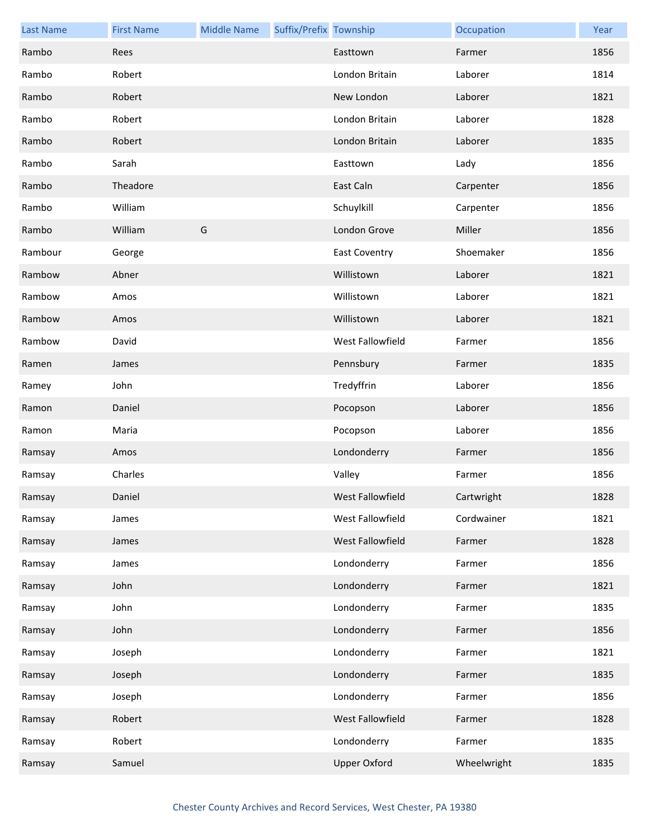| <b>Last Name</b> | <b>First Name</b> | <b>Middle Name</b> | Suffix/Prefix Township |                      | Occupation  | Year |
|------------------|-------------------|--------------------|------------------------|----------------------|-------------|------|
| Rambo            | Rees              |                    |                        | Easttown             | Farmer      | 1856 |
| Rambo            | Robert            |                    |                        | London Britain       | Laborer     | 1814 |
| Rambo            | Robert            |                    |                        | New London           | Laborer     | 1821 |
| Rambo            | Robert            |                    |                        | London Britain       | Laborer     | 1828 |
| Rambo            | Robert            |                    |                        | London Britain       | Laborer     | 1835 |
| Rambo            | Sarah             |                    |                        | Easttown             | Lady        | 1856 |
| Rambo            | Theadore          |                    |                        | East Caln            | Carpenter   | 1856 |
| Rambo            | William           |                    |                        | Schuylkill           | Carpenter   | 1856 |
| Rambo            | William           | G                  |                        | London Grove         | Miller      | 1856 |
| Rambour          | George            |                    |                        | <b>East Coventry</b> | Shoemaker   | 1856 |
| Rambow           | Abner             |                    |                        | Willistown           | Laborer     | 1821 |
| Rambow           | Amos              |                    |                        | Willistown           | Laborer     | 1821 |
| Rambow           | Amos              |                    |                        | Willistown           | Laborer     | 1821 |
| Rambow           | David             |                    |                        | West Fallowfield     | Farmer      | 1856 |
| Ramen            | James             |                    |                        | Pennsbury            | Farmer      | 1835 |
| Ramey            | John              |                    |                        | Tredyffrin           | Laborer     | 1856 |
| Ramon            | Daniel            |                    |                        | Pocopson             | Laborer     | 1856 |
| Ramon            | Maria             |                    |                        | Pocopson             | Laborer     | 1856 |
| Ramsay           | Amos              |                    |                        | Londonderry          | Farmer      | 1856 |
| Ramsay           | Charles           |                    |                        | Valley               | Farmer      | 1856 |
| Ramsay           | Daniel            |                    |                        | West Fallowfield     | Cartwright  | 1828 |
| Ramsay           | James             |                    |                        | West Fallowfield     | Cordwainer  | 1821 |
| Ramsay           | James             |                    |                        | West Fallowfield     | Farmer      | 1828 |
| Ramsay           | James             |                    |                        | Londonderry          | Farmer      | 1856 |
| Ramsay           | John              |                    |                        | Londonderry          | Farmer      | 1821 |
| Ramsay           | John              |                    |                        | Londonderry          | Farmer      | 1835 |
| Ramsay           | John              |                    |                        | Londonderry          | Farmer      | 1856 |
| Ramsay           | Joseph            |                    |                        | Londonderry          | Farmer      | 1821 |
| Ramsay           | Joseph            |                    |                        | Londonderry          | Farmer      | 1835 |
| Ramsay           | Joseph            |                    |                        | Londonderry          | Farmer      | 1856 |
| Ramsay           | Robert            |                    |                        | West Fallowfield     | Farmer      | 1828 |
| Ramsay           | Robert            |                    |                        | Londonderry          | Farmer      | 1835 |
| Ramsay           | Samuel            |                    |                        | <b>Upper Oxford</b>  | Wheelwright | 1835 |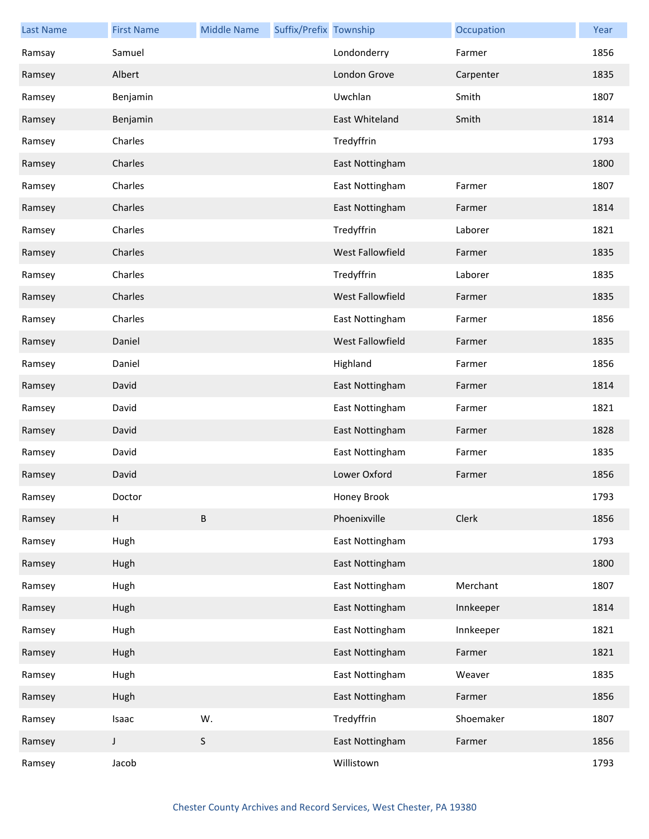| <b>Last Name</b> | <b>First Name</b> | <b>Middle Name</b> | Suffix/Prefix Township |                  | Occupation | Year |
|------------------|-------------------|--------------------|------------------------|------------------|------------|------|
| Ramsay           | Samuel            |                    |                        | Londonderry      | Farmer     | 1856 |
| Ramsey           | Albert            |                    |                        | London Grove     | Carpenter  | 1835 |
| Ramsey           | Benjamin          |                    |                        | Uwchlan          | Smith      | 1807 |
| Ramsey           | Benjamin          |                    |                        | East Whiteland   | Smith      | 1814 |
| Ramsey           | Charles           |                    |                        | Tredyffrin       |            | 1793 |
| Ramsey           | Charles           |                    |                        | East Nottingham  |            | 1800 |
| Ramsey           | Charles           |                    |                        | East Nottingham  | Farmer     | 1807 |
| Ramsey           | Charles           |                    |                        | East Nottingham  | Farmer     | 1814 |
| Ramsey           | Charles           |                    |                        | Tredyffrin       | Laborer    | 1821 |
| Ramsey           | Charles           |                    |                        | West Fallowfield | Farmer     | 1835 |
| Ramsey           | Charles           |                    |                        | Tredyffrin       | Laborer    | 1835 |
| Ramsey           | Charles           |                    |                        | West Fallowfield | Farmer     | 1835 |
| Ramsey           | Charles           |                    |                        | East Nottingham  | Farmer     | 1856 |
| Ramsey           | Daniel            |                    |                        | West Fallowfield | Farmer     | 1835 |
| Ramsey           | Daniel            |                    |                        | Highland         | Farmer     | 1856 |
| Ramsey           | David             |                    |                        | East Nottingham  | Farmer     | 1814 |
| Ramsey           | David             |                    |                        | East Nottingham  | Farmer     | 1821 |
| Ramsey           | David             |                    |                        | East Nottingham  | Farmer     | 1828 |
| Ramsey           | David             |                    |                        | East Nottingham  | Farmer     | 1835 |
| Ramsey           | David             |                    |                        | Lower Oxford     | Farmer     | 1856 |
| Ramsey           | Doctor            |                    |                        | Honey Brook      |            | 1793 |
| Ramsey           | H                 | B                  |                        | Phoenixville     | Clerk      | 1856 |
| Ramsey           | Hugh              |                    |                        | East Nottingham  |            | 1793 |
| Ramsey           | Hugh              |                    |                        | East Nottingham  |            | 1800 |
| Ramsey           | Hugh              |                    |                        | East Nottingham  | Merchant   | 1807 |
| Ramsey           | Hugh              |                    |                        | East Nottingham  | Innkeeper  | 1814 |
| Ramsey           | Hugh              |                    |                        | East Nottingham  | Innkeeper  | 1821 |
| Ramsey           | Hugh              |                    |                        | East Nottingham  | Farmer     | 1821 |
| Ramsey           | Hugh              |                    |                        | East Nottingham  | Weaver     | 1835 |
| Ramsey           | Hugh              |                    |                        | East Nottingham  | Farmer     | 1856 |
| Ramsey           | Isaac             | W.                 |                        | Tredyffrin       | Shoemaker  | 1807 |
| Ramsey           | $\mathsf J$       | $\sf S$            |                        | East Nottingham  | Farmer     | 1856 |
| Ramsey           | Jacob             |                    |                        | Willistown       |            | 1793 |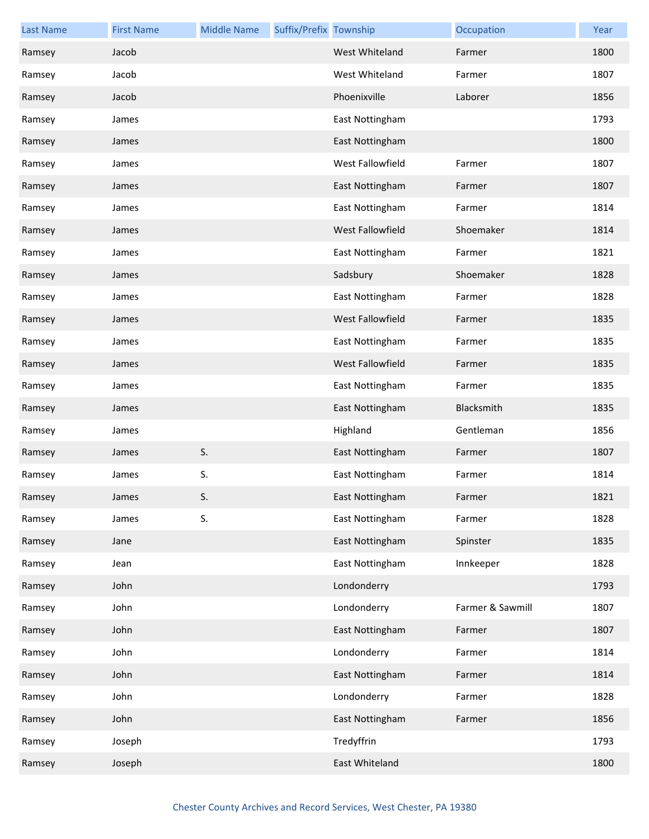| <b>Last Name</b> | <b>First Name</b> | <b>Middle Name</b> | Suffix/Prefix Township |                  | Occupation       | Year |
|------------------|-------------------|--------------------|------------------------|------------------|------------------|------|
| Ramsey           | Jacob             |                    |                        | West Whiteland   | Farmer           | 1800 |
| Ramsey           | Jacob             |                    |                        | West Whiteland   | Farmer           | 1807 |
| Ramsey           | Jacob             |                    |                        | Phoenixville     | Laborer          | 1856 |
| Ramsey           | James             |                    |                        | East Nottingham  |                  | 1793 |
| Ramsey           | James             |                    |                        | East Nottingham  |                  | 1800 |
| Ramsey           | James             |                    |                        | West Fallowfield | Farmer           | 1807 |
| Ramsey           | James             |                    |                        | East Nottingham  | Farmer           | 1807 |
| Ramsey           | James             |                    |                        | East Nottingham  | Farmer           | 1814 |
| Ramsey           | James             |                    |                        | West Fallowfield | Shoemaker        | 1814 |
| Ramsey           | James             |                    |                        | East Nottingham  | Farmer           | 1821 |
| Ramsey           | James             |                    |                        | Sadsbury         | Shoemaker        | 1828 |
| Ramsey           | James             |                    |                        | East Nottingham  | Farmer           | 1828 |
| Ramsey           | James             |                    |                        | West Fallowfield | Farmer           | 1835 |
| Ramsey           | James             |                    |                        | East Nottingham  | Farmer           | 1835 |
| Ramsey           | James             |                    |                        | West Fallowfield | Farmer           | 1835 |
| Ramsey           | James             |                    |                        | East Nottingham  | Farmer           | 1835 |
| Ramsey           | James             |                    |                        | East Nottingham  | Blacksmith       | 1835 |
| Ramsey           | James             |                    |                        | Highland         | Gentleman        | 1856 |
| Ramsey           | James             | S.                 |                        | East Nottingham  | Farmer           | 1807 |
| Ramsey           | James             | S.                 |                        | East Nottingham  | Farmer           | 1814 |
| Ramsey           | James             | S.                 |                        | East Nottingham  | Farmer           | 1821 |
| Ramsey           | James             | S.                 |                        | East Nottingham  | Farmer           | 1828 |
| Ramsey           | Jane              |                    |                        | East Nottingham  | Spinster         | 1835 |
| Ramsey           | Jean              |                    |                        | East Nottingham  | Innkeeper        | 1828 |
| Ramsey           | John              |                    |                        | Londonderry      |                  | 1793 |
| Ramsey           | John              |                    |                        | Londonderry      | Farmer & Sawmill | 1807 |
| Ramsey           | John              |                    |                        | East Nottingham  | Farmer           | 1807 |
| Ramsey           | John              |                    |                        | Londonderry      | Farmer           | 1814 |
| Ramsey           | John              |                    |                        | East Nottingham  | Farmer           | 1814 |
| Ramsey           | John              |                    |                        | Londonderry      | Farmer           | 1828 |
| Ramsey           | John              |                    |                        | East Nottingham  | Farmer           | 1856 |
| Ramsey           | Joseph            |                    |                        | Tredyffrin       |                  | 1793 |
| Ramsey           | Joseph            |                    |                        | East Whiteland   |                  | 1800 |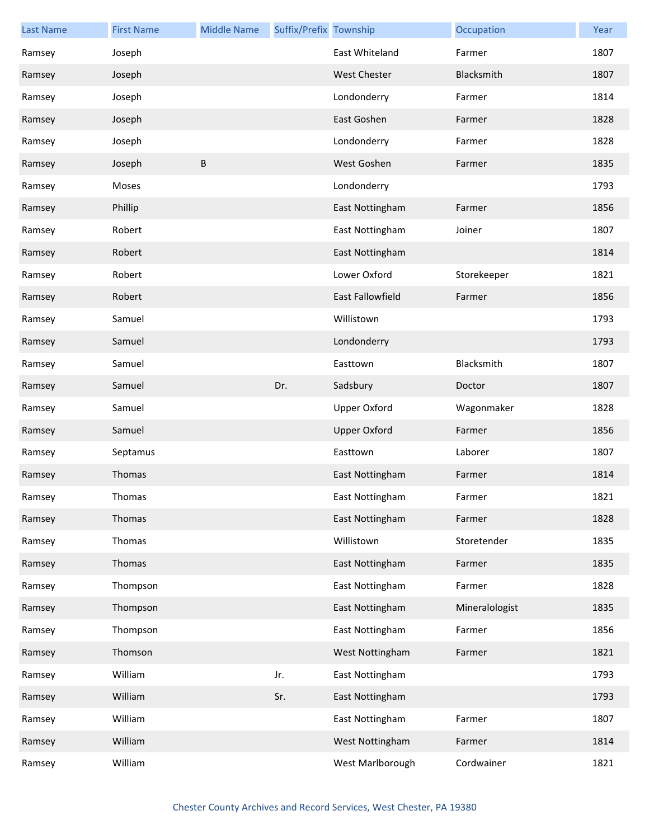| <b>Last Name</b> | <b>First Name</b> | <b>Middle Name</b> | Suffix/Prefix Township |                         | Occupation     | Year |
|------------------|-------------------|--------------------|------------------------|-------------------------|----------------|------|
| Ramsey           | Joseph            |                    |                        | East Whiteland          | Farmer         | 1807 |
| Ramsey           | Joseph            |                    |                        | <b>West Chester</b>     | Blacksmith     | 1807 |
| Ramsey           | Joseph            |                    |                        | Londonderry             | Farmer         | 1814 |
| Ramsey           | Joseph            |                    |                        | East Goshen             | Farmer         | 1828 |
| Ramsey           | Joseph            |                    |                        | Londonderry             | Farmer         | 1828 |
| Ramsey           | Joseph            | B                  |                        | West Goshen             | Farmer         | 1835 |
| Ramsey           | Moses             |                    |                        | Londonderry             |                | 1793 |
| Ramsey           | Phillip           |                    |                        | East Nottingham         | Farmer         | 1856 |
| Ramsey           | Robert            |                    |                        | East Nottingham         | Joiner         | 1807 |
| Ramsey           | Robert            |                    |                        | East Nottingham         |                | 1814 |
| Ramsey           | Robert            |                    |                        | Lower Oxford            | Storekeeper    | 1821 |
| Ramsey           | Robert            |                    |                        | <b>East Fallowfield</b> | Farmer         | 1856 |
| Ramsey           | Samuel            |                    |                        | Willistown              |                | 1793 |
| Ramsey           | Samuel            |                    |                        | Londonderry             |                | 1793 |
| Ramsey           | Samuel            |                    |                        | Easttown                | Blacksmith     | 1807 |
| Ramsey           | Samuel            |                    | Dr.                    | Sadsbury                | Doctor         | 1807 |
| Ramsey           | Samuel            |                    |                        | <b>Upper Oxford</b>     | Wagonmaker     | 1828 |
| Ramsey           | Samuel            |                    |                        | <b>Upper Oxford</b>     | Farmer         | 1856 |
| Ramsey           | Septamus          |                    |                        | Easttown                | Laborer        | 1807 |
| Ramsey           | Thomas            |                    |                        | East Nottingham         | Farmer         | 1814 |
| Ramsey           | Thomas            |                    |                        | East Nottingham         | Farmer         | 1821 |
| Ramsey           | Thomas            |                    |                        | East Nottingham         | Farmer         | 1828 |
| Ramsey           | Thomas            |                    |                        | Willistown              | Storetender    | 1835 |
| Ramsey           | Thomas            |                    |                        | East Nottingham         | Farmer         | 1835 |
| Ramsey           | Thompson          |                    |                        | East Nottingham         | Farmer         | 1828 |
| Ramsey           | Thompson          |                    |                        | East Nottingham         | Mineralologist | 1835 |
| Ramsey           | Thompson          |                    |                        | East Nottingham         | Farmer         | 1856 |
| Ramsey           | Thomson           |                    |                        | West Nottingham         | Farmer         | 1821 |
| Ramsey           | William           |                    | Jr.                    | East Nottingham         |                | 1793 |
| Ramsey           | William           |                    | Sr.                    | East Nottingham         |                | 1793 |
| Ramsey           | William           |                    |                        | East Nottingham         | Farmer         | 1807 |
| Ramsey           | William           |                    |                        | West Nottingham         | Farmer         | 1814 |
| Ramsey           | William           |                    |                        | West Marlborough        | Cordwainer     | 1821 |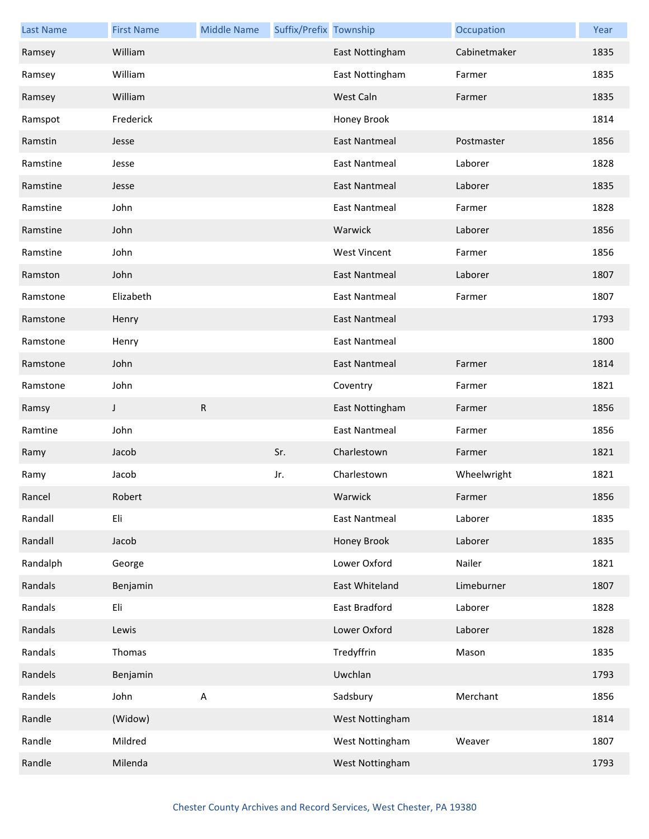| <b>Last Name</b> | <b>First Name</b> | <b>Middle Name</b> | Suffix/Prefix Township |                      | Occupation   | Year |
|------------------|-------------------|--------------------|------------------------|----------------------|--------------|------|
| Ramsey           | William           |                    |                        | East Nottingham      | Cabinetmaker | 1835 |
| Ramsey           | William           |                    |                        | East Nottingham      | Farmer       | 1835 |
| Ramsey           | William           |                    |                        | West Caln            | Farmer       | 1835 |
| Ramspot          | Frederick         |                    |                        | Honey Brook          |              | 1814 |
| Ramstin          | Jesse             |                    |                        | <b>East Nantmeal</b> | Postmaster   | 1856 |
| Ramstine         | Jesse             |                    |                        | <b>East Nantmeal</b> | Laborer      | 1828 |
| Ramstine         | Jesse             |                    |                        | <b>East Nantmeal</b> | Laborer      | 1835 |
| Ramstine         | John              |                    |                        | <b>East Nantmeal</b> | Farmer       | 1828 |
| Ramstine         | John              |                    |                        | Warwick              | Laborer      | 1856 |
| Ramstine         | John              |                    |                        | <b>West Vincent</b>  | Farmer       | 1856 |
| Ramston          | John              |                    |                        | <b>East Nantmeal</b> | Laborer      | 1807 |
| Ramstone         | Elizabeth         |                    |                        | <b>East Nantmeal</b> | Farmer       | 1807 |
| Ramstone         | Henry             |                    |                        | <b>East Nantmeal</b> |              | 1793 |
| Ramstone         | Henry             |                    |                        | <b>East Nantmeal</b> |              | 1800 |
| Ramstone         | John              |                    |                        | <b>East Nantmeal</b> | Farmer       | 1814 |
| Ramstone         | John              |                    |                        | Coventry             | Farmer       | 1821 |
|                  |                   |                    |                        |                      |              |      |
| Ramsy            | J                 | R                  |                        | East Nottingham      | Farmer       | 1856 |
| Ramtine          | John              |                    |                        | <b>East Nantmeal</b> | Farmer       | 1856 |
| Ramy             | Jacob             |                    | Sr.                    | Charlestown          | Farmer       | 1821 |
| Ramy             | Jacob             |                    | Jr.                    | Charlestown          | Wheelwright  | 1821 |
| Rancel           | Robert            |                    |                        | Warwick              | Farmer       | 1856 |
| Randall          | Eli               |                    |                        | <b>East Nantmeal</b> | Laborer      | 1835 |
| Randall          | Jacob             |                    |                        | Honey Brook          | Laborer      | 1835 |
| Randalph         | George            |                    |                        | Lower Oxford         | Nailer       | 1821 |
| Randals          | Benjamin          |                    |                        | East Whiteland       | Limeburner   | 1807 |
| Randals          | Eli               |                    |                        | East Bradford        | Laborer      | 1828 |
| Randals          | Lewis             |                    |                        | Lower Oxford         | Laborer      | 1828 |
| Randals          | Thomas            |                    |                        | Tredyffrin           | Mason        | 1835 |
| Randels          | Benjamin          |                    |                        | Uwchlan              |              | 1793 |
| Randels          | John              | $\sf A$            |                        | Sadsbury             | Merchant     | 1856 |
| Randle           | (Widow)           |                    |                        | West Nottingham      |              | 1814 |
| Randle           | Mildred           |                    |                        | West Nottingham      | Weaver       | 1807 |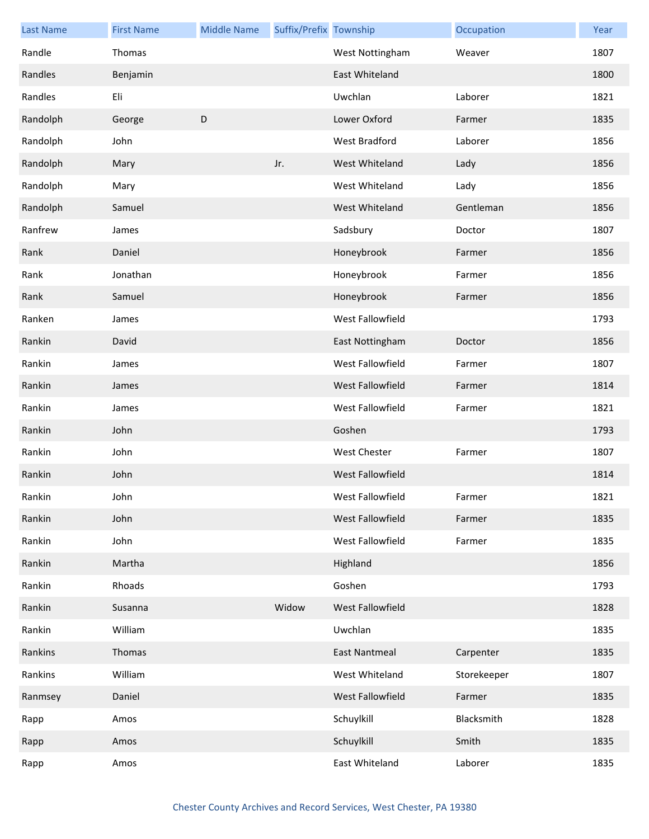| <b>Last Name</b> | <b>First Name</b> | <b>Middle Name</b> | Suffix/Prefix Township |                      | Occupation  | Year |
|------------------|-------------------|--------------------|------------------------|----------------------|-------------|------|
| Randle           | Thomas            |                    |                        | West Nottingham      | Weaver      | 1807 |
| Randles          | Benjamin          |                    |                        | East Whiteland       |             | 1800 |
| Randles          | Eli               |                    |                        | Uwchlan              | Laborer     | 1821 |
| Randolph         | George            | D                  |                        | Lower Oxford         | Farmer      | 1835 |
| Randolph         | John              |                    |                        | West Bradford        | Laborer     | 1856 |
| Randolph         | Mary              |                    | Jr.                    | West Whiteland       | Lady        | 1856 |
| Randolph         | Mary              |                    |                        | West Whiteland       | Lady        | 1856 |
| Randolph         | Samuel            |                    |                        | West Whiteland       | Gentleman   | 1856 |
| Ranfrew          | James             |                    |                        | Sadsbury             | Doctor      | 1807 |
| Rank             | Daniel            |                    |                        | Honeybrook           | Farmer      | 1856 |
| Rank             | Jonathan          |                    |                        | Honeybrook           | Farmer      | 1856 |
| Rank             | Samuel            |                    |                        | Honeybrook           | Farmer      | 1856 |
| Ranken           | James             |                    |                        | West Fallowfield     |             | 1793 |
| Rankin           | David             |                    |                        | East Nottingham      | Doctor      | 1856 |
| Rankin           | James             |                    |                        | West Fallowfield     | Farmer      | 1807 |
| Rankin           | James             |                    |                        | West Fallowfield     | Farmer      | 1814 |
| Rankin           | James             |                    |                        | West Fallowfield     | Farmer      | 1821 |
| Rankin           | John              |                    |                        | Goshen               |             | 1793 |
| Rankin           | John              |                    |                        | West Chester         | Farmer      | 1807 |
| Rankin           | John              |                    |                        | West Fallowfield     |             | 1814 |
| Rankin           | John              |                    |                        | West Fallowfield     | Farmer      | 1821 |
| Rankin           | John              |                    |                        | West Fallowfield     | Farmer      | 1835 |
| Rankin           | John              |                    |                        | West Fallowfield     | Farmer      | 1835 |
| Rankin           | Martha            |                    |                        | Highland             |             | 1856 |
| Rankin           | Rhoads            |                    |                        | Goshen               |             | 1793 |
| Rankin           | Susanna           |                    | Widow                  | West Fallowfield     |             | 1828 |
| Rankin           | William           |                    |                        | Uwchlan              |             | 1835 |
| Rankins          | Thomas            |                    |                        | <b>East Nantmeal</b> | Carpenter   | 1835 |
| Rankins          | William           |                    |                        | West Whiteland       | Storekeeper | 1807 |
| Ranmsey          | Daniel            |                    |                        | West Fallowfield     | Farmer      | 1835 |
| Rapp             | Amos              |                    |                        | Schuylkill           | Blacksmith  | 1828 |
| Rapp             | Amos              |                    |                        | Schuylkill           | Smith       | 1835 |
| Rapp             | Amos              |                    |                        | East Whiteland       | Laborer     | 1835 |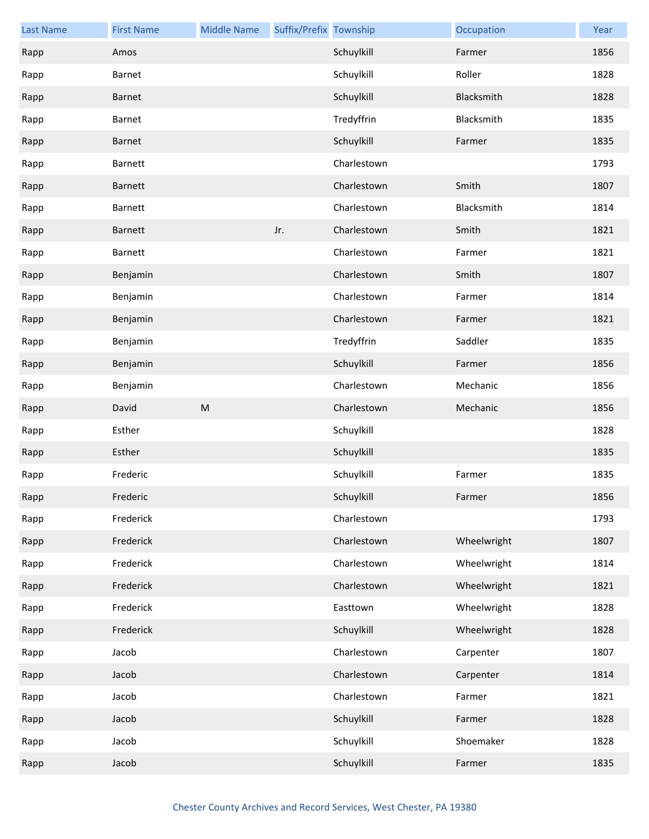| <b>Last Name</b> | <b>First Name</b> | <b>Middle Name</b> | Suffix/Prefix Township |             | Occupation  | Year |
|------------------|-------------------|--------------------|------------------------|-------------|-------------|------|
| Rapp             | Amos              |                    |                        | Schuylkill  | Farmer      | 1856 |
| Rapp             | Barnet            |                    |                        | Schuylkill  | Roller      | 1828 |
| Rapp             | <b>Barnet</b>     |                    |                        | Schuylkill  | Blacksmith  | 1828 |
| Rapp             | Barnet            |                    |                        | Tredyffrin  | Blacksmith  | 1835 |
| Rapp             | <b>Barnet</b>     |                    |                        | Schuylkill  | Farmer      | 1835 |
| Rapp             | <b>Barnett</b>    |                    |                        | Charlestown |             | 1793 |
| Rapp             | <b>Barnett</b>    |                    |                        | Charlestown | Smith       | 1807 |
| Rapp             | <b>Barnett</b>    |                    |                        | Charlestown | Blacksmith  | 1814 |
| Rapp             | <b>Barnett</b>    |                    | Jr.                    | Charlestown | Smith       | 1821 |
| Rapp             | Barnett           |                    |                        | Charlestown | Farmer      | 1821 |
| Rapp             | Benjamin          |                    |                        | Charlestown | Smith       | 1807 |
| Rapp             | Benjamin          |                    |                        | Charlestown | Farmer      | 1814 |
| Rapp             | Benjamin          |                    |                        | Charlestown | Farmer      | 1821 |
| Rapp             | Benjamin          |                    |                        | Tredyffrin  | Saddler     | 1835 |
| Rapp             | Benjamin          |                    |                        | Schuylkill  | Farmer      | 1856 |
| Rapp             | Benjamin          |                    |                        | Charlestown | Mechanic    | 1856 |
| Rapp             | David             | ${\sf M}$          |                        | Charlestown | Mechanic    | 1856 |
| Rapp             | Esther            |                    |                        | Schuylkill  |             | 1828 |
| Rapp             | Esther            |                    |                        | Schuylkill  |             | 1835 |
| Rapp             | Frederic          |                    |                        | Schuylkill  | Farmer      | 1835 |
| Rapp             | Frederic          |                    |                        | Schuylkill  | Farmer      | 1856 |
| Rapp             | Frederick         |                    |                        | Charlestown |             | 1793 |
| Rapp             | Frederick         |                    |                        | Charlestown | Wheelwright | 1807 |
| Rapp             | Frederick         |                    |                        | Charlestown | Wheelwright | 1814 |
| Rapp             | Frederick         |                    |                        | Charlestown | Wheelwright | 1821 |
| Rapp             | Frederick         |                    |                        | Easttown    | Wheelwright | 1828 |
| Rapp             | Frederick         |                    |                        | Schuylkill  | Wheelwright | 1828 |
| Rapp             | Jacob             |                    |                        | Charlestown | Carpenter   | 1807 |
| Rapp             | Jacob             |                    |                        | Charlestown | Carpenter   | 1814 |
| Rapp             | Jacob             |                    |                        | Charlestown | Farmer      | 1821 |
| Rapp             | Jacob             |                    |                        | Schuylkill  | Farmer      | 1828 |
|                  |                   |                    |                        |             |             |      |
| Rapp             | Jacob             |                    |                        | Schuylkill  | Shoemaker   | 1828 |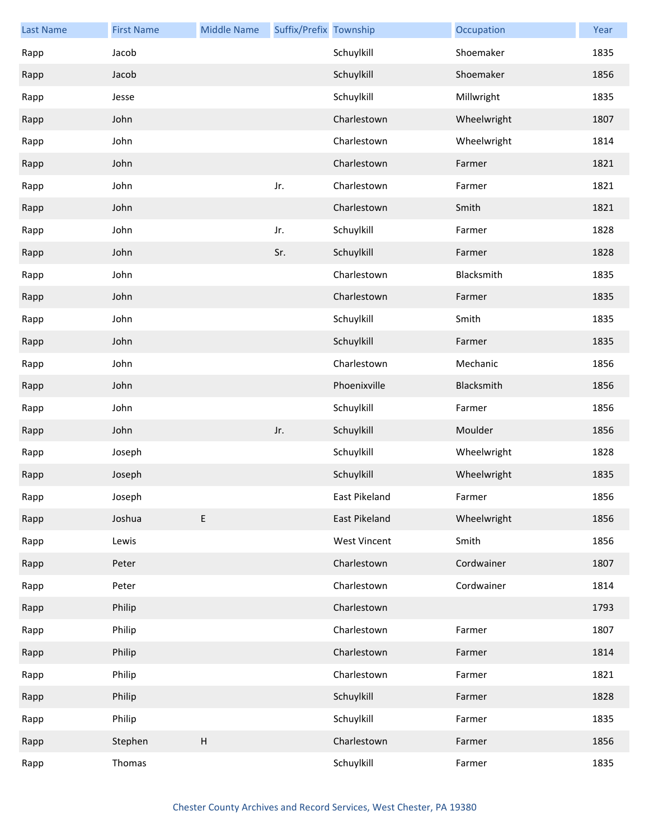| <b>Last Name</b> | <b>First Name</b> | <b>Middle Name</b>        | Suffix/Prefix Township |                     | Occupation  | Year |
|------------------|-------------------|---------------------------|------------------------|---------------------|-------------|------|
| Rapp             | Jacob             |                           |                        | Schuylkill          | Shoemaker   | 1835 |
| Rapp             | Jacob             |                           |                        | Schuylkill          | Shoemaker   | 1856 |
| Rapp             | Jesse             |                           |                        | Schuylkill          | Millwright  | 1835 |
| Rapp             | John              |                           |                        | Charlestown         | Wheelwright | 1807 |
| Rapp             | John              |                           |                        | Charlestown         | Wheelwright | 1814 |
| Rapp             | John              |                           |                        | Charlestown         | Farmer      | 1821 |
| Rapp             | John              |                           | Jr.                    | Charlestown         | Farmer      | 1821 |
| Rapp             | John              |                           |                        | Charlestown         | Smith       | 1821 |
| Rapp             | John              |                           | Jr.                    | Schuylkill          | Farmer      | 1828 |
| Rapp             | John              |                           | Sr.                    | Schuylkill          | Farmer      | 1828 |
| Rapp             | John              |                           |                        | Charlestown         | Blacksmith  | 1835 |
| Rapp             | John              |                           |                        | Charlestown         | Farmer      | 1835 |
| Rapp             | John              |                           |                        | Schuylkill          | Smith       | 1835 |
| Rapp             | John              |                           |                        | Schuylkill          | Farmer      | 1835 |
| Rapp             | John              |                           |                        | Charlestown         | Mechanic    | 1856 |
| Rapp             | John              |                           |                        | Phoenixville        | Blacksmith  | 1856 |
| Rapp             | John              |                           |                        | Schuylkill          | Farmer      | 1856 |
| Rapp             | John              |                           | Jr.                    | Schuylkill          | Moulder     | 1856 |
| Rapp             | Joseph            |                           |                        | Schuylkill          | Wheelwright | 1828 |
| Rapp             | Joseph            |                           |                        | Schuylkill          | Wheelwright | 1835 |
| Rapp             | Joseph            |                           |                        | East Pikeland       | Farmer      | 1856 |
| Rapp             | Joshua            | $\mathsf E$               |                        | East Pikeland       | Wheelwright | 1856 |
| Rapp             | Lewis             |                           |                        | <b>West Vincent</b> | Smith       | 1856 |
| Rapp             | Peter             |                           |                        | Charlestown         | Cordwainer  | 1807 |
| Rapp             | Peter             |                           |                        | Charlestown         | Cordwainer  | 1814 |
| Rapp             | Philip            |                           |                        | Charlestown         |             | 1793 |
| Rapp             | Philip            |                           |                        | Charlestown         | Farmer      | 1807 |
| Rapp             | Philip            |                           |                        | Charlestown         | Farmer      | 1814 |
| Rapp             | Philip            |                           |                        | Charlestown         | Farmer      | 1821 |
| Rapp             | Philip            |                           |                        | Schuylkill          | Farmer      | 1828 |
| Rapp             | Philip            |                           |                        | Schuylkill          | Farmer      | 1835 |
| Rapp             | Stephen           | $\boldsymbol{\mathsf{H}}$ |                        | Charlestown         | Farmer      | 1856 |
| Rapp             | Thomas            |                           |                        | Schuylkill          | Farmer      | 1835 |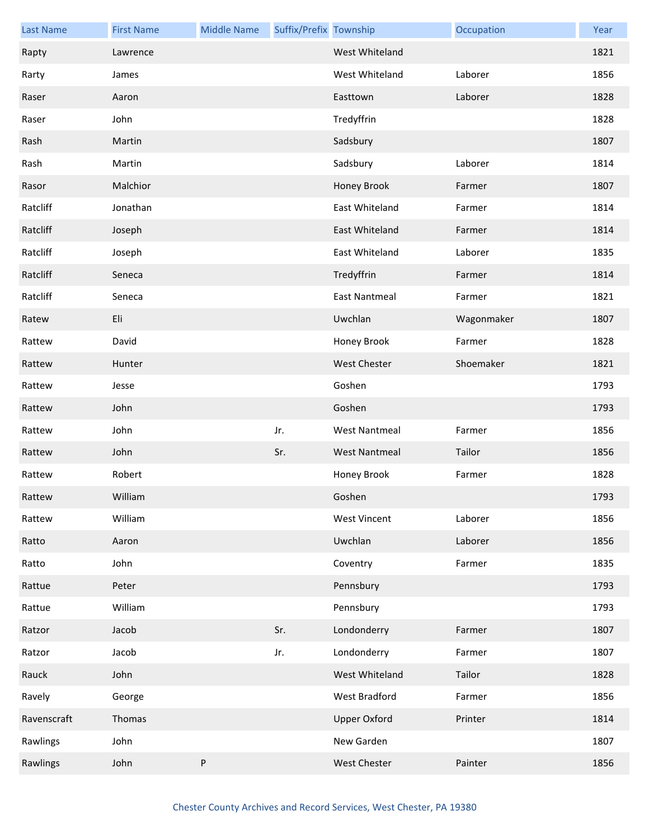| <b>Last Name</b> | <b>First Name</b> | <b>Middle Name</b> | Suffix/Prefix Township |                      | Occupation | Year |
|------------------|-------------------|--------------------|------------------------|----------------------|------------|------|
| Rapty            | Lawrence          |                    |                        | West Whiteland       |            | 1821 |
| Rarty            | James             |                    |                        | West Whiteland       | Laborer    | 1856 |
| Raser            | Aaron             |                    |                        | Easttown             | Laborer    | 1828 |
| Raser            | John              |                    |                        | Tredyffrin           |            | 1828 |
| Rash             | Martin            |                    |                        | Sadsbury             |            | 1807 |
| Rash             | Martin            |                    |                        | Sadsbury             | Laborer    | 1814 |
| Rasor            | Malchior          |                    |                        | Honey Brook          | Farmer     | 1807 |
| Ratcliff         | Jonathan          |                    |                        | East Whiteland       | Farmer     | 1814 |
| Ratcliff         | Joseph            |                    |                        | East Whiteland       | Farmer     | 1814 |
| Ratcliff         | Joseph            |                    |                        | East Whiteland       | Laborer    | 1835 |
| Ratcliff         | Seneca            |                    |                        | Tredyffrin           | Farmer     | 1814 |
| Ratcliff         | Seneca            |                    |                        | <b>East Nantmeal</b> | Farmer     | 1821 |
| Ratew            | Eli               |                    |                        | Uwchlan              | Wagonmaker | 1807 |
| Rattew           | David             |                    |                        | Honey Brook          | Farmer     | 1828 |
| Rattew           | Hunter            |                    |                        | West Chester         | Shoemaker  | 1821 |
| Rattew           | Jesse             |                    |                        | Goshen               |            | 1793 |
| Rattew           | John              |                    |                        | Goshen               |            | 1793 |
| Rattew           | John              |                    | Jr.                    | <b>West Nantmeal</b> | Farmer     | 1856 |
| Rattew           | John              |                    | Sr.                    | <b>West Nantmeal</b> | Tailor     | 1856 |
| Rattew           | Robert            |                    |                        | Honey Brook          | Farmer     | 1828 |
| Rattew           | William           |                    |                        | Goshen               |            | 1793 |
| Rattew           | William           |                    |                        | <b>West Vincent</b>  | Laborer    | 1856 |
| Ratto            | Aaron             |                    |                        | Uwchlan              | Laborer    | 1856 |
| Ratto            | John              |                    |                        | Coventry             | Farmer     | 1835 |
| Rattue           | Peter             |                    |                        | Pennsbury            |            | 1793 |
| Rattue           | William           |                    |                        | Pennsbury            |            | 1793 |
| Ratzor           | Jacob             |                    | Sr.                    | Londonderry          | Farmer     | 1807 |
| Ratzor           | Jacob             |                    | Jr.                    | Londonderry          | Farmer     | 1807 |
| Rauck            | John              |                    |                        | West Whiteland       | Tailor     | 1828 |
| Ravely           | George            |                    |                        | West Bradford        | Farmer     | 1856 |
| Ravenscraft      | Thomas            |                    |                        | <b>Upper Oxford</b>  | Printer    | 1814 |
| Rawlings         | John              |                    |                        | New Garden           |            | 1807 |
| Rawlings         | John              | ${\sf P}$          |                        | <b>West Chester</b>  | Painter    | 1856 |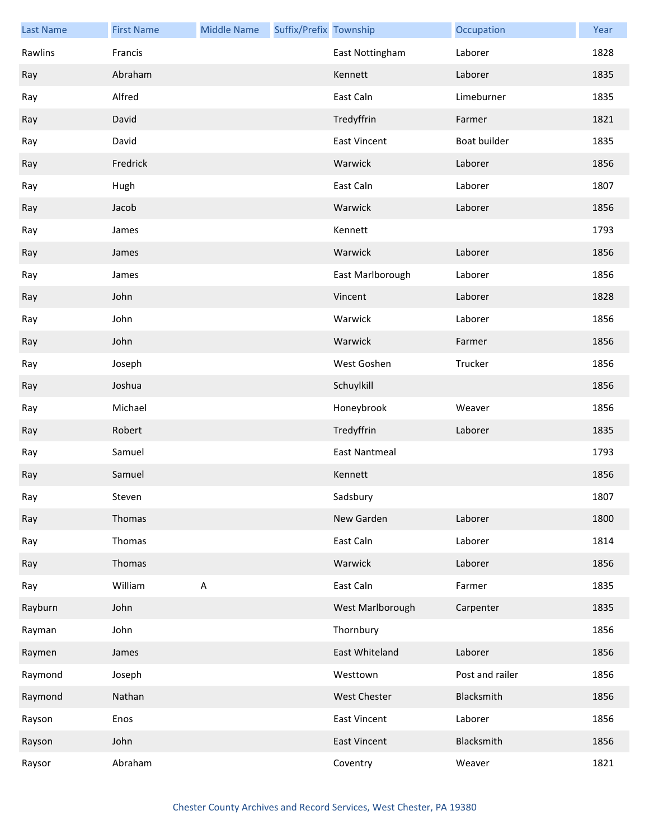| <b>Last Name</b> | <b>First Name</b> | <b>Middle Name</b> | Suffix/Prefix Township |                      | Occupation      | Year |
|------------------|-------------------|--------------------|------------------------|----------------------|-----------------|------|
| Rawlins          | Francis           |                    |                        | East Nottingham      | Laborer         | 1828 |
| Ray              | Abraham           |                    |                        | Kennett              | Laborer         | 1835 |
| Ray              | Alfred            |                    |                        | East Caln            | Limeburner      | 1835 |
| Ray              | David             |                    |                        | Tredyffrin           | Farmer          | 1821 |
| Ray              | David             |                    |                        | <b>East Vincent</b>  | Boat builder    | 1835 |
| Ray              | Fredrick          |                    |                        | Warwick              | Laborer         | 1856 |
| Ray              | Hugh              |                    |                        | East Caln            | Laborer         | 1807 |
| Ray              | Jacob             |                    |                        | Warwick              | Laborer         | 1856 |
| Ray              | James             |                    |                        | Kennett              |                 | 1793 |
| Ray              | James             |                    |                        | Warwick              | Laborer         | 1856 |
| Ray              | James             |                    |                        | East Marlborough     | Laborer         | 1856 |
| Ray              | John              |                    |                        | Vincent              | Laborer         | 1828 |
| Ray              | John              |                    |                        | Warwick              | Laborer         | 1856 |
| Ray              | John              |                    |                        | Warwick              | Farmer          | 1856 |
| Ray              | Joseph            |                    |                        | West Goshen          | Trucker         | 1856 |
| Ray              | Joshua            |                    |                        | Schuylkill           |                 | 1856 |
| Ray              | Michael           |                    |                        | Honeybrook           | Weaver          | 1856 |
| Ray              | Robert            |                    |                        | Tredyffrin           | Laborer         | 1835 |
| Ray              | Samuel            |                    |                        | <b>East Nantmeal</b> |                 | 1793 |
| Ray              | Samuel            |                    |                        | Kennett              |                 | 1856 |
| Ray              | Steven            |                    |                        | Sadsbury             |                 | 1807 |
| Ray              | Thomas            |                    |                        | New Garden           | Laborer         | 1800 |
| Ray              | Thomas            |                    |                        | East Caln            | Laborer         | 1814 |
| Ray              | Thomas            |                    |                        | Warwick              | Laborer         | 1856 |
| Ray              | William           | $\mathsf A$        |                        | East Caln            | Farmer          | 1835 |
| Rayburn          | John              |                    |                        | West Marlborough     | Carpenter       | 1835 |
| Rayman           | John              |                    |                        | Thornbury            |                 | 1856 |
| Raymen           | James             |                    |                        | East Whiteland       | Laborer         | 1856 |
| Raymond          | Joseph            |                    |                        | Westtown             | Post and railer | 1856 |
| Raymond          | Nathan            |                    |                        | West Chester         | Blacksmith      | 1856 |
| Rayson           | Enos              |                    |                        | <b>East Vincent</b>  | Laborer         | 1856 |
| Rayson           | John              |                    |                        | <b>East Vincent</b>  | Blacksmith      | 1856 |
| Raysor           | Abraham           |                    |                        | Coventry             | Weaver          | 1821 |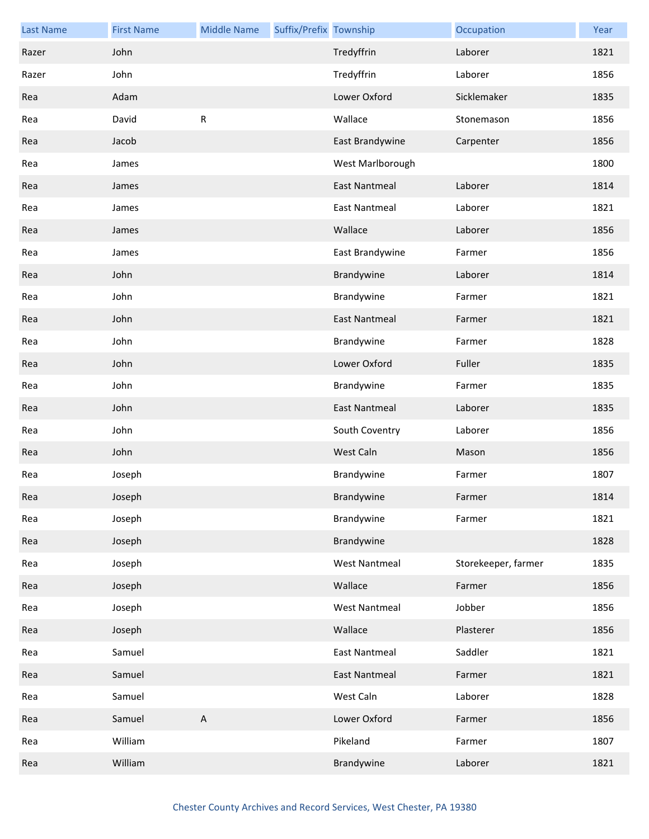| <b>Last Name</b> | <b>First Name</b> | <b>Middle Name</b> | Suffix/Prefix Township |                      | Occupation          | Year |
|------------------|-------------------|--------------------|------------------------|----------------------|---------------------|------|
| Razer            | John              |                    |                        | Tredyffrin           | Laborer             | 1821 |
| Razer            | John              |                    |                        | Tredyffrin           | Laborer             | 1856 |
| Rea              | Adam              |                    |                        | Lower Oxford         | Sicklemaker         | 1835 |
| Rea              | David             | ${\sf R}$          |                        | Wallace              | Stonemason          | 1856 |
| Rea              | Jacob             |                    |                        | East Brandywine      | Carpenter           | 1856 |
| Rea              | James             |                    |                        | West Marlborough     |                     | 1800 |
| Rea              | James             |                    |                        | <b>East Nantmeal</b> | Laborer             | 1814 |
| Rea              | James             |                    |                        | <b>East Nantmeal</b> | Laborer             | 1821 |
| Rea              | James             |                    |                        | Wallace              | Laborer             | 1856 |
| Rea              | James             |                    |                        | East Brandywine      | Farmer              | 1856 |
| Rea              | John              |                    |                        | Brandywine           | Laborer             | 1814 |
| Rea              | John              |                    |                        | Brandywine           | Farmer              | 1821 |
| Rea              | John              |                    |                        | <b>East Nantmeal</b> | Farmer              | 1821 |
| Rea              | John              |                    |                        | Brandywine           | Farmer              | 1828 |
| Rea              | John              |                    |                        | Lower Oxford         | Fuller              | 1835 |
| Rea              | John              |                    |                        | Brandywine           | Farmer              | 1835 |
| Rea              | John              |                    |                        | <b>East Nantmeal</b> | Laborer             | 1835 |
| Rea              | John              |                    |                        | South Coventry       | Laborer             | 1856 |
| Rea              | John              |                    |                        | West Caln            | Mason               | 1856 |
| Rea              | Joseph            |                    |                        | Brandywine           | Farmer              | 1807 |
| Rea              | Joseph            |                    |                        | Brandywine           | Farmer              | 1814 |
| Rea              | Joseph            |                    |                        | Brandywine           | Farmer              | 1821 |
| Rea              | Joseph            |                    |                        | Brandywine           |                     | 1828 |
| Rea              | Joseph            |                    |                        | <b>West Nantmeal</b> | Storekeeper, farmer | 1835 |
| Rea              | Joseph            |                    |                        | Wallace              | Farmer              | 1856 |
| Rea              | Joseph            |                    |                        | <b>West Nantmeal</b> | Jobber              | 1856 |
| Rea              | Joseph            |                    |                        | Wallace              | Plasterer           | 1856 |
| Rea              | Samuel            |                    |                        | <b>East Nantmeal</b> | Saddler             | 1821 |
| Rea              | Samuel            |                    |                        | East Nantmeal        | Farmer              | 1821 |
| Rea              | Samuel            |                    |                        | West Caln            | Laborer             | 1828 |
| Rea              | Samuel            | $\mathsf{A}$       |                        | Lower Oxford         | Farmer              | 1856 |
| Rea              | William           |                    |                        | Pikeland             | Farmer              | 1807 |
| Rea              | William           |                    |                        | Brandywine           | Laborer             | 1821 |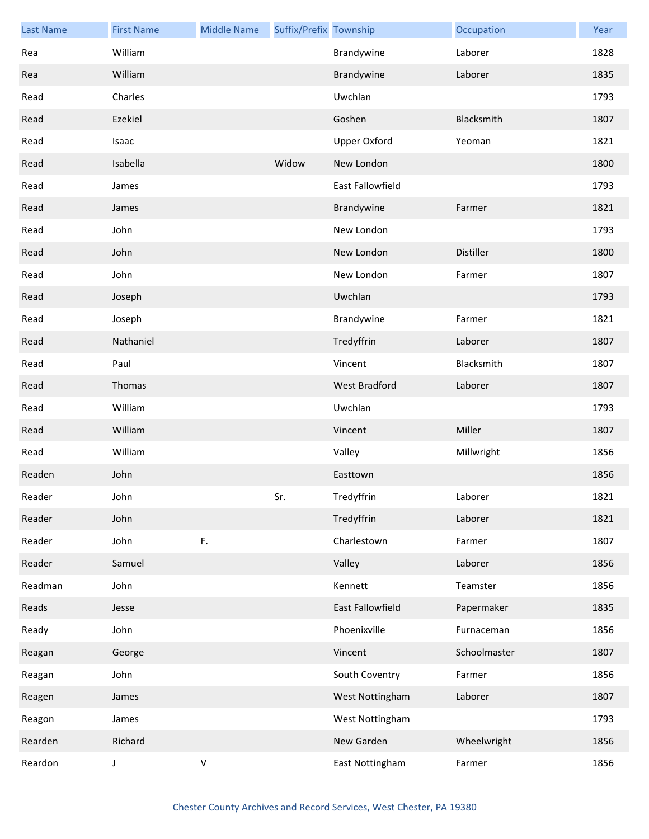| <b>Last Name</b> | <b>First Name</b> | <b>Middle Name</b> | Suffix/Prefix Township |                     | Occupation   | Year |
|------------------|-------------------|--------------------|------------------------|---------------------|--------------|------|
| Rea              | William           |                    |                        | Brandywine          | Laborer      | 1828 |
| Rea              | William           |                    |                        | Brandywine          | Laborer      | 1835 |
| Read             | Charles           |                    |                        | Uwchlan             |              | 1793 |
| Read             | Ezekiel           |                    |                        | Goshen              | Blacksmith   | 1807 |
| Read             | Isaac             |                    |                        | <b>Upper Oxford</b> | Yeoman       | 1821 |
| Read             | Isabella          |                    | Widow                  | New London          |              | 1800 |
| Read             | James             |                    |                        | East Fallowfield    |              | 1793 |
| Read             | James             |                    |                        | Brandywine          | Farmer       | 1821 |
| Read             | John              |                    |                        | New London          |              | 1793 |
| Read             | John              |                    |                        | New London          | Distiller    | 1800 |
| Read             | John              |                    |                        | New London          | Farmer       | 1807 |
| Read             | Joseph            |                    |                        | Uwchlan             |              | 1793 |
| Read             | Joseph            |                    |                        | Brandywine          | Farmer       | 1821 |
| Read             | Nathaniel         |                    |                        | Tredyffrin          | Laborer      | 1807 |
| Read             | Paul              |                    |                        | Vincent             | Blacksmith   | 1807 |
| Read             | Thomas            |                    |                        | West Bradford       | Laborer      | 1807 |
| Read             | William           |                    |                        | Uwchlan             |              | 1793 |
| Read             | William           |                    |                        | Vincent             | Miller       | 1807 |
| Read             | William           |                    |                        | Valley              | Millwright   | 1856 |
| Readen           | John              |                    |                        | Easttown            |              | 1856 |
| Reader           | John              |                    | Sr.                    | Tredyffrin          | Laborer      | 1821 |
| Reader           | John              |                    |                        | Tredyffrin          | Laborer      | 1821 |
| Reader           | John              | F.                 |                        | Charlestown         | Farmer       | 1807 |
| Reader           | Samuel            |                    |                        | Valley              | Laborer      | 1856 |
| Readman          | John              |                    |                        | Kennett             | Teamster     | 1856 |
| Reads            | Jesse             |                    |                        | East Fallowfield    | Papermaker   | 1835 |
| Ready            | John              |                    |                        | Phoenixville        | Furnaceman   | 1856 |
| Reagan           | George            |                    |                        | Vincent             | Schoolmaster | 1807 |
| Reagan           | John              |                    |                        | South Coventry      | Farmer       | 1856 |
| Reagen           | James             |                    |                        | West Nottingham     | Laborer      | 1807 |
| Reagon           | James             |                    |                        | West Nottingham     |              | 1793 |
| Rearden          | Richard           |                    |                        | New Garden          | Wheelwright  | 1856 |
| Reardon          | J                 | $\sf V$            |                        | East Nottingham     | Farmer       | 1856 |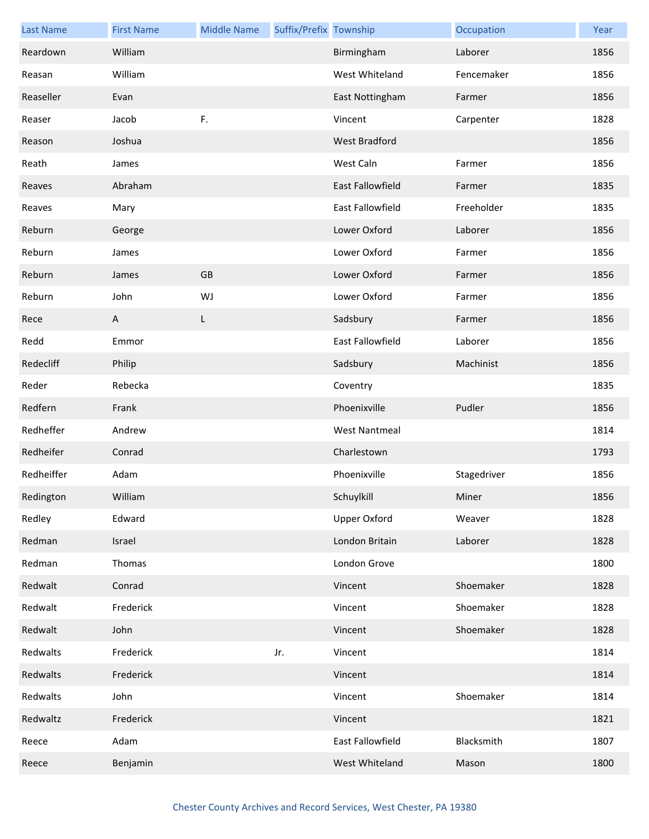| <b>Last Name</b> | <b>First Name</b> | <b>Middle Name</b> | Suffix/Prefix Township |                         | Occupation  | Year |
|------------------|-------------------|--------------------|------------------------|-------------------------|-------------|------|
| Reardown         | William           |                    |                        | Birmingham              | Laborer     | 1856 |
| Reasan           | William           |                    |                        | West Whiteland          | Fencemaker  | 1856 |
| Reaseller        | Evan              |                    |                        | East Nottingham         | Farmer      | 1856 |
| Reaser           | Jacob             | F.                 |                        | Vincent                 | Carpenter   | 1828 |
| Reason           | Joshua            |                    |                        | West Bradford           |             | 1856 |
| Reath            | James             |                    |                        | West Caln               | Farmer      | 1856 |
| Reaves           | Abraham           |                    |                        | East Fallowfield        | Farmer      | 1835 |
| Reaves           | Mary              |                    |                        | <b>East Fallowfield</b> | Freeholder  | 1835 |
| Reburn           | George            |                    |                        | Lower Oxford            | Laborer     | 1856 |
| Reburn           | James             |                    |                        | Lower Oxford            | Farmer      | 1856 |
| Reburn           | James             | GB                 |                        | Lower Oxford            | Farmer      | 1856 |
| Reburn           | John              | WJ                 |                        | Lower Oxford            | Farmer      | 1856 |
| Rece             | A                 | L                  |                        | Sadsbury                | Farmer      | 1856 |
| Redd             | Emmor             |                    |                        | <b>East Fallowfield</b> | Laborer     | 1856 |
| Redecliff        | Philip            |                    |                        | Sadsbury                | Machinist   | 1856 |
| Reder            | Rebecka           |                    |                        | Coventry                |             | 1835 |
| Redfern          | Frank             |                    |                        | Phoenixville            | Pudler      | 1856 |
| Redheffer        | Andrew            |                    |                        | <b>West Nantmeal</b>    |             | 1814 |
| Redheifer        | Conrad            |                    |                        | Charlestown             |             | 1793 |
| Redheiffer       | Adam              |                    |                        | Phoenixville            | Stagedriver | 1856 |
| Redington        | William           |                    |                        | Schuylkill              | Miner       | 1856 |
| Redley           | Edward            |                    |                        | <b>Upper Oxford</b>     | Weaver      | 1828 |
| Redman           | Israel            |                    |                        | London Britain          | Laborer     | 1828 |
| Redman           | Thomas            |                    |                        | London Grove            |             | 1800 |
| Redwalt          | Conrad            |                    |                        | Vincent                 | Shoemaker   | 1828 |
| Redwalt          | Frederick         |                    |                        | Vincent                 | Shoemaker   | 1828 |
| Redwalt          | John              |                    |                        | Vincent                 | Shoemaker   | 1828 |
| Redwalts         | Frederick         |                    | Jr.                    | Vincent                 |             | 1814 |
| Redwalts         | Frederick         |                    |                        | Vincent                 |             | 1814 |
| Redwalts         | John              |                    |                        | Vincent                 | Shoemaker   | 1814 |
| Redwaltz         | Frederick         |                    |                        | Vincent                 |             | 1821 |
| Reece            | Adam              |                    |                        | East Fallowfield        | Blacksmith  | 1807 |
| Reece            | Benjamin          |                    |                        | West Whiteland          | Mason       | 1800 |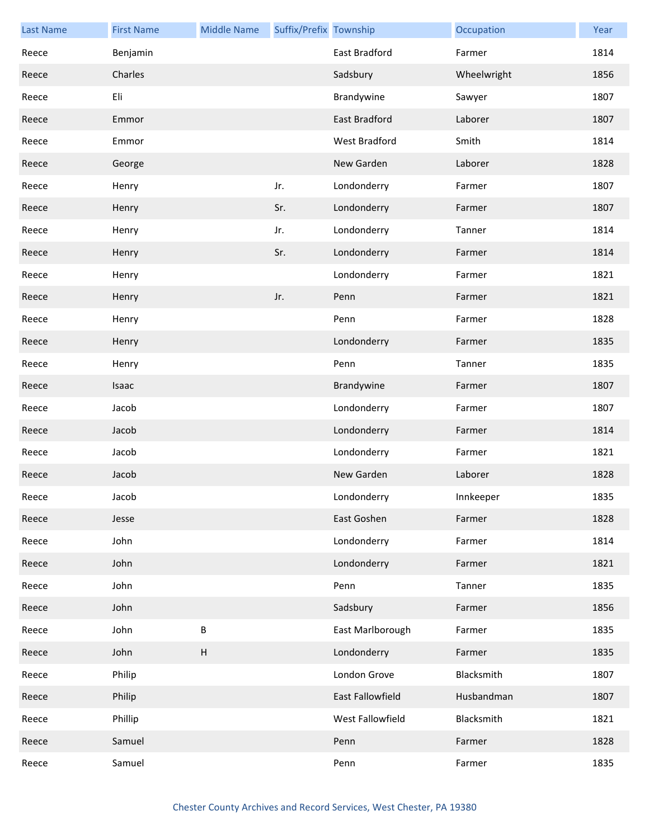| <b>Last Name</b> | <b>First Name</b> | <b>Middle Name</b>        | Suffix/Prefix Township |                      | Occupation  | Year |
|------------------|-------------------|---------------------------|------------------------|----------------------|-------------|------|
| Reece            | Benjamin          |                           |                        | <b>East Bradford</b> | Farmer      | 1814 |
| Reece            | Charles           |                           |                        | Sadsbury             | Wheelwright | 1856 |
| Reece            | Eli               |                           |                        | Brandywine           | Sawyer      | 1807 |
| Reece            | Emmor             |                           |                        | East Bradford        | Laborer     | 1807 |
| Reece            | Emmor             |                           |                        | West Bradford        | Smith       | 1814 |
| Reece            | George            |                           |                        | New Garden           | Laborer     | 1828 |
| Reece            | Henry             |                           | Jr.                    | Londonderry          | Farmer      | 1807 |
| Reece            | Henry             |                           | Sr.                    | Londonderry          | Farmer      | 1807 |
| Reece            | Henry             |                           | Jr.                    | Londonderry          | Tanner      | 1814 |
| Reece            | Henry             |                           | Sr.                    | Londonderry          | Farmer      | 1814 |
| Reece            | Henry             |                           |                        | Londonderry          | Farmer      | 1821 |
| Reece            | Henry             |                           | Jr.                    | Penn                 | Farmer      | 1821 |
| Reece            | Henry             |                           |                        | Penn                 | Farmer      | 1828 |
| Reece            | Henry             |                           |                        | Londonderry          | Farmer      | 1835 |
| Reece            | Henry             |                           |                        | Penn                 | Tanner      | 1835 |
| Reece            | Isaac             |                           |                        | Brandywine           | Farmer      | 1807 |
| Reece            | Jacob             |                           |                        | Londonderry          | Farmer      | 1807 |
| Reece            | Jacob             |                           |                        | Londonderry          | Farmer      | 1814 |
| Reece            | Jacob             |                           |                        | Londonderry          | Farmer      | 1821 |
| Reece            | Jacob             |                           |                        | New Garden           | Laborer     | 1828 |
| Reece            | Jacob             |                           |                        | Londonderry          | Innkeeper   | 1835 |
| Reece            | Jesse             |                           |                        | East Goshen          | Farmer      | 1828 |
| Reece            | John              |                           |                        | Londonderry          | Farmer      | 1814 |
| Reece            | John              |                           |                        | Londonderry          | Farmer      | 1821 |
| Reece            | John              |                           |                        | Penn                 | Tanner      | 1835 |
| Reece            | John              |                           |                        | Sadsbury             | Farmer      | 1856 |
| Reece            | John              | B                         |                        | East Marlborough     | Farmer      | 1835 |
| Reece            | John              | $\boldsymbol{\mathsf{H}}$ |                        | Londonderry          | Farmer      | 1835 |
| Reece            | Philip            |                           |                        | London Grove         | Blacksmith  | 1807 |
| Reece            | Philip            |                           |                        | East Fallowfield     | Husbandman  | 1807 |
| Reece            | Phillip           |                           |                        | West Fallowfield     | Blacksmith  | 1821 |
| Reece            | Samuel            |                           |                        | Penn                 | Farmer      | 1828 |
| Reece            | Samuel            |                           |                        | Penn                 | Farmer      | 1835 |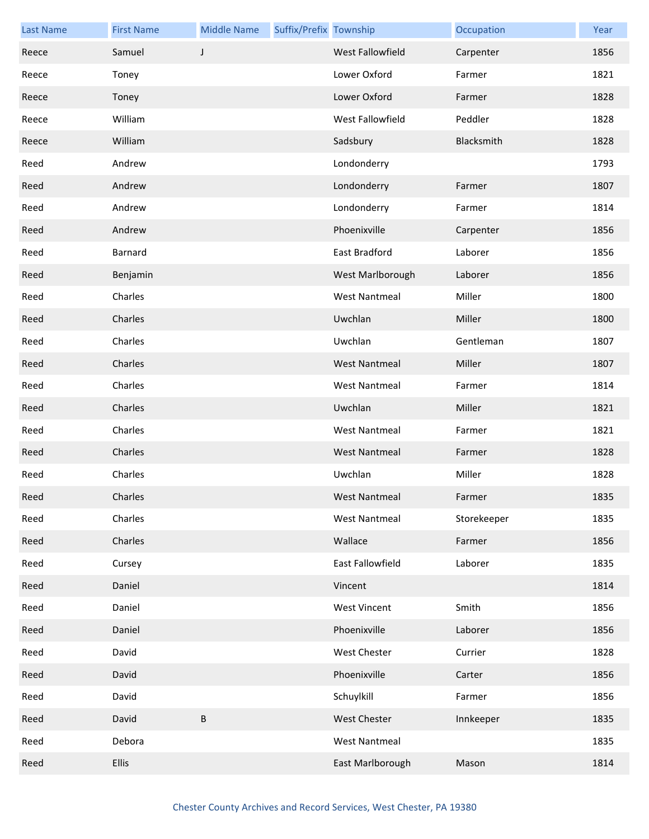| <b>Last Name</b> | <b>First Name</b> | <b>Middle Name</b> | Suffix/Prefix Township |                         | Occupation  | Year |
|------------------|-------------------|--------------------|------------------------|-------------------------|-------------|------|
| Reece            | Samuel            | J                  |                        | <b>West Fallowfield</b> | Carpenter   | 1856 |
| Reece            | Toney             |                    |                        | Lower Oxford            | Farmer      | 1821 |
| Reece            | Toney             |                    |                        | Lower Oxford            | Farmer      | 1828 |
| Reece            | William           |                    |                        | West Fallowfield        | Peddler     | 1828 |
| Reece            | William           |                    |                        | Sadsbury                | Blacksmith  | 1828 |
| Reed             | Andrew            |                    |                        | Londonderry             |             | 1793 |
| Reed             | Andrew            |                    |                        | Londonderry             | Farmer      | 1807 |
| Reed             | Andrew            |                    |                        | Londonderry             | Farmer      | 1814 |
| Reed             | Andrew            |                    |                        | Phoenixville            | Carpenter   | 1856 |
| Reed             | Barnard           |                    |                        | East Bradford           | Laborer     | 1856 |
| Reed             | Benjamin          |                    |                        | West Marlborough        | Laborer     | 1856 |
| Reed             | Charles           |                    |                        | <b>West Nantmeal</b>    | Miller      | 1800 |
| Reed             | Charles           |                    |                        | Uwchlan                 | Miller      | 1800 |
| Reed             | Charles           |                    |                        | Uwchlan                 | Gentleman   | 1807 |
| Reed             | Charles           |                    |                        | <b>West Nantmeal</b>    | Miller      | 1807 |
| Reed             | Charles           |                    |                        | <b>West Nantmeal</b>    | Farmer      | 1814 |
| Reed             | Charles           |                    |                        | Uwchlan                 | Miller      | 1821 |
| Reed             | Charles           |                    |                        | <b>West Nantmeal</b>    | Farmer      | 1821 |
| Reed             | Charles           |                    |                        | <b>West Nantmeal</b>    | Farmer      | 1828 |
| Reed             | Charles           |                    |                        | Uwchlan                 | Miller      | 1828 |
| Reed             | Charles           |                    |                        | West Nantmeal           | Farmer      | 1835 |
| Reed             | Charles           |                    |                        | <b>West Nantmeal</b>    | Storekeeper | 1835 |
| Reed             | Charles           |                    |                        | Wallace                 | Farmer      | 1856 |
| Reed             | Cursey            |                    |                        | East Fallowfield        | Laborer     | 1835 |
| Reed             | Daniel            |                    |                        | Vincent                 |             | 1814 |
| Reed             | Daniel            |                    |                        | <b>West Vincent</b>     | Smith       | 1856 |
| Reed             | Daniel            |                    |                        | Phoenixville            | Laborer     | 1856 |
| Reed             | David             |                    |                        | West Chester            | Currier     | 1828 |
| Reed             | David             |                    |                        | Phoenixville            | Carter      | 1856 |
| Reed             | David             |                    |                        | Schuylkill              | Farmer      | 1856 |
| Reed             | David             | $\sf B$            |                        | West Chester            | Innkeeper   | 1835 |
| Reed             | Debora            |                    |                        | <b>West Nantmeal</b>    |             | 1835 |
| Reed             | <b>Ellis</b>      |                    |                        | East Marlborough        | Mason       | 1814 |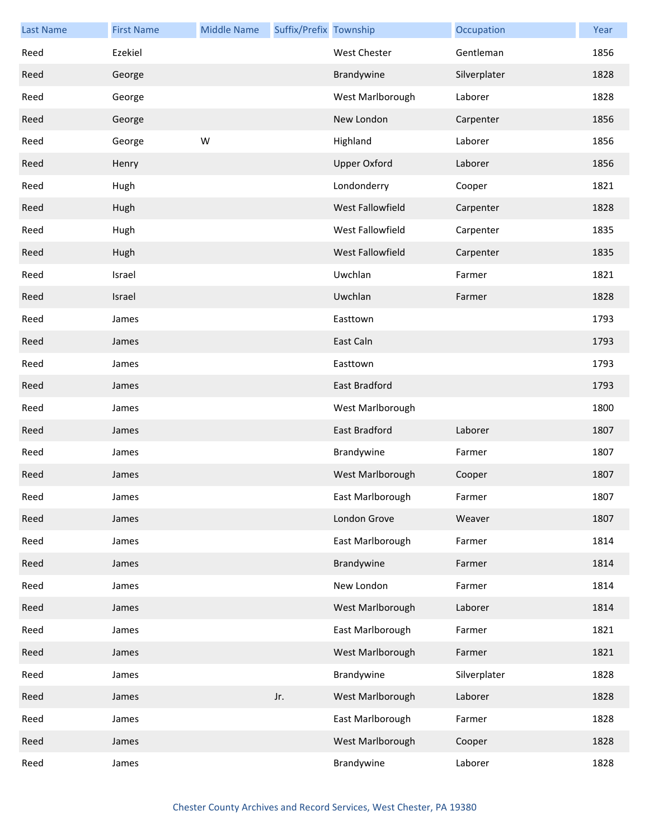| <b>Last Name</b> | <b>First Name</b> | <b>Middle Name</b> | Suffix/Prefix Township |                     | Occupation   | Year |
|------------------|-------------------|--------------------|------------------------|---------------------|--------------|------|
| Reed             | Ezekiel           |                    |                        | West Chester        | Gentleman    | 1856 |
| Reed             | George            |                    |                        | Brandywine          | Silverplater | 1828 |
| Reed             | George            |                    |                        | West Marlborough    | Laborer      | 1828 |
| Reed             | George            |                    |                        | New London          | Carpenter    | 1856 |
| Reed             | George            | W                  |                        | Highland            | Laborer      | 1856 |
| Reed             | Henry             |                    |                        | <b>Upper Oxford</b> | Laborer      | 1856 |
| Reed             | Hugh              |                    |                        | Londonderry         | Cooper       | 1821 |
| Reed             | Hugh              |                    |                        | West Fallowfield    | Carpenter    | 1828 |
| Reed             | Hugh              |                    |                        | West Fallowfield    | Carpenter    | 1835 |
| Reed             | Hugh              |                    |                        | West Fallowfield    | Carpenter    | 1835 |
| Reed             | Israel            |                    |                        | Uwchlan             | Farmer       | 1821 |
| Reed             | Israel            |                    |                        | Uwchlan             | Farmer       | 1828 |
| Reed             | James             |                    |                        | Easttown            |              | 1793 |
| Reed             | James             |                    |                        | East Caln           |              | 1793 |
| Reed             | James             |                    |                        | Easttown            |              | 1793 |
| Reed             | James             |                    |                        | East Bradford       |              | 1793 |
| Reed             | James             |                    |                        | West Marlborough    |              | 1800 |
| Reed             | James             |                    |                        | East Bradford       | Laborer      | 1807 |
| Reed             | James             |                    |                        | Brandywine          | Farmer       | 1807 |
| Reed             | James             |                    |                        | West Marlborough    | Cooper       | 1807 |
| Reed             | James             |                    |                        | East Marlborough    | Farmer       | 1807 |
| Reed             | James             |                    |                        | London Grove        | Weaver       | 1807 |
| Reed             | James             |                    |                        | East Marlborough    | Farmer       | 1814 |
| Reed             | James             |                    |                        | Brandywine          | Farmer       | 1814 |
| Reed             | James             |                    |                        | New London          | Farmer       | 1814 |
| Reed             | James             |                    |                        | West Marlborough    | Laborer      | 1814 |
| Reed             | James             |                    |                        | East Marlborough    | Farmer       | 1821 |
| Reed             | James             |                    |                        | West Marlborough    | Farmer       | 1821 |
| Reed             | James             |                    |                        | Brandywine          | Silverplater | 1828 |
| Reed             | James             |                    | Jr.                    | West Marlborough    | Laborer      | 1828 |
| Reed             | James             |                    |                        | East Marlborough    | Farmer       | 1828 |
| Reed             | James             |                    |                        | West Marlborough    | Cooper       | 1828 |
| Reed             | James             |                    |                        | Brandywine          | Laborer      | 1828 |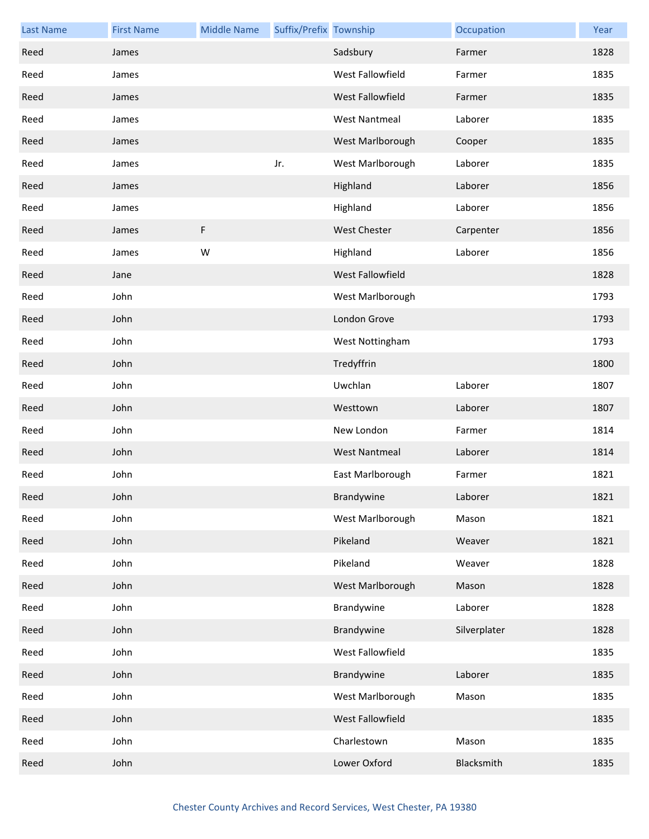| <b>Last Name</b> | <b>First Name</b> | <b>Middle Name</b> | Suffix/Prefix Township |                      | Occupation   | Year |
|------------------|-------------------|--------------------|------------------------|----------------------|--------------|------|
| Reed             | James             |                    |                        | Sadsbury             | Farmer       | 1828 |
| Reed             | James             |                    |                        | West Fallowfield     | Farmer       | 1835 |
| Reed             | James             |                    |                        | West Fallowfield     | Farmer       | 1835 |
| Reed             | James             |                    |                        | <b>West Nantmeal</b> | Laborer      | 1835 |
| Reed             | James             |                    |                        | West Marlborough     | Cooper       | 1835 |
| Reed             | James             |                    | Jr.                    | West Marlborough     | Laborer      | 1835 |
| Reed             | James             |                    |                        | Highland             | Laborer      | 1856 |
| Reed             | James             |                    |                        | Highland             | Laborer      | 1856 |
| Reed             | James             | F                  |                        | West Chester         | Carpenter    | 1856 |
| Reed             | James             | W                  |                        | Highland             | Laborer      | 1856 |
| Reed             | Jane              |                    |                        | West Fallowfield     |              | 1828 |
| Reed             | John              |                    |                        | West Marlborough     |              | 1793 |
| Reed             | John              |                    |                        | London Grove         |              | 1793 |
| Reed             | John              |                    |                        | West Nottingham      |              | 1793 |
| Reed             | John              |                    |                        | Tredyffrin           |              | 1800 |
| Reed             | John              |                    |                        | Uwchlan              | Laborer      | 1807 |
| Reed             | John              |                    |                        | Westtown             | Laborer      | 1807 |
| Reed             | John              |                    |                        | New London           | Farmer       | 1814 |
| Reed             | John              |                    |                        | <b>West Nantmeal</b> | Laborer      | 1814 |
| Reed             | John              |                    |                        | East Marlborough     | Farmer       | 1821 |
| Reed             | John              |                    |                        | Brandywine           | Laborer      | 1821 |
| Reed             | John              |                    |                        | West Marlborough     | Mason        | 1821 |
| Reed             | John              |                    |                        | Pikeland             | Weaver       | 1821 |
| Reed             | John              |                    |                        | Pikeland             | Weaver       | 1828 |
| Reed             | John              |                    |                        | West Marlborough     | Mason        | 1828 |
| Reed             | John              |                    |                        | Brandywine           | Laborer      | 1828 |
| Reed             | John              |                    |                        | Brandywine           | Silverplater | 1828 |
| Reed             | John              |                    |                        | West Fallowfield     |              | 1835 |
| Reed             | John              |                    |                        | Brandywine           | Laborer      | 1835 |
| Reed             | John              |                    |                        | West Marlborough     | Mason        | 1835 |
| Reed             | John              |                    |                        | West Fallowfield     |              | 1835 |
| Reed             | John              |                    |                        | Charlestown          | Mason        | 1835 |
| Reed             | John              |                    |                        | Lower Oxford         | Blacksmith   | 1835 |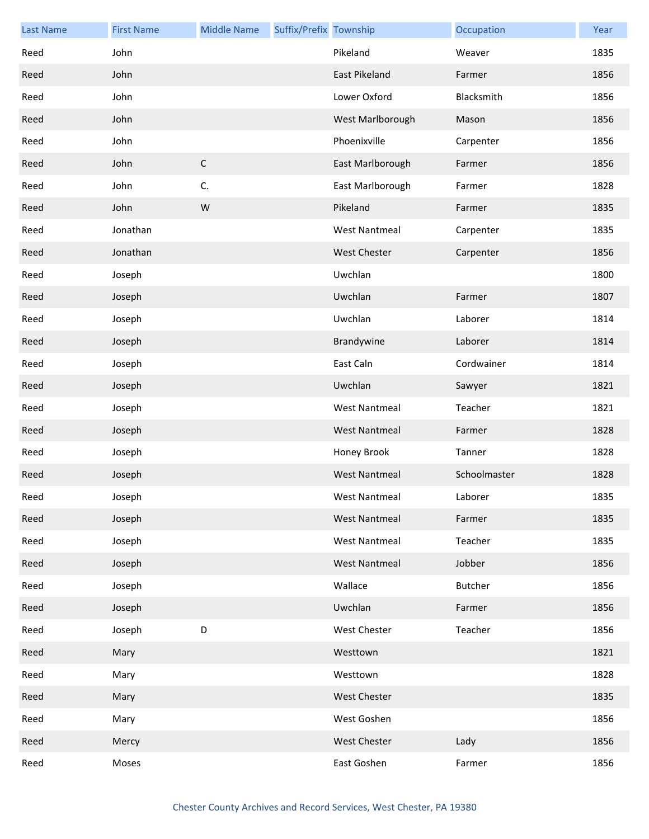| <b>Last Name</b> | <b>First Name</b> | <b>Middle Name</b> | Suffix/Prefix Township |                      | Occupation     | Year |
|------------------|-------------------|--------------------|------------------------|----------------------|----------------|------|
| Reed             | John              |                    |                        | Pikeland             | Weaver         | 1835 |
| Reed             | John              |                    |                        | <b>East Pikeland</b> | Farmer         | 1856 |
| Reed             | John              |                    |                        | Lower Oxford         | Blacksmith     | 1856 |
| Reed             | John              |                    |                        | West Marlborough     | Mason          | 1856 |
| Reed             | John              |                    |                        | Phoenixville         | Carpenter      | 1856 |
| Reed             | John              | $\mathsf C$        |                        | East Marlborough     | Farmer         | 1856 |
| Reed             | John              | C.                 |                        | East Marlborough     | Farmer         | 1828 |
| Reed             | John              | W                  |                        | Pikeland             | Farmer         | 1835 |
| Reed             | Jonathan          |                    |                        | <b>West Nantmeal</b> | Carpenter      | 1835 |
| Reed             | Jonathan          |                    |                        | <b>West Chester</b>  | Carpenter      | 1856 |
| Reed             | Joseph            |                    |                        | Uwchlan              |                | 1800 |
| Reed             | Joseph            |                    |                        | Uwchlan              | Farmer         | 1807 |
| Reed             | Joseph            |                    |                        | Uwchlan              | Laborer        | 1814 |
| Reed             | Joseph            |                    |                        | Brandywine           | Laborer        | 1814 |
| Reed             | Joseph            |                    |                        | East Caln            | Cordwainer     | 1814 |
| Reed             | Joseph            |                    |                        | Uwchlan              | Sawyer         | 1821 |
| Reed             | Joseph            |                    |                        | <b>West Nantmeal</b> | Teacher        | 1821 |
| Reed             | Joseph            |                    |                        | <b>West Nantmeal</b> | Farmer         | 1828 |
| Reed             | Joseph            |                    |                        | Honey Brook          | Tanner         | 1828 |
| Reed             | Joseph            |                    |                        | <b>West Nantmeal</b> | Schoolmaster   | 1828 |
| Reed             | Joseph            |                    |                        | <b>West Nantmeal</b> | Laborer        | 1835 |
| Reed             | Joseph            |                    |                        | <b>West Nantmeal</b> | Farmer         | 1835 |
| Reed             | Joseph            |                    |                        | <b>West Nantmeal</b> | Teacher        | 1835 |
| Reed             | Joseph            |                    |                        | <b>West Nantmeal</b> | Jobber         | 1856 |
| Reed             | Joseph            |                    |                        | Wallace              | <b>Butcher</b> | 1856 |
| Reed             | Joseph            |                    |                        | Uwchlan              | Farmer         | 1856 |
| Reed             | Joseph            | $\mathsf D$        |                        | West Chester         | Teacher        | 1856 |
| Reed             | Mary              |                    |                        | Westtown             |                | 1821 |
| Reed             | Mary              |                    |                        | Westtown             |                | 1828 |
| Reed             | Mary              |                    |                        | <b>West Chester</b>  |                | 1835 |
| Reed             | Mary              |                    |                        | West Goshen          |                | 1856 |
| Reed             | Mercy             |                    |                        | <b>West Chester</b>  | Lady           | 1856 |
| Reed             | Moses             |                    |                        | East Goshen          | Farmer         | 1856 |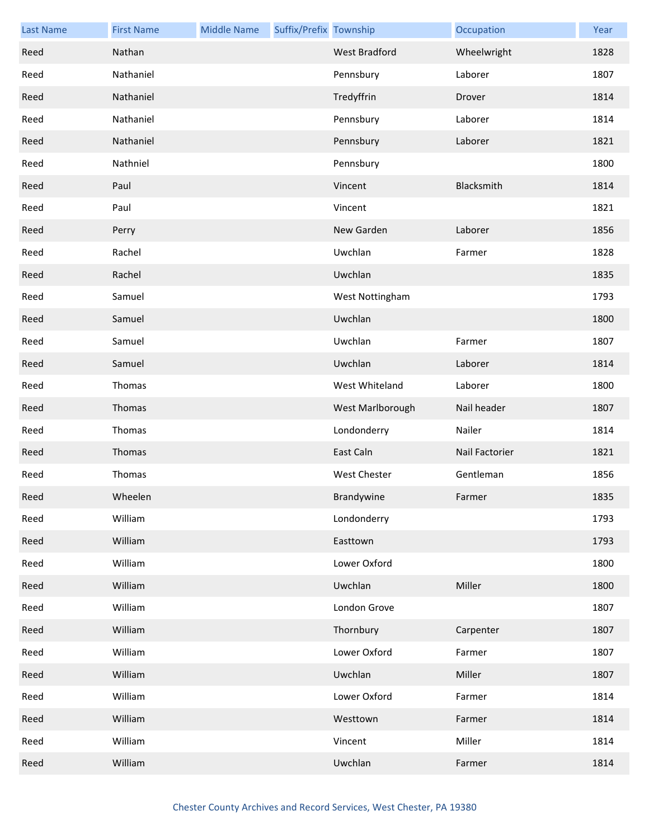| <b>Last Name</b> | <b>First Name</b> | <b>Middle Name</b> | Suffix/Prefix Township |                     | Occupation     | Year |
|------------------|-------------------|--------------------|------------------------|---------------------|----------------|------|
| Reed             | Nathan            |                    |                        | West Bradford       | Wheelwright    | 1828 |
| Reed             | Nathaniel         |                    |                        | Pennsbury           | Laborer        | 1807 |
| Reed             | Nathaniel         |                    |                        | Tredyffrin          | Drover         | 1814 |
| Reed             | Nathaniel         |                    |                        | Pennsbury           | Laborer        | 1814 |
| Reed             | Nathaniel         |                    |                        | Pennsbury           | Laborer        | 1821 |
| Reed             | Nathniel          |                    |                        | Pennsbury           |                | 1800 |
| Reed             | Paul              |                    |                        | Vincent             | Blacksmith     | 1814 |
| Reed             | Paul              |                    |                        | Vincent             |                | 1821 |
| Reed             | Perry             |                    |                        | New Garden          | Laborer        | 1856 |
| Reed             | Rachel            |                    |                        | Uwchlan             | Farmer         | 1828 |
| Reed             | Rachel            |                    |                        | Uwchlan             |                | 1835 |
| Reed             | Samuel            |                    |                        | West Nottingham     |                | 1793 |
| Reed             | Samuel            |                    |                        | Uwchlan             |                | 1800 |
| Reed             | Samuel            |                    |                        | Uwchlan             | Farmer         | 1807 |
| Reed             | Samuel            |                    |                        | Uwchlan             | Laborer        | 1814 |
| Reed             | Thomas            |                    |                        | West Whiteland      | Laborer        | 1800 |
| Reed             | Thomas            |                    |                        | West Marlborough    | Nail header    | 1807 |
| Reed             | Thomas            |                    |                        | Londonderry         | Nailer         | 1814 |
| Reed             | Thomas            |                    |                        | East Caln           | Nail Factorier | 1821 |
| Reed             | Thomas            |                    |                        | <b>West Chester</b> | Gentleman      | 1856 |
| Reed             | Wheelen           |                    |                        | Brandywine          | Farmer         | 1835 |
| Reed             | William           |                    |                        | Londonderry         |                | 1793 |
| Reed             | William           |                    |                        | Easttown            |                | 1793 |
| Reed             | William           |                    |                        | Lower Oxford        |                | 1800 |
| Reed             | William           |                    |                        | Uwchlan             | Miller         | 1800 |
| Reed             | William           |                    |                        | London Grove        |                | 1807 |
| Reed             | William           |                    |                        | Thornbury           | Carpenter      | 1807 |
| Reed             | William           |                    |                        | Lower Oxford        | Farmer         | 1807 |
| Reed             | William           |                    |                        | Uwchlan             | Miller         | 1807 |
| Reed             | William           |                    |                        | Lower Oxford        | Farmer         | 1814 |
| Reed             | William           |                    |                        | Westtown            | Farmer         | 1814 |
| Reed             | William           |                    |                        | Vincent             | Miller         | 1814 |
| Reed             | William           |                    |                        | Uwchlan             | Farmer         | 1814 |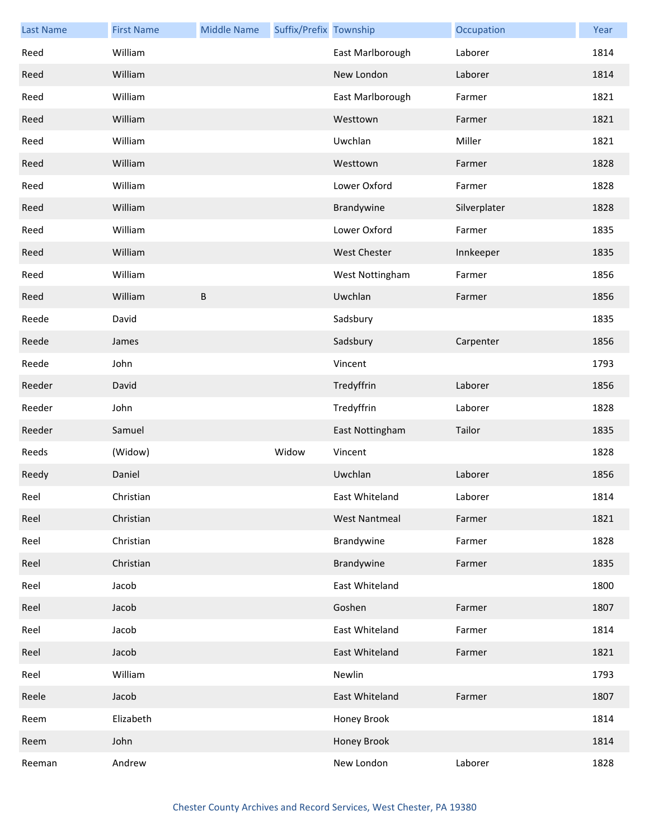| <b>Last Name</b> | <b>First Name</b> | <b>Middle Name</b> | Suffix/Prefix Township |                      | Occupation   | Year |
|------------------|-------------------|--------------------|------------------------|----------------------|--------------|------|
| Reed             | William           |                    |                        | East Marlborough     | Laborer      | 1814 |
| Reed             | William           |                    |                        | New London           | Laborer      | 1814 |
| Reed             | William           |                    |                        | East Marlborough     | Farmer       | 1821 |
| Reed             | William           |                    |                        | Westtown             | Farmer       | 1821 |
| Reed             | William           |                    |                        | Uwchlan              | Miller       | 1821 |
| Reed             | William           |                    |                        | Westtown             | Farmer       | 1828 |
| Reed             | William           |                    |                        | Lower Oxford         | Farmer       | 1828 |
| Reed             | William           |                    |                        | Brandywine           | Silverplater | 1828 |
| Reed             | William           |                    |                        | Lower Oxford         | Farmer       | 1835 |
| Reed             | William           |                    |                        | West Chester         | Innkeeper    | 1835 |
| Reed             | William           |                    |                        | West Nottingham      | Farmer       | 1856 |
| Reed             | William           | $\sf B$            |                        | Uwchlan              | Farmer       | 1856 |
| Reede            | David             |                    |                        | Sadsbury             |              | 1835 |
| Reede            | James             |                    |                        | Sadsbury             | Carpenter    | 1856 |
| Reede            | John              |                    |                        | Vincent              |              | 1793 |
| Reeder           | David             |                    |                        | Tredyffrin           | Laborer      | 1856 |
| Reeder           | John              |                    |                        | Tredyffrin           | Laborer      | 1828 |
| Reeder           | Samuel            |                    |                        | East Nottingham      | Tailor       | 1835 |
| Reeds            | (Widow)           |                    | Widow                  | Vincent              |              | 1828 |
| Reedy            | Daniel            |                    |                        | Uwchlan              | Laborer      | 1856 |
| Reel             | Christian         |                    |                        | East Whiteland       | Laborer      | 1814 |
| Reel             | Christian         |                    |                        | <b>West Nantmeal</b> | Farmer       | 1821 |
| Reel             | Christian         |                    |                        | Brandywine           | Farmer       | 1828 |
| Reel             | Christian         |                    |                        | Brandywine           | Farmer       | 1835 |
| Reel             | Jacob             |                    |                        | East Whiteland       |              | 1800 |
| Reel             | Jacob             |                    |                        | Goshen               | Farmer       | 1807 |
| Reel             | Jacob             |                    |                        | East Whiteland       | Farmer       | 1814 |
| Reel             | Jacob             |                    |                        | East Whiteland       | Farmer       | 1821 |
| Reel             | William           |                    |                        | Newlin               |              | 1793 |
| Reele            | Jacob             |                    |                        | East Whiteland       | Farmer       | 1807 |
| Reem             | Elizabeth         |                    |                        | Honey Brook          |              | 1814 |
| Reem             | John              |                    |                        | Honey Brook          |              | 1814 |
| Reeman           | Andrew            |                    |                        | New London           | Laborer      | 1828 |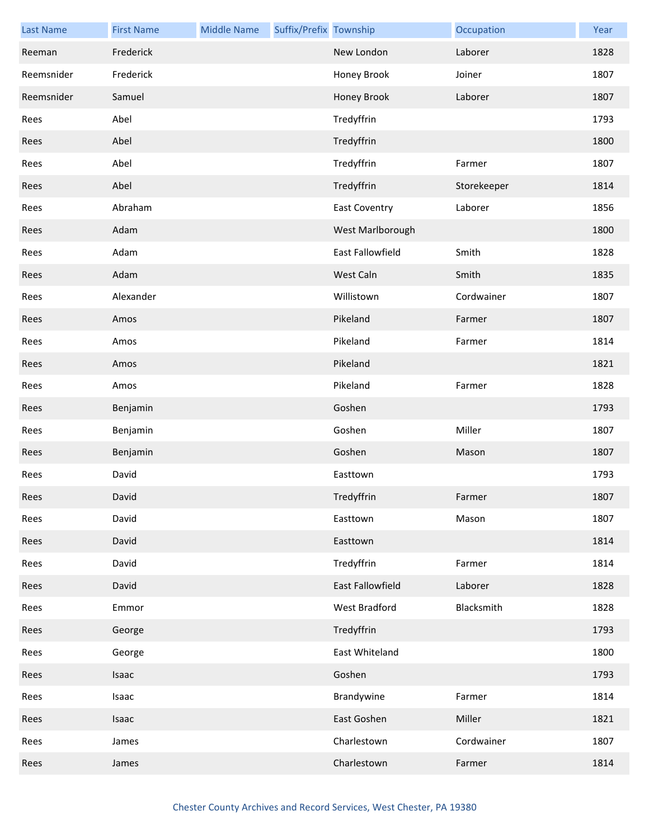| <b>Last Name</b> | <b>First Name</b> | <b>Middle Name</b> | Suffix/Prefix Township |                      | Occupation  | Year |
|------------------|-------------------|--------------------|------------------------|----------------------|-------------|------|
| Reeman           | Frederick         |                    |                        | New London           | Laborer     | 1828 |
| Reemsnider       | Frederick         |                    |                        | Honey Brook          | Joiner      | 1807 |
| Reemsnider       | Samuel            |                    |                        | Honey Brook          | Laborer     | 1807 |
| Rees             | Abel              |                    |                        | Tredyffrin           |             | 1793 |
| Rees             | Abel              |                    |                        | Tredyffrin           |             | 1800 |
| Rees             | Abel              |                    |                        | Tredyffrin           | Farmer      | 1807 |
| Rees             | Abel              |                    |                        | Tredyffrin           | Storekeeper | 1814 |
| Rees             | Abraham           |                    |                        | <b>East Coventry</b> | Laborer     | 1856 |
| Rees             | Adam              |                    |                        | West Marlborough     |             | 1800 |
| Rees             | Adam              |                    |                        | East Fallowfield     | Smith       | 1828 |
| Rees             | Adam              |                    |                        | West Caln            | Smith       | 1835 |
| Rees             | Alexander         |                    |                        | Willistown           | Cordwainer  | 1807 |
| Rees             | Amos              |                    |                        | Pikeland             | Farmer      | 1807 |
| Rees             | Amos              |                    |                        | Pikeland             | Farmer      | 1814 |
| Rees             | Amos              |                    |                        | Pikeland             |             | 1821 |
| Rees             | Amos              |                    |                        | Pikeland             | Farmer      | 1828 |
| Rees             | Benjamin          |                    |                        | Goshen               |             | 1793 |
| Rees             | Benjamin          |                    |                        | Goshen               | Miller      | 1807 |
| Rees             | Benjamin          |                    |                        | Goshen               | Mason       | 1807 |
| Rees             | David             |                    |                        | Easttown             |             | 1793 |
| Rees             | David             |                    |                        | Tredyffrin           | Farmer      | 1807 |
| Rees             | David             |                    |                        | Easttown             | Mason       | 1807 |
| Rees             | David             |                    |                        | Easttown             |             | 1814 |
| Rees             | David             |                    |                        | Tredyffrin           | Farmer      | 1814 |
| Rees             | David             |                    |                        | East Fallowfield     | Laborer     | 1828 |
| Rees             | Emmor             |                    |                        | West Bradford        | Blacksmith  | 1828 |
| Rees             | George            |                    |                        | Tredyffrin           |             | 1793 |
| Rees             | George            |                    |                        | East Whiteland       |             | 1800 |
| Rees             | Isaac             |                    |                        | Goshen               |             | 1793 |
| Rees             | Isaac             |                    |                        | Brandywine           | Farmer      | 1814 |
| Rees             | Isaac             |                    |                        | East Goshen          | Miller      | 1821 |
| Rees             | James             |                    |                        | Charlestown          | Cordwainer  | 1807 |
| Rees             | James             |                    |                        | Charlestown          | Farmer      | 1814 |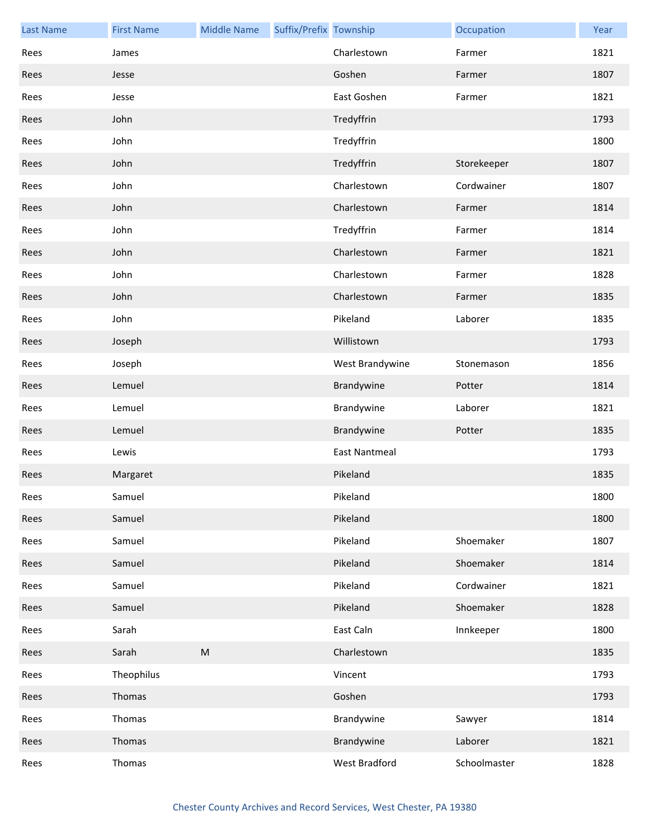| <b>Last Name</b> | <b>First Name</b> | <b>Middle Name</b> | Suffix/Prefix Township |                      | Occupation   | Year |
|------------------|-------------------|--------------------|------------------------|----------------------|--------------|------|
| Rees             | James             |                    |                        | Charlestown          | Farmer       | 1821 |
| Rees             | Jesse             |                    |                        | Goshen               | Farmer       | 1807 |
| Rees             | Jesse             |                    |                        | East Goshen          | Farmer       | 1821 |
| Rees             | John              |                    |                        | Tredyffrin           |              | 1793 |
| Rees             | John              |                    |                        | Tredyffrin           |              | 1800 |
| Rees             | John              |                    |                        | Tredyffrin           | Storekeeper  | 1807 |
| Rees             | John              |                    |                        | Charlestown          | Cordwainer   | 1807 |
| Rees             | John              |                    |                        | Charlestown          | Farmer       | 1814 |
| Rees             | John              |                    |                        | Tredyffrin           | Farmer       | 1814 |
| Rees             | John              |                    |                        | Charlestown          | Farmer       | 1821 |
| Rees             | John              |                    |                        | Charlestown          | Farmer       | 1828 |
| Rees             | John              |                    |                        | Charlestown          | Farmer       | 1835 |
| Rees             | John              |                    |                        | Pikeland             | Laborer      | 1835 |
| Rees             | Joseph            |                    |                        | Willistown           |              | 1793 |
| Rees             | Joseph            |                    |                        | West Brandywine      | Stonemason   | 1856 |
| Rees             | Lemuel            |                    |                        | Brandywine           | Potter       | 1814 |
| Rees             | Lemuel            |                    |                        | Brandywine           | Laborer      | 1821 |
| Rees             | Lemuel            |                    |                        | Brandywine           | Potter       | 1835 |
| Rees             | Lewis             |                    |                        | <b>East Nantmeal</b> |              | 1793 |
| Rees             | Margaret          |                    |                        | Pikeland             |              | 1835 |
| Rees             | Samuel            |                    |                        | Pikeland             |              | 1800 |
| Rees             | Samuel            |                    |                        | Pikeland             |              | 1800 |
| Rees             | Samuel            |                    |                        | Pikeland             | Shoemaker    | 1807 |
| Rees             | Samuel            |                    |                        | Pikeland             | Shoemaker    | 1814 |
| Rees             | Samuel            |                    |                        | Pikeland             | Cordwainer   | 1821 |
| Rees             | Samuel            |                    |                        | Pikeland             | Shoemaker    | 1828 |
| Rees             | Sarah             |                    |                        | East Caln            | Innkeeper    | 1800 |
| Rees             | Sarah             | ${\sf M}$          |                        | Charlestown          |              | 1835 |
| Rees             | Theophilus        |                    |                        | Vincent              |              | 1793 |
| Rees             | Thomas            |                    |                        | Goshen               |              | 1793 |
| Rees             | Thomas            |                    |                        | Brandywine           | Sawyer       | 1814 |
| Rees             | Thomas            |                    |                        | Brandywine           | Laborer      | 1821 |
| Rees             | Thomas            |                    |                        | West Bradford        | Schoolmaster | 1828 |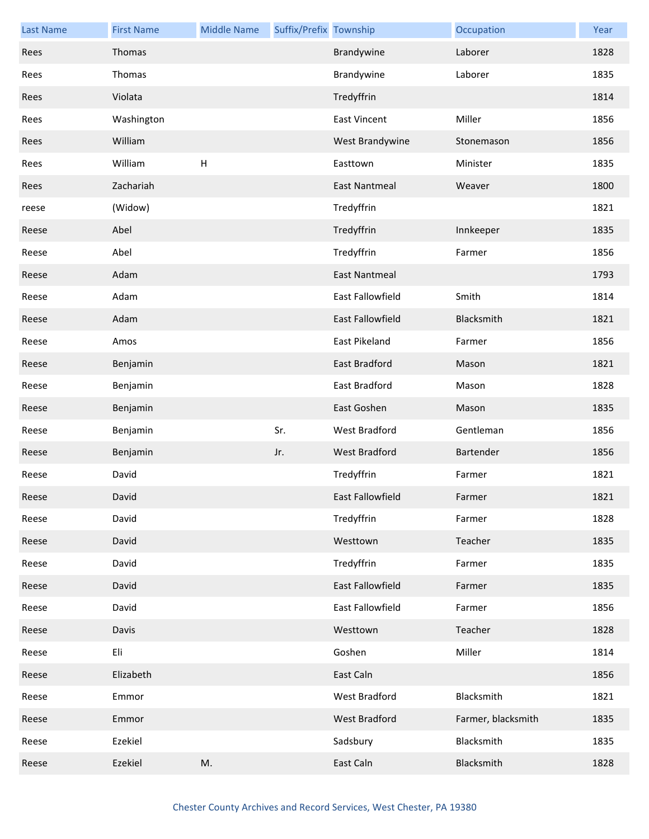| <b>Last Name</b> | <b>First Name</b> | <b>Middle Name</b> | Suffix/Prefix Township |                         | Occupation         | Year |
|------------------|-------------------|--------------------|------------------------|-------------------------|--------------------|------|
| Rees             | Thomas            |                    |                        | Brandywine              | Laborer            | 1828 |
| Rees             | Thomas            |                    |                        | Brandywine              | Laborer            | 1835 |
| Rees             | Violata           |                    |                        | Tredyffrin              |                    | 1814 |
| Rees             | Washington        |                    |                        | <b>East Vincent</b>     | Miller             | 1856 |
| Rees             | William           |                    |                        | West Brandywine         | Stonemason         | 1856 |
| Rees             | William           | $\mathsf{H}$       |                        | Easttown                | Minister           | 1835 |
| Rees             | Zachariah         |                    |                        | <b>East Nantmeal</b>    | Weaver             | 1800 |
| reese            | (Widow)           |                    |                        | Tredyffrin              |                    | 1821 |
| Reese            | Abel              |                    |                        | Tredyffrin              | Innkeeper          | 1835 |
| Reese            | Abel              |                    |                        | Tredyffrin              | Farmer             | 1856 |
| Reese            | Adam              |                    |                        | <b>East Nantmeal</b>    |                    | 1793 |
| Reese            | Adam              |                    |                        | <b>East Fallowfield</b> | Smith              | 1814 |
| Reese            | Adam              |                    |                        | East Fallowfield        | Blacksmith         | 1821 |
| Reese            | Amos              |                    |                        | East Pikeland           | Farmer             | 1856 |
| Reese            | Benjamin          |                    |                        | East Bradford           | Mason              | 1821 |
| Reese            | Benjamin          |                    |                        | East Bradford           | Mason              | 1828 |
| Reese            | Benjamin          |                    |                        | East Goshen             | Mason              | 1835 |
| Reese            | Benjamin          |                    | Sr.                    | <b>West Bradford</b>    | Gentleman          | 1856 |
| Reese            | Benjamin          |                    | Jr.                    | <b>West Bradford</b>    | Bartender          | 1856 |
| Reese            | David             |                    |                        | Tredyffrin              | Farmer             | 1821 |
| Reese            | David             |                    |                        | East Fallowfield        | Farmer             | 1821 |
| Reese            | David             |                    |                        | Tredyffrin              | Farmer             | 1828 |
| Reese            | David             |                    |                        | Westtown                | Teacher            | 1835 |
| Reese            | David             |                    |                        | Tredyffrin              | Farmer             | 1835 |
| Reese            | David             |                    |                        | East Fallowfield        | Farmer             | 1835 |
| Reese            | David             |                    |                        | East Fallowfield        | Farmer             | 1856 |
| Reese            | Davis             |                    |                        | Westtown                | Teacher            | 1828 |
| Reese            | Eli               |                    |                        | Goshen                  | Miller             | 1814 |
| Reese            | Elizabeth         |                    |                        | East Caln               |                    | 1856 |
| Reese            | Emmor             |                    |                        | West Bradford           | Blacksmith         | 1821 |
| Reese            | Emmor             |                    |                        | West Bradford           | Farmer, blacksmith | 1835 |
| Reese            | Ezekiel           |                    |                        | Sadsbury                | Blacksmith         | 1835 |
| Reese            | Ezekiel           | M.                 |                        | East Caln               | Blacksmith         | 1828 |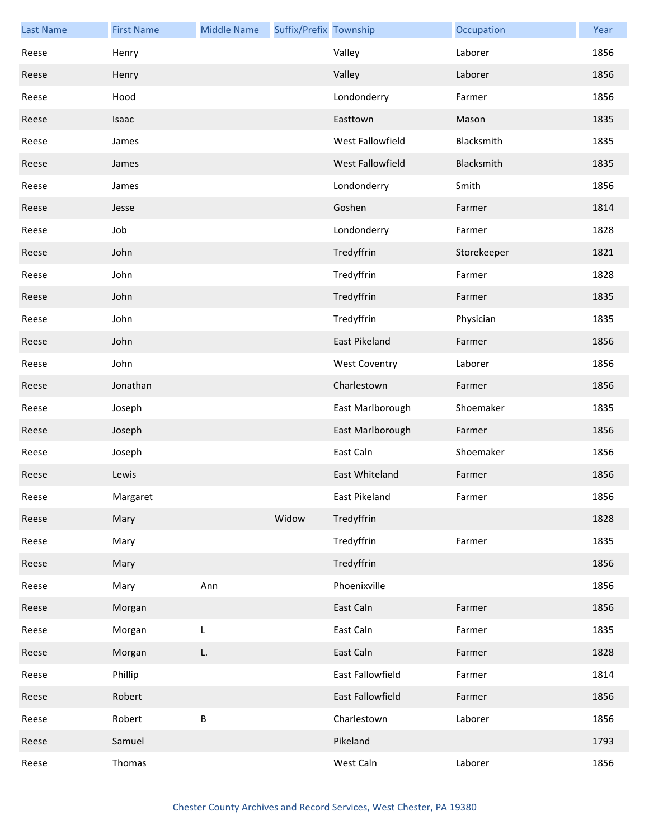| <b>Last Name</b> | <b>First Name</b> | <b>Middle Name</b> | Suffix/Prefix Township |                      | Occupation  | Year |
|------------------|-------------------|--------------------|------------------------|----------------------|-------------|------|
| Reese            | Henry             |                    |                        | Valley               | Laborer     | 1856 |
| Reese            | Henry             |                    |                        | Valley               | Laborer     | 1856 |
| Reese            | Hood              |                    |                        | Londonderry          | Farmer      | 1856 |
| Reese            | Isaac             |                    |                        | Easttown             | Mason       | 1835 |
| Reese            | James             |                    |                        | West Fallowfield     | Blacksmith  | 1835 |
| Reese            | James             |                    |                        | West Fallowfield     | Blacksmith  | 1835 |
| Reese            | James             |                    |                        | Londonderry          | Smith       | 1856 |
| Reese            | Jesse             |                    |                        | Goshen               | Farmer      | 1814 |
| Reese            | Job               |                    |                        | Londonderry          | Farmer      | 1828 |
| Reese            | John              |                    |                        | Tredyffrin           | Storekeeper | 1821 |
| Reese            | John              |                    |                        | Tredyffrin           | Farmer      | 1828 |
| Reese            | John              |                    |                        | Tredyffrin           | Farmer      | 1835 |
| Reese            | John              |                    |                        | Tredyffrin           | Physician   | 1835 |
| Reese            | John              |                    |                        | <b>East Pikeland</b> | Farmer      | 1856 |
| Reese            | John              |                    |                        | <b>West Coventry</b> | Laborer     | 1856 |
| Reese            | Jonathan          |                    |                        | Charlestown          | Farmer      | 1856 |
| Reese            | Joseph            |                    |                        | East Marlborough     | Shoemaker   | 1835 |
| Reese            | Joseph            |                    |                        | East Marlborough     | Farmer      | 1856 |
| Reese            | Joseph            |                    |                        | East Caln            | Shoemaker   | 1856 |
| Reese            | Lewis             |                    |                        | East Whiteland       | Farmer      | 1856 |
| Reese            | Margaret          |                    |                        | East Pikeland        | Farmer      | 1856 |
| Reese            | Mary              |                    | Widow                  | Tredyffrin           |             | 1828 |
| Reese            | Mary              |                    |                        | Tredyffrin           | Farmer      | 1835 |
| Reese            | Mary              |                    |                        | Tredyffrin           |             | 1856 |
| Reese            | Mary              | Ann                |                        | Phoenixville         |             | 1856 |
| Reese            | Morgan            |                    |                        | East Caln            | Farmer      | 1856 |
| Reese            | Morgan            | L                  |                        | East Caln            | Farmer      | 1835 |
| Reese            | Morgan            | L.                 |                        | East Caln            | Farmer      | 1828 |
| Reese            | Phillip           |                    |                        | East Fallowfield     | Farmer      | 1814 |
| Reese            | Robert            |                    |                        | East Fallowfield     | Farmer      | 1856 |
| Reese            | Robert            | $\sf B$            |                        | Charlestown          | Laborer     | 1856 |
| Reese            | Samuel            |                    |                        | Pikeland             |             | 1793 |
| Reese            | Thomas            |                    |                        | West Caln            | Laborer     | 1856 |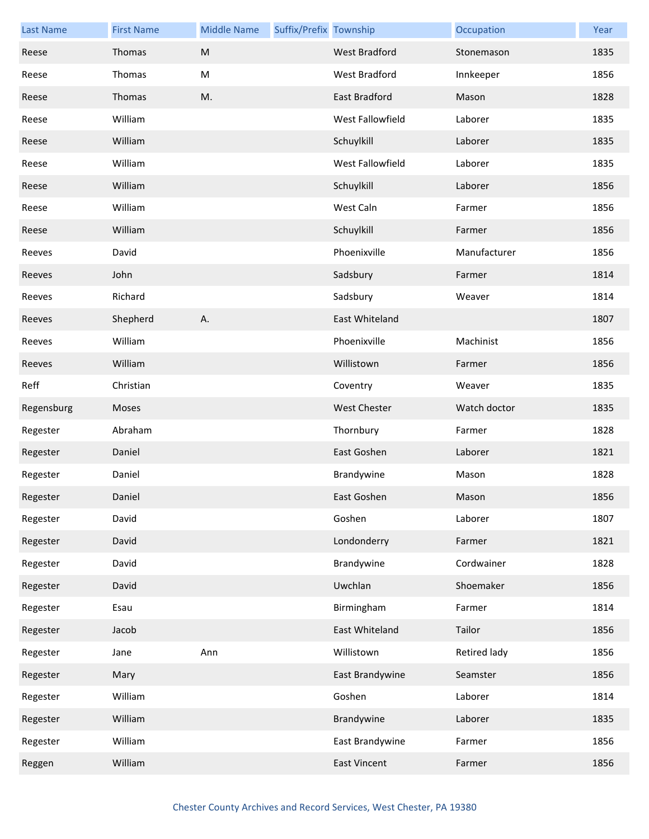| <b>Last Name</b> | <b>First Name</b> | <b>Middle Name</b> | Suffix/Prefix Township |                      | Occupation   | Year |
|------------------|-------------------|--------------------|------------------------|----------------------|--------------|------|
| Reese            | Thomas            | M                  |                        | <b>West Bradford</b> | Stonemason   | 1835 |
| Reese            | Thomas            | ${\sf M}$          |                        | West Bradford        | Innkeeper    | 1856 |
| Reese            | Thomas            | M.                 |                        | East Bradford        | Mason        | 1828 |
| Reese            | William           |                    |                        | West Fallowfield     | Laborer      | 1835 |
| Reese            | William           |                    |                        | Schuylkill           | Laborer      | 1835 |
| Reese            | William           |                    |                        | West Fallowfield     | Laborer      | 1835 |
| Reese            | William           |                    |                        | Schuylkill           | Laborer      | 1856 |
| Reese            | William           |                    |                        | West Caln            | Farmer       | 1856 |
| Reese            | William           |                    |                        | Schuylkill           | Farmer       | 1856 |
| Reeves           | David             |                    |                        | Phoenixville         | Manufacturer | 1856 |
| Reeves           | John              |                    |                        | Sadsbury             | Farmer       | 1814 |
| Reeves           | Richard           |                    |                        | Sadsbury             | Weaver       | 1814 |
| Reeves           | Shepherd          | Α.                 |                        | East Whiteland       |              | 1807 |
| Reeves           | William           |                    |                        | Phoenixville         | Machinist    | 1856 |
| Reeves           | William           |                    |                        | Willistown           | Farmer       | 1856 |
| Reff             | Christian         |                    |                        | Coventry             | Weaver       | 1835 |
|                  |                   |                    |                        |                      |              |      |
| Regensburg       | Moses             |                    |                        | <b>West Chester</b>  | Watch doctor | 1835 |
| Regester         | Abraham           |                    |                        | Thornbury            | Farmer       | 1828 |
| Regester         | Daniel            |                    |                        | East Goshen          | Laborer      | 1821 |
| Regester         | Daniel            |                    |                        | Brandywine           | Mason        | 1828 |
| Regester         | Daniel            |                    |                        | East Goshen          | Mason        | 1856 |
| Regester         | David             |                    |                        | Goshen               | Laborer      | 1807 |
| Regester         | David             |                    |                        | Londonderry          | Farmer       | 1821 |
| Regester         | David             |                    |                        | Brandywine           | Cordwainer   | 1828 |
| Regester         | David             |                    |                        | Uwchlan              | Shoemaker    | 1856 |
| Regester         | Esau              |                    |                        | Birmingham           | Farmer       | 1814 |
| Regester         | Jacob             |                    |                        | East Whiteland       | Tailor       | 1856 |
| Regester         | Jane              | Ann                |                        | Willistown           | Retired lady | 1856 |
| Regester         | Mary              |                    |                        | East Brandywine      | Seamster     | 1856 |
| Regester         | William           |                    |                        | Goshen               | Laborer      | 1814 |
| Regester         | William           |                    |                        | Brandywine           | Laborer      | 1835 |
| Regester         | William           |                    |                        | East Brandywine      | Farmer       | 1856 |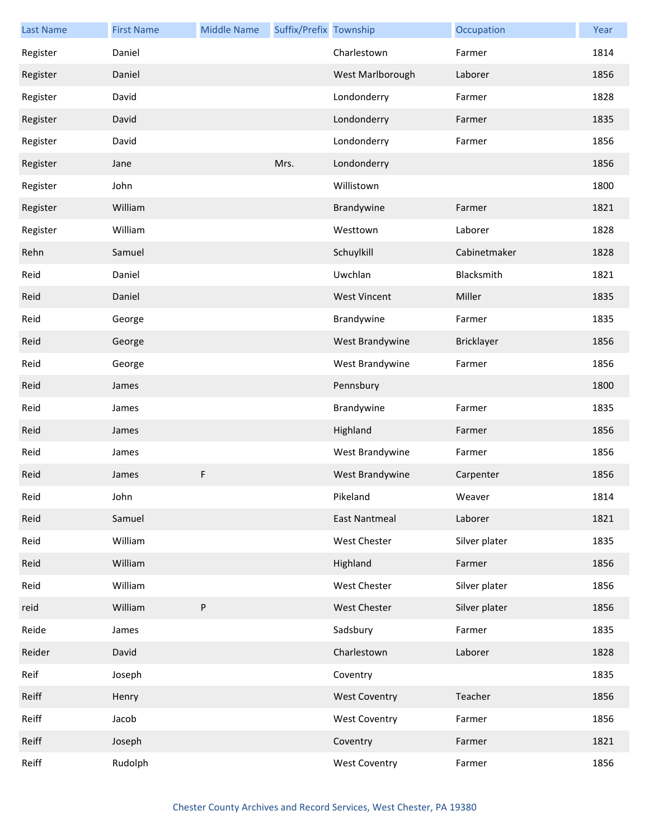| <b>Last Name</b> | <b>First Name</b> | <b>Middle Name</b> | Suffix/Prefix Township |                      | Occupation        | Year |
|------------------|-------------------|--------------------|------------------------|----------------------|-------------------|------|
| Register         | Daniel            |                    |                        | Charlestown          | Farmer            | 1814 |
| Register         | Daniel            |                    |                        | West Marlborough     | Laborer           | 1856 |
| Register         | David             |                    |                        | Londonderry          | Farmer            | 1828 |
| Register         | David             |                    |                        | Londonderry          | Farmer            | 1835 |
| Register         | David             |                    |                        | Londonderry          | Farmer            | 1856 |
| Register         | Jane              |                    | Mrs.                   | Londonderry          |                   | 1856 |
| Register         | John              |                    |                        | Willistown           |                   | 1800 |
| Register         | William           |                    |                        | Brandywine           | Farmer            | 1821 |
| Register         | William           |                    |                        | Westtown             | Laborer           | 1828 |
| Rehn             | Samuel            |                    |                        | Schuylkill           | Cabinetmaker      | 1828 |
| Reid             | Daniel            |                    |                        | Uwchlan              | Blacksmith        | 1821 |
| Reid             | Daniel            |                    |                        | <b>West Vincent</b>  | Miller            | 1835 |
| Reid             | George            |                    |                        | Brandywine           | Farmer            | 1835 |
| Reid             | George            |                    |                        | West Brandywine      | <b>Bricklayer</b> | 1856 |
| Reid             | George            |                    |                        | West Brandywine      | Farmer            | 1856 |
| Reid             | James             |                    |                        | Pennsbury            |                   | 1800 |
| Reid             | James             |                    |                        | Brandywine           | Farmer            | 1835 |
| Reid             | James             |                    |                        | Highland             | Farmer            | 1856 |
| Reid             | James             |                    |                        | West Brandywine      | Farmer            | 1856 |
| Reid             | James             | F                  |                        | West Brandywine      | Carpenter         | 1856 |
| Reid             | John              |                    |                        | Pikeland             | Weaver            | 1814 |
| Reid             | Samuel            |                    |                        | <b>East Nantmeal</b> | Laborer           | 1821 |
| Reid             | William           |                    |                        | West Chester         | Silver plater     | 1835 |
| Reid             | William           |                    |                        | Highland             | Farmer            | 1856 |
| Reid             | William           |                    |                        | West Chester         | Silver plater     | 1856 |
| reid             | William           | ${\sf P}$          |                        | <b>West Chester</b>  | Silver plater     | 1856 |
| Reide            | James             |                    |                        | Sadsbury             | Farmer            | 1835 |
| Reider           | David             |                    |                        | Charlestown          | Laborer           | 1828 |
| Reif             | Joseph            |                    |                        | Coventry             |                   | 1835 |
| Reiff            | Henry             |                    |                        | <b>West Coventry</b> | Teacher           | 1856 |
| Reiff            | Jacob             |                    |                        | <b>West Coventry</b> | Farmer            | 1856 |
| Reiff            | Joseph            |                    |                        | Coventry             | Farmer            | 1821 |
| Reiff            | Rudolph           |                    |                        | <b>West Coventry</b> | Farmer            | 1856 |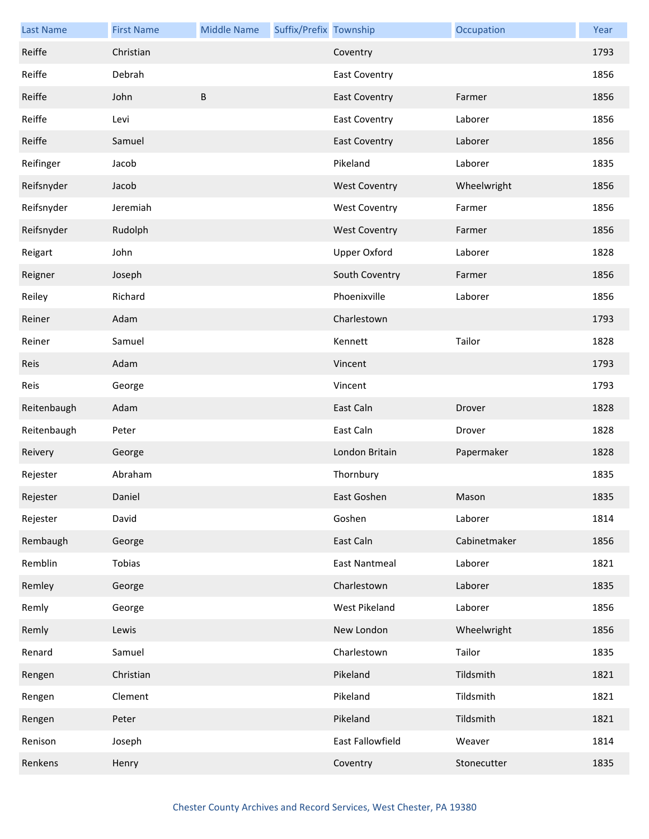| <b>Last Name</b> | <b>First Name</b> | <b>Middle Name</b> | Suffix/Prefix Township |                      | Occupation   | Year |
|------------------|-------------------|--------------------|------------------------|----------------------|--------------|------|
| Reiffe           | Christian         |                    |                        | Coventry             |              | 1793 |
| Reiffe           | Debrah            |                    |                        | <b>East Coventry</b> |              | 1856 |
| Reiffe           | John              | B                  |                        | <b>East Coventry</b> | Farmer       | 1856 |
| Reiffe           | Levi              |                    |                        | <b>East Coventry</b> | Laborer      | 1856 |
| Reiffe           | Samuel            |                    |                        | <b>East Coventry</b> | Laborer      | 1856 |
| Reifinger        | Jacob             |                    |                        | Pikeland             | Laborer      | 1835 |
| Reifsnyder       | Jacob             |                    |                        | <b>West Coventry</b> | Wheelwright  | 1856 |
| Reifsnyder       | Jeremiah          |                    |                        | <b>West Coventry</b> | Farmer       | 1856 |
| Reifsnyder       | Rudolph           |                    |                        | <b>West Coventry</b> | Farmer       | 1856 |
| Reigart          | John              |                    |                        | <b>Upper Oxford</b>  | Laborer      | 1828 |
| Reigner          | Joseph            |                    |                        | South Coventry       | Farmer       | 1856 |
| Reiley           | Richard           |                    |                        | Phoenixville         | Laborer      | 1856 |
| Reiner           | Adam              |                    |                        | Charlestown          |              | 1793 |
| Reiner           | Samuel            |                    |                        | Kennett              | Tailor       | 1828 |
| Reis             | Adam              |                    |                        | Vincent              |              | 1793 |
| Reis             | George            |                    |                        | Vincent              |              | 1793 |
| Reitenbaugh      | Adam              |                    |                        | East Caln            | Drover       | 1828 |
| Reitenbaugh      | Peter             |                    |                        | East Caln            | Drover       | 1828 |
| Reivery          | George            |                    |                        | London Britain       | Papermaker   | 1828 |
| Rejester         | Abraham           |                    |                        | Thornbury            |              | 1835 |
| Rejester         | Daniel            |                    |                        | East Goshen          | Mason        | 1835 |
| Rejester         | David             |                    |                        | Goshen               | Laborer      | 1814 |
| Rembaugh         | George            |                    |                        | East Caln            | Cabinetmaker | 1856 |
| Remblin          | Tobias            |                    |                        | <b>East Nantmeal</b> | Laborer      | 1821 |
| Remley           | George            |                    |                        | Charlestown          | Laborer      | 1835 |
| Remly            | George            |                    |                        | West Pikeland        | Laborer      | 1856 |
| Remly            | Lewis             |                    |                        | New London           | Wheelwright  | 1856 |
| Renard           | Samuel            |                    |                        | Charlestown          | Tailor       | 1835 |
| Rengen           | Christian         |                    |                        | Pikeland             | Tildsmith    | 1821 |
| Rengen           | Clement           |                    |                        | Pikeland             | Tildsmith    | 1821 |
| Rengen           | Peter             |                    |                        | Pikeland             | Tildsmith    | 1821 |
| Renison          | Joseph            |                    |                        | East Fallowfield     | Weaver       | 1814 |
| Renkens          | Henry             |                    |                        | Coventry             | Stonecutter  | 1835 |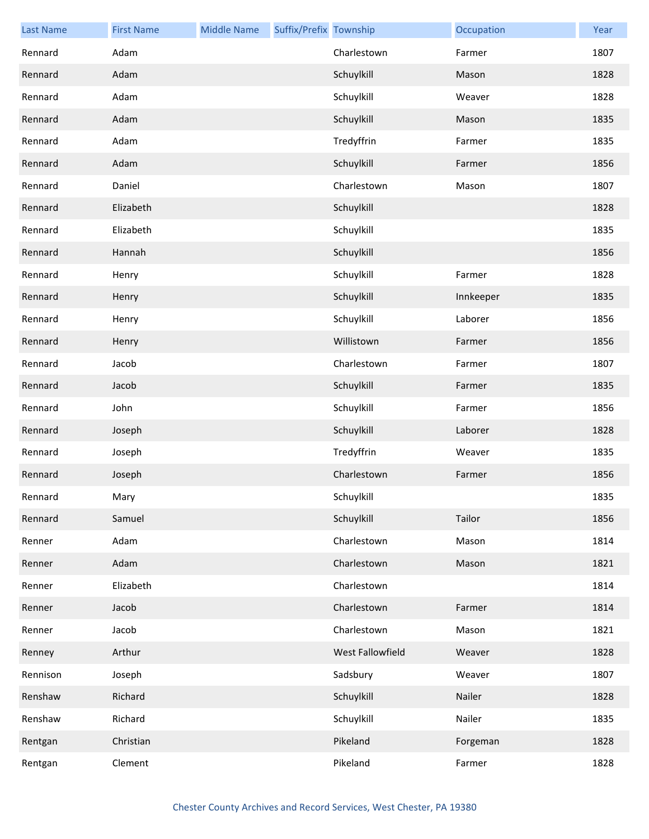| <b>Last Name</b> | <b>First Name</b> | <b>Middle Name</b> | Suffix/Prefix Township |                  | Occupation | Year |
|------------------|-------------------|--------------------|------------------------|------------------|------------|------|
| Rennard          | Adam              |                    |                        | Charlestown      | Farmer     | 1807 |
| Rennard          | Adam              |                    |                        | Schuylkill       | Mason      | 1828 |
| Rennard          | Adam              |                    |                        | Schuylkill       | Weaver     | 1828 |
| Rennard          | Adam              |                    |                        | Schuylkill       | Mason      | 1835 |
| Rennard          | Adam              |                    |                        | Tredyffrin       | Farmer     | 1835 |
| Rennard          | Adam              |                    |                        | Schuylkill       | Farmer     | 1856 |
| Rennard          | Daniel            |                    |                        | Charlestown      | Mason      | 1807 |
| Rennard          | Elizabeth         |                    |                        | Schuylkill       |            | 1828 |
| Rennard          | Elizabeth         |                    |                        | Schuylkill       |            | 1835 |
| Rennard          | Hannah            |                    |                        | Schuylkill       |            | 1856 |
| Rennard          | Henry             |                    |                        | Schuylkill       | Farmer     | 1828 |
| Rennard          | Henry             |                    |                        | Schuylkill       | Innkeeper  | 1835 |
| Rennard          | Henry             |                    |                        | Schuylkill       | Laborer    | 1856 |
| Rennard          | Henry             |                    |                        | Willistown       | Farmer     | 1856 |
| Rennard          | Jacob             |                    |                        | Charlestown      | Farmer     | 1807 |
| Rennard          | Jacob             |                    |                        | Schuylkill       | Farmer     | 1835 |
| Rennard          | John              |                    |                        | Schuylkill       | Farmer     | 1856 |
| Rennard          | Joseph            |                    |                        | Schuylkill       | Laborer    | 1828 |
| Rennard          | Joseph            |                    |                        | Tredyffrin       | Weaver     | 1835 |
| Rennard          | Joseph            |                    |                        | Charlestown      | Farmer     | 1856 |
| Rennard          | Mary              |                    |                        | Schuylkill       |            | 1835 |
| Rennard          | Samuel            |                    |                        | Schuylkill       | Tailor     | 1856 |
| Renner           | Adam              |                    |                        | Charlestown      | Mason      | 1814 |
| Renner           | Adam              |                    |                        | Charlestown      | Mason      | 1821 |
| Renner           | Elizabeth         |                    |                        | Charlestown      |            | 1814 |
| Renner           | Jacob             |                    |                        | Charlestown      | Farmer     | 1814 |
| Renner           | Jacob             |                    |                        | Charlestown      | Mason      | 1821 |
| Renney           | Arthur            |                    |                        | West Fallowfield | Weaver     | 1828 |
| Rennison         | Joseph            |                    |                        | Sadsbury         | Weaver     | 1807 |
| Renshaw          | Richard           |                    |                        | Schuylkill       | Nailer     | 1828 |
| Renshaw          | Richard           |                    |                        | Schuylkill       | Nailer     | 1835 |
| Rentgan          | Christian         |                    |                        | Pikeland         | Forgeman   | 1828 |
| Rentgan          | Clement           |                    |                        | Pikeland         | Farmer     | 1828 |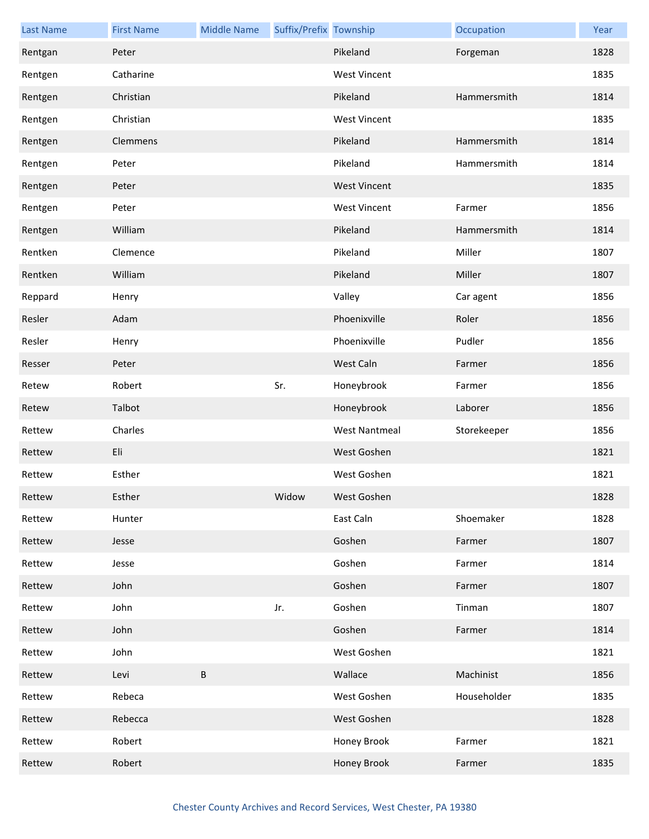| <b>Last Name</b> | <b>First Name</b> | <b>Middle Name</b> | Suffix/Prefix Township |                      | Occupation  | Year |
|------------------|-------------------|--------------------|------------------------|----------------------|-------------|------|
| Rentgan          | Peter             |                    |                        | Pikeland             | Forgeman    | 1828 |
| Rentgen          | Catharine         |                    |                        | <b>West Vincent</b>  |             | 1835 |
| Rentgen          | Christian         |                    |                        | Pikeland             | Hammersmith | 1814 |
| Rentgen          | Christian         |                    |                        | <b>West Vincent</b>  |             | 1835 |
| Rentgen          | Clemmens          |                    |                        | Pikeland             | Hammersmith | 1814 |
| Rentgen          | Peter             |                    |                        | Pikeland             | Hammersmith | 1814 |
| Rentgen          | Peter             |                    |                        | <b>West Vincent</b>  |             | 1835 |
| Rentgen          | Peter             |                    |                        | <b>West Vincent</b>  | Farmer      | 1856 |
| Rentgen          | William           |                    |                        | Pikeland             | Hammersmith | 1814 |
| Rentken          | Clemence          |                    |                        | Pikeland             | Miller      | 1807 |
| Rentken          | William           |                    |                        | Pikeland             | Miller      | 1807 |
| Reppard          | Henry             |                    |                        | Valley               | Car agent   | 1856 |
| Resler           | Adam              |                    |                        | Phoenixville         | Roler       | 1856 |
| Resler           | Henry             |                    |                        | Phoenixville         | Pudler      | 1856 |
| Resser           | Peter             |                    |                        | West Caln            | Farmer      | 1856 |
| Retew            | Robert            |                    | Sr.                    | Honeybrook           | Farmer      | 1856 |
| Retew            | Talbot            |                    |                        | Honeybrook           | Laborer     | 1856 |
| Rettew           | Charles           |                    |                        | <b>West Nantmeal</b> | Storekeeper | 1856 |
| Rettew           | Eli               |                    |                        | West Goshen          |             | 1821 |
| Rettew           | Esther            |                    |                        | West Goshen          |             | 1821 |
| Rettew           | Esther            |                    | Widow                  | West Goshen          |             | 1828 |
| Rettew           | Hunter            |                    |                        | East Caln            | Shoemaker   | 1828 |
| Rettew           | Jesse             |                    |                        | Goshen               | Farmer      | 1807 |
| Rettew           | Jesse             |                    |                        | Goshen               | Farmer      | 1814 |
| Rettew           | John              |                    |                        | Goshen               | Farmer      | 1807 |
| Rettew           | John              |                    | Jr.                    | Goshen               | Tinman      | 1807 |
| Rettew           | John              |                    |                        | Goshen               | Farmer      | 1814 |
| Rettew           | John              |                    |                        | West Goshen          |             | 1821 |
| Rettew           | Levi              | B                  |                        | Wallace              | Machinist   | 1856 |
| Rettew           | Rebeca            |                    |                        | West Goshen          | Householder | 1835 |
| Rettew           | Rebecca           |                    |                        | West Goshen          |             | 1828 |
| Rettew           | Robert            |                    |                        | Honey Brook          | Farmer      | 1821 |
| Rettew           | Robert            |                    |                        | Honey Brook          | Farmer      | 1835 |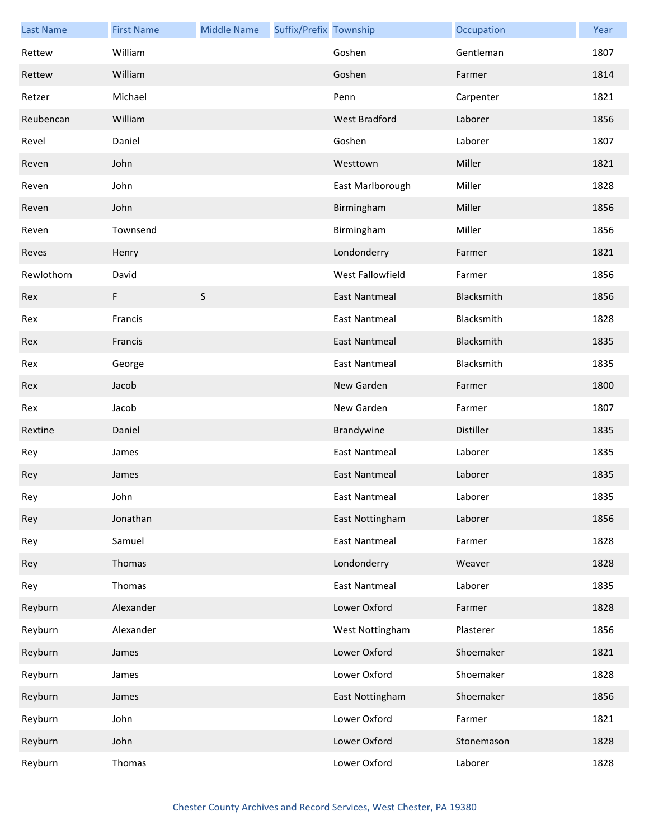| <b>Last Name</b> | <b>First Name</b> | <b>Middle Name</b> | Suffix/Prefix Township |                      | Occupation | Year |
|------------------|-------------------|--------------------|------------------------|----------------------|------------|------|
| Rettew           | William           |                    |                        | Goshen               | Gentleman  | 1807 |
| Rettew           | William           |                    |                        | Goshen               | Farmer     | 1814 |
| Retzer           | Michael           |                    |                        | Penn                 | Carpenter  | 1821 |
| Reubencan        | William           |                    |                        | West Bradford        | Laborer    | 1856 |
| Revel            | Daniel            |                    |                        | Goshen               | Laborer    | 1807 |
| Reven            | John              |                    |                        | Westtown             | Miller     | 1821 |
| Reven            | John              |                    |                        | East Marlborough     | Miller     | 1828 |
| Reven            | John              |                    |                        | Birmingham           | Miller     | 1856 |
| Reven            | Townsend          |                    |                        | Birmingham           | Miller     | 1856 |
| Reves            | Henry             |                    |                        | Londonderry          | Farmer     | 1821 |
| Rewlothorn       | David             |                    |                        | West Fallowfield     | Farmer     | 1856 |
| Rex              | F                 | $\sf S$            |                        | <b>East Nantmeal</b> | Blacksmith | 1856 |
| Rex              | Francis           |                    |                        | <b>East Nantmeal</b> | Blacksmith | 1828 |
| Rex              | Francis           |                    |                        | <b>East Nantmeal</b> | Blacksmith | 1835 |
| Rex              | George            |                    |                        | <b>East Nantmeal</b> | Blacksmith | 1835 |
| Rex              | Jacob             |                    |                        | New Garden           | Farmer     | 1800 |
| Rex              | Jacob             |                    |                        | New Garden           | Farmer     | 1807 |
| Rextine          | Daniel            |                    |                        | Brandywine           | Distiller  | 1835 |
| Rey              | James             |                    |                        | East Nantmeal        | Laborer    | 1835 |
| Rey              | James             |                    |                        | <b>East Nantmeal</b> | Laborer    | 1835 |
| Rey              | John              |                    |                        | East Nantmeal        | Laborer    | 1835 |
| Rey              | Jonathan          |                    |                        | East Nottingham      | Laborer    | 1856 |
| Rey              | Samuel            |                    |                        | <b>East Nantmeal</b> | Farmer     | 1828 |
| Rey              | Thomas            |                    |                        | Londonderry          | Weaver     | 1828 |
| Rey              | Thomas            |                    |                        | <b>East Nantmeal</b> | Laborer    | 1835 |
| Reyburn          | Alexander         |                    |                        | Lower Oxford         | Farmer     | 1828 |
| Reyburn          | Alexander         |                    |                        | West Nottingham      | Plasterer  | 1856 |
| Reyburn          | James             |                    |                        | Lower Oxford         | Shoemaker  | 1821 |
| Reyburn          | James             |                    |                        | Lower Oxford         | Shoemaker  | 1828 |
| Reyburn          | James             |                    |                        | East Nottingham      | Shoemaker  | 1856 |
| Reyburn          | John              |                    |                        | Lower Oxford         | Farmer     | 1821 |
| Reyburn          | John              |                    |                        | Lower Oxford         | Stonemason | 1828 |
| Reyburn          | Thomas            |                    |                        | Lower Oxford         | Laborer    | 1828 |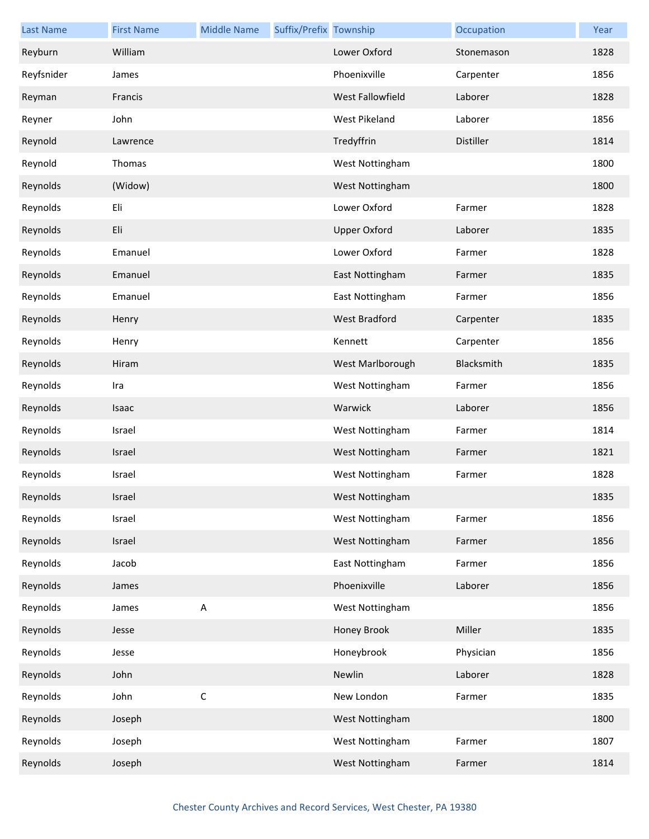| <b>Last Name</b> | <b>First Name</b> | <b>Middle Name</b> | Suffix/Prefix Township |                     | Occupation | Year |
|------------------|-------------------|--------------------|------------------------|---------------------|------------|------|
| Reyburn          | William           |                    |                        | Lower Oxford        | Stonemason | 1828 |
| Reyfsnider       | James             |                    |                        | Phoenixville        | Carpenter  | 1856 |
| Reyman           | Francis           |                    |                        | West Fallowfield    | Laborer    | 1828 |
| Reyner           | John              |                    |                        | West Pikeland       | Laborer    | 1856 |
| Reynold          | Lawrence          |                    |                        | Tredyffrin          | Distiller  | 1814 |
| Reynold          | Thomas            |                    |                        | West Nottingham     |            | 1800 |
| Reynolds         | (Widow)           |                    |                        | West Nottingham     |            | 1800 |
| Reynolds         | Eli               |                    |                        | Lower Oxford        | Farmer     | 1828 |
| Reynolds         | Eli               |                    |                        | <b>Upper Oxford</b> | Laborer    | 1835 |
| Reynolds         | Emanuel           |                    |                        | Lower Oxford        | Farmer     | 1828 |
| Reynolds         | Emanuel           |                    |                        | East Nottingham     | Farmer     | 1835 |
| Reynolds         | Emanuel           |                    |                        | East Nottingham     | Farmer     | 1856 |
| Reynolds         | Henry             |                    |                        | West Bradford       | Carpenter  | 1835 |
| Reynolds         | Henry             |                    |                        | Kennett             | Carpenter  | 1856 |
| Reynolds         | Hiram             |                    |                        | West Marlborough    | Blacksmith | 1835 |
| Reynolds         | Ira               |                    |                        | West Nottingham     | Farmer     | 1856 |
| Reynolds         | Isaac             |                    |                        | Warwick             | Laborer    | 1856 |
| Reynolds         | Israel            |                    |                        | West Nottingham     | Farmer     | 1814 |
| Reynolds         | Israel            |                    |                        | West Nottingham     | Farmer     | 1821 |
| Reynolds         | Israel            |                    |                        | West Nottingham     | Farmer     | 1828 |
| Reynolds         | Israel            |                    |                        | West Nottingham     |            | 1835 |
| Reynolds         | Israel            |                    |                        | West Nottingham     | Farmer     | 1856 |
| Reynolds         | Israel            |                    |                        | West Nottingham     | Farmer     | 1856 |
| Reynolds         | Jacob             |                    |                        | East Nottingham     | Farmer     | 1856 |
| Reynolds         | James             |                    |                        | Phoenixville        | Laborer    | 1856 |
| Reynolds         | James             | $\mathsf A$        |                        | West Nottingham     |            | 1856 |
| Reynolds         | Jesse             |                    |                        | Honey Brook         | Miller     | 1835 |
| Reynolds         | Jesse             |                    |                        | Honeybrook          | Physician  | 1856 |
| Reynolds         | John              |                    |                        | Newlin              | Laborer    | 1828 |
| Reynolds         | John              | $\mathsf C$        |                        | New London          | Farmer     | 1835 |
| Reynolds         | Joseph            |                    |                        | West Nottingham     |            | 1800 |
| Reynolds         | Joseph            |                    |                        | West Nottingham     | Farmer     | 1807 |
| Reynolds         | Joseph            |                    |                        | West Nottingham     | Farmer     | 1814 |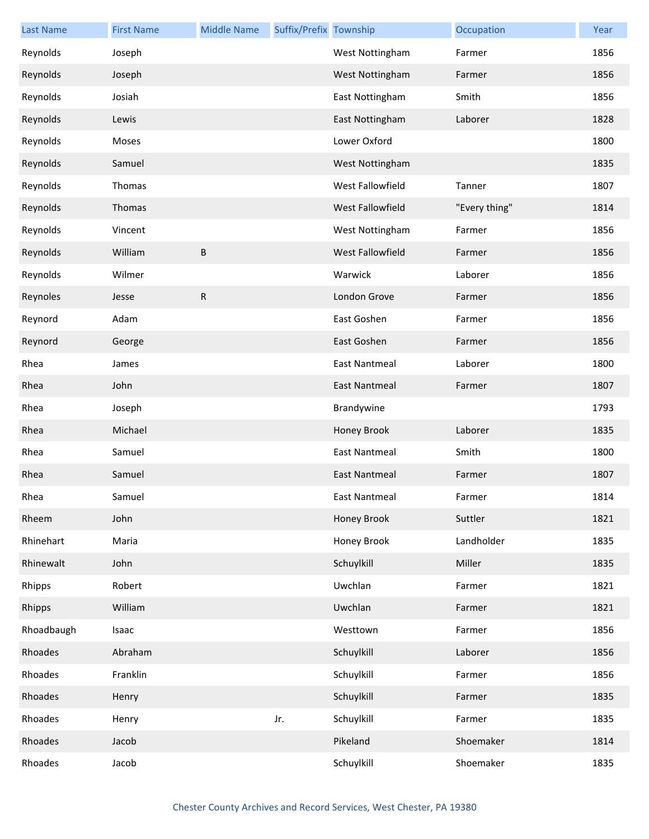| <b>Last Name</b> | <b>First Name</b> | <b>Middle Name</b> | Suffix/Prefix Township |                      | Occupation    | Year |
|------------------|-------------------|--------------------|------------------------|----------------------|---------------|------|
| Reynolds         | Joseph            |                    |                        | West Nottingham      | Farmer        | 1856 |
| Reynolds         | Joseph            |                    |                        | West Nottingham      | Farmer        | 1856 |
| Reynolds         | Josiah            |                    |                        | East Nottingham      | Smith         | 1856 |
| Reynolds         | Lewis             |                    |                        | East Nottingham      | Laborer       | 1828 |
| Reynolds         | Moses             |                    |                        | Lower Oxford         |               | 1800 |
| Reynolds         | Samuel            |                    |                        | West Nottingham      |               | 1835 |
| Reynolds         | Thomas            |                    |                        | West Fallowfield     | Tanner        | 1807 |
| Reynolds         | Thomas            |                    |                        | West Fallowfield     | "Every thing" | 1814 |
| Reynolds         | Vincent           |                    |                        | West Nottingham      | Farmer        | 1856 |
| Reynolds         | William           | В                  |                        | West Fallowfield     | Farmer        | 1856 |
| Reynolds         | Wilmer            |                    |                        | Warwick              | Laborer       | 1856 |
| Reynoles         | Jesse             | R                  |                        | London Grove         | Farmer        | 1856 |
| Reynord          | Adam              |                    |                        | East Goshen          | Farmer        | 1856 |
| Reynord          | George            |                    |                        | East Goshen          | Farmer        | 1856 |
| Rhea             | James             |                    |                        | <b>East Nantmeal</b> | Laborer       | 1800 |
| Rhea             | John              |                    |                        | East Nantmeal        | Farmer        | 1807 |
| Rhea             | Joseph            |                    |                        | Brandywine           |               | 1793 |
| Rhea             | Michael           |                    |                        | Honey Brook          | Laborer       | 1835 |
| Rhea             | Samuel            |                    |                        | <b>East Nantmeal</b> | Smith         | 1800 |
| Rhea             | Samuel            |                    |                        | East Nantmeal        | Farmer        | 1807 |
| Rhea             | Samuel            |                    |                        | East Nantmeal        | Farmer        | 1814 |
| Rheem            | John              |                    |                        | Honey Brook          | Suttler       | 1821 |
| Rhinehart        | Maria             |                    |                        | Honey Brook          | Landholder    | 1835 |
| Rhinewalt        | John              |                    |                        | Schuylkill           | Miller        | 1835 |
| Rhipps           | Robert            |                    |                        | Uwchlan              | Farmer        | 1821 |
| Rhipps           | William           |                    |                        | Uwchlan              | Farmer        | 1821 |
| Rhoadbaugh       | Isaac             |                    |                        | Westtown             | Farmer        | 1856 |
| Rhoades          | Abraham           |                    |                        | Schuylkill           | Laborer       | 1856 |
| Rhoades          | Franklin          |                    |                        | Schuylkill           | Farmer        | 1856 |
| Rhoades          | Henry             |                    |                        | Schuylkill           | Farmer        | 1835 |
| Rhoades          | Henry             |                    | Jr.                    | Schuylkill           | Farmer        | 1835 |
| Rhoades          | Jacob             |                    |                        | Pikeland             | Shoemaker     | 1814 |
| Rhoades          | Jacob             |                    |                        | Schuylkill           | Shoemaker     | 1835 |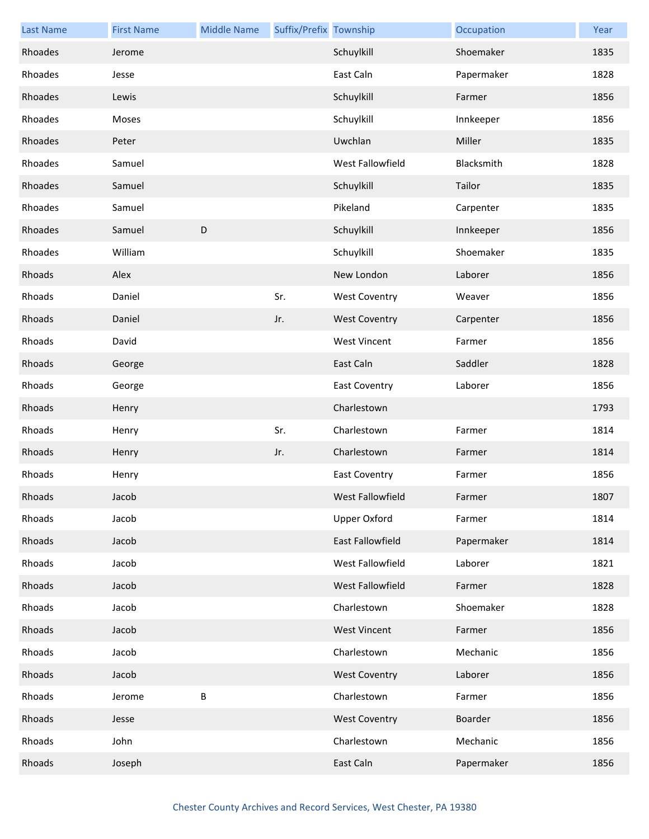| <b>Last Name</b> | <b>First Name</b> | <b>Middle Name</b> | Suffix/Prefix Township |                      | Occupation | Year |
|------------------|-------------------|--------------------|------------------------|----------------------|------------|------|
| Rhoades          | Jerome            |                    |                        | Schuylkill           | Shoemaker  | 1835 |
| Rhoades          | Jesse             |                    |                        | East Caln            | Papermaker | 1828 |
| Rhoades          | Lewis             |                    |                        | Schuylkill           | Farmer     | 1856 |
| Rhoades          | Moses             |                    |                        | Schuylkill           | Innkeeper  | 1856 |
| Rhoades          | Peter             |                    |                        | Uwchlan              | Miller     | 1835 |
| Rhoades          | Samuel            |                    |                        | West Fallowfield     | Blacksmith | 1828 |
| Rhoades          | Samuel            |                    |                        | Schuylkill           | Tailor     | 1835 |
| Rhoades          | Samuel            |                    |                        | Pikeland             | Carpenter  | 1835 |
| Rhoades          | Samuel            | $\mathsf D$        |                        | Schuylkill           | Innkeeper  | 1856 |
| Rhoades          | William           |                    |                        | Schuylkill           | Shoemaker  | 1835 |
| Rhoads           | Alex              |                    |                        | New London           | Laborer    | 1856 |
| Rhoads           | Daniel            |                    | Sr.                    | <b>West Coventry</b> | Weaver     | 1856 |
| Rhoads           | Daniel            |                    | Jr.                    | <b>West Coventry</b> | Carpenter  | 1856 |
| Rhoads           | David             |                    |                        | <b>West Vincent</b>  | Farmer     | 1856 |
| Rhoads           | George            |                    |                        | East Caln            | Saddler    | 1828 |
| Rhoads           | George            |                    |                        | <b>East Coventry</b> | Laborer    | 1856 |
| Rhoads           | Henry             |                    |                        | Charlestown          |            | 1793 |
| Rhoads           | Henry             |                    | Sr.                    | Charlestown          | Farmer     | 1814 |
| Rhoads           | Henry             |                    | Jr.                    | Charlestown          | Farmer     | 1814 |
| Rhoads           | Henry             |                    |                        | <b>East Coventry</b> | Farmer     | 1856 |
| Rhoads           | Jacob             |                    |                        | West Fallowfield     | Farmer     | 1807 |
| Rhoads           | Jacob             |                    |                        | <b>Upper Oxford</b>  | Farmer     | 1814 |
| Rhoads           | Jacob             |                    |                        | East Fallowfield     | Papermaker | 1814 |
| Rhoads           | Jacob             |                    |                        | West Fallowfield     | Laborer    | 1821 |
| Rhoads           | Jacob             |                    |                        | West Fallowfield     | Farmer     | 1828 |
| Rhoads           | Jacob             |                    |                        | Charlestown          | Shoemaker  | 1828 |
| Rhoads           | Jacob             |                    |                        | <b>West Vincent</b>  | Farmer     | 1856 |
| Rhoads           | Jacob             |                    |                        | Charlestown          | Mechanic   | 1856 |
| Rhoads           | Jacob             |                    |                        | <b>West Coventry</b> | Laborer    | 1856 |
| Rhoads           | Jerome            | $\sf B$            |                        | Charlestown          | Farmer     | 1856 |
| Rhoads           | Jesse             |                    |                        | <b>West Coventry</b> | Boarder    | 1856 |
| Rhoads           | John              |                    |                        | Charlestown          | Mechanic   | 1856 |
| Rhoads           | Joseph            |                    |                        | East Caln            | Papermaker | 1856 |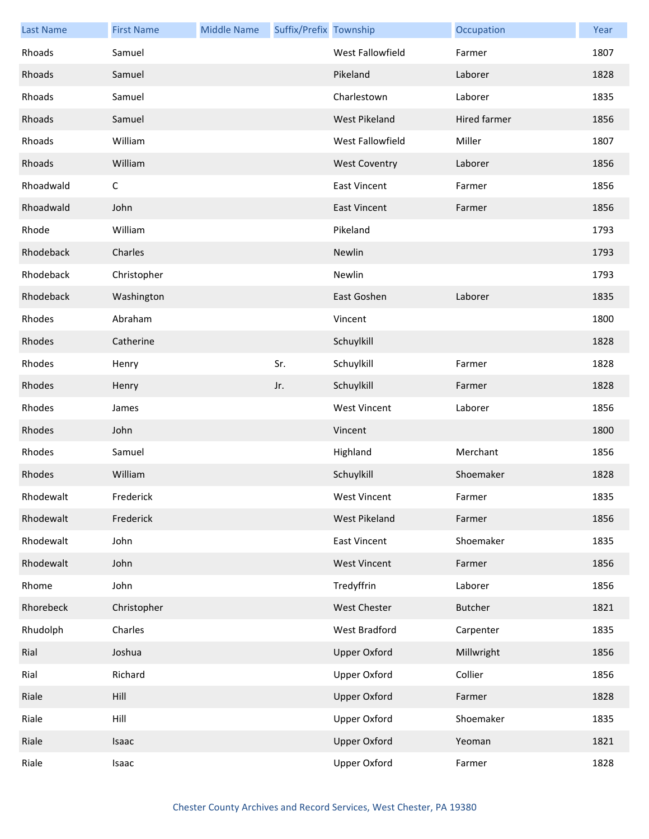| <b>Last Name</b> | <b>First Name</b> | <b>Middle Name</b> | Suffix/Prefix Township |                         | Occupation   | Year |
|------------------|-------------------|--------------------|------------------------|-------------------------|--------------|------|
| Rhoads           | Samuel            |                    |                        | <b>West Fallowfield</b> | Farmer       | 1807 |
| Rhoads           | Samuel            |                    |                        | Pikeland                | Laborer      | 1828 |
| Rhoads           | Samuel            |                    |                        | Charlestown             | Laborer      | 1835 |
| Rhoads           | Samuel            |                    |                        | West Pikeland           | Hired farmer | 1856 |
| Rhoads           | William           |                    |                        | West Fallowfield        | Miller       | 1807 |
| Rhoads           | William           |                    |                        | <b>West Coventry</b>    | Laborer      | 1856 |
| Rhoadwald        | С                 |                    |                        | <b>East Vincent</b>     | Farmer       | 1856 |
| Rhoadwald        | John              |                    |                        | <b>East Vincent</b>     | Farmer       | 1856 |
| Rhode            | William           |                    |                        | Pikeland                |              | 1793 |
| Rhodeback        | Charles           |                    |                        | Newlin                  |              | 1793 |
| Rhodeback        | Christopher       |                    |                        | Newlin                  |              | 1793 |
| Rhodeback        | Washington        |                    |                        | East Goshen             | Laborer      | 1835 |
| Rhodes           | Abraham           |                    |                        | Vincent                 |              | 1800 |
| Rhodes           | Catherine         |                    |                        | Schuylkill              |              | 1828 |
| Rhodes           | Henry             |                    | Sr.                    | Schuylkill              | Farmer       | 1828 |
| Rhodes           | Henry             |                    | Jr.                    | Schuylkill              | Farmer       | 1828 |
| Rhodes           | James             |                    |                        | <b>West Vincent</b>     | Laborer      | 1856 |
| Rhodes           | John              |                    |                        | Vincent                 |              | 1800 |
| Rhodes           | Samuel            |                    |                        | Highland                | Merchant     | 1856 |
| Rhodes           | William           |                    |                        | Schuylkill              | Shoemaker    | 1828 |
| Rhodewalt        | Frederick         |                    |                        | West Vincent            | Farmer       | 1835 |
| Rhodewalt        | Frederick         |                    |                        | West Pikeland           | Farmer       | 1856 |
| Rhodewalt        | John              |                    |                        | <b>East Vincent</b>     | Shoemaker    | 1835 |
| Rhodewalt        | John              |                    |                        | <b>West Vincent</b>     | Farmer       | 1856 |
| Rhome            | John              |                    |                        | Tredyffrin              | Laborer      | 1856 |
| Rhorebeck        | Christopher       |                    |                        | <b>West Chester</b>     | Butcher      | 1821 |
| Rhudolph         | Charles           |                    |                        | West Bradford           | Carpenter    | 1835 |
| Rial             | Joshua            |                    |                        | <b>Upper Oxford</b>     | Millwright   | 1856 |
| Rial             | Richard           |                    |                        | <b>Upper Oxford</b>     | Collier      | 1856 |
| Riale            | Hill              |                    |                        | <b>Upper Oxford</b>     | Farmer       | 1828 |
| Riale            | Hill              |                    |                        | <b>Upper Oxford</b>     | Shoemaker    | 1835 |
| Riale            | Isaac             |                    |                        | <b>Upper Oxford</b>     | Yeoman       | 1821 |
| Riale            | Isaac             |                    |                        | Upper Oxford            | Farmer       | 1828 |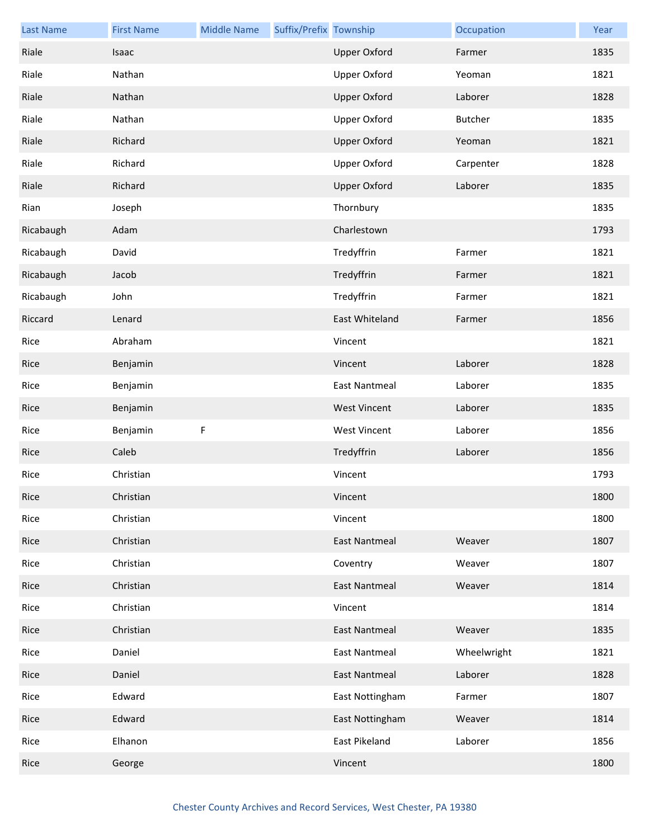| <b>Last Name</b> | <b>First Name</b> | <b>Middle Name</b> | Suffix/Prefix Township |                      | Occupation     | Year |
|------------------|-------------------|--------------------|------------------------|----------------------|----------------|------|
| Riale            | Isaac             |                    |                        | <b>Upper Oxford</b>  | Farmer         | 1835 |
| Riale            | Nathan            |                    |                        | <b>Upper Oxford</b>  | Yeoman         | 1821 |
| Riale            | Nathan            |                    |                        | <b>Upper Oxford</b>  | Laborer        | 1828 |
| Riale            | Nathan            |                    |                        | <b>Upper Oxford</b>  | <b>Butcher</b> | 1835 |
| Riale            | Richard           |                    |                        | <b>Upper Oxford</b>  | Yeoman         | 1821 |
| Riale            | Richard           |                    |                        | <b>Upper Oxford</b>  | Carpenter      | 1828 |
| Riale            | Richard           |                    |                        | <b>Upper Oxford</b>  | Laborer        | 1835 |
| Rian             | Joseph            |                    |                        | Thornbury            |                | 1835 |
| Ricabaugh        | Adam              |                    |                        | Charlestown          |                | 1793 |
| Ricabaugh        | David             |                    |                        | Tredyffrin           | Farmer         | 1821 |
| Ricabaugh        | Jacob             |                    |                        | Tredyffrin           | Farmer         | 1821 |
| Ricabaugh        | John              |                    |                        | Tredyffrin           | Farmer         | 1821 |
| Riccard          | Lenard            |                    |                        | East Whiteland       | Farmer         | 1856 |
| Rice             | Abraham           |                    |                        | Vincent              |                | 1821 |
| Rice             | Benjamin          |                    |                        | Vincent              | Laborer        | 1828 |
| Rice             | Benjamin          |                    |                        | <b>East Nantmeal</b> | Laborer        | 1835 |
| Rice             | Benjamin          |                    |                        | <b>West Vincent</b>  | Laborer        | 1835 |
| Rice             | Benjamin          | F                  |                        | <b>West Vincent</b>  | Laborer        | 1856 |
| Rice             | Caleb             |                    |                        | Tredyffrin           | Laborer        | 1856 |
| Rice             | Christian         |                    |                        | Vincent              |                | 1793 |
| Rice             | Christian         |                    |                        | Vincent              |                | 1800 |
| Rice             | Christian         |                    |                        | Vincent              |                | 1800 |
| Rice             | Christian         |                    |                        | <b>East Nantmeal</b> | Weaver         | 1807 |
| Rice             | Christian         |                    |                        | Coventry             | Weaver         | 1807 |
| Rice             | Christian         |                    |                        | <b>East Nantmeal</b> | Weaver         | 1814 |
| Rice             | Christian         |                    |                        | Vincent              |                | 1814 |
| Rice             | Christian         |                    |                        | <b>East Nantmeal</b> | Weaver         | 1835 |
| Rice             | Daniel            |                    |                        | <b>East Nantmeal</b> | Wheelwright    | 1821 |
| Rice             | Daniel            |                    |                        | <b>East Nantmeal</b> | Laborer        | 1828 |
| Rice             | Edward            |                    |                        | East Nottingham      | Farmer         | 1807 |
| Rice             | Edward            |                    |                        | East Nottingham      | Weaver         | 1814 |
| Rice             | Elhanon           |                    |                        | East Pikeland        | Laborer        | 1856 |
| Rice             | George            |                    |                        | Vincent              |                | 1800 |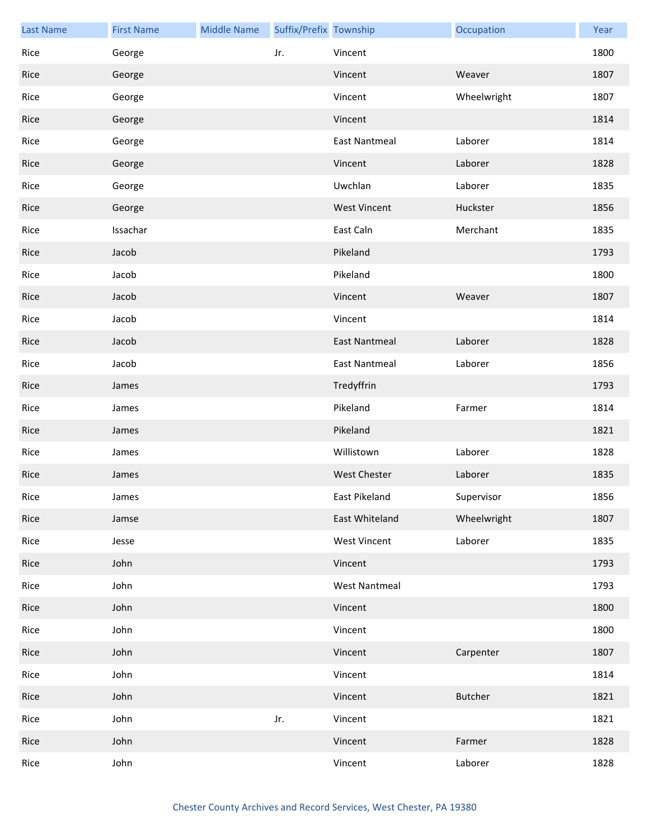| <b>Last Name</b> | <b>First Name</b> | <b>Middle Name</b> | Suffix/Prefix Township |                      | Occupation     | Year |
|------------------|-------------------|--------------------|------------------------|----------------------|----------------|------|
| Rice             | George            |                    | Jr.                    | Vincent              |                | 1800 |
| Rice             | George            |                    |                        | Vincent              | Weaver         | 1807 |
| Rice             | George            |                    |                        | Vincent              | Wheelwright    | 1807 |
| Rice             | George            |                    |                        | Vincent              |                | 1814 |
| Rice             | George            |                    |                        | <b>East Nantmeal</b> | Laborer        | 1814 |
| Rice             | George            |                    |                        | Vincent              | Laborer        | 1828 |
| Rice             | George            |                    |                        | Uwchlan              | Laborer        | 1835 |
| Rice             | George            |                    |                        | <b>West Vincent</b>  | Huckster       | 1856 |
| Rice             | Issachar          |                    |                        | East Caln            | Merchant       | 1835 |
| Rice             | Jacob             |                    |                        | Pikeland             |                | 1793 |
| Rice             | Jacob             |                    |                        | Pikeland             |                | 1800 |
| Rice             | Jacob             |                    |                        | Vincent              | Weaver         | 1807 |
| Rice             | Jacob             |                    |                        | Vincent              |                | 1814 |
| Rice             | Jacob             |                    |                        | <b>East Nantmeal</b> | Laborer        | 1828 |
| Rice             | Jacob             |                    |                        | <b>East Nantmeal</b> | Laborer        | 1856 |
| Rice             | James             |                    |                        | Tredyffrin           |                | 1793 |
| Rice             | James             |                    |                        | Pikeland             | Farmer         | 1814 |
| Rice             | James             |                    |                        | Pikeland             |                | 1821 |
| Rice             | James             |                    |                        | Willistown           | Laborer        | 1828 |
| Rice             | James             |                    |                        | <b>West Chester</b>  | Laborer        | 1835 |
| Rice             | James             |                    |                        | East Pikeland        | Supervisor     | 1856 |
| Rice             | Jamse             |                    |                        | East Whiteland       | Wheelwright    | 1807 |
| Rice             | Jesse             |                    |                        | <b>West Vincent</b>  | Laborer        | 1835 |
| Rice             | John              |                    |                        | Vincent              |                | 1793 |
| Rice             | John              |                    |                        | <b>West Nantmeal</b> |                | 1793 |
| Rice             | John              |                    |                        | Vincent              |                | 1800 |
| Rice             | John              |                    |                        | Vincent              |                | 1800 |
| Rice             | John              |                    |                        | Vincent              | Carpenter      | 1807 |
| Rice             | John              |                    |                        | Vincent              |                | 1814 |
| Rice             | John              |                    |                        | Vincent              | <b>Butcher</b> | 1821 |
| Rice             | John              |                    | Jr.                    | Vincent              |                | 1821 |
| Rice             | John              |                    |                        | Vincent              | Farmer         | 1828 |
| Rice             | John              |                    |                        | Vincent              | Laborer        | 1828 |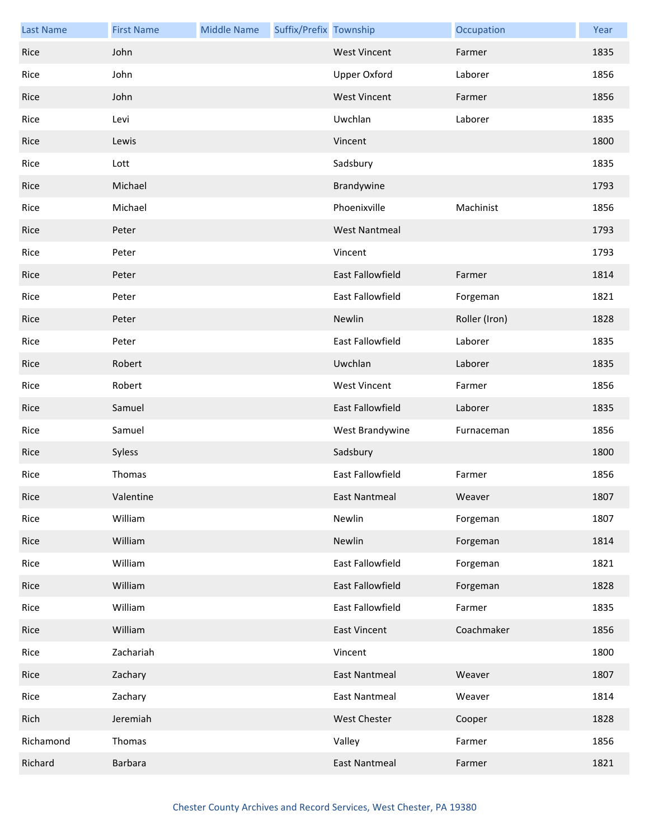| <b>Last Name</b> | <b>First Name</b> | <b>Middle Name</b> | Suffix/Prefix Township |                         | Occupation    | Year |
|------------------|-------------------|--------------------|------------------------|-------------------------|---------------|------|
| Rice             | John              |                    |                        | <b>West Vincent</b>     | Farmer        | 1835 |
| Rice             | John              |                    |                        | <b>Upper Oxford</b>     | Laborer       | 1856 |
| Rice             | John              |                    |                        | <b>West Vincent</b>     | Farmer        | 1856 |
| Rice             | Levi              |                    |                        | Uwchlan                 | Laborer       | 1835 |
| Rice             | Lewis             |                    |                        | Vincent                 |               | 1800 |
| Rice             | Lott              |                    |                        | Sadsbury                |               | 1835 |
| Rice             | Michael           |                    |                        | Brandywine              |               | 1793 |
| Rice             | Michael           |                    |                        | Phoenixville            | Machinist     | 1856 |
| Rice             | Peter             |                    |                        | <b>West Nantmeal</b>    |               | 1793 |
| Rice             | Peter             |                    |                        | Vincent                 |               | 1793 |
| Rice             | Peter             |                    |                        | East Fallowfield        | Farmer        | 1814 |
| Rice             | Peter             |                    |                        | East Fallowfield        | Forgeman      | 1821 |
| Rice             | Peter             |                    |                        | Newlin                  | Roller (Iron) | 1828 |
| Rice             | Peter             |                    |                        | East Fallowfield        | Laborer       | 1835 |
| Rice             | Robert            |                    |                        | Uwchlan                 | Laborer       | 1835 |
| Rice             | Robert            |                    |                        | <b>West Vincent</b>     | Farmer        | 1856 |
| Rice             | Samuel            |                    |                        | East Fallowfield        | Laborer       | 1835 |
| Rice             | Samuel            |                    |                        | West Brandywine         | Furnaceman    | 1856 |
| Rice             | Syless            |                    |                        | Sadsbury                |               | 1800 |
| Rice             | Thomas            |                    |                        | <b>East Fallowfield</b> | Farmer        | 1856 |
| Rice             | Valentine         |                    |                        | <b>East Nantmeal</b>    | Weaver        | 1807 |
| Rice             | William           |                    |                        | Newlin                  | Forgeman      | 1807 |
| Rice             | William           |                    |                        | Newlin                  | Forgeman      | 1814 |
| Rice             | William           |                    |                        | East Fallowfield        | Forgeman      | 1821 |
| Rice             | William           |                    |                        | East Fallowfield        | Forgeman      | 1828 |
| Rice             | William           |                    |                        | East Fallowfield        | Farmer        | 1835 |
| Rice             | William           |                    |                        | <b>East Vincent</b>     | Coachmaker    | 1856 |
| Rice             | Zachariah         |                    |                        | Vincent                 |               | 1800 |
| Rice             | Zachary           |                    |                        | <b>East Nantmeal</b>    | Weaver        | 1807 |
| Rice             | Zachary           |                    |                        | <b>East Nantmeal</b>    | Weaver        | 1814 |
| Rich             | Jeremiah          |                    |                        | <b>West Chester</b>     | Cooper        | 1828 |
| Richamond        | Thomas            |                    |                        | Valley                  | Farmer        | 1856 |
| Richard          | <b>Barbara</b>    |                    |                        | <b>East Nantmeal</b>    | Farmer        | 1821 |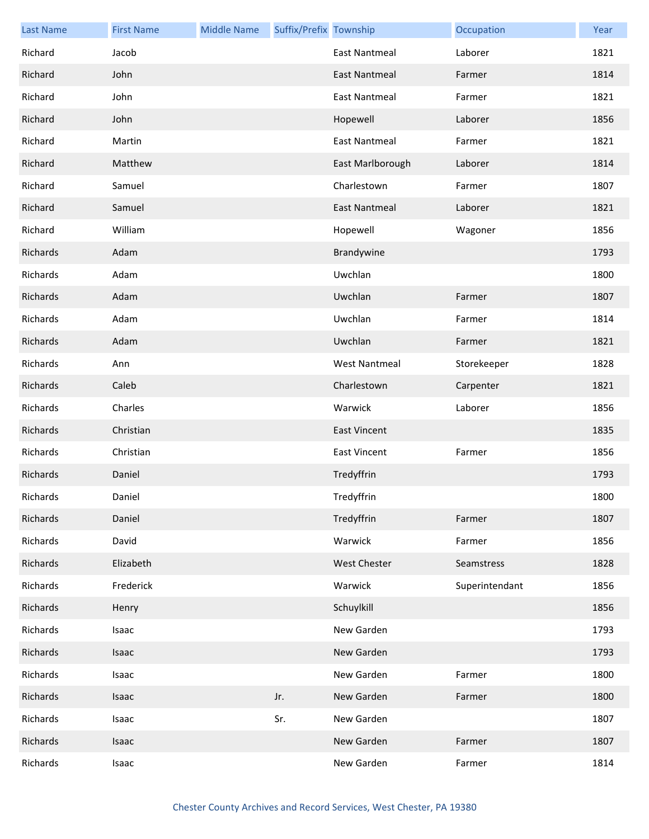| <b>Last Name</b> | <b>First Name</b> | <b>Middle Name</b> | Suffix/Prefix Township |                      | Occupation     | Year |
|------------------|-------------------|--------------------|------------------------|----------------------|----------------|------|
| Richard          | Jacob             |                    |                        | <b>East Nantmeal</b> | Laborer        | 1821 |
| Richard          | John              |                    |                        | <b>East Nantmeal</b> | Farmer         | 1814 |
| Richard          | John              |                    |                        | <b>East Nantmeal</b> | Farmer         | 1821 |
| Richard          | John              |                    |                        | Hopewell             | Laborer        | 1856 |
| Richard          | Martin            |                    |                        | <b>East Nantmeal</b> | Farmer         | 1821 |
| Richard          | Matthew           |                    |                        | East Marlborough     | Laborer        | 1814 |
| Richard          | Samuel            |                    |                        | Charlestown          | Farmer         | 1807 |
| Richard          | Samuel            |                    |                        | <b>East Nantmeal</b> | Laborer        | 1821 |
| Richard          | William           |                    |                        | Hopewell             | Wagoner        | 1856 |
| Richards         | Adam              |                    |                        | Brandywine           |                | 1793 |
| Richards         | Adam              |                    |                        | Uwchlan              |                | 1800 |
| Richards         | Adam              |                    |                        | Uwchlan              | Farmer         | 1807 |
| Richards         | Adam              |                    |                        | Uwchlan              | Farmer         | 1814 |
| Richards         | Adam              |                    |                        | Uwchlan              | Farmer         | 1821 |
| Richards         | Ann               |                    |                        | <b>West Nantmeal</b> | Storekeeper    | 1828 |
| Richards         | Caleb             |                    |                        | Charlestown          | Carpenter      | 1821 |
| Richards         | Charles           |                    |                        | Warwick              | Laborer        | 1856 |
| Richards         | Christian         |                    |                        | <b>East Vincent</b>  |                | 1835 |
| Richards         | Christian         |                    |                        | <b>East Vincent</b>  | Farmer         | 1856 |
| Richards         | Daniel            |                    |                        | Tredyffrin           |                | 1793 |
| Richards         | Daniel            |                    |                        | Tredyffrin           |                | 1800 |
| Richards         | Daniel            |                    |                        | Tredyffrin           | Farmer         | 1807 |
| Richards         | David             |                    |                        | Warwick              | Farmer         | 1856 |
| Richards         | Elizabeth         |                    |                        | West Chester         | Seamstress     | 1828 |
| Richards         | Frederick         |                    |                        | Warwick              | Superintendant | 1856 |
| Richards         | Henry             |                    |                        | Schuylkill           |                | 1856 |
| Richards         | Isaac             |                    |                        | New Garden           |                | 1793 |
| Richards         | Isaac             |                    |                        | New Garden           |                | 1793 |
| Richards         | Isaac             |                    |                        | New Garden           | Farmer         | 1800 |
| Richards         | Isaac             |                    | Jr.                    | New Garden           | Farmer         | 1800 |
| Richards         | Isaac             |                    | Sr.                    | New Garden           |                | 1807 |
| Richards         | Isaac             |                    |                        | New Garden           | Farmer         | 1807 |
| Richards         | Isaac             |                    |                        | New Garden           | Farmer         | 1814 |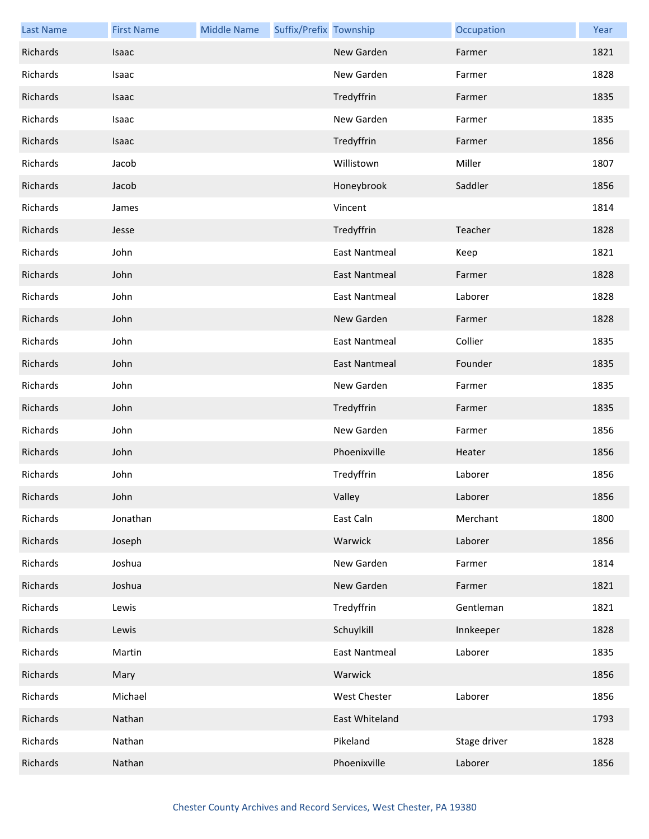| <b>Last Name</b> | <b>First Name</b> | <b>Middle Name</b> | Suffix/Prefix Township |                      | Occupation   | Year |
|------------------|-------------------|--------------------|------------------------|----------------------|--------------|------|
| Richards         | Isaac             |                    |                        | New Garden           | Farmer       | 1821 |
| Richards         | Isaac             |                    |                        | New Garden           | Farmer       | 1828 |
| Richards         | Isaac             |                    |                        | Tredyffrin           | Farmer       | 1835 |
| Richards         | Isaac             |                    |                        | New Garden           | Farmer       | 1835 |
| Richards         | Isaac             |                    |                        | Tredyffrin           | Farmer       | 1856 |
| Richards         | Jacob             |                    |                        | Willistown           | Miller       | 1807 |
| Richards         | Jacob             |                    |                        | Honeybrook           | Saddler      | 1856 |
| Richards         | James             |                    |                        | Vincent              |              | 1814 |
| Richards         | Jesse             |                    |                        | Tredyffrin           | Teacher      | 1828 |
| Richards         | John              |                    |                        | <b>East Nantmeal</b> | Keep         | 1821 |
| Richards         | John              |                    |                        | <b>East Nantmeal</b> | Farmer       | 1828 |
| Richards         | John              |                    |                        | <b>East Nantmeal</b> | Laborer      | 1828 |
| Richards         | John              |                    |                        | New Garden           | Farmer       | 1828 |
| Richards         | John              |                    |                        | <b>East Nantmeal</b> | Collier      | 1835 |
| Richards         | John              |                    |                        | <b>East Nantmeal</b> | Founder      | 1835 |
| Richards         | John              |                    |                        | New Garden           | Farmer       | 1835 |
| Richards         | John              |                    |                        | Tredyffrin           | Farmer       | 1835 |
| Richards         | John              |                    |                        | New Garden           | Farmer       | 1856 |
| Richards         | John              |                    |                        | Phoenixville         | Heater       | 1856 |
| Richards         | John              |                    |                        | Tredyffrin           | Laborer      | 1856 |
| Richards         | John              |                    |                        | Valley               | Laborer      | 1856 |
| Richards         | Jonathan          |                    |                        | East Caln            | Merchant     | 1800 |
| Richards         | Joseph            |                    |                        | Warwick              | Laborer      | 1856 |
| Richards         | Joshua            |                    |                        | New Garden           | Farmer       | 1814 |
| Richards         | Joshua            |                    |                        | New Garden           | Farmer       | 1821 |
| Richards         | Lewis             |                    |                        | Tredyffrin           | Gentleman    | 1821 |
| Richards         | Lewis             |                    |                        | Schuylkill           | Innkeeper    | 1828 |
| Richards         | Martin            |                    |                        | <b>East Nantmeal</b> | Laborer      | 1835 |
| Richards         | Mary              |                    |                        | Warwick              |              | 1856 |
| Richards         | Michael           |                    |                        | <b>West Chester</b>  | Laborer      | 1856 |
| Richards         | Nathan            |                    |                        | East Whiteland       |              | 1793 |
| Richards         | Nathan            |                    |                        | Pikeland             | Stage driver | 1828 |
| Richards         | Nathan            |                    |                        | Phoenixville         | Laborer      | 1856 |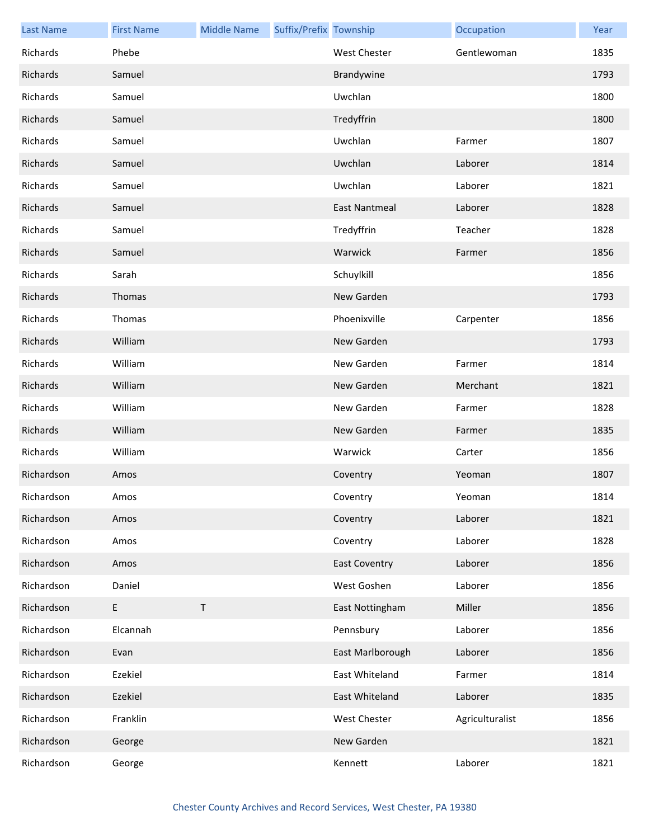| <b>Last Name</b> | <b>First Name</b> | <b>Middle Name</b> | Suffix/Prefix Township |                      | Occupation      | Year |
|------------------|-------------------|--------------------|------------------------|----------------------|-----------------|------|
| Richards         | Phebe             |                    |                        | <b>West Chester</b>  | Gentlewoman     | 1835 |
| Richards         | Samuel            |                    |                        | Brandywine           |                 | 1793 |
| Richards         | Samuel            |                    |                        | Uwchlan              |                 | 1800 |
| Richards         | Samuel            |                    |                        | Tredyffrin           |                 | 1800 |
| Richards         | Samuel            |                    |                        | Uwchlan              | Farmer          | 1807 |
| Richards         | Samuel            |                    |                        | Uwchlan              | Laborer         | 1814 |
| Richards         | Samuel            |                    |                        | Uwchlan              | Laborer         | 1821 |
| Richards         | Samuel            |                    |                        | East Nantmeal        | Laborer         | 1828 |
| Richards         | Samuel            |                    |                        | Tredyffrin           | Teacher         | 1828 |
| Richards         | Samuel            |                    |                        | Warwick              | Farmer          | 1856 |
| Richards         | Sarah             |                    |                        | Schuylkill           |                 | 1856 |
| Richards         | Thomas            |                    |                        | New Garden           |                 | 1793 |
| Richards         | Thomas            |                    |                        | Phoenixville         | Carpenter       | 1856 |
| Richards         | William           |                    |                        | New Garden           |                 | 1793 |
| Richards         | William           |                    |                        | New Garden           | Farmer          | 1814 |
| Richards         | William           |                    |                        | New Garden           | Merchant        | 1821 |
| Richards         | William           |                    |                        | New Garden           | Farmer          | 1828 |
| Richards         | William           |                    |                        | New Garden           | Farmer          | 1835 |
| Richards         | William           |                    |                        | Warwick              | Carter          | 1856 |
| Richardson       | Amos              |                    |                        | Coventry             | Yeoman          | 1807 |
| Richardson       | Amos              |                    |                        | Coventry             | Yeoman          | 1814 |
| Richardson       | Amos              |                    |                        | Coventry             | Laborer         | 1821 |
| Richardson       | Amos              |                    |                        | Coventry             | Laborer         | 1828 |
| Richardson       | Amos              |                    |                        | <b>East Coventry</b> | Laborer         | 1856 |
| Richardson       | Daniel            |                    |                        | West Goshen          | Laborer         | 1856 |
| Richardson       | E                 | $\sf T$            |                        | East Nottingham      | Miller          | 1856 |
| Richardson       | Elcannah          |                    |                        | Pennsbury            | Laborer         | 1856 |
| Richardson       | Evan              |                    |                        | East Marlborough     | Laborer         | 1856 |
| Richardson       | Ezekiel           |                    |                        | East Whiteland       | Farmer          | 1814 |
| Richardson       | Ezekiel           |                    |                        | East Whiteland       | Laborer         | 1835 |
| Richardson       | Franklin          |                    |                        | West Chester         | Agriculturalist | 1856 |
| Richardson       | George            |                    |                        | New Garden           |                 | 1821 |
| Richardson       | George            |                    |                        | Kennett              | Laborer         | 1821 |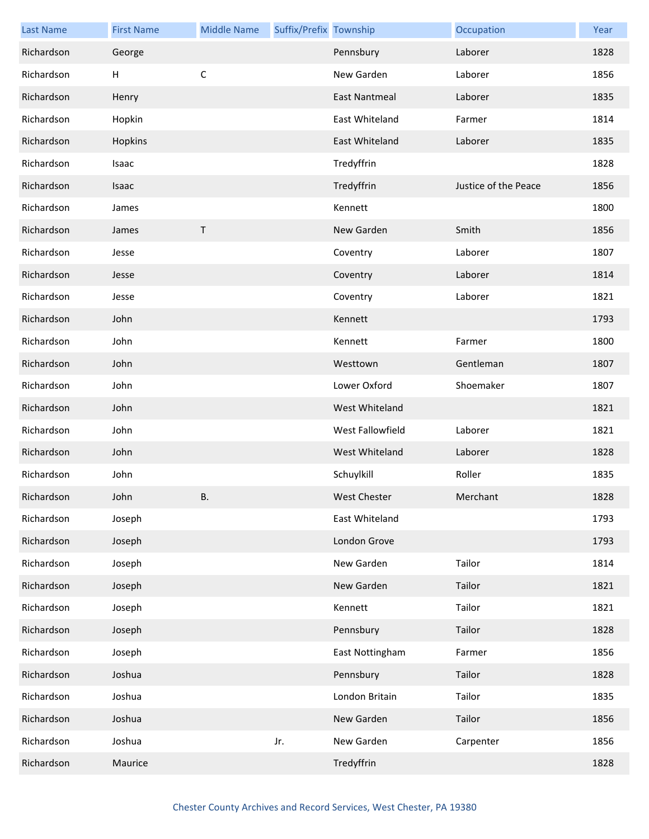| <b>Last Name</b> | <b>First Name</b> | <b>Middle Name</b> | Suffix/Prefix Township |                      | Occupation           | Year |
|------------------|-------------------|--------------------|------------------------|----------------------|----------------------|------|
| Richardson       | George            |                    |                        | Pennsbury            | Laborer              | 1828 |
| Richardson       | H                 | C                  |                        | New Garden           | Laborer              | 1856 |
| Richardson       | Henry             |                    |                        | <b>East Nantmeal</b> | Laborer              | 1835 |
| Richardson       | Hopkin            |                    |                        | East Whiteland       | Farmer               | 1814 |
| Richardson       | Hopkins           |                    |                        | East Whiteland       | Laborer              | 1835 |
| Richardson       | Isaac             |                    |                        | Tredyffrin           |                      | 1828 |
| Richardson       | Isaac             |                    |                        | Tredyffrin           | Justice of the Peace | 1856 |
| Richardson       | James             |                    |                        | Kennett              |                      | 1800 |
| Richardson       | James             | Τ                  |                        | New Garden           | Smith                | 1856 |
| Richardson       | Jesse             |                    |                        | Coventry             | Laborer              | 1807 |
| Richardson       | Jesse             |                    |                        | Coventry             | Laborer              | 1814 |
| Richardson       | Jesse             |                    |                        | Coventry             | Laborer              | 1821 |
| Richardson       | John              |                    |                        | Kennett              |                      | 1793 |
| Richardson       | John              |                    |                        | Kennett              | Farmer               | 1800 |
| Richardson       | John              |                    |                        | Westtown             | Gentleman            | 1807 |
| Richardson       | John              |                    |                        | Lower Oxford         | Shoemaker            | 1807 |
| Richardson       | John              |                    |                        | West Whiteland       |                      | 1821 |
| Richardson       | John              |                    |                        | West Fallowfield     | Laborer              | 1821 |
| Richardson       | John              |                    |                        | West Whiteland       | Laborer              | 1828 |
| Richardson       | John              |                    |                        | Schuylkill           | Roller               | 1835 |
| Richardson       | John              | Β.                 |                        | <b>West Chester</b>  | Merchant             | 1828 |
| Richardson       | Joseph            |                    |                        | East Whiteland       |                      | 1793 |
| Richardson       | Joseph            |                    |                        | London Grove         |                      | 1793 |
| Richardson       | Joseph            |                    |                        | New Garden           | Tailor               | 1814 |
| Richardson       | Joseph            |                    |                        | New Garden           | Tailor               | 1821 |
| Richardson       | Joseph            |                    |                        | Kennett              | Tailor               | 1821 |
| Richardson       | Joseph            |                    |                        | Pennsbury            | Tailor               | 1828 |
| Richardson       | Joseph            |                    |                        | East Nottingham      | Farmer               | 1856 |
| Richardson       | Joshua            |                    |                        | Pennsbury            | Tailor               | 1828 |
| Richardson       | Joshua            |                    |                        | London Britain       | Tailor               | 1835 |
| Richardson       | Joshua            |                    |                        | New Garden           | Tailor               | 1856 |
| Richardson       | Joshua            |                    | Jr.                    | New Garden           | Carpenter            | 1856 |
| Richardson       | Maurice           |                    |                        | Tredyffrin           |                      | 1828 |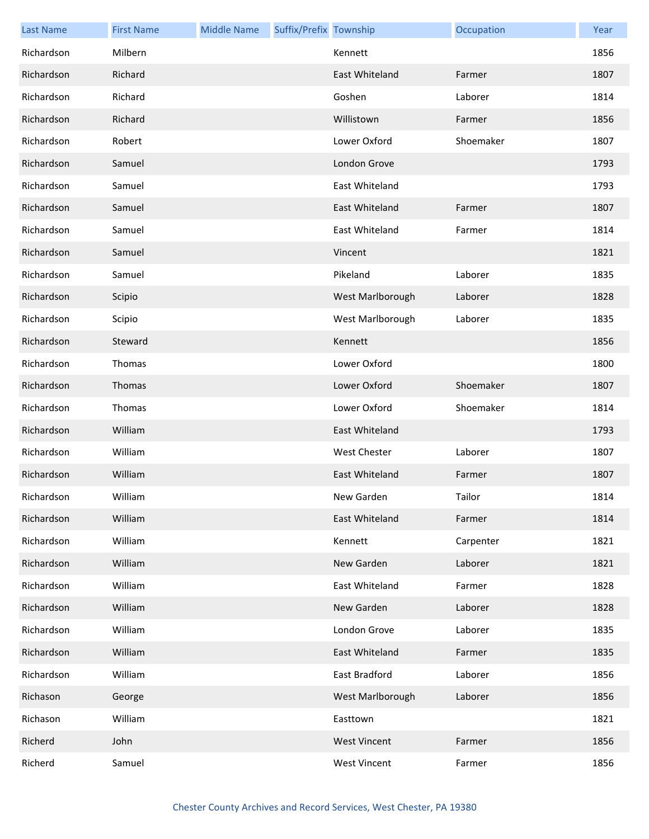| <b>Last Name</b> | <b>First Name</b> | <b>Middle Name</b> | Suffix/Prefix Township |                     | Occupation | Year |
|------------------|-------------------|--------------------|------------------------|---------------------|------------|------|
| Richardson       | Milbern           |                    |                        | Kennett             |            | 1856 |
| Richardson       | Richard           |                    |                        | East Whiteland      | Farmer     | 1807 |
| Richardson       | Richard           |                    |                        | Goshen              | Laborer    | 1814 |
| Richardson       | Richard           |                    |                        | Willistown          | Farmer     | 1856 |
| Richardson       | Robert            |                    |                        | Lower Oxford        | Shoemaker  | 1807 |
| Richardson       | Samuel            |                    |                        | London Grove        |            | 1793 |
| Richardson       | Samuel            |                    |                        | East Whiteland      |            | 1793 |
| Richardson       | Samuel            |                    |                        | East Whiteland      | Farmer     | 1807 |
| Richardson       | Samuel            |                    |                        | East Whiteland      | Farmer     | 1814 |
| Richardson       | Samuel            |                    |                        | Vincent             |            | 1821 |
| Richardson       | Samuel            |                    |                        | Pikeland            | Laborer    | 1835 |
| Richardson       | Scipio            |                    |                        | West Marlborough    | Laborer    | 1828 |
| Richardson       | Scipio            |                    |                        | West Marlborough    | Laborer    | 1835 |
| Richardson       | Steward           |                    |                        | Kennett             |            | 1856 |
| Richardson       | Thomas            |                    |                        | Lower Oxford        |            | 1800 |
| Richardson       | Thomas            |                    |                        | Lower Oxford        | Shoemaker  | 1807 |
| Richardson       | Thomas            |                    |                        | Lower Oxford        | Shoemaker  | 1814 |
| Richardson       | William           |                    |                        | East Whiteland      |            | 1793 |
| Richardson       | William           |                    |                        | <b>West Chester</b> | Laborer    | 1807 |
| Richardson       | William           |                    |                        | East Whiteland      | Farmer     | 1807 |
| Richardson       | William           |                    |                        | New Garden          | Tailor     | 1814 |
| Richardson       | William           |                    |                        | East Whiteland      | Farmer     | 1814 |
| Richardson       | William           |                    |                        | Kennett             | Carpenter  | 1821 |
| Richardson       | William           |                    |                        | New Garden          | Laborer    | 1821 |
| Richardson       | William           |                    |                        | East Whiteland      | Farmer     | 1828 |
| Richardson       | William           |                    |                        | New Garden          | Laborer    | 1828 |
| Richardson       | William           |                    |                        | London Grove        | Laborer    | 1835 |
| Richardson       | William           |                    |                        | East Whiteland      | Farmer     | 1835 |
| Richardson       | William           |                    |                        | East Bradford       | Laborer    | 1856 |
| Richason         | George            |                    |                        | West Marlborough    | Laborer    | 1856 |
| Richason         | William           |                    |                        | Easttown            |            | 1821 |
| Richerd          | John              |                    |                        | <b>West Vincent</b> | Farmer     | 1856 |
| Richerd          | Samuel            |                    |                        | <b>West Vincent</b> | Farmer     | 1856 |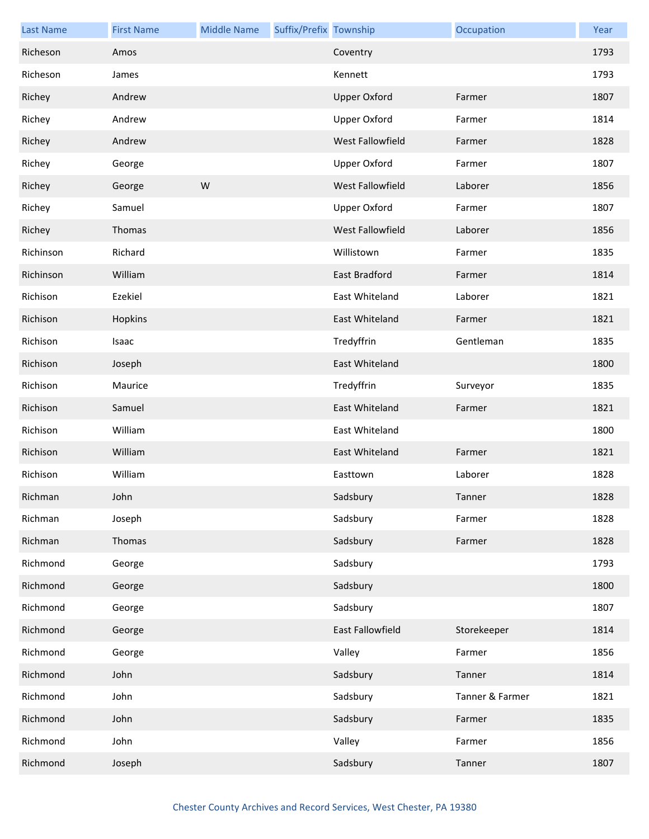| <b>Last Name</b> | <b>First Name</b> | <b>Middle Name</b> | Suffix/Prefix Township |                     | Occupation      | Year |
|------------------|-------------------|--------------------|------------------------|---------------------|-----------------|------|
| Richeson         | Amos              |                    |                        | Coventry            |                 | 1793 |
| Richeson         | James             |                    |                        | Kennett             |                 | 1793 |
| Richey           | Andrew            |                    |                        | <b>Upper Oxford</b> | Farmer          | 1807 |
| Richey           | Andrew            |                    |                        | <b>Upper Oxford</b> | Farmer          | 1814 |
| Richey           | Andrew            |                    |                        | West Fallowfield    | Farmer          | 1828 |
| Richey           | George            |                    |                        | <b>Upper Oxford</b> | Farmer          | 1807 |
| Richey           | George            | W                  |                        | West Fallowfield    | Laborer         | 1856 |
| Richey           | Samuel            |                    |                        | <b>Upper Oxford</b> | Farmer          | 1807 |
| Richey           | Thomas            |                    |                        | West Fallowfield    | Laborer         | 1856 |
| Richinson        | Richard           |                    |                        | Willistown          | Farmer          | 1835 |
| Richinson        | William           |                    |                        | East Bradford       | Farmer          | 1814 |
| Richison         | Ezekiel           |                    |                        | East Whiteland      | Laborer         | 1821 |
| Richison         | Hopkins           |                    |                        | East Whiteland      | Farmer          | 1821 |
| Richison         | Isaac             |                    |                        | Tredyffrin          | Gentleman       | 1835 |
| Richison         | Joseph            |                    |                        | East Whiteland      |                 | 1800 |
| Richison         | Maurice           |                    |                        | Tredyffrin          | Surveyor        | 1835 |
| Richison         | Samuel            |                    |                        | East Whiteland      | Farmer          | 1821 |
| Richison         | William           |                    |                        | East Whiteland      |                 | 1800 |
| Richison         | William           |                    |                        | East Whiteland      | Farmer          | 1821 |
| Richison         | William           |                    |                        | Easttown            | Laborer         | 1828 |
| Richman          | John              |                    |                        | Sadsbury            | Tanner          | 1828 |
| Richman          | Joseph            |                    |                        | Sadsbury            | Farmer          | 1828 |
| Richman          | Thomas            |                    |                        | Sadsbury            | Farmer          | 1828 |
| Richmond         | George            |                    |                        | Sadsbury            |                 | 1793 |
| Richmond         | George            |                    |                        | Sadsbury            |                 | 1800 |
| Richmond         | George            |                    |                        | Sadsbury            |                 | 1807 |
| Richmond         | George            |                    |                        | East Fallowfield    | Storekeeper     | 1814 |
| Richmond         | George            |                    |                        | Valley              | Farmer          | 1856 |
| Richmond         | John              |                    |                        | Sadsbury            | Tanner          | 1814 |
| Richmond         | John              |                    |                        | Sadsbury            | Tanner & Farmer | 1821 |
| Richmond         | John              |                    |                        | Sadsbury            | Farmer          | 1835 |
| Richmond         | John              |                    |                        | Valley              | Farmer          | 1856 |
| Richmond         | Joseph            |                    |                        | Sadsbury            | Tanner          | 1807 |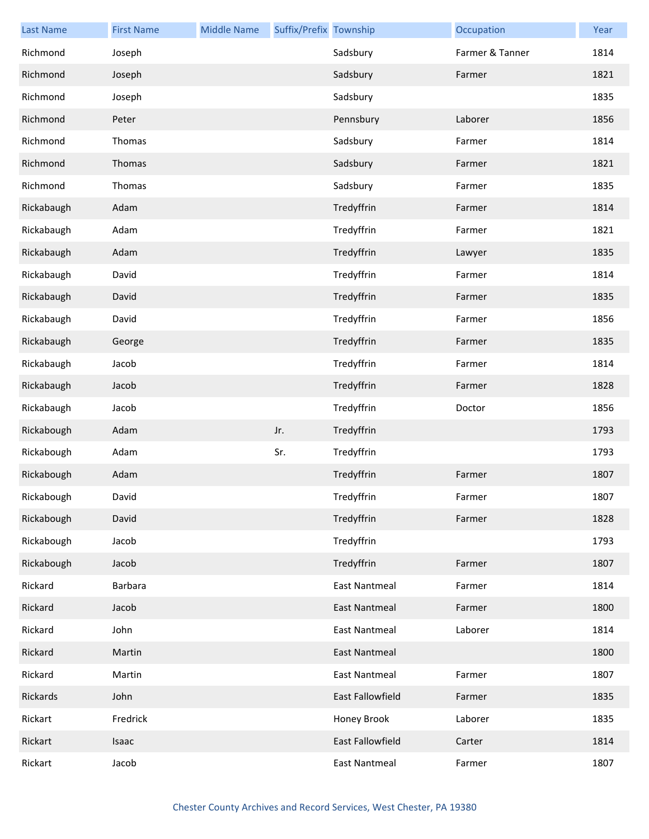| <b>Last Name</b> | <b>First Name</b> | <b>Middle Name</b> | Suffix/Prefix Township |                      | Occupation      | Year |
|------------------|-------------------|--------------------|------------------------|----------------------|-----------------|------|
| Richmond         | Joseph            |                    |                        | Sadsbury             | Farmer & Tanner | 1814 |
| Richmond         | Joseph            |                    |                        | Sadsbury             | Farmer          | 1821 |
| Richmond         | Joseph            |                    |                        | Sadsbury             |                 | 1835 |
| Richmond         | Peter             |                    |                        | Pennsbury            | Laborer         | 1856 |
| Richmond         | Thomas            |                    |                        | Sadsbury             | Farmer          | 1814 |
| Richmond         | Thomas            |                    |                        | Sadsbury             | Farmer          | 1821 |
| Richmond         | Thomas            |                    |                        | Sadsbury             | Farmer          | 1835 |
| Rickabaugh       | Adam              |                    |                        | Tredyffrin           | Farmer          | 1814 |
| Rickabaugh       | Adam              |                    |                        | Tredyffrin           | Farmer          | 1821 |
| Rickabaugh       | Adam              |                    |                        | Tredyffrin           | Lawyer          | 1835 |
| Rickabaugh       | David             |                    |                        | Tredyffrin           | Farmer          | 1814 |
| Rickabaugh       | David             |                    |                        | Tredyffrin           | Farmer          | 1835 |
| Rickabaugh       | David             |                    |                        | Tredyffrin           | Farmer          | 1856 |
| Rickabaugh       | George            |                    |                        | Tredyffrin           | Farmer          | 1835 |
| Rickabaugh       | Jacob             |                    |                        | Tredyffrin           | Farmer          | 1814 |
| Rickabaugh       | Jacob             |                    |                        | Tredyffrin           | Farmer          | 1828 |
| Rickabaugh       | Jacob             |                    |                        | Tredyffrin           | Doctor          | 1856 |
| Rickabough       | Adam              |                    | Jr.                    | Tredyffrin           |                 | 1793 |
| Rickabough       | Adam              |                    | Sr.                    | Tredyffrin           |                 | 1793 |
| Rickabough       | Adam              |                    |                        | Tredyffrin           | Farmer          | 1807 |
| Rickabough       | David             |                    |                        | Tredyffrin           | Farmer          | 1807 |
| Rickabough       | David             |                    |                        | Tredyffrin           | Farmer          | 1828 |
| Rickabough       | Jacob             |                    |                        | Tredyffrin           |                 | 1793 |
| Rickabough       | Jacob             |                    |                        | Tredyffrin           | Farmer          | 1807 |
| Rickard          | <b>Barbara</b>    |                    |                        | <b>East Nantmeal</b> | Farmer          | 1814 |
| Rickard          | Jacob             |                    |                        | <b>East Nantmeal</b> | Farmer          | 1800 |
| Rickard          | John              |                    |                        | <b>East Nantmeal</b> | Laborer         | 1814 |
| Rickard          | Martin            |                    |                        | <b>East Nantmeal</b> |                 | 1800 |
| Rickard          | Martin            |                    |                        | <b>East Nantmeal</b> | Farmer          | 1807 |
| Rickards         | John              |                    |                        | East Fallowfield     | Farmer          | 1835 |
| Rickart          | Fredrick          |                    |                        | Honey Brook          | Laborer         | 1835 |
| Rickart          | Isaac             |                    |                        | East Fallowfield     | Carter          | 1814 |
| Rickart          | Jacob             |                    |                        | <b>East Nantmeal</b> | Farmer          | 1807 |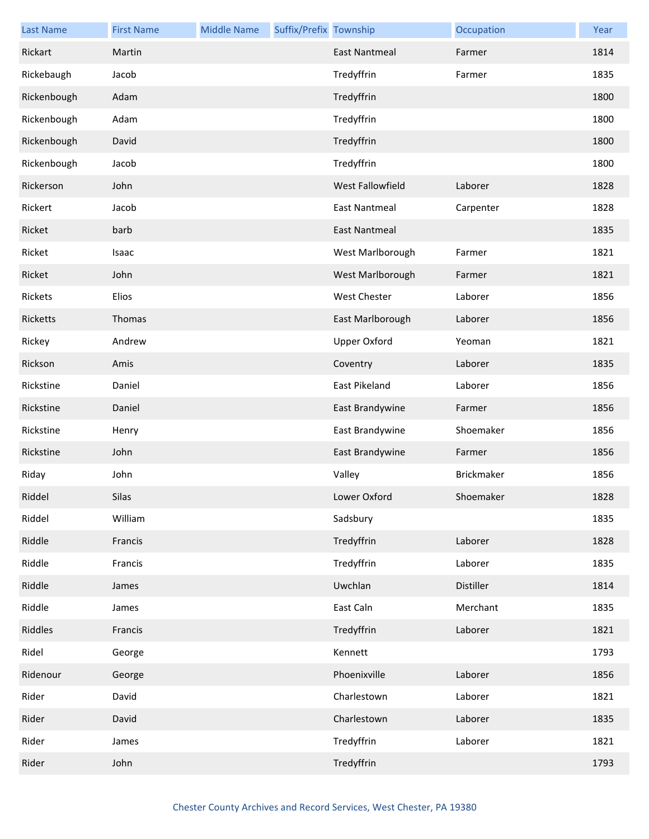| <b>Last Name</b> | <b>First Name</b> | <b>Middle Name</b> | Suffix/Prefix Township |                      | Occupation        | Year |
|------------------|-------------------|--------------------|------------------------|----------------------|-------------------|------|
| Rickart          | Martin            |                    |                        | <b>East Nantmeal</b> | Farmer            | 1814 |
| Rickebaugh       | Jacob             |                    |                        | Tredyffrin           | Farmer            | 1835 |
| Rickenbough      | Adam              |                    |                        | Tredyffrin           |                   | 1800 |
| Rickenbough      | Adam              |                    |                        | Tredyffrin           |                   | 1800 |
| Rickenbough      | David             |                    |                        | Tredyffrin           |                   | 1800 |
| Rickenbough      | Jacob             |                    |                        | Tredyffrin           |                   | 1800 |
| Rickerson        | John              |                    |                        | West Fallowfield     | Laborer           | 1828 |
| Rickert          | Jacob             |                    |                        | <b>East Nantmeal</b> | Carpenter         | 1828 |
| Ricket           | barb              |                    |                        | <b>East Nantmeal</b> |                   | 1835 |
| Ricket           | Isaac             |                    |                        | West Marlborough     | Farmer            | 1821 |
| Ricket           | John              |                    |                        | West Marlborough     | Farmer            | 1821 |
| Rickets          | Elios             |                    |                        | <b>West Chester</b>  | Laborer           | 1856 |
| Ricketts         | Thomas            |                    |                        | East Marlborough     | Laborer           | 1856 |
| Rickey           | Andrew            |                    |                        | <b>Upper Oxford</b>  | Yeoman            | 1821 |
| Rickson          | Amis              |                    |                        | Coventry             | Laborer           | 1835 |
| Rickstine        | Daniel            |                    |                        | East Pikeland        | Laborer           | 1856 |
| Rickstine        | Daniel            |                    |                        | East Brandywine      | Farmer            | 1856 |
| Rickstine        | Henry             |                    |                        | East Brandywine      | Shoemaker         | 1856 |
| Rickstine        | John              |                    |                        | East Brandywine      | Farmer            | 1856 |
| Riday            | John              |                    |                        | Valley               | <b>Brickmaker</b> | 1856 |
| Riddel           | Silas             |                    |                        | Lower Oxford         | Shoemaker         | 1828 |
| Riddel           | William           |                    |                        | Sadsbury             |                   | 1835 |
| Riddle           | Francis           |                    |                        | Tredyffrin           | Laborer           | 1828 |
| Riddle           | Francis           |                    |                        | Tredyffrin           | Laborer           | 1835 |
| Riddle           | James             |                    |                        | Uwchlan              | Distiller         | 1814 |
| Riddle           | James             |                    |                        | East Caln            | Merchant          | 1835 |
| Riddles          | Francis           |                    |                        | Tredyffrin           | Laborer           | 1821 |
| Ridel            | George            |                    |                        | Kennett              |                   | 1793 |
| Ridenour         | George            |                    |                        | Phoenixville         | Laborer           | 1856 |
| Rider            | David             |                    |                        | Charlestown          | Laborer           | 1821 |
| Rider            | David             |                    |                        | Charlestown          | Laborer           | 1835 |
| Rider            | James             |                    |                        | Tredyffrin           | Laborer           | 1821 |
| Rider            | John              |                    |                        | Tredyffrin           |                   | 1793 |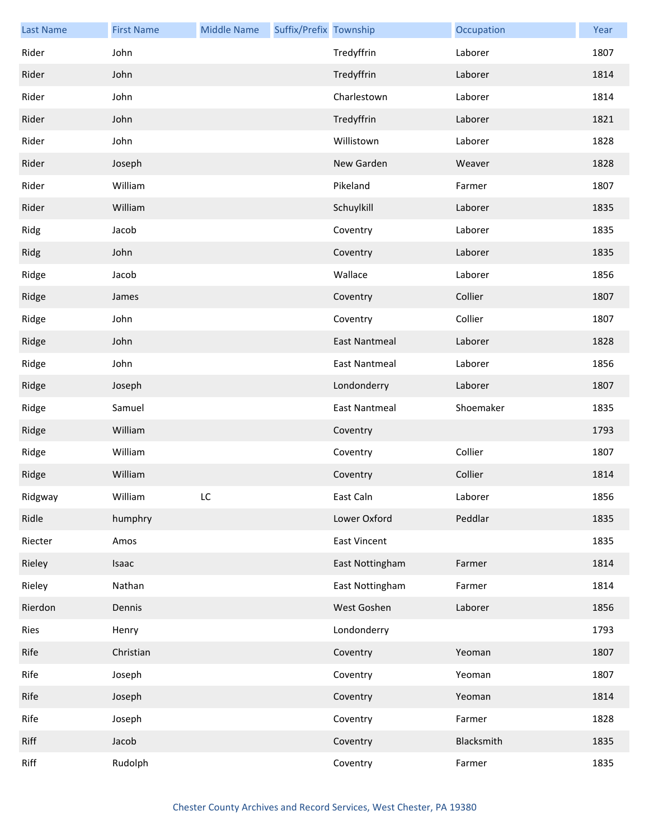| <b>Last Name</b> | <b>First Name</b> | <b>Middle Name</b> | Suffix/Prefix Township |                      | Occupation | Year |
|------------------|-------------------|--------------------|------------------------|----------------------|------------|------|
| Rider            | John              |                    |                        | Tredyffrin           | Laborer    | 1807 |
| Rider            | John              |                    |                        | Tredyffrin           | Laborer    | 1814 |
| Rider            | John              |                    |                        | Charlestown          | Laborer    | 1814 |
| Rider            | John              |                    |                        | Tredyffrin           | Laborer    | 1821 |
| Rider            | John              |                    |                        | Willistown           | Laborer    | 1828 |
| Rider            | Joseph            |                    |                        | New Garden           | Weaver     | 1828 |
| Rider            | William           |                    |                        | Pikeland             | Farmer     | 1807 |
| Rider            | William           |                    |                        | Schuylkill           | Laborer    | 1835 |
| Ridg             | Jacob             |                    |                        | Coventry             | Laborer    | 1835 |
| Ridg             | John              |                    |                        | Coventry             | Laborer    | 1835 |
| Ridge            | Jacob             |                    |                        | Wallace              | Laborer    | 1856 |
| Ridge            | James             |                    |                        | Coventry             | Collier    | 1807 |
| Ridge            | John              |                    |                        | Coventry             | Collier    | 1807 |
| Ridge            | John              |                    |                        | <b>East Nantmeal</b> | Laborer    | 1828 |
| Ridge            | John              |                    |                        | <b>East Nantmeal</b> | Laborer    | 1856 |
| Ridge            | Joseph            |                    |                        | Londonderry          | Laborer    | 1807 |
| Ridge            | Samuel            |                    |                        | <b>East Nantmeal</b> | Shoemaker  | 1835 |
| Ridge            | William           |                    |                        | Coventry             |            | 1793 |
| Ridge            | William           |                    |                        | Coventry             | Collier    | 1807 |
| Ridge            | William           |                    |                        | Coventry             | Collier    | 1814 |
| Ridgway          | William           | LC.                |                        | East Caln            | Laborer    | 1856 |
| Ridle            | humphry           |                    |                        | Lower Oxford         | Peddlar    | 1835 |
| Riecter          | Amos              |                    |                        | <b>East Vincent</b>  |            | 1835 |
| Rieley           | Isaac             |                    |                        | East Nottingham      | Farmer     | 1814 |
| Rieley           | Nathan            |                    |                        | East Nottingham      | Farmer     | 1814 |
| Rierdon          | Dennis            |                    |                        | West Goshen          | Laborer    | 1856 |
| Ries             | Henry             |                    |                        | Londonderry          |            | 1793 |
| Rife             | Christian         |                    |                        | Coventry             | Yeoman     | 1807 |
| Rife             | Joseph            |                    |                        | Coventry             | Yeoman     | 1807 |
| Rife             | Joseph            |                    |                        | Coventry             | Yeoman     | 1814 |
| Rife             | Joseph            |                    |                        | Coventry             | Farmer     | 1828 |
| Riff             | Jacob             |                    |                        | Coventry             | Blacksmith | 1835 |
| Riff             | Rudolph           |                    |                        | Coventry             | Farmer     | 1835 |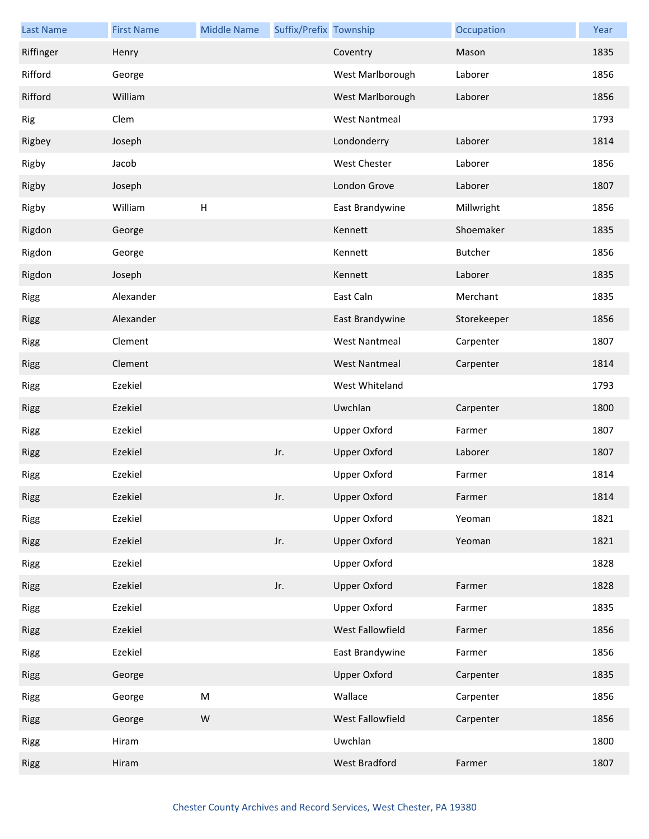| Last Name   | <b>First Name</b> | <b>Middle Name</b> | Suffix/Prefix Township |                      | Occupation  | Year |
|-------------|-------------------|--------------------|------------------------|----------------------|-------------|------|
| Riffinger   | Henry             |                    |                        | Coventry             | Mason       | 1835 |
| Rifford     | George            |                    |                        | West Marlborough     | Laborer     | 1856 |
| Rifford     | William           |                    |                        | West Marlborough     | Laborer     | 1856 |
| Rig         | Clem              |                    |                        | <b>West Nantmeal</b> |             | 1793 |
| Rigbey      | Joseph            |                    |                        | Londonderry          | Laborer     | 1814 |
| Rigby       | Jacob             |                    |                        | West Chester         | Laborer     | 1856 |
| Rigby       | Joseph            |                    |                        | London Grove         | Laborer     | 1807 |
| Rigby       | William           | H                  |                        | East Brandywine      | Millwright  | 1856 |
| Rigdon      | George            |                    |                        | Kennett              | Shoemaker   | 1835 |
| Rigdon      | George            |                    |                        | Kennett              | Butcher     | 1856 |
| Rigdon      | Joseph            |                    |                        | Kennett              | Laborer     | 1835 |
| Rigg        | Alexander         |                    |                        | East Caln            | Merchant    | 1835 |
| <b>Rigg</b> | Alexander         |                    |                        | East Brandywine      | Storekeeper | 1856 |
| Rigg        | Clement           |                    |                        | <b>West Nantmeal</b> | Carpenter   | 1807 |
| <b>Rigg</b> | Clement           |                    |                        | <b>West Nantmeal</b> | Carpenter   | 1814 |
| Rigg        | Ezekiel           |                    |                        | West Whiteland       |             | 1793 |
| <b>Rigg</b> | Ezekiel           |                    |                        | Uwchlan              | Carpenter   | 1800 |
| Rigg        | Ezekiel           |                    |                        | <b>Upper Oxford</b>  | Farmer      | 1807 |
| Rigg        | Ezekiel           |                    | Jr.                    | <b>Upper Oxford</b>  | Laborer     | 1807 |
| Rigg        | Ezekiel           |                    |                        | <b>Upper Oxford</b>  | Farmer      | 1814 |
| Rigg        | Ezekiel           |                    | Jr.                    | Upper Oxford         | Farmer      | 1814 |
| Rigg        | Ezekiel           |                    |                        | <b>Upper Oxford</b>  | Yeoman      | 1821 |
| Rigg        | Ezekiel           |                    | Jr.                    | <b>Upper Oxford</b>  | Yeoman      | 1821 |
| Rigg        | Ezekiel           |                    |                        | <b>Upper Oxford</b>  |             | 1828 |
| <b>Rigg</b> | Ezekiel           |                    | Jr.                    | <b>Upper Oxford</b>  | Farmer      | 1828 |
| Rigg        | Ezekiel           |                    |                        | Upper Oxford         | Farmer      | 1835 |
| Rigg        | Ezekiel           |                    |                        | West Fallowfield     | Farmer      | 1856 |
| Rigg        | Ezekiel           |                    |                        | East Brandywine      | Farmer      | 1856 |
| <b>Rigg</b> | George            |                    |                        | <b>Upper Oxford</b>  | Carpenter   | 1835 |
| Rigg        | George            | ${\sf M}$          |                        | Wallace              | Carpenter   | 1856 |
| Rigg        | George            | ${\sf W}$          |                        | West Fallowfield     | Carpenter   | 1856 |
| Rigg        | Hiram             |                    |                        | Uwchlan              |             | 1800 |
| <b>Rigg</b> | Hiram             |                    |                        | West Bradford        | Farmer      | 1807 |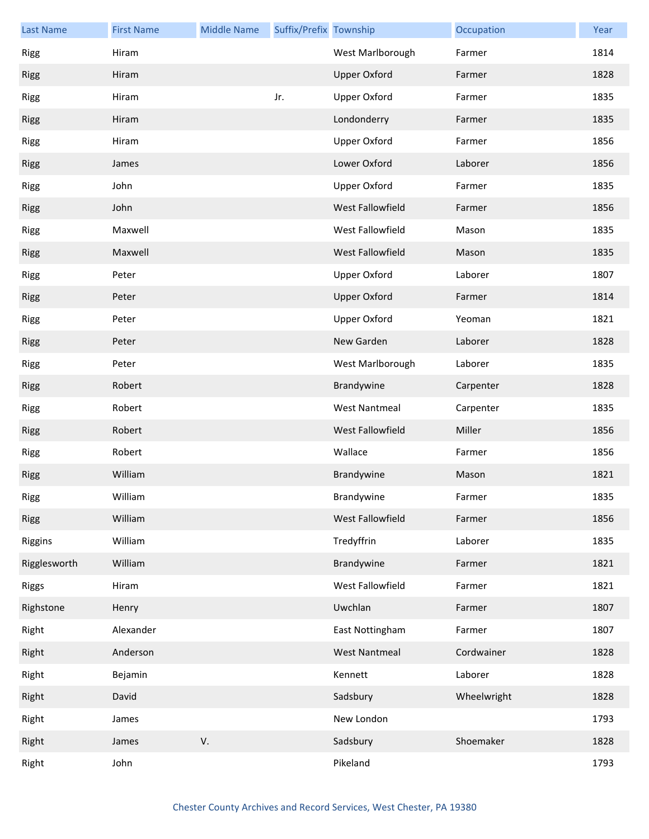| <b>Last Name</b> | <b>First Name</b> | <b>Middle Name</b> | Suffix/Prefix Township |                      | Occupation  | Year |
|------------------|-------------------|--------------------|------------------------|----------------------|-------------|------|
| Rigg             | Hiram             |                    |                        | West Marlborough     | Farmer      | 1814 |
| Rigg             | Hiram             |                    |                        | <b>Upper Oxford</b>  | Farmer      | 1828 |
| <b>Rigg</b>      | Hiram             |                    | Jr.                    | <b>Upper Oxford</b>  | Farmer      | 1835 |
| Rigg             | Hiram             |                    |                        | Londonderry          | Farmer      | 1835 |
| Rigg             | Hiram             |                    |                        | Upper Oxford         | Farmer      | 1856 |
| Rigg             | James             |                    |                        | Lower Oxford         | Laborer     | 1856 |
| Rigg             | John              |                    |                        | <b>Upper Oxford</b>  | Farmer      | 1835 |
| Rigg             | John              |                    |                        | West Fallowfield     | Farmer      | 1856 |
| Rigg             | Maxwell           |                    |                        | West Fallowfield     | Mason       | 1835 |
| Rigg             | Maxwell           |                    |                        | West Fallowfield     | Mason       | 1835 |
| Rigg             | Peter             |                    |                        | <b>Upper Oxford</b>  | Laborer     | 1807 |
| Rigg             | Peter             |                    |                        | <b>Upper Oxford</b>  | Farmer      | 1814 |
| Rigg             | Peter             |                    |                        | <b>Upper Oxford</b>  | Yeoman      | 1821 |
| Rigg             | Peter             |                    |                        | New Garden           | Laborer     | 1828 |
| Rigg             | Peter             |                    |                        | West Marlborough     | Laborer     | 1835 |
| Rigg             | Robert            |                    |                        | Brandywine           | Carpenter   | 1828 |
| Rigg             | Robert            |                    |                        | <b>West Nantmeal</b> | Carpenter   | 1835 |
| Rigg             | Robert            |                    |                        | West Fallowfield     | Miller      | 1856 |
| Rigg             | Robert            |                    |                        | Wallace              | Farmer      | 1856 |
| Rigg             | William           |                    |                        | Brandywine           | Mason       | 1821 |
| Rigg             | William           |                    |                        | Brandywine           | Farmer      | 1835 |
| <b>Rigg</b>      | William           |                    |                        | West Fallowfield     | Farmer      | 1856 |
| Riggins          | William           |                    |                        | Tredyffrin           | Laborer     | 1835 |
| Rigglesworth     | William           |                    |                        | Brandywine           | Farmer      | 1821 |
| Riggs            | Hiram             |                    |                        | West Fallowfield     | Farmer      | 1821 |
| Righstone        | Henry             |                    |                        | Uwchlan              | Farmer      | 1807 |
| Right            | Alexander         |                    |                        | East Nottingham      | Farmer      | 1807 |
| Right            | Anderson          |                    |                        | <b>West Nantmeal</b> | Cordwainer  | 1828 |
| Right            | Bejamin           |                    |                        | Kennett              | Laborer     | 1828 |
| Right            | David             |                    |                        | Sadsbury             | Wheelwright | 1828 |
| Right            | James             |                    |                        | New London           |             | 1793 |
| Right            | James             | V.                 |                        | Sadsbury             | Shoemaker   | 1828 |
| Right            | John              |                    |                        | Pikeland             |             | 1793 |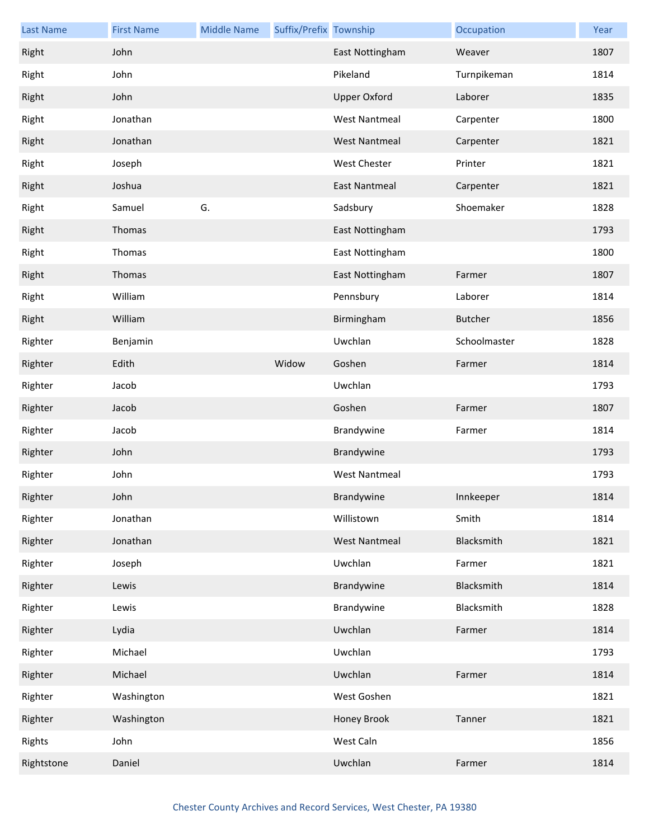| <b>Last Name</b> | <b>First Name</b> | <b>Middle Name</b> | Suffix/Prefix Township |                      | Occupation     | Year |
|------------------|-------------------|--------------------|------------------------|----------------------|----------------|------|
| Right            | John              |                    |                        | East Nottingham      | Weaver         | 1807 |
| Right            | John              |                    |                        | Pikeland             | Turnpikeman    | 1814 |
| Right            | John              |                    |                        | <b>Upper Oxford</b>  | Laborer        | 1835 |
| Right            | Jonathan          |                    |                        | West Nantmeal        | Carpenter      | 1800 |
| Right            | Jonathan          |                    |                        | <b>West Nantmeal</b> | Carpenter      | 1821 |
| Right            | Joseph            |                    |                        | <b>West Chester</b>  | Printer        | 1821 |
| Right            | Joshua            |                    |                        | <b>East Nantmeal</b> | Carpenter      | 1821 |
| Right            | Samuel            | G.                 |                        | Sadsbury             | Shoemaker      | 1828 |
| Right            | Thomas            |                    |                        | East Nottingham      |                | 1793 |
| Right            | Thomas            |                    |                        | East Nottingham      |                | 1800 |
| Right            | Thomas            |                    |                        | East Nottingham      | Farmer         | 1807 |
| Right            | William           |                    |                        | Pennsbury            | Laborer        | 1814 |
| Right            | William           |                    |                        | Birmingham           | <b>Butcher</b> | 1856 |
| Righter          | Benjamin          |                    |                        | Uwchlan              | Schoolmaster   | 1828 |
| Righter          | Edith             |                    | Widow                  | Goshen               | Farmer         | 1814 |
| Righter          | Jacob             |                    |                        | Uwchlan              |                | 1793 |
| Righter          | Jacob             |                    |                        | Goshen               | Farmer         | 1807 |
| Righter          | Jacob             |                    |                        | Brandywine           | Farmer         | 1814 |
| Righter          | John              |                    |                        | Brandywine           |                | 1793 |
| Righter          | John              |                    |                        | <b>West Nantmeal</b> |                | 1793 |
| Righter          | John              |                    |                        | Brandywine           | Innkeeper      | 1814 |
| Righter          | Jonathan          |                    |                        | Willistown           | Smith          | 1814 |
| Righter          | Jonathan          |                    |                        | <b>West Nantmeal</b> | Blacksmith     | 1821 |
| Righter          | Joseph            |                    |                        | Uwchlan              | Farmer         | 1821 |
| Righter          | Lewis             |                    |                        | Brandywine           | Blacksmith     | 1814 |
| Righter          | Lewis             |                    |                        | Brandywine           | Blacksmith     | 1828 |
| Righter          | Lydia             |                    |                        | Uwchlan              | Farmer         | 1814 |
| Righter          | Michael           |                    |                        | Uwchlan              |                | 1793 |
| Righter          | Michael           |                    |                        | Uwchlan              | Farmer         | 1814 |
| Righter          | Washington        |                    |                        | West Goshen          |                | 1821 |
| Righter          | Washington        |                    |                        | Honey Brook          | Tanner         | 1821 |
| Rights           | John              |                    |                        | West Caln            |                | 1856 |
| Rightstone       | Daniel            |                    |                        | Uwchlan              | Farmer         | 1814 |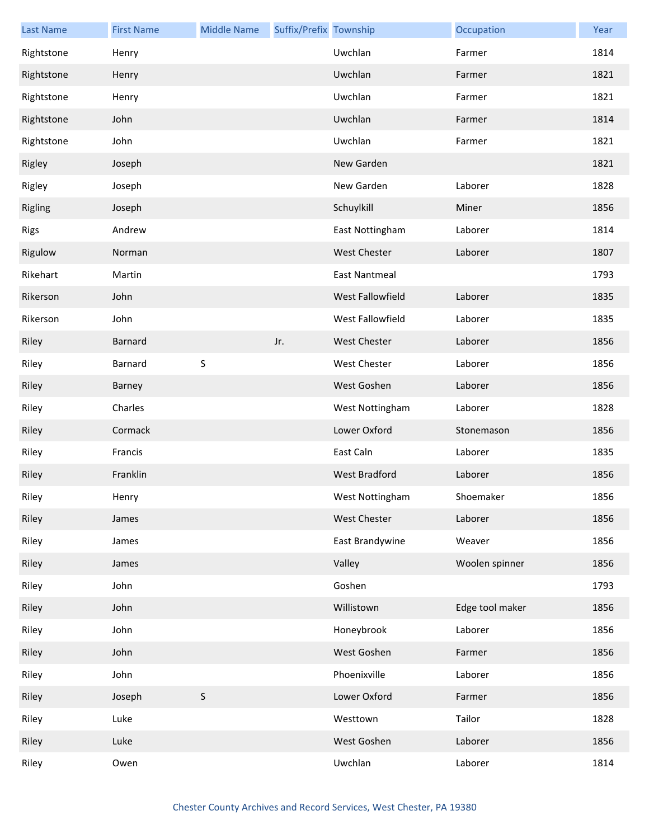| <b>Last Name</b> | <b>First Name</b> | <b>Middle Name</b> | Suffix/Prefix Township |                      | Occupation      | Year |
|------------------|-------------------|--------------------|------------------------|----------------------|-----------------|------|
| Rightstone       | Henry             |                    |                        | Uwchlan              | Farmer          | 1814 |
| Rightstone       | Henry             |                    |                        | Uwchlan              | Farmer          | 1821 |
| Rightstone       | Henry             |                    |                        | Uwchlan              | Farmer          | 1821 |
| Rightstone       | John              |                    |                        | Uwchlan              | Farmer          | 1814 |
| Rightstone       | John              |                    |                        | Uwchlan              | Farmer          | 1821 |
| Rigley           | Joseph            |                    |                        | New Garden           |                 | 1821 |
| Rigley           | Joseph            |                    |                        | New Garden           | Laborer         | 1828 |
| Rigling          | Joseph            |                    |                        | Schuylkill           | Miner           | 1856 |
| Rigs             | Andrew            |                    |                        | East Nottingham      | Laborer         | 1814 |
| Rigulow          | Norman            |                    |                        | <b>West Chester</b>  | Laborer         | 1807 |
| Rikehart         | Martin            |                    |                        | <b>East Nantmeal</b> |                 | 1793 |
| Rikerson         | John              |                    |                        | West Fallowfield     | Laborer         | 1835 |
| Rikerson         | John              |                    |                        | West Fallowfield     | Laborer         | 1835 |
| Riley            | Barnard           |                    | Jr.                    | <b>West Chester</b>  | Laborer         | 1856 |
| Riley            | Barnard           | S                  |                        | West Chester         | Laborer         | 1856 |
| Riley            | Barney            |                    |                        | West Goshen          | Laborer         | 1856 |
| Riley            | Charles           |                    |                        | West Nottingham      | Laborer         | 1828 |
| Riley            | Cormack           |                    |                        | Lower Oxford         | Stonemason      | 1856 |
| Riley            | Francis           |                    |                        | East Caln            | Laborer         | 1835 |
| Riley            | Franklin          |                    |                        | <b>West Bradford</b> | Laborer         | 1856 |
| Riley            | Henry             |                    |                        | West Nottingham      | Shoemaker       | 1856 |
| Riley            | James             |                    |                        | <b>West Chester</b>  | Laborer         | 1856 |
| Riley            | James             |                    |                        | East Brandywine      | Weaver          | 1856 |
| Riley            | James             |                    |                        | Valley               | Woolen spinner  | 1856 |
| Riley            | John              |                    |                        | Goshen               |                 | 1793 |
| Riley            | John              |                    |                        | Willistown           | Edge tool maker | 1856 |
| Riley            | John              |                    |                        | Honeybrook           | Laborer         | 1856 |
| Riley            | John              |                    |                        | West Goshen          | Farmer          | 1856 |
| Riley            | John              |                    |                        | Phoenixville         | Laborer         | 1856 |
| Riley            | Joseph            | $\mathsf S$        |                        | Lower Oxford         | Farmer          | 1856 |
| Riley            | Luke              |                    |                        | Westtown             | Tailor          | 1828 |
| Riley            | Luke              |                    |                        | West Goshen          | Laborer         | 1856 |
| Riley            | Owen              |                    |                        | Uwchlan              | Laborer         | 1814 |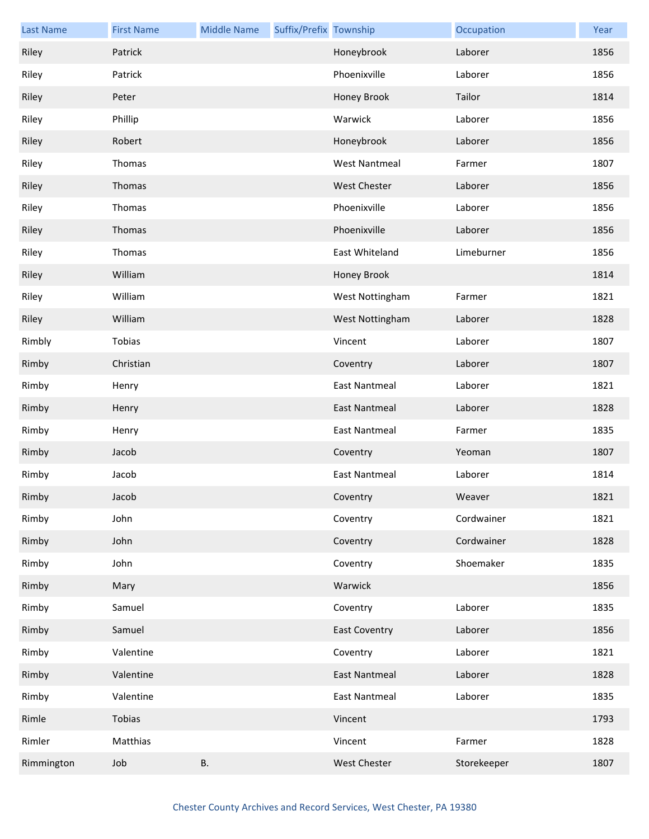| <b>Last Name</b> | <b>First Name</b> | <b>Middle Name</b> | Suffix/Prefix Township |                      | Occupation  | Year |
|------------------|-------------------|--------------------|------------------------|----------------------|-------------|------|
| Riley            | Patrick           |                    |                        | Honeybrook           | Laborer     | 1856 |
| Riley            | Patrick           |                    |                        | Phoenixville         | Laborer     | 1856 |
| Riley            | Peter             |                    |                        | Honey Brook          | Tailor      | 1814 |
| Riley            | Phillip           |                    |                        | Warwick              | Laborer     | 1856 |
| Riley            | Robert            |                    |                        | Honeybrook           | Laborer     | 1856 |
| Riley            | Thomas            |                    |                        | <b>West Nantmeal</b> | Farmer      | 1807 |
| Riley            | Thomas            |                    |                        | West Chester         | Laborer     | 1856 |
| Riley            | Thomas            |                    |                        | Phoenixville         | Laborer     | 1856 |
| Riley            | Thomas            |                    |                        | Phoenixville         | Laborer     | 1856 |
| Riley            | Thomas            |                    |                        | East Whiteland       | Limeburner  | 1856 |
| Riley            | William           |                    |                        | Honey Brook          |             | 1814 |
| Riley            | William           |                    |                        | West Nottingham      | Farmer      | 1821 |
| Riley            | William           |                    |                        | West Nottingham      | Laborer     | 1828 |
| Rimbly           | Tobias            |                    |                        | Vincent              | Laborer     | 1807 |
| Rimby            | Christian         |                    |                        | Coventry             | Laborer     | 1807 |
| Rimby            | Henry             |                    |                        | <b>East Nantmeal</b> | Laborer     | 1821 |
| Rimby            | Henry             |                    |                        | East Nantmeal        | Laborer     | 1828 |
| Rimby            | Henry             |                    |                        | <b>East Nantmeal</b> | Farmer      | 1835 |
| Rimby            | Jacob             |                    |                        | Coventry             | Yeoman      | 1807 |
| Rimby            | Jacob             |                    |                        | <b>East Nantmeal</b> | Laborer     | 1814 |
| Rimby            | Jacob             |                    |                        | Coventry             | Weaver      | 1821 |
| Rimby            | John              |                    |                        | Coventry             | Cordwainer  | 1821 |
| Rimby            | John              |                    |                        | Coventry             | Cordwainer  | 1828 |
| Rimby            | John              |                    |                        | Coventry             | Shoemaker   | 1835 |
| Rimby            | Mary              |                    |                        | Warwick              |             | 1856 |
| Rimby            | Samuel            |                    |                        | Coventry             | Laborer     | 1835 |
| Rimby            | Samuel            |                    |                        | <b>East Coventry</b> | Laborer     | 1856 |
| Rimby            | Valentine         |                    |                        | Coventry             | Laborer     | 1821 |
| Rimby            | Valentine         |                    |                        | <b>East Nantmeal</b> | Laborer     | 1828 |
| Rimby            | Valentine         |                    |                        | <b>East Nantmeal</b> | Laborer     | 1835 |
| Rimle            | Tobias            |                    |                        | Vincent              |             | 1793 |
| Rimler           | Matthias          |                    |                        | Vincent              | Farmer      | 1828 |
| Rimmington       | Job               | <b>B.</b>          |                        | West Chester         | Storekeeper | 1807 |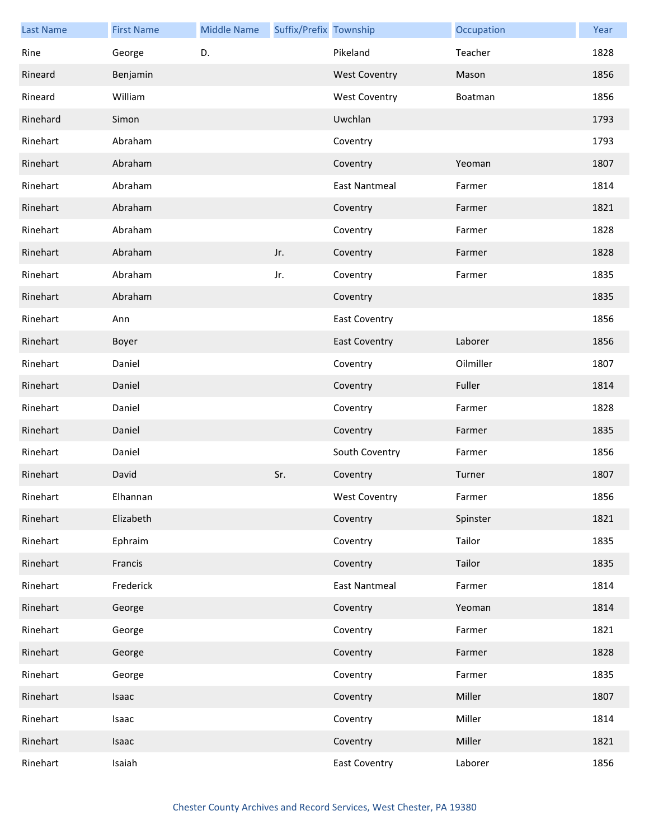| <b>Last Name</b> | <b>First Name</b> | <b>Middle Name</b> | Suffix/Prefix Township |                      | Occupation | Year |
|------------------|-------------------|--------------------|------------------------|----------------------|------------|------|
| Rine             | George            | D.                 |                        | Pikeland             | Teacher    | 1828 |
| Rineard          | Benjamin          |                    |                        | <b>West Coventry</b> | Mason      | 1856 |
| Rineard          | William           |                    |                        | <b>West Coventry</b> | Boatman    | 1856 |
| Rinehard         | Simon             |                    |                        | Uwchlan              |            | 1793 |
| Rinehart         | Abraham           |                    |                        | Coventry             |            | 1793 |
| Rinehart         | Abraham           |                    |                        | Coventry             | Yeoman     | 1807 |
| Rinehart         | Abraham           |                    |                        | <b>East Nantmeal</b> | Farmer     | 1814 |
| Rinehart         | Abraham           |                    |                        | Coventry             | Farmer     | 1821 |
| Rinehart         | Abraham           |                    |                        | Coventry             | Farmer     | 1828 |
| Rinehart         | Abraham           |                    | Jr.                    | Coventry             | Farmer     | 1828 |
| Rinehart         | Abraham           |                    | Jr.                    | Coventry             | Farmer     | 1835 |
| Rinehart         | Abraham           |                    |                        | Coventry             |            | 1835 |
| Rinehart         | Ann               |                    |                        | <b>East Coventry</b> |            | 1856 |
| Rinehart         | Boyer             |                    |                        | <b>East Coventry</b> | Laborer    | 1856 |
| Rinehart         | Daniel            |                    |                        | Coventry             | Oilmiller  | 1807 |
| Rinehart         | Daniel            |                    |                        | Coventry             | Fuller     | 1814 |
| Rinehart         | Daniel            |                    |                        | Coventry             | Farmer     | 1828 |
| Rinehart         | Daniel            |                    |                        | Coventry             | Farmer     | 1835 |
| Rinehart         | Daniel            |                    |                        | South Coventry       | Farmer     | 1856 |
| Rinehart         | David             |                    | Sr.                    | Coventry             | Turner     | 1807 |
| Rinehart         | Elhannan          |                    |                        | West Coventry        | Farmer     | 1856 |
| Rinehart         | Elizabeth         |                    |                        | Coventry             | Spinster   | 1821 |
| Rinehart         | Ephraim           |                    |                        | Coventry             | Tailor     | 1835 |
| Rinehart         | Francis           |                    |                        | Coventry             | Tailor     | 1835 |
| Rinehart         | Frederick         |                    |                        | <b>East Nantmeal</b> | Farmer     | 1814 |
| Rinehart         | George            |                    |                        | Coventry             | Yeoman     | 1814 |
| Rinehart         | George            |                    |                        | Coventry             | Farmer     | 1821 |
| Rinehart         | George            |                    |                        | Coventry             | Farmer     | 1828 |
| Rinehart         | George            |                    |                        | Coventry             | Farmer     | 1835 |
| Rinehart         | Isaac             |                    |                        | Coventry             | Miller     | 1807 |
| Rinehart         | Isaac             |                    |                        | Coventry             | Miller     | 1814 |
| Rinehart         | Isaac             |                    |                        | Coventry             | Miller     | 1821 |
| Rinehart         | Isaiah            |                    |                        | <b>East Coventry</b> | Laborer    | 1856 |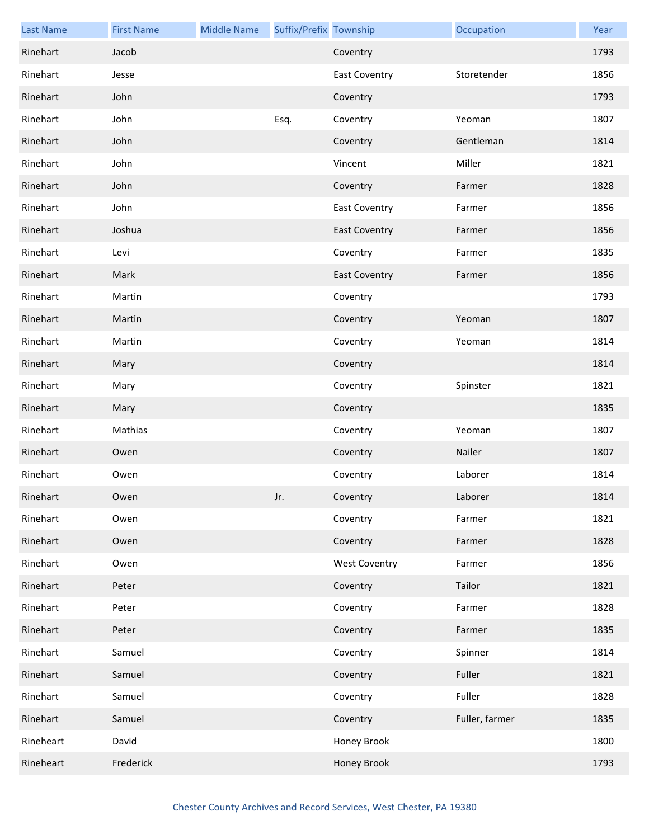| <b>Last Name</b> | <b>First Name</b> | <b>Middle Name</b> | Suffix/Prefix Township |                      | Occupation     | Year |
|------------------|-------------------|--------------------|------------------------|----------------------|----------------|------|
| Rinehart         | Jacob             |                    |                        | Coventry             |                | 1793 |
| Rinehart         | Jesse             |                    |                        | <b>East Coventry</b> | Storetender    | 1856 |
| Rinehart         | John              |                    |                        | Coventry             |                | 1793 |
| Rinehart         | John              |                    | Esq.                   | Coventry             | Yeoman         | 1807 |
| Rinehart         | John              |                    |                        | Coventry             | Gentleman      | 1814 |
| Rinehart         | John              |                    |                        | Vincent              | Miller         | 1821 |
| Rinehart         | John              |                    |                        | Coventry             | Farmer         | 1828 |
| Rinehart         | John              |                    |                        | <b>East Coventry</b> | Farmer         | 1856 |
| Rinehart         | Joshua            |                    |                        | <b>East Coventry</b> | Farmer         | 1856 |
| Rinehart         | Levi              |                    |                        | Coventry             | Farmer         | 1835 |
| Rinehart         | Mark              |                    |                        | <b>East Coventry</b> | Farmer         | 1856 |
| Rinehart         | Martin            |                    |                        | Coventry             |                | 1793 |
| Rinehart         | Martin            |                    |                        | Coventry             | Yeoman         | 1807 |
| Rinehart         | Martin            |                    |                        | Coventry             | Yeoman         | 1814 |
| Rinehart         | Mary              |                    |                        | Coventry             |                | 1814 |
| Rinehart         | Mary              |                    |                        | Coventry             | Spinster       | 1821 |
| Rinehart         | Mary              |                    |                        | Coventry             |                | 1835 |
| Rinehart         | Mathias           |                    |                        | Coventry             | Yeoman         | 1807 |
| Rinehart         | Owen              |                    |                        | Coventry             | Nailer         | 1807 |
| Rinehart         | Owen              |                    |                        | Coventry             | Laborer        | 1814 |
| Rinehart         | Owen              |                    | Jr.                    | Coventry             | Laborer        | 1814 |
| Rinehart         | Owen              |                    |                        | Coventry             | Farmer         | 1821 |
| Rinehart         | Owen              |                    |                        | Coventry             | Farmer         | 1828 |
| Rinehart         | Owen              |                    |                        | <b>West Coventry</b> | Farmer         | 1856 |
| Rinehart         | Peter             |                    |                        | Coventry             | Tailor         | 1821 |
| Rinehart         | Peter             |                    |                        | Coventry             | Farmer         | 1828 |
| Rinehart         | Peter             |                    |                        | Coventry             | Farmer         | 1835 |
| Rinehart         | Samuel            |                    |                        | Coventry             | Spinner        | 1814 |
| Rinehart         | Samuel            |                    |                        | Coventry             | Fuller         | 1821 |
| Rinehart         | Samuel            |                    |                        | Coventry             | Fuller         | 1828 |
| Rinehart         | Samuel            |                    |                        | Coventry             | Fuller, farmer | 1835 |
| Rineheart        | David             |                    |                        | Honey Brook          |                | 1800 |
| Rineheart        | Frederick         |                    |                        | Honey Brook          |                | 1793 |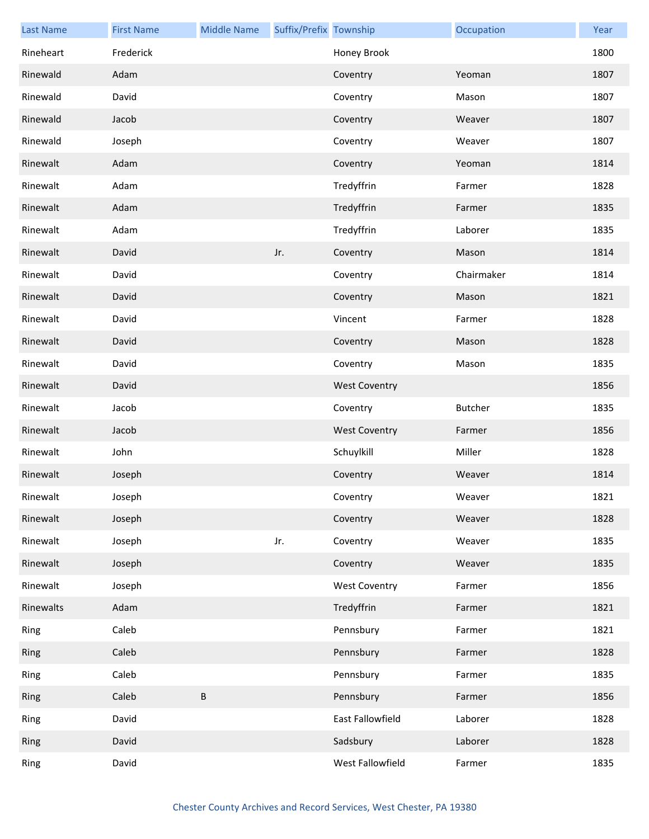| <b>Last Name</b> | <b>First Name</b> | <b>Middle Name</b> | Suffix/Prefix Township |                      | Occupation     | Year |
|------------------|-------------------|--------------------|------------------------|----------------------|----------------|------|
| Rineheart        | Frederick         |                    |                        | Honey Brook          |                | 1800 |
| Rinewald         | Adam              |                    |                        | Coventry             | Yeoman         | 1807 |
| Rinewald         | David             |                    |                        | Coventry             | Mason          | 1807 |
| Rinewald         | Jacob             |                    |                        | Coventry             | Weaver         | 1807 |
| Rinewald         | Joseph            |                    |                        | Coventry             | Weaver         | 1807 |
| Rinewalt         | Adam              |                    |                        | Coventry             | Yeoman         | 1814 |
| Rinewalt         | Adam              |                    |                        | Tredyffrin           | Farmer         | 1828 |
| Rinewalt         | Adam              |                    |                        | Tredyffrin           | Farmer         | 1835 |
| Rinewalt         | Adam              |                    |                        | Tredyffrin           | Laborer        | 1835 |
| Rinewalt         | David             |                    | Jr.                    | Coventry             | Mason          | 1814 |
| Rinewalt         | David             |                    |                        | Coventry             | Chairmaker     | 1814 |
| Rinewalt         | David             |                    |                        | Coventry             | Mason          | 1821 |
| Rinewalt         | David             |                    |                        | Vincent              | Farmer         | 1828 |
| Rinewalt         | David             |                    |                        | Coventry             | Mason          | 1828 |
| Rinewalt         | David             |                    |                        | Coventry             | Mason          | 1835 |
| Rinewalt         | David             |                    |                        | <b>West Coventry</b> |                | 1856 |
| Rinewalt         | Jacob             |                    |                        | Coventry             | <b>Butcher</b> | 1835 |
| Rinewalt         | Jacob             |                    |                        | <b>West Coventry</b> | Farmer         | 1856 |
| Rinewalt         | John              |                    |                        | Schuylkill           | Miller         | 1828 |
| Rinewalt         | Joseph            |                    |                        | Coventry             | Weaver         | 1814 |
| Rinewalt         | Joseph            |                    |                        | Coventry             | Weaver         | 1821 |
| Rinewalt         | Joseph            |                    |                        | Coventry             | Weaver         | 1828 |
| Rinewalt         | Joseph            |                    | Jr.                    | Coventry             | Weaver         | 1835 |
| Rinewalt         | Joseph            |                    |                        | Coventry             | Weaver         | 1835 |
| Rinewalt         | Joseph            |                    |                        | <b>West Coventry</b> | Farmer         | 1856 |
| Rinewalts        | Adam              |                    |                        | Tredyffrin           | Farmer         | 1821 |
| Ring             | Caleb             |                    |                        | Pennsbury            | Farmer         | 1821 |
| Ring             | Caleb             |                    |                        | Pennsbury            | Farmer         | 1828 |
| Ring             | Caleb             |                    |                        | Pennsbury            | Farmer         | 1835 |
| Ring             | Caleb             | $\sf B$            |                        | Pennsbury            | Farmer         | 1856 |
| Ring             | David             |                    |                        | East Fallowfield     | Laborer        | 1828 |
| Ring             | David             |                    |                        | Sadsbury             | Laborer        | 1828 |
| Ring             | David             |                    |                        | West Fallowfield     | Farmer         | 1835 |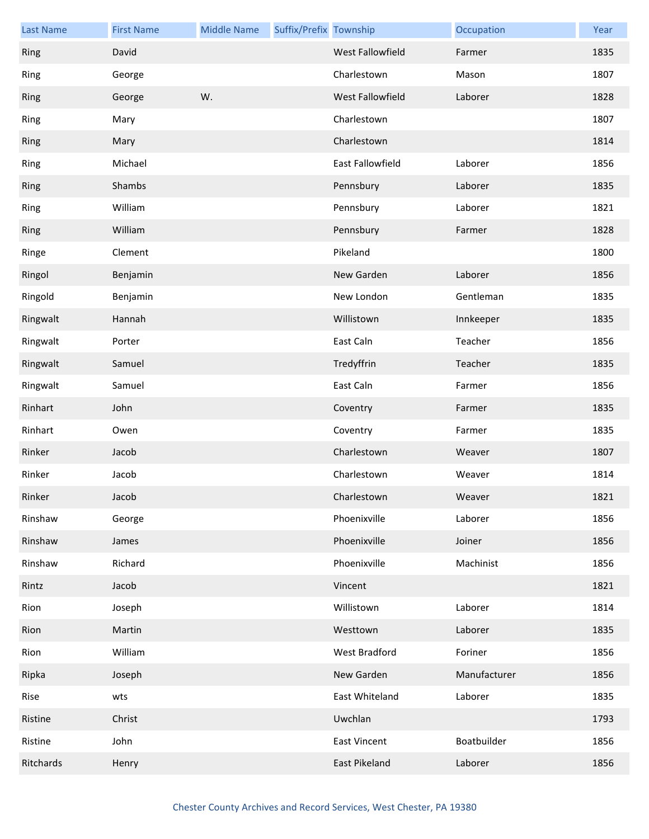| <b>Last Name</b> | <b>First Name</b> | <b>Middle Name</b> | Suffix/Prefix Township |                         | Occupation   | Year |
|------------------|-------------------|--------------------|------------------------|-------------------------|--------------|------|
| Ring             | David             |                    |                        | <b>West Fallowfield</b> | Farmer       | 1835 |
| Ring             | George            |                    |                        | Charlestown             | Mason        | 1807 |
| Ring             | George            | W.                 |                        | West Fallowfield        | Laborer      | 1828 |
| Ring             | Mary              |                    |                        | Charlestown             |              | 1807 |
| Ring             | Mary              |                    |                        | Charlestown             |              | 1814 |
| Ring             | Michael           |                    |                        | <b>East Fallowfield</b> | Laborer      | 1856 |
| Ring             | Shambs            |                    |                        | Pennsbury               | Laborer      | 1835 |
| Ring             | William           |                    |                        | Pennsbury               | Laborer      | 1821 |
| Ring             | William           |                    |                        | Pennsbury               | Farmer       | 1828 |
| Ringe            | Clement           |                    |                        | Pikeland                |              | 1800 |
| Ringol           | Benjamin          |                    |                        | New Garden              | Laborer      | 1856 |
| Ringold          | Benjamin          |                    |                        | New London              | Gentleman    | 1835 |
| Ringwalt         | Hannah            |                    |                        | Willistown              | Innkeeper    | 1835 |
| Ringwalt         | Porter            |                    |                        | East Caln               | Teacher      | 1856 |
| Ringwalt         | Samuel            |                    |                        | Tredyffrin              | Teacher      | 1835 |
| Ringwalt         | Samuel            |                    |                        | East Caln               | Farmer       | 1856 |
| Rinhart          | John              |                    |                        | Coventry                | Farmer       | 1835 |
| Rinhart          | Owen              |                    |                        | Coventry                | Farmer       | 1835 |
| Rinker           | Jacob             |                    |                        | Charlestown             | Weaver       | 1807 |
| Rinker           | Jacob             |                    |                        | Charlestown             | Weaver       | 1814 |
| Rinker           | Jacob             |                    |                        | Charlestown             | Weaver       | 1821 |
| Rinshaw          | George            |                    |                        | Phoenixville            | Laborer      | 1856 |
| Rinshaw          | James             |                    |                        | Phoenixville            | Joiner       | 1856 |
| Rinshaw          | Richard           |                    |                        | Phoenixville            | Machinist    | 1856 |
| Rintz            | Jacob             |                    |                        | Vincent                 |              | 1821 |
| Rion             | Joseph            |                    |                        | Willistown              | Laborer      | 1814 |
| Rion             | Martin            |                    |                        | Westtown                | Laborer      | 1835 |
| Rion             | William           |                    |                        | West Bradford           | Foriner      | 1856 |
| Ripka            | Joseph            |                    |                        | New Garden              | Manufacturer | 1856 |
| Rise             | wts               |                    |                        | East Whiteland          | Laborer      | 1835 |
| Ristine          | Christ            |                    |                        | Uwchlan                 |              | 1793 |
| Ristine          | John              |                    |                        | <b>East Vincent</b>     | Boatbuilder  | 1856 |
| Ritchards        | Henry             |                    |                        | East Pikeland           | Laborer      | 1856 |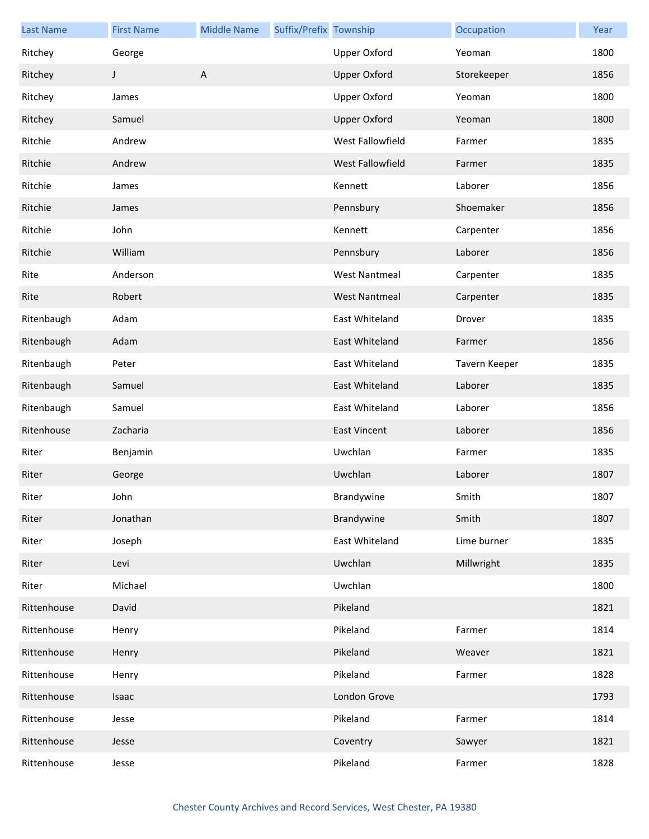| <b>Last Name</b> | <b>First Name</b> | <b>Middle Name</b> | Suffix/Prefix Township |                      | Occupation    | Year |
|------------------|-------------------|--------------------|------------------------|----------------------|---------------|------|
| Ritchey          | George            |                    |                        | <b>Upper Oxford</b>  | Yeoman        | 1800 |
| Ritchey          | J                 | A                  |                        | <b>Upper Oxford</b>  | Storekeeper   | 1856 |
| Ritchey          | James             |                    |                        | <b>Upper Oxford</b>  | Yeoman        | 1800 |
| Ritchey          | Samuel            |                    |                        | <b>Upper Oxford</b>  | Yeoman        | 1800 |
| Ritchie          | Andrew            |                    |                        | West Fallowfield     | Farmer        | 1835 |
| Ritchie          | Andrew            |                    |                        | West Fallowfield     | Farmer        | 1835 |
| Ritchie          | James             |                    |                        | Kennett              | Laborer       | 1856 |
| Ritchie          | James             |                    |                        | Pennsbury            | Shoemaker     | 1856 |
| Ritchie          | John              |                    |                        | Kennett              | Carpenter     | 1856 |
| Ritchie          | William           |                    |                        | Pennsbury            | Laborer       | 1856 |
| Rite             | Anderson          |                    |                        | <b>West Nantmeal</b> | Carpenter     | 1835 |
| Rite             | Robert            |                    |                        | <b>West Nantmeal</b> | Carpenter     | 1835 |
| Ritenbaugh       | Adam              |                    |                        | East Whiteland       | Drover        | 1835 |
| Ritenbaugh       | Adam              |                    |                        | East Whiteland       | Farmer        | 1856 |
| Ritenbaugh       | Peter             |                    |                        | East Whiteland       | Tavern Keeper | 1835 |
| Ritenbaugh       | Samuel            |                    |                        | East Whiteland       | Laborer       | 1835 |
| Ritenbaugh       | Samuel            |                    |                        | East Whiteland       | Laborer       | 1856 |
| Ritenhouse       | Zacharia          |                    |                        | <b>East Vincent</b>  | Laborer       | 1856 |
| Riter            | Benjamin          |                    |                        | Uwchlan              | Farmer        | 1835 |
| Riter            | George            |                    |                        | Uwchlan              | Laborer       | 1807 |
| Riter            | John              |                    |                        | Brandywine           | Smith         | 1807 |
| Riter            | Jonathan          |                    |                        | Brandywine           | Smith         | 1807 |
| Riter            | Joseph            |                    |                        | East Whiteland       | Lime burner   | 1835 |
| Riter            | Levi              |                    |                        | Uwchlan              | Millwright    | 1835 |
| Riter            | Michael           |                    |                        | Uwchlan              |               | 1800 |
| Rittenhouse      | David             |                    |                        | Pikeland             |               | 1821 |
| Rittenhouse      | Henry             |                    |                        | Pikeland             | Farmer        | 1814 |
| Rittenhouse      | Henry             |                    |                        | Pikeland             | Weaver        | 1821 |
| Rittenhouse      | Henry             |                    |                        | Pikeland             | Farmer        | 1828 |
| Rittenhouse      | Isaac             |                    |                        | London Grove         |               | 1793 |
| Rittenhouse      | Jesse             |                    |                        | Pikeland             | Farmer        | 1814 |
| Rittenhouse      | Jesse             |                    |                        | Coventry             | Sawyer        | 1821 |
| Rittenhouse      | Jesse             |                    |                        | Pikeland             | Farmer        | 1828 |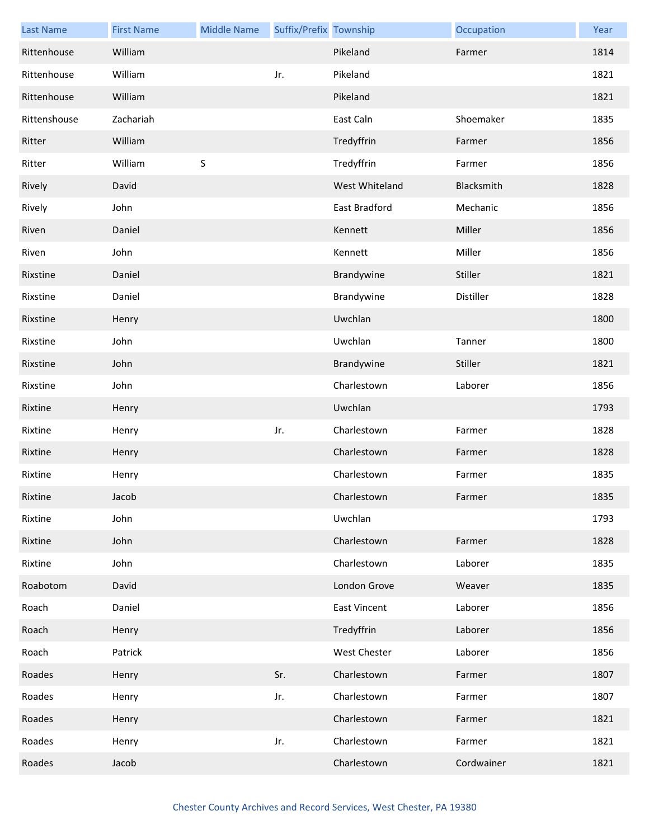| <b>Last Name</b> | <b>First Name</b> | <b>Middle Name</b> | Suffix/Prefix Township |                     | Occupation | Year |
|------------------|-------------------|--------------------|------------------------|---------------------|------------|------|
| Rittenhouse      | William           |                    |                        | Pikeland            | Farmer     | 1814 |
| Rittenhouse      | William           |                    | Jr.                    | Pikeland            |            | 1821 |
| Rittenhouse      | William           |                    |                        | Pikeland            |            | 1821 |
| Rittenshouse     | Zachariah         |                    |                        | East Caln           | Shoemaker  | 1835 |
| Ritter           | William           |                    |                        | Tredyffrin          | Farmer     | 1856 |
| Ritter           | William           | $\sf S$            |                        | Tredyffrin          | Farmer     | 1856 |
| Rively           | David             |                    |                        | West Whiteland      | Blacksmith | 1828 |
| Rively           | John              |                    |                        | East Bradford       | Mechanic   | 1856 |
| Riven            | Daniel            |                    |                        | Kennett             | Miller     | 1856 |
| Riven            | John              |                    |                        | Kennett             | Miller     | 1856 |
| Rixstine         | Daniel            |                    |                        | Brandywine          | Stiller    | 1821 |
| Rixstine         | Daniel            |                    |                        | Brandywine          | Distiller  | 1828 |
| Rixstine         | Henry             |                    |                        | Uwchlan             |            | 1800 |
| Rixstine         | John              |                    |                        | Uwchlan             | Tanner     | 1800 |
| Rixstine         | John              |                    |                        | Brandywine          | Stiller    | 1821 |
| Rixstine         | John              |                    |                        | Charlestown         | Laborer    | 1856 |
| Rixtine          | Henry             |                    |                        | Uwchlan             |            | 1793 |
| Rixtine          | Henry             |                    | Jr.                    | Charlestown         | Farmer     | 1828 |
| Rixtine          | Henry             |                    |                        | Charlestown         | Farmer     | 1828 |
| Rixtine          | Henry             |                    |                        | Charlestown         | Farmer     | 1835 |
| Rixtine          | Jacob             |                    |                        | Charlestown         | Farmer     | 1835 |
| Rixtine          | John              |                    |                        | Uwchlan             |            | 1793 |
| Rixtine          | John              |                    |                        | Charlestown         | Farmer     | 1828 |
| Rixtine          | John              |                    |                        | Charlestown         | Laborer    | 1835 |
| Roabotom         | David             |                    |                        | London Grove        | Weaver     | 1835 |
| Roach            | Daniel            |                    |                        | <b>East Vincent</b> | Laborer    | 1856 |
| Roach            | Henry             |                    |                        | Tredyffrin          | Laborer    | 1856 |
| Roach            | Patrick           |                    |                        | West Chester        | Laborer    | 1856 |
| Roades           | Henry             |                    | Sr.                    | Charlestown         | Farmer     | 1807 |
| Roades           | Henry             |                    | Jr.                    | Charlestown         | Farmer     | 1807 |
| Roades           | Henry             |                    |                        | Charlestown         | Farmer     | 1821 |
| Roades           | Henry             |                    | Jr.                    | Charlestown         | Farmer     | 1821 |
| Roades           | Jacob             |                    |                        | Charlestown         | Cordwainer | 1821 |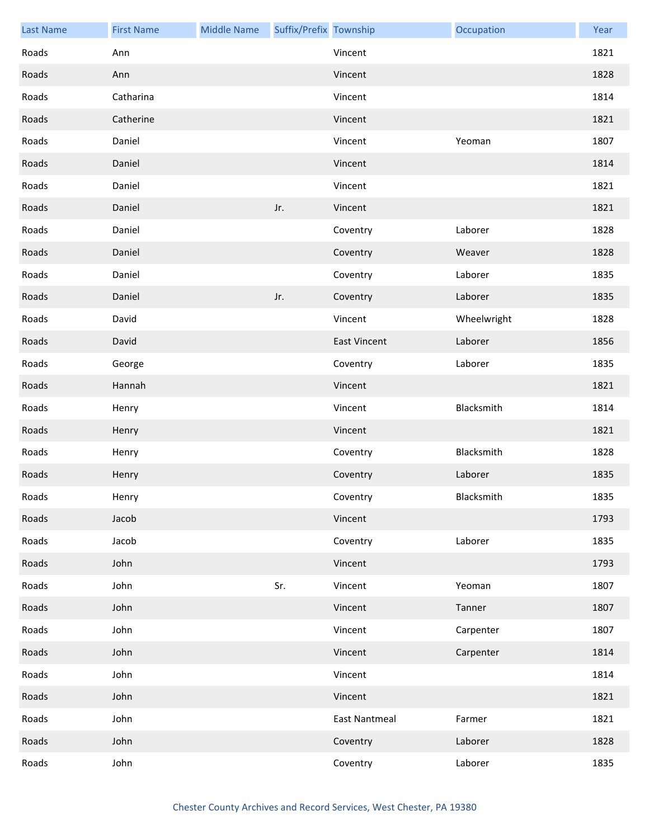| <b>Last Name</b> | <b>First Name</b> | <b>Middle Name</b> | Suffix/Prefix Township |                     | Occupation  | Year |
|------------------|-------------------|--------------------|------------------------|---------------------|-------------|------|
| Roads            | Ann               |                    |                        | Vincent             |             | 1821 |
| Roads            | Ann               |                    |                        | Vincent             |             | 1828 |
| Roads            | Catharina         |                    |                        | Vincent             |             | 1814 |
| Roads            | Catherine         |                    |                        | Vincent             |             | 1821 |
| Roads            | Daniel            |                    |                        | Vincent             | Yeoman      | 1807 |
| Roads            | Daniel            |                    |                        | Vincent             |             | 1814 |
| Roads            | Daniel            |                    |                        | Vincent             |             | 1821 |
| Roads            | Daniel            |                    | Jr.                    | Vincent             |             | 1821 |
| Roads            | Daniel            |                    |                        | Coventry            | Laborer     | 1828 |
| Roads            | Daniel            |                    |                        | Coventry            | Weaver      | 1828 |
| Roads            | Daniel            |                    |                        | Coventry            | Laborer     | 1835 |
| Roads            | Daniel            |                    | Jr.                    | Coventry            | Laborer     | 1835 |
| Roads            | David             |                    |                        | Vincent             | Wheelwright | 1828 |
| Roads            | David             |                    |                        | <b>East Vincent</b> | Laborer     | 1856 |
| Roads            | George            |                    |                        | Coventry            | Laborer     | 1835 |
| Roads            | Hannah            |                    |                        | Vincent             |             | 1821 |
| Roads            | Henry             |                    |                        | Vincent             | Blacksmith  | 1814 |
| Roads            | Henry             |                    |                        | Vincent             |             | 1821 |
| Roads            | Henry             |                    |                        | Coventry            | Blacksmith  | 1828 |
| Roads            | Henry             |                    |                        | Coventry            | Laborer     | 1835 |
| Roads            | Henry             |                    |                        | Coventry            | Blacksmith  | 1835 |
| Roads            | Jacob             |                    |                        | Vincent             |             | 1793 |
| Roads            | Jacob             |                    |                        | Coventry            | Laborer     | 1835 |
| Roads            | John              |                    |                        | Vincent             |             | 1793 |
| Roads            | John              |                    | Sr.                    | Vincent             | Yeoman      | 1807 |
| Roads            | John              |                    |                        | Vincent             | Tanner      | 1807 |
| Roads            | John              |                    |                        | Vincent             | Carpenter   | 1807 |
| Roads            | John              |                    |                        | Vincent             | Carpenter   | 1814 |
| Roads            | John              |                    |                        | Vincent             |             | 1814 |
| Roads            | John              |                    |                        | Vincent             |             | 1821 |
| Roads            | John              |                    |                        | East Nantmeal       | Farmer      | 1821 |
| Roads            | John              |                    |                        | Coventry            | Laborer     | 1828 |
| Roads            | John              |                    |                        | Coventry            | Laborer     | 1835 |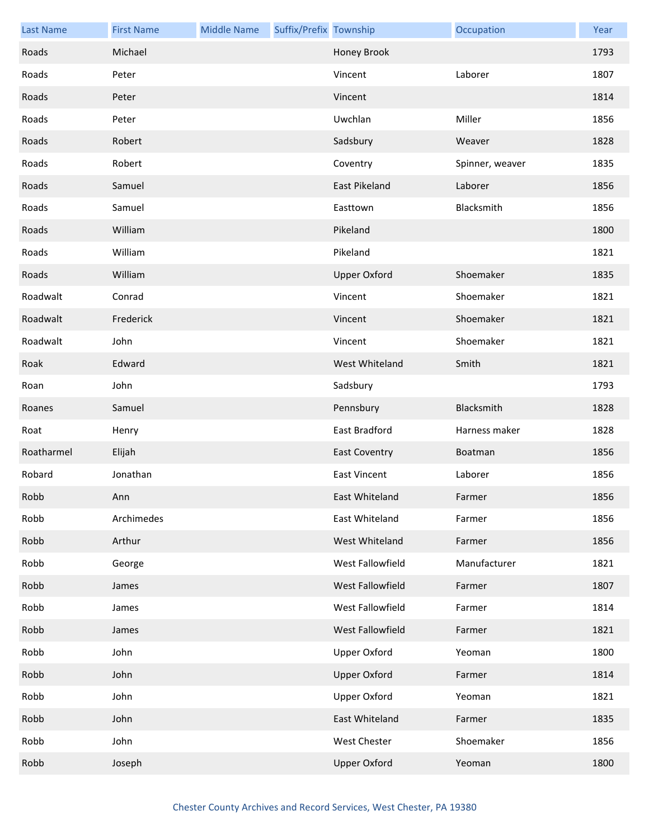| <b>Last Name</b> | <b>First Name</b> | <b>Middle Name</b> | Suffix/Prefix Township |                      | Occupation      | Year |
|------------------|-------------------|--------------------|------------------------|----------------------|-----------------|------|
| Roads            | Michael           |                    |                        | Honey Brook          |                 | 1793 |
| Roads            | Peter             |                    |                        | Vincent              | Laborer         | 1807 |
| Roads            | Peter             |                    |                        | Vincent              |                 | 1814 |
| Roads            | Peter             |                    |                        | Uwchlan              | Miller          | 1856 |
| Roads            | Robert            |                    |                        | Sadsbury             | Weaver          | 1828 |
| Roads            | Robert            |                    |                        | Coventry             | Spinner, weaver | 1835 |
| Roads            | Samuel            |                    |                        | <b>East Pikeland</b> | Laborer         | 1856 |
| Roads            | Samuel            |                    |                        | Easttown             | Blacksmith      | 1856 |
| Roads            | William           |                    |                        | Pikeland             |                 | 1800 |
| Roads            | William           |                    |                        | Pikeland             |                 | 1821 |
| Roads            | William           |                    |                        | <b>Upper Oxford</b>  | Shoemaker       | 1835 |
| Roadwalt         | Conrad            |                    |                        | Vincent              | Shoemaker       | 1821 |
| Roadwalt         | Frederick         |                    |                        | Vincent              | Shoemaker       | 1821 |
| Roadwalt         | John              |                    |                        | Vincent              | Shoemaker       | 1821 |
| Roak             | Edward            |                    |                        | West Whiteland       | Smith           | 1821 |
| Roan             | John              |                    |                        | Sadsbury             |                 | 1793 |
| Roanes           | Samuel            |                    |                        | Pennsbury            | Blacksmith      | 1828 |
| Roat             | Henry             |                    |                        | East Bradford        | Harness maker   | 1828 |
| Roatharmel       | Elijah            |                    |                        | <b>East Coventry</b> | Boatman         | 1856 |
| Robard           | Jonathan          |                    |                        | <b>East Vincent</b>  | Laborer         | 1856 |
| Robb             | Ann               |                    |                        | East Whiteland       | Farmer          | 1856 |
| Robb             | Archimedes        |                    |                        | East Whiteland       | Farmer          | 1856 |
| Robb             | Arthur            |                    |                        | West Whiteland       | Farmer          | 1856 |
| Robb             | George            |                    |                        | West Fallowfield     | Manufacturer    | 1821 |
| Robb             | James             |                    |                        | West Fallowfield     | Farmer          | 1807 |
| Robb             | James             |                    |                        | West Fallowfield     | Farmer          | 1814 |
| Robb             | James             |                    |                        | West Fallowfield     | Farmer          | 1821 |
| Robb             | John              |                    |                        | <b>Upper Oxford</b>  | Yeoman          | 1800 |
| Robb             | John              |                    |                        | <b>Upper Oxford</b>  | Farmer          | 1814 |
| Robb             | John              |                    |                        | <b>Upper Oxford</b>  | Yeoman          | 1821 |
| Robb             | John              |                    |                        | East Whiteland       | Farmer          | 1835 |
| Robb             | John              |                    |                        | West Chester         | Shoemaker       | 1856 |
| Robb             | Joseph            |                    |                        | <b>Upper Oxford</b>  | Yeoman          | 1800 |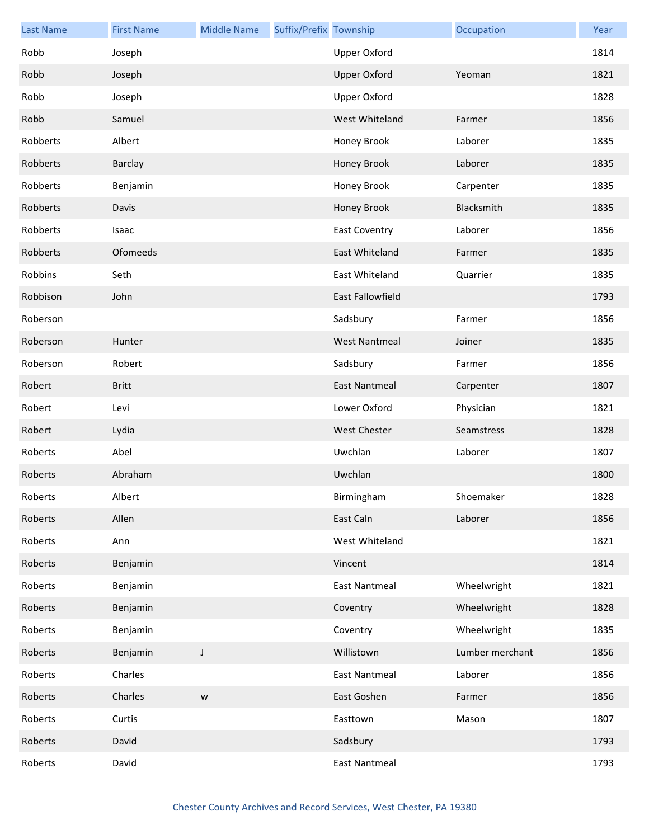| <b>Last Name</b> | <b>First Name</b> | <b>Middle Name</b> | Suffix/Prefix Township |                      | Occupation      | Year |
|------------------|-------------------|--------------------|------------------------|----------------------|-----------------|------|
| Robb             | Joseph            |                    |                        | <b>Upper Oxford</b>  |                 | 1814 |
| Robb             | Joseph            |                    |                        | <b>Upper Oxford</b>  | Yeoman          | 1821 |
| Robb             | Joseph            |                    |                        | <b>Upper Oxford</b>  |                 | 1828 |
| Robb             | Samuel            |                    |                        | West Whiteland       | Farmer          | 1856 |
| Robberts         | Albert            |                    |                        | Honey Brook          | Laborer         | 1835 |
| Robberts         | Barclay           |                    |                        | Honey Brook          | Laborer         | 1835 |
| Robberts         | Benjamin          |                    |                        | Honey Brook          | Carpenter       | 1835 |
| Robberts         | Davis             |                    |                        | Honey Brook          | Blacksmith      | 1835 |
| Robberts         | Isaac             |                    |                        | <b>East Coventry</b> | Laborer         | 1856 |
| Robberts         | Ofomeeds          |                    |                        | East Whiteland       | Farmer          | 1835 |
| Robbins          | Seth              |                    |                        | East Whiteland       | Quarrier        | 1835 |
| Robbison         | John              |                    |                        | East Fallowfield     |                 | 1793 |
| Roberson         |                   |                    |                        | Sadsbury             | Farmer          | 1856 |
| Roberson         | Hunter            |                    |                        | <b>West Nantmeal</b> | Joiner          | 1835 |
| Roberson         | Robert            |                    |                        | Sadsbury             | Farmer          | 1856 |
| Robert           | <b>Britt</b>      |                    |                        | <b>East Nantmeal</b> | Carpenter       | 1807 |
| Robert           | Levi              |                    |                        | Lower Oxford         | Physician       | 1821 |
| Robert           | Lydia             |                    |                        | <b>West Chester</b>  | Seamstress      | 1828 |
| Roberts          | Abel              |                    |                        | Uwchlan              | Laborer         | 1807 |
| Roberts          | Abraham           |                    |                        | Uwchlan              |                 | 1800 |
| Roberts          | Albert            |                    |                        | Birmingham           | Shoemaker       | 1828 |
| Roberts          | Allen             |                    |                        | East Caln            | Laborer         | 1856 |
| Roberts          | Ann               |                    |                        | West Whiteland       |                 | 1821 |
| Roberts          | Benjamin          |                    |                        | Vincent              |                 | 1814 |
| Roberts          | Benjamin          |                    |                        | <b>East Nantmeal</b> | Wheelwright     | 1821 |
| Roberts          | Benjamin          |                    |                        | Coventry             | Wheelwright     | 1828 |
| Roberts          | Benjamin          |                    |                        | Coventry             | Wheelwright     | 1835 |
| Roberts          | Benjamin          | J                  |                        | Willistown           | Lumber merchant | 1856 |
| Roberts          | Charles           |                    |                        | <b>East Nantmeal</b> | Laborer         | 1856 |
| Roberts          | Charles           | ${\mathsf W}$      |                        | East Goshen          | Farmer          | 1856 |
| Roberts          | Curtis            |                    |                        | Easttown             | Mason           | 1807 |
| Roberts          | David             |                    |                        | Sadsbury             |                 | 1793 |
| Roberts          | David             |                    |                        | <b>East Nantmeal</b> |                 | 1793 |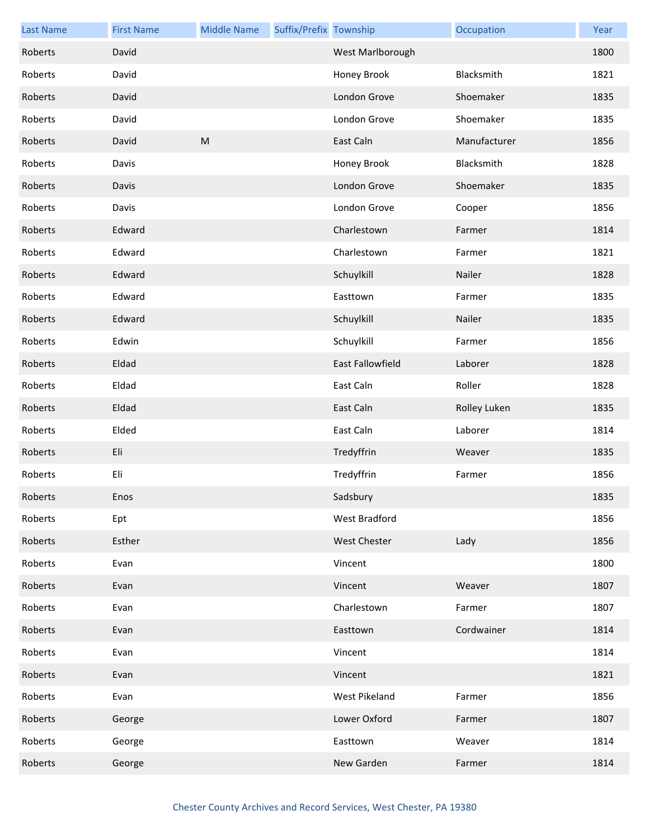| <b>Last Name</b> | <b>First Name</b> | <b>Middle Name</b> | Suffix/Prefix Township |                         | Occupation   | Year |
|------------------|-------------------|--------------------|------------------------|-------------------------|--------------|------|
| Roberts          | David             |                    |                        | West Marlborough        |              | 1800 |
| Roberts          | David             |                    |                        | Honey Brook             | Blacksmith   | 1821 |
| Roberts          | David             |                    |                        | London Grove            | Shoemaker    | 1835 |
| Roberts          | David             |                    |                        | London Grove            | Shoemaker    | 1835 |
| Roberts          | David             | ${\sf M}$          |                        | East Caln               | Manufacturer | 1856 |
| Roberts          | Davis             |                    |                        | Honey Brook             | Blacksmith   | 1828 |
| Roberts          | Davis             |                    |                        | London Grove            | Shoemaker    | 1835 |
| Roberts          | Davis             |                    |                        | London Grove            | Cooper       | 1856 |
| Roberts          | Edward            |                    |                        | Charlestown             | Farmer       | 1814 |
| Roberts          | Edward            |                    |                        | Charlestown             | Farmer       | 1821 |
| Roberts          | Edward            |                    |                        | Schuylkill              | Nailer       | 1828 |
| Roberts          | Edward            |                    |                        | Easttown                | Farmer       | 1835 |
| Roberts          | Edward            |                    |                        | Schuylkill              | Nailer       | 1835 |
| Roberts          | Edwin             |                    |                        | Schuylkill              | Farmer       | 1856 |
| Roberts          | Eldad             |                    |                        | <b>East Fallowfield</b> | Laborer      | 1828 |
| Roberts          | Eldad             |                    |                        | East Caln               | Roller       | 1828 |
| Roberts          | Eldad             |                    |                        | East Caln               | Rolley Luken | 1835 |
| Roberts          | Elded             |                    |                        | East Caln               | Laborer      | 1814 |
| Roberts          | Eli               |                    |                        | Tredyffrin              | Weaver       | 1835 |
| Roberts          | Eli               |                    |                        | Tredyffrin              | Farmer       | 1856 |
| Roberts          | Enos              |                    |                        | Sadsbury                |              | 1835 |
| Roberts          | Ept               |                    |                        | <b>West Bradford</b>    |              | 1856 |
| Roberts          | Esther            |                    |                        | West Chester            | Lady         | 1856 |
| Roberts          | Evan              |                    |                        | Vincent                 |              | 1800 |
| Roberts          | Evan              |                    |                        | Vincent                 | Weaver       | 1807 |
| Roberts          | Evan              |                    |                        | Charlestown             | Farmer       | 1807 |
| Roberts          | Evan              |                    |                        | Easttown                | Cordwainer   | 1814 |
| Roberts          | Evan              |                    |                        | Vincent                 |              | 1814 |
| Roberts          | Evan              |                    |                        | Vincent                 |              | 1821 |
| Roberts          | Evan              |                    |                        | West Pikeland           | Farmer       | 1856 |
| Roberts          | George            |                    |                        | Lower Oxford            | Farmer       | 1807 |
| Roberts          | George            |                    |                        | Easttown                | Weaver       | 1814 |
| Roberts          | George            |                    |                        | New Garden              | Farmer       | 1814 |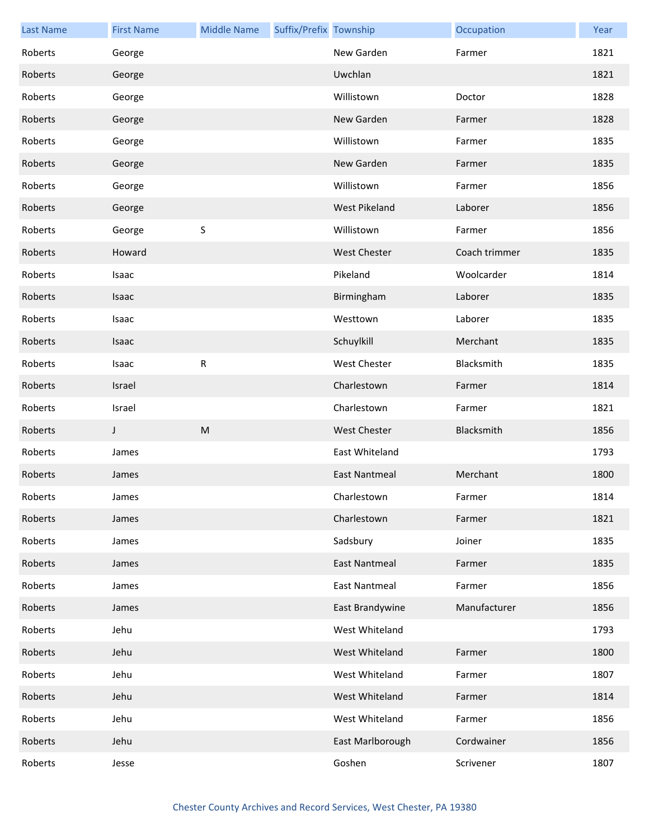| <b>Last Name</b> | <b>First Name</b> | <b>Middle Name</b> | Suffix/Prefix Township |                      | Occupation    | Year |
|------------------|-------------------|--------------------|------------------------|----------------------|---------------|------|
| Roberts          | George            |                    |                        | New Garden           | Farmer        | 1821 |
| Roberts          | George            |                    |                        | Uwchlan              |               | 1821 |
| Roberts          | George            |                    |                        | Willistown           | Doctor        | 1828 |
| Roberts          | George            |                    |                        | New Garden           | Farmer        | 1828 |
| Roberts          | George            |                    |                        | Willistown           | Farmer        | 1835 |
| Roberts          | George            |                    |                        | New Garden           | Farmer        | 1835 |
| Roberts          | George            |                    |                        | Willistown           | Farmer        | 1856 |
| Roberts          | George            |                    |                        | West Pikeland        | Laborer       | 1856 |
| Roberts          | George            | S                  |                        | Willistown           | Farmer        | 1856 |
| Roberts          | Howard            |                    |                        | <b>West Chester</b>  | Coach trimmer | 1835 |
| Roberts          | Isaac             |                    |                        | Pikeland             | Woolcarder    | 1814 |
| Roberts          | Isaac             |                    |                        | Birmingham           | Laborer       | 1835 |
| Roberts          | Isaac             |                    |                        | Westtown             | Laborer       | 1835 |
| Roberts          | Isaac             |                    |                        | Schuylkill           | Merchant      | 1835 |
| Roberts          | Isaac             | R                  |                        | <b>West Chester</b>  | Blacksmith    | 1835 |
| Roberts          | Israel            |                    |                        | Charlestown          | Farmer        | 1814 |
| Roberts          | Israel            |                    |                        | Charlestown          | Farmer        | 1821 |
| Roberts          | J                 | M                  |                        | <b>West Chester</b>  | Blacksmith    | 1856 |
| Roberts          | James             |                    |                        | East Whiteland       |               | 1793 |
| Roberts          | James             |                    |                        | <b>East Nantmeal</b> | Merchant      | 1800 |
| Roberts          | James             |                    |                        | Charlestown          | Farmer        | 1814 |
| Roberts          | James             |                    |                        | Charlestown          | Farmer        | 1821 |
| Roberts          | James             |                    |                        | Sadsbury             | Joiner        | 1835 |
| Roberts          | James             |                    |                        | <b>East Nantmeal</b> | Farmer        | 1835 |
| Roberts          | James             |                    |                        | <b>East Nantmeal</b> | Farmer        | 1856 |
| Roberts          | James             |                    |                        | East Brandywine      | Manufacturer  | 1856 |
| Roberts          | Jehu              |                    |                        | West Whiteland       |               | 1793 |
| Roberts          | Jehu              |                    |                        | West Whiteland       | Farmer        | 1800 |
| Roberts          | Jehu              |                    |                        | West Whiteland       | Farmer        | 1807 |
| Roberts          | Jehu              |                    |                        | West Whiteland       | Farmer        | 1814 |
| Roberts          | Jehu              |                    |                        | West Whiteland       | Farmer        | 1856 |
| Roberts          | Jehu              |                    |                        | East Marlborough     | Cordwainer    | 1856 |
| Roberts          | Jesse             |                    |                        | Goshen               | Scrivener     | 1807 |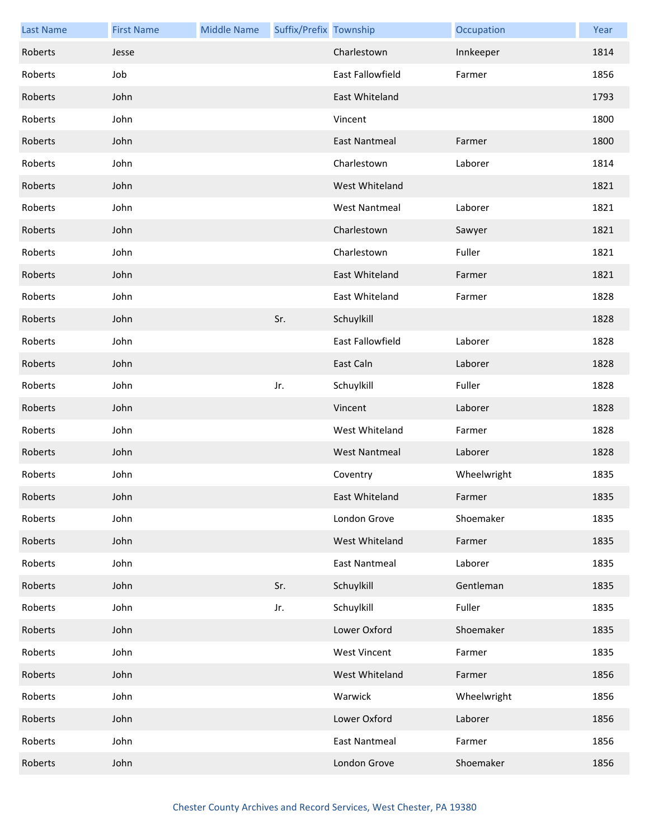| <b>Last Name</b> | <b>First Name</b> | <b>Middle Name</b> | Suffix/Prefix Township |                      | Occupation  | Year |
|------------------|-------------------|--------------------|------------------------|----------------------|-------------|------|
| Roberts          | Jesse             |                    |                        | Charlestown          | Innkeeper   | 1814 |
| Roberts          | Job               |                    |                        | East Fallowfield     | Farmer      | 1856 |
| Roberts          | John              |                    |                        | East Whiteland       |             | 1793 |
| Roberts          | John              |                    |                        | Vincent              |             | 1800 |
| Roberts          | John              |                    |                        | <b>East Nantmeal</b> | Farmer      | 1800 |
| Roberts          | John              |                    |                        | Charlestown          | Laborer     | 1814 |
| Roberts          | John              |                    |                        | West Whiteland       |             | 1821 |
| Roberts          | John              |                    |                        | <b>West Nantmeal</b> | Laborer     | 1821 |
| Roberts          | John              |                    |                        | Charlestown          | Sawyer      | 1821 |
| Roberts          | John              |                    |                        | Charlestown          | Fuller      | 1821 |
| Roberts          | John              |                    |                        | East Whiteland       | Farmer      | 1821 |
| Roberts          | John              |                    |                        | East Whiteland       | Farmer      | 1828 |
| Roberts          | John              |                    | Sr.                    | Schuylkill           |             | 1828 |
| Roberts          | John              |                    |                        | East Fallowfield     | Laborer     | 1828 |
| Roberts          | John              |                    |                        | East Caln            | Laborer     | 1828 |
| Roberts          | John              |                    | Jr.                    | Schuylkill           | Fuller      | 1828 |
| Roberts          | John              |                    |                        | Vincent              | Laborer     | 1828 |
| Roberts          | John              |                    |                        | West Whiteland       | Farmer      | 1828 |
| Roberts          | John              |                    |                        | <b>West Nantmeal</b> | Laborer     | 1828 |
| Roberts          | John              |                    |                        | Coventry             | Wheelwright | 1835 |
| Roberts          | John              |                    |                        | East Whiteland       | Farmer      | 1835 |
| Roberts          | John              |                    |                        | London Grove         | Shoemaker   | 1835 |
| Roberts          | John              |                    |                        | West Whiteland       | Farmer      | 1835 |
| Roberts          | John              |                    |                        | <b>East Nantmeal</b> | Laborer     | 1835 |
| Roberts          | John              |                    | Sr.                    | Schuylkill           | Gentleman   | 1835 |
| Roberts          | John              |                    | Jr.                    | Schuylkill           | Fuller      | 1835 |
| Roberts          | John              |                    |                        | Lower Oxford         | Shoemaker   | 1835 |
| Roberts          | John              |                    |                        | <b>West Vincent</b>  | Farmer      | 1835 |
| Roberts          | John              |                    |                        | West Whiteland       | Farmer      | 1856 |
| Roberts          | John              |                    |                        | Warwick              | Wheelwright | 1856 |
| Roberts          | John              |                    |                        | Lower Oxford         | Laborer     | 1856 |
| Roberts          | John              |                    |                        | <b>East Nantmeal</b> | Farmer      | 1856 |
| Roberts          | John              |                    |                        | London Grove         | Shoemaker   | 1856 |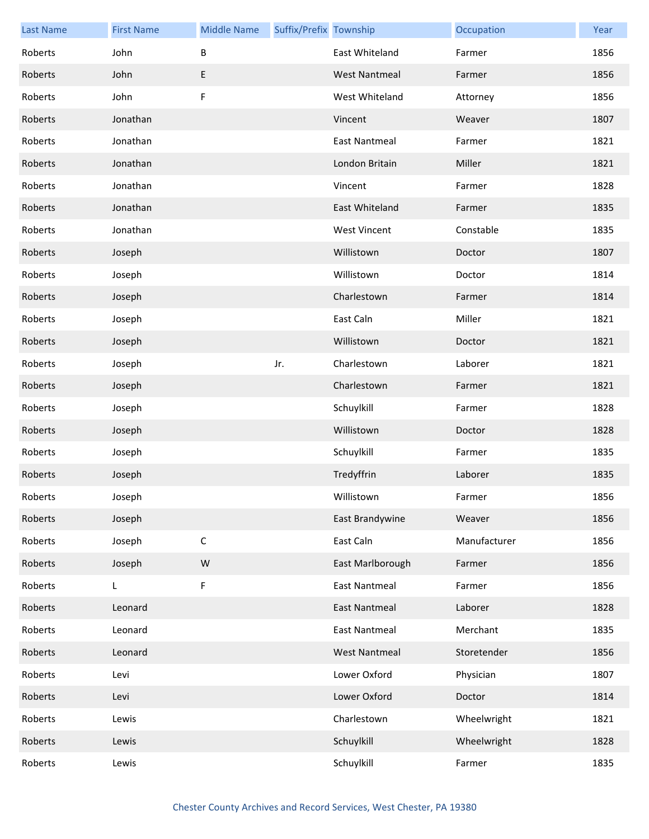| <b>Last Name</b> | <b>First Name</b> | <b>Middle Name</b> | Suffix/Prefix Township |                      | Occupation   | Year |
|------------------|-------------------|--------------------|------------------------|----------------------|--------------|------|
| Roberts          | John              | B                  |                        | East Whiteland       | Farmer       | 1856 |
| Roberts          | John              | E                  |                        | <b>West Nantmeal</b> | Farmer       | 1856 |
| Roberts          | John              | F                  |                        | West Whiteland       | Attorney     | 1856 |
| Roberts          | Jonathan          |                    |                        | Vincent              | Weaver       | 1807 |
| Roberts          | Jonathan          |                    |                        | <b>East Nantmeal</b> | Farmer       | 1821 |
| Roberts          | Jonathan          |                    |                        | London Britain       | Miller       | 1821 |
| Roberts          | Jonathan          |                    |                        | Vincent              | Farmer       | 1828 |
| Roberts          | Jonathan          |                    |                        | East Whiteland       | Farmer       | 1835 |
| Roberts          | Jonathan          |                    |                        | <b>West Vincent</b>  | Constable    | 1835 |
| Roberts          | Joseph            |                    |                        | Willistown           | Doctor       | 1807 |
| Roberts          | Joseph            |                    |                        | Willistown           | Doctor       | 1814 |
| Roberts          | Joseph            |                    |                        | Charlestown          | Farmer       | 1814 |
| Roberts          | Joseph            |                    |                        | East Caln            | Miller       | 1821 |
| Roberts          | Joseph            |                    |                        | Willistown           | Doctor       | 1821 |
| Roberts          | Joseph            |                    | Jr.                    | Charlestown          | Laborer      | 1821 |
| Roberts          | Joseph            |                    |                        | Charlestown          | Farmer       | 1821 |
| Roberts          | Joseph            |                    |                        | Schuylkill           | Farmer       | 1828 |
| Roberts          | Joseph            |                    |                        | Willistown           | Doctor       | 1828 |
| Roberts          | Joseph            |                    |                        | Schuylkill           | Farmer       | 1835 |
| Roberts          | Joseph            |                    |                        | Tredyffrin           | Laborer      | 1835 |
| Roberts          | Joseph            |                    |                        | Willistown           | Farmer       | 1856 |
| Roberts          | Joseph            |                    |                        | East Brandywine      | Weaver       | 1856 |
| Roberts          | Joseph            | $\mathsf C$        |                        | East Caln            | Manufacturer | 1856 |
| Roberts          | Joseph            | ${\sf W}$          |                        | East Marlborough     | Farmer       | 1856 |
| Roberts          | L.                | F                  |                        | <b>East Nantmeal</b> | Farmer       | 1856 |
| Roberts          | Leonard           |                    |                        | <b>East Nantmeal</b> | Laborer      | 1828 |
| Roberts          | Leonard           |                    |                        | <b>East Nantmeal</b> | Merchant     | 1835 |
| Roberts          | Leonard           |                    |                        | <b>West Nantmeal</b> | Storetender  | 1856 |
| Roberts          | Levi              |                    |                        | Lower Oxford         | Physician    | 1807 |
| Roberts          | Levi              |                    |                        | Lower Oxford         | Doctor       | 1814 |
| Roberts          | Lewis             |                    |                        | Charlestown          | Wheelwright  | 1821 |
| Roberts          | Lewis             |                    |                        | Schuylkill           | Wheelwright  | 1828 |
| Roberts          | Lewis             |                    |                        | Schuylkill           | Farmer       | 1835 |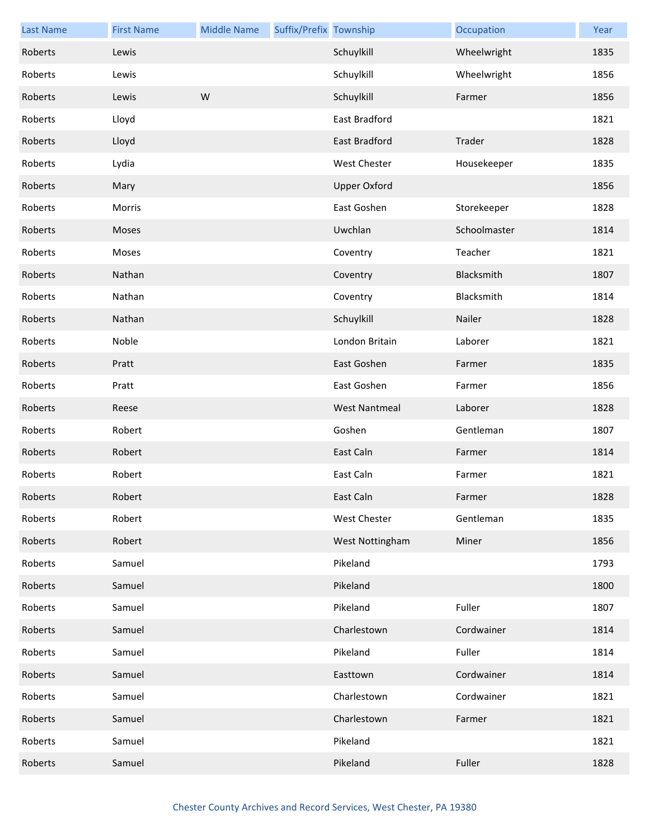| <b>Last Name</b> | <b>First Name</b> | <b>Middle Name</b> | Suffix/Prefix Township |                      | Occupation   | Year |
|------------------|-------------------|--------------------|------------------------|----------------------|--------------|------|
| Roberts          | Lewis             |                    |                        | Schuylkill           | Wheelwright  | 1835 |
| Roberts          | Lewis             |                    |                        | Schuylkill           | Wheelwright  | 1856 |
| Roberts          | Lewis             | W                  |                        | Schuylkill           | Farmer       | 1856 |
| Roberts          | Lloyd             |                    |                        | East Bradford        |              | 1821 |
| Roberts          | Lloyd             |                    |                        | <b>East Bradford</b> | Trader       | 1828 |
| Roberts          | Lydia             |                    |                        | West Chester         | Housekeeper  | 1835 |
| Roberts          | Mary              |                    |                        | <b>Upper Oxford</b>  |              | 1856 |
| Roberts          | Morris            |                    |                        | East Goshen          | Storekeeper  | 1828 |
| Roberts          | Moses             |                    |                        | Uwchlan              | Schoolmaster | 1814 |
| Roberts          | Moses             |                    |                        | Coventry             | Teacher      | 1821 |
| Roberts          | Nathan            |                    |                        | Coventry             | Blacksmith   | 1807 |
| Roberts          | Nathan            |                    |                        | Coventry             | Blacksmith   | 1814 |
| Roberts          | Nathan            |                    |                        | Schuylkill           | Nailer       | 1828 |
| Roberts          | Noble             |                    |                        | London Britain       | Laborer      | 1821 |
| Roberts          | Pratt             |                    |                        | East Goshen          | Farmer       | 1835 |
| Roberts          | Pratt             |                    |                        | East Goshen          | Farmer       | 1856 |
| Roberts          | Reese             |                    |                        | <b>West Nantmeal</b> | Laborer      | 1828 |
| Roberts          | Robert            |                    |                        | Goshen               | Gentleman    | 1807 |
| Roberts          | Robert            |                    |                        | East Caln            | Farmer       | 1814 |
| Roberts          | Robert            |                    |                        | East Caln            | Farmer       | 1821 |
| Roberts          | Robert            |                    |                        | East Caln            | Farmer       | 1828 |
| Roberts          | Robert            |                    |                        | West Chester         | Gentleman    | 1835 |
| Roberts          | Robert            |                    |                        | West Nottingham      | Miner        | 1856 |
| Roberts          | Samuel            |                    |                        | Pikeland             |              | 1793 |
| Roberts          | Samuel            |                    |                        | Pikeland             |              | 1800 |
| Roberts          | Samuel            |                    |                        | Pikeland             | Fuller       | 1807 |
| Roberts          | Samuel            |                    |                        | Charlestown          | Cordwainer   | 1814 |
| Roberts          | Samuel            |                    |                        | Pikeland             | Fuller       | 1814 |
| Roberts          | Samuel            |                    |                        | Easttown             | Cordwainer   | 1814 |
| Roberts          | Samuel            |                    |                        | Charlestown          | Cordwainer   | 1821 |
| Roberts          | Samuel            |                    |                        | Charlestown          | Farmer       | 1821 |
| Roberts          | Samuel            |                    |                        | Pikeland             |              | 1821 |
| Roberts          | Samuel            |                    |                        | Pikeland             | Fuller       | 1828 |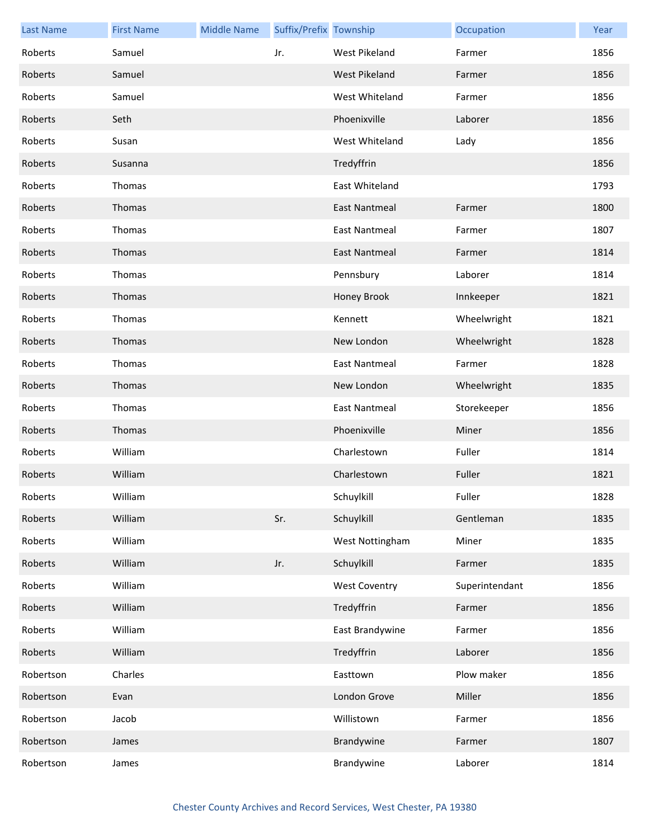| <b>Last Name</b> | <b>First Name</b> | <b>Middle Name</b> | Suffix/Prefix Township |                      | Occupation     | Year |
|------------------|-------------------|--------------------|------------------------|----------------------|----------------|------|
| Roberts          | Samuel            |                    | Jr.                    | West Pikeland        | Farmer         | 1856 |
| Roberts          | Samuel            |                    |                        | West Pikeland        | Farmer         | 1856 |
| Roberts          | Samuel            |                    |                        | West Whiteland       | Farmer         | 1856 |
| Roberts          | Seth              |                    |                        | Phoenixville         | Laborer        | 1856 |
| Roberts          | Susan             |                    |                        | West Whiteland       | Lady           | 1856 |
| Roberts          | Susanna           |                    |                        | Tredyffrin           |                | 1856 |
| Roberts          | Thomas            |                    |                        | East Whiteland       |                | 1793 |
| Roberts          | Thomas            |                    |                        | East Nantmeal        | Farmer         | 1800 |
| Roberts          | Thomas            |                    |                        | <b>East Nantmeal</b> | Farmer         | 1807 |
| Roberts          | Thomas            |                    |                        | <b>East Nantmeal</b> | Farmer         | 1814 |
| Roberts          | Thomas            |                    |                        | Pennsbury            | Laborer        | 1814 |
| Roberts          | Thomas            |                    |                        | Honey Brook          | Innkeeper      | 1821 |
| Roberts          | Thomas            |                    |                        | Kennett              | Wheelwright    | 1821 |
| Roberts          | Thomas            |                    |                        | New London           | Wheelwright    | 1828 |
| Roberts          | Thomas            |                    |                        | <b>East Nantmeal</b> | Farmer         | 1828 |
| Roberts          | Thomas            |                    |                        | New London           | Wheelwright    | 1835 |
| Roberts          | Thomas            |                    |                        | East Nantmeal        | Storekeeper    | 1856 |
| Roberts          | Thomas            |                    |                        | Phoenixville         | Miner          | 1856 |
| Roberts          | William           |                    |                        | Charlestown          | Fuller         | 1814 |
| Roberts          | William           |                    |                        | Charlestown          | Fuller         | 1821 |
| Roberts          | William           |                    |                        | Schuylkill           | Fuller         | 1828 |
| Roberts          | William           |                    | Sr.                    | Schuylkill           | Gentleman      | 1835 |
| Roberts          | William           |                    |                        | West Nottingham      | Miner          | 1835 |
| Roberts          | William           |                    | Jr.                    | Schuylkill           | Farmer         | 1835 |
| Roberts          | William           |                    |                        | <b>West Coventry</b> | Superintendant | 1856 |
| Roberts          | William           |                    |                        | Tredyffrin           | Farmer         | 1856 |
| Roberts          | William           |                    |                        | East Brandywine      | Farmer         | 1856 |
| Roberts          | William           |                    |                        | Tredyffrin           | Laborer        | 1856 |
| Robertson        | Charles           |                    |                        | Easttown             | Plow maker     | 1856 |
| Robertson        | Evan              |                    |                        | London Grove         | Miller         | 1856 |
| Robertson        | Jacob             |                    |                        | Willistown           | Farmer         | 1856 |
| Robertson        | James             |                    |                        | Brandywine           | Farmer         | 1807 |
| Robertson        | James             |                    |                        | Brandywine           | Laborer        | 1814 |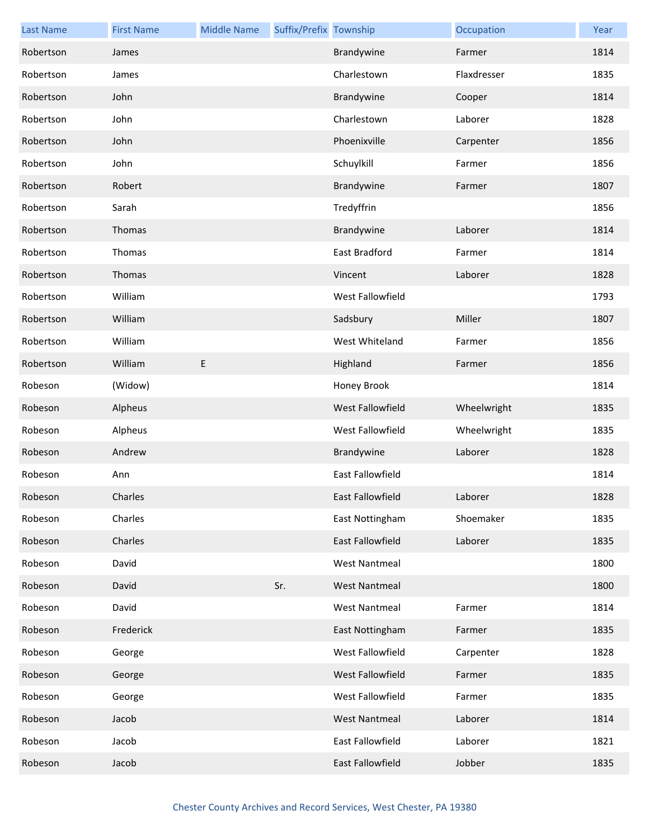| <b>Last Name</b> | <b>First Name</b> | <b>Middle Name</b> | Suffix/Prefix Township |                      | Occupation  | Year |
|------------------|-------------------|--------------------|------------------------|----------------------|-------------|------|
| Robertson        | James             |                    |                        | Brandywine           | Farmer      | 1814 |
| Robertson        | James             |                    |                        | Charlestown          | Flaxdresser | 1835 |
| Robertson        | John              |                    |                        | Brandywine           | Cooper      | 1814 |
| Robertson        | John              |                    |                        | Charlestown          | Laborer     | 1828 |
| Robertson        | John              |                    |                        | Phoenixville         | Carpenter   | 1856 |
| Robertson        | John              |                    |                        | Schuylkill           | Farmer      | 1856 |
| Robertson        | Robert            |                    |                        | Brandywine           | Farmer      | 1807 |
| Robertson        | Sarah             |                    |                        | Tredyffrin           |             | 1856 |
| Robertson        | Thomas            |                    |                        | Brandywine           | Laborer     | 1814 |
| Robertson        | Thomas            |                    |                        | East Bradford        | Farmer      | 1814 |
| Robertson        | Thomas            |                    |                        | Vincent              | Laborer     | 1828 |
| Robertson        | William           |                    |                        | West Fallowfield     |             | 1793 |
| Robertson        | William           |                    |                        | Sadsbury             | Miller      | 1807 |
| Robertson        | William           |                    |                        | West Whiteland       | Farmer      | 1856 |
| Robertson        | William           | E                  |                        | Highland             | Farmer      | 1856 |
| Robeson          | (Widow)           |                    |                        | Honey Brook          |             | 1814 |
| Robeson          | Alpheus           |                    |                        | West Fallowfield     | Wheelwright | 1835 |
| Robeson          | Alpheus           |                    |                        | West Fallowfield     | Wheelwright | 1835 |
| Robeson          | Andrew            |                    |                        | Brandywine           | Laborer     | 1828 |
| Robeson          | Ann               |                    |                        | East Fallowfield     |             | 1814 |
| Robeson          | Charles           |                    |                        | East Fallowfield     | Laborer     | 1828 |
| Robeson          | Charles           |                    |                        | East Nottingham      | Shoemaker   | 1835 |
| Robeson          | Charles           |                    |                        | East Fallowfield     | Laborer     | 1835 |
| Robeson          | David             |                    |                        | <b>West Nantmeal</b> |             | 1800 |
| Robeson          | David             |                    | Sr.                    | <b>West Nantmeal</b> |             | 1800 |
| Robeson          | David             |                    |                        | <b>West Nantmeal</b> | Farmer      | 1814 |
| Robeson          | Frederick         |                    |                        | East Nottingham      | Farmer      | 1835 |
| Robeson          | George            |                    |                        | West Fallowfield     | Carpenter   | 1828 |
| Robeson          | George            |                    |                        | West Fallowfield     | Farmer      | 1835 |
| Robeson          | George            |                    |                        | West Fallowfield     | Farmer      | 1835 |
| Robeson          | Jacob             |                    |                        | <b>West Nantmeal</b> | Laborer     | 1814 |
| Robeson          | Jacob             |                    |                        | East Fallowfield     | Laborer     | 1821 |
| Robeson          | Jacob             |                    |                        | East Fallowfield     | Jobber      | 1835 |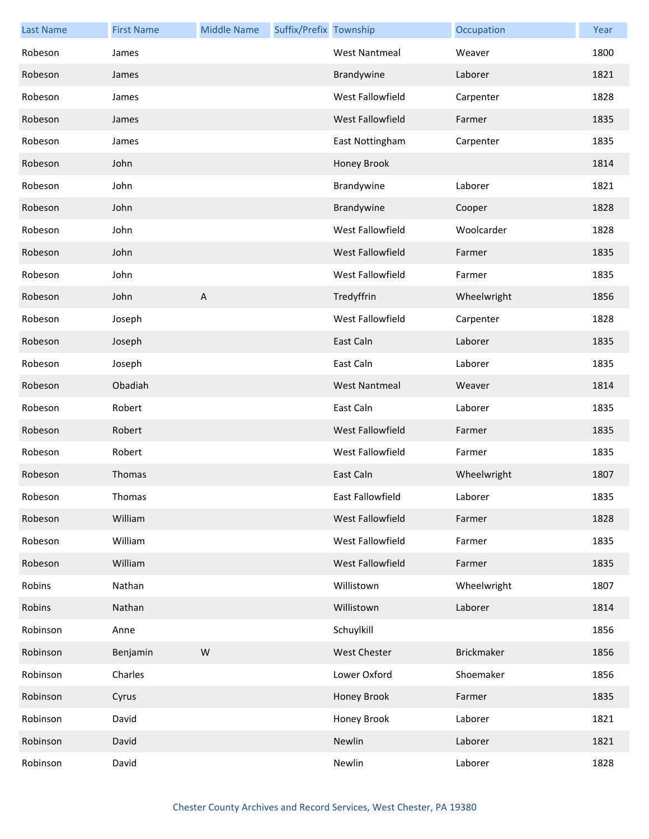| <b>Last Name</b> | <b>First Name</b> | <b>Middle Name</b> | Suffix/Prefix Township |                      | Occupation        | Year |
|------------------|-------------------|--------------------|------------------------|----------------------|-------------------|------|
| Robeson          | James             |                    |                        | <b>West Nantmeal</b> | Weaver            | 1800 |
| Robeson          | James             |                    |                        | Brandywine           | Laborer           | 1821 |
| Robeson          | James             |                    |                        | West Fallowfield     | Carpenter         | 1828 |
| Robeson          | James             |                    |                        | West Fallowfield     | Farmer            | 1835 |
| Robeson          | James             |                    |                        | East Nottingham      | Carpenter         | 1835 |
| Robeson          | John              |                    |                        | Honey Brook          |                   | 1814 |
| Robeson          | John              |                    |                        | Brandywine           | Laborer           | 1821 |
| Robeson          | John              |                    |                        | Brandywine           | Cooper            | 1828 |
| Robeson          | John              |                    |                        | West Fallowfield     | Woolcarder        | 1828 |
| Robeson          | John              |                    |                        | West Fallowfield     | Farmer            | 1835 |
| Robeson          | John              |                    |                        | West Fallowfield     | Farmer            | 1835 |
| Robeson          | John              | $\overline{A}$     |                        | Tredyffrin           | Wheelwright       | 1856 |
| Robeson          | Joseph            |                    |                        | West Fallowfield     | Carpenter         | 1828 |
| Robeson          | Joseph            |                    |                        | East Caln            | Laborer           | 1835 |
| Robeson          | Joseph            |                    |                        | East Caln            | Laborer           | 1835 |
| Robeson          | Obadiah           |                    |                        | <b>West Nantmeal</b> | Weaver            | 1814 |
| Robeson          | Robert            |                    |                        | East Caln            | Laborer           | 1835 |
| Robeson          | Robert            |                    |                        | West Fallowfield     | Farmer            | 1835 |
| Robeson          | Robert            |                    |                        | West Fallowfield     | Farmer            | 1835 |
| Robeson          | Thomas            |                    |                        | East Caln            | Wheelwright       | 1807 |
| Robeson          | Thomas            |                    |                        | East Fallowfield     | Laborer           | 1835 |
| Robeson          | William           |                    |                        | West Fallowfield     | Farmer            | 1828 |
| Robeson          | William           |                    |                        | West Fallowfield     | Farmer            | 1835 |
| Robeson          | William           |                    |                        | West Fallowfield     | Farmer            | 1835 |
| Robins           | Nathan            |                    |                        | Willistown           | Wheelwright       | 1807 |
| Robins           | Nathan            |                    |                        | Willistown           | Laborer           | 1814 |
| Robinson         | Anne              |                    |                        | Schuylkill           |                   | 1856 |
| Robinson         | Benjamin          | ${\sf W}$          |                        | <b>West Chester</b>  | <b>Brickmaker</b> | 1856 |
| Robinson         | Charles           |                    |                        | Lower Oxford         | Shoemaker         | 1856 |
| Robinson         | Cyrus             |                    |                        | Honey Brook          | Farmer            | 1835 |
| Robinson         | David             |                    |                        | Honey Brook          | Laborer           | 1821 |
| Robinson         | David             |                    |                        | Newlin               | Laborer           | 1821 |
| Robinson         | David             |                    |                        | Newlin               | Laborer           | 1828 |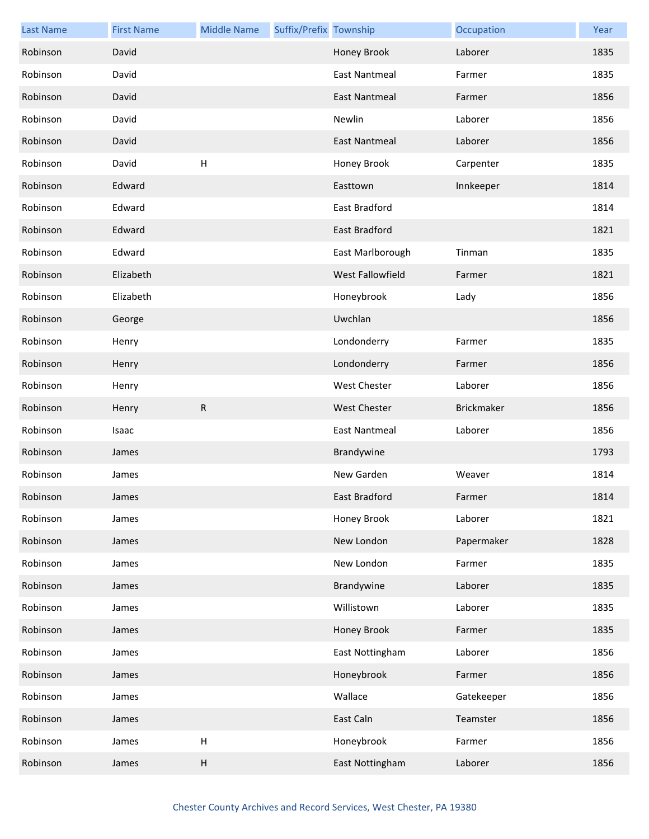| <b>Last Name</b> | <b>First Name</b> | <b>Middle Name</b>        | Suffix/Prefix Township |                      | Occupation        | Year |
|------------------|-------------------|---------------------------|------------------------|----------------------|-------------------|------|
| Robinson         | David             |                           |                        | Honey Brook          | Laborer           | 1835 |
| Robinson         | David             |                           |                        | <b>East Nantmeal</b> | Farmer            | 1835 |
| Robinson         | David             |                           |                        | <b>East Nantmeal</b> | Farmer            | 1856 |
| Robinson         | David             |                           |                        | Newlin               | Laborer           | 1856 |
| Robinson         | David             |                           |                        | <b>East Nantmeal</b> | Laborer           | 1856 |
| Robinson         | David             | $\boldsymbol{\mathsf{H}}$ |                        | Honey Brook          | Carpenter         | 1835 |
| Robinson         | Edward            |                           |                        | Easttown             | Innkeeper         | 1814 |
| Robinson         | Edward            |                           |                        | East Bradford        |                   | 1814 |
| Robinson         | Edward            |                           |                        | <b>East Bradford</b> |                   | 1821 |
| Robinson         | Edward            |                           |                        | East Marlborough     | Tinman            | 1835 |
| Robinson         | Elizabeth         |                           |                        | West Fallowfield     | Farmer            | 1821 |
| Robinson         | Elizabeth         |                           |                        | Honeybrook           | Lady              | 1856 |
| Robinson         | George            |                           |                        | Uwchlan              |                   | 1856 |
| Robinson         | Henry             |                           |                        | Londonderry          | Farmer            | 1835 |
| Robinson         | Henry             |                           |                        | Londonderry          | Farmer            | 1856 |
| Robinson         | Henry             |                           |                        | <b>West Chester</b>  | Laborer           | 1856 |
| Robinson         | Henry             | ${\sf R}$                 |                        | <b>West Chester</b>  | <b>Brickmaker</b> | 1856 |
| Robinson         | Isaac             |                           |                        | <b>East Nantmeal</b> | Laborer           | 1856 |
| Robinson         | James             |                           |                        | Brandywine           |                   | 1793 |
| Robinson         | James             |                           |                        | New Garden           | Weaver            | 1814 |
| Robinson         | James             |                           |                        | East Bradford        | Farmer            | 1814 |
| Robinson         | James             |                           |                        | Honey Brook          | Laborer           | 1821 |
| Robinson         | James             |                           |                        | New London           | Papermaker        | 1828 |
| Robinson         | James             |                           |                        | New London           | Farmer            | 1835 |
| Robinson         | James             |                           |                        | Brandywine           | Laborer           | 1835 |
| Robinson         | James             |                           |                        | Willistown           | Laborer           | 1835 |
| Robinson         | James             |                           |                        | Honey Brook          | Farmer            | 1835 |
| Robinson         | James             |                           |                        | East Nottingham      | Laborer           | 1856 |
| Robinson         | James             |                           |                        | Honeybrook           | Farmer            | 1856 |
| Robinson         | James             |                           |                        | Wallace              | Gatekeeper        | 1856 |
| Robinson         | James             |                           |                        | East Caln            | Teamster          | 1856 |
| Robinson         | James             | $\sf H$                   |                        | Honeybrook           | Farmer            | 1856 |
| Robinson         | James             | Н                         |                        | East Nottingham      | Laborer           | 1856 |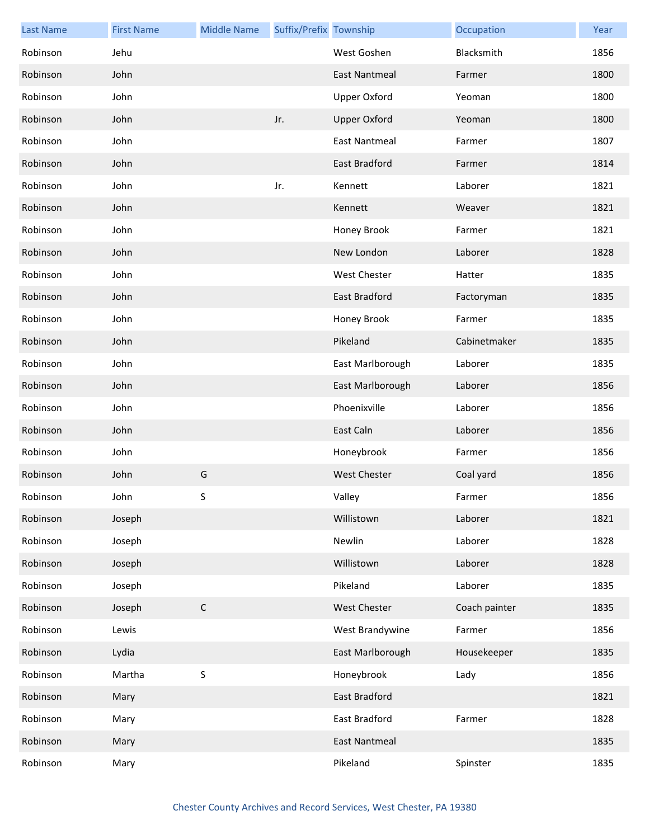| <b>Last Name</b> | <b>First Name</b> | <b>Middle Name</b> | Suffix/Prefix Township |                      | Occupation    | Year |
|------------------|-------------------|--------------------|------------------------|----------------------|---------------|------|
| Robinson         | Jehu              |                    |                        | West Goshen          | Blacksmith    | 1856 |
| Robinson         | John              |                    |                        | <b>East Nantmeal</b> | Farmer        | 1800 |
| Robinson         | John              |                    |                        | <b>Upper Oxford</b>  | Yeoman        | 1800 |
| Robinson         | John              |                    | Jr.                    | <b>Upper Oxford</b>  | Yeoman        | 1800 |
| Robinson         | John              |                    |                        | <b>East Nantmeal</b> | Farmer        | 1807 |
| Robinson         | John              |                    |                        | East Bradford        | Farmer        | 1814 |
| Robinson         | John              |                    | Jr.                    | Kennett              | Laborer       | 1821 |
| Robinson         | John              |                    |                        | Kennett              | Weaver        | 1821 |
| Robinson         | John              |                    |                        | Honey Brook          | Farmer        | 1821 |
| Robinson         | John              |                    |                        | New London           | Laborer       | 1828 |
| Robinson         | John              |                    |                        | West Chester         | Hatter        | 1835 |
| Robinson         | John              |                    |                        | <b>East Bradford</b> | Factoryman    | 1835 |
| Robinson         | John              |                    |                        | Honey Brook          | Farmer        | 1835 |
| Robinson         | John              |                    |                        | Pikeland             | Cabinetmaker  | 1835 |
| Robinson         | John              |                    |                        | East Marlborough     | Laborer       | 1835 |
| Robinson         | John              |                    |                        | East Marlborough     | Laborer       | 1856 |
| Robinson         | John              |                    |                        | Phoenixville         | Laborer       | 1856 |
| Robinson         | John              |                    |                        | East Caln            | Laborer       | 1856 |
| Robinson         | John              |                    |                        | Honeybrook           | Farmer        | 1856 |
| Robinson         | John              | G                  |                        | <b>West Chester</b>  | Coal yard     | 1856 |
| Robinson         | John              | S                  |                        | Valley               | Farmer        | 1856 |
| Robinson         | Joseph            |                    |                        | Willistown           | Laborer       | 1821 |
| Robinson         | Joseph            |                    |                        | Newlin               | Laborer       | 1828 |
| Robinson         | Joseph            |                    |                        | Willistown           | Laborer       | 1828 |
| Robinson         | Joseph            |                    |                        | Pikeland             | Laborer       | 1835 |
| Robinson         | Joseph            | $\mathsf C$        |                        | <b>West Chester</b>  | Coach painter | 1835 |
| Robinson         | Lewis             |                    |                        | West Brandywine      | Farmer        | 1856 |
| Robinson         | Lydia             |                    |                        | East Marlborough     | Housekeeper   | 1835 |
| Robinson         | Martha            | S                  |                        | Honeybrook           | Lady          | 1856 |
| Robinson         | Mary              |                    |                        | East Bradford        |               | 1821 |
| Robinson         | Mary              |                    |                        | East Bradford        | Farmer        | 1828 |
| Robinson         | Mary              |                    |                        | <b>East Nantmeal</b> |               | 1835 |
| Robinson         | Mary              |                    |                        | Pikeland             | Spinster      | 1835 |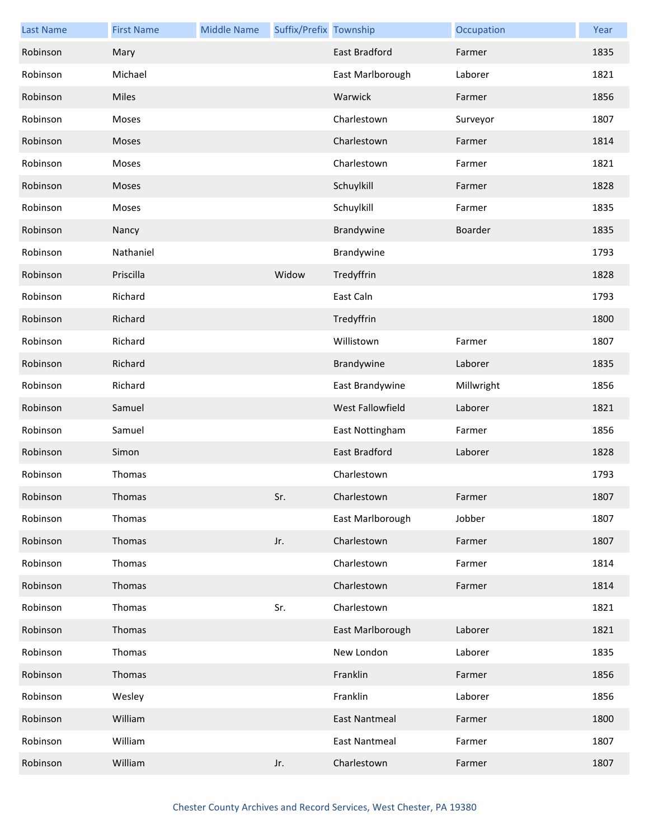| <b>Last Name</b> | <b>First Name</b> | <b>Middle Name</b> | Suffix/Prefix Township |                      | Occupation | Year |
|------------------|-------------------|--------------------|------------------------|----------------------|------------|------|
| Robinson         | Mary              |                    |                        | <b>East Bradford</b> | Farmer     | 1835 |
| Robinson         | Michael           |                    |                        | East Marlborough     | Laborer    | 1821 |
| Robinson         | Miles             |                    |                        | Warwick              | Farmer     | 1856 |
| Robinson         | Moses             |                    |                        | Charlestown          | Surveyor   | 1807 |
| Robinson         | Moses             |                    |                        | Charlestown          | Farmer     | 1814 |
| Robinson         | Moses             |                    |                        | Charlestown          | Farmer     | 1821 |
| Robinson         | Moses             |                    |                        | Schuylkill           | Farmer     | 1828 |
| Robinson         | Moses             |                    |                        | Schuylkill           | Farmer     | 1835 |
| Robinson         | Nancy             |                    |                        | Brandywine           | Boarder    | 1835 |
| Robinson         | Nathaniel         |                    |                        | Brandywine           |            | 1793 |
| Robinson         | Priscilla         |                    | Widow                  | Tredyffrin           |            | 1828 |
| Robinson         | Richard           |                    |                        | East Caln            |            | 1793 |
| Robinson         | Richard           |                    |                        | Tredyffrin           |            | 1800 |
| Robinson         | Richard           |                    |                        | Willistown           | Farmer     | 1807 |
| Robinson         | Richard           |                    |                        | Brandywine           | Laborer    | 1835 |
| Robinson         | Richard           |                    |                        | East Brandywine      | Millwright | 1856 |
| Robinson         | Samuel            |                    |                        | West Fallowfield     | Laborer    | 1821 |
| Robinson         | Samuel            |                    |                        | East Nottingham      | Farmer     | 1856 |
| Robinson         | Simon             |                    |                        | East Bradford        | Laborer    | 1828 |
| Robinson         | Thomas            |                    |                        | Charlestown          |            | 1793 |
| Robinson         | Thomas            |                    | Sr.                    | Charlestown          | Farmer     | 1807 |
| Robinson         | Thomas            |                    |                        | East Marlborough     | Jobber     | 1807 |
| Robinson         | Thomas            |                    | Jr.                    | Charlestown          | Farmer     | 1807 |
| Robinson         | Thomas            |                    |                        | Charlestown          | Farmer     | 1814 |
| Robinson         | Thomas            |                    |                        | Charlestown          | Farmer     | 1814 |
| Robinson         | Thomas            |                    | Sr.                    | Charlestown          |            | 1821 |
| Robinson         | Thomas            |                    |                        | East Marlborough     | Laborer    | 1821 |
| Robinson         | Thomas            |                    |                        | New London           | Laborer    | 1835 |
| Robinson         | Thomas            |                    |                        | Franklin             | Farmer     | 1856 |
| Robinson         | Wesley            |                    |                        | Franklin             | Laborer    | 1856 |
| Robinson         | William           |                    |                        | East Nantmeal        | Farmer     | 1800 |
| Robinson         | William           |                    |                        | East Nantmeal        | Farmer     | 1807 |
| Robinson         | William           |                    | Jr.                    | Charlestown          | Farmer     | 1807 |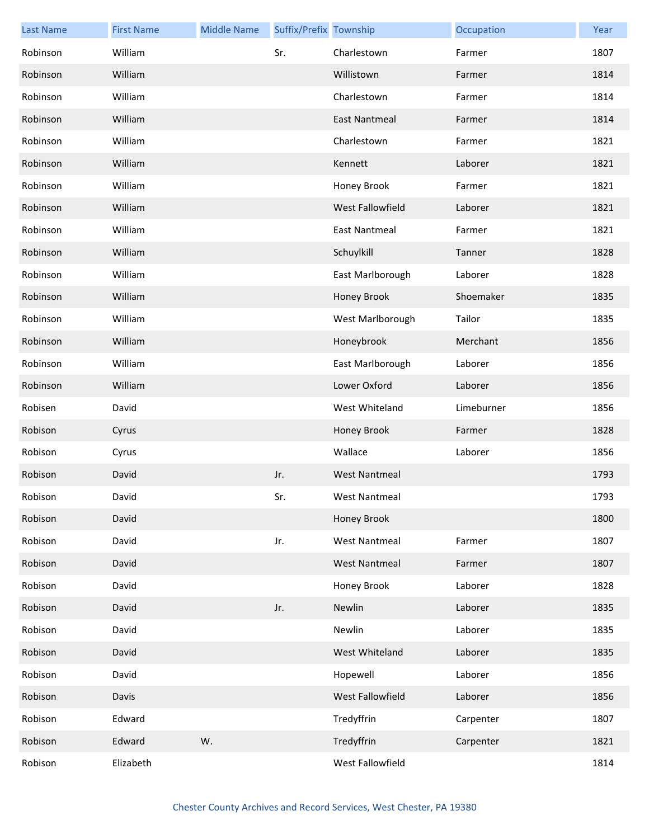| <b>Last Name</b> | <b>First Name</b> | <b>Middle Name</b> | Suffix/Prefix Township |                      | Occupation | Year |
|------------------|-------------------|--------------------|------------------------|----------------------|------------|------|
| Robinson         | William           |                    | Sr.                    | Charlestown          | Farmer     | 1807 |
| Robinson         | William           |                    |                        | Willistown           | Farmer     | 1814 |
| Robinson         | William           |                    |                        | Charlestown          | Farmer     | 1814 |
| Robinson         | William           |                    |                        | East Nantmeal        | Farmer     | 1814 |
| Robinson         | William           |                    |                        | Charlestown          | Farmer     | 1821 |
| Robinson         | William           |                    |                        | Kennett              | Laborer    | 1821 |
| Robinson         | William           |                    |                        | Honey Brook          | Farmer     | 1821 |
| Robinson         | William           |                    |                        | West Fallowfield     | Laborer    | 1821 |
| Robinson         | William           |                    |                        | <b>East Nantmeal</b> | Farmer     | 1821 |
| Robinson         | William           |                    |                        | Schuylkill           | Tanner     | 1828 |
| Robinson         | William           |                    |                        | East Marlborough     | Laborer    | 1828 |
| Robinson         | William           |                    |                        | Honey Brook          | Shoemaker  | 1835 |
| Robinson         | William           |                    |                        | West Marlborough     | Tailor     | 1835 |
| Robinson         | William           |                    |                        | Honeybrook           | Merchant   | 1856 |
| Robinson         | William           |                    |                        | East Marlborough     | Laborer    | 1856 |
| Robinson         | William           |                    |                        | Lower Oxford         | Laborer    | 1856 |
| Robisen          | David             |                    |                        | West Whiteland       | Limeburner | 1856 |
| Robison          | Cyrus             |                    |                        | Honey Brook          | Farmer     | 1828 |
| Robison          | Cyrus             |                    |                        | Wallace              | Laborer    | 1856 |
| Robison          | David             |                    | Jr.                    | <b>West Nantmeal</b> |            | 1793 |
| Robison          | David             |                    | Sr.                    | West Nantmeal        |            | 1793 |
| Robison          | David             |                    |                        | Honey Brook          |            | 1800 |
| Robison          | David             |                    | Jr.                    | <b>West Nantmeal</b> | Farmer     | 1807 |
| Robison          | David             |                    |                        | <b>West Nantmeal</b> | Farmer     | 1807 |
| Robison          | David             |                    |                        | Honey Brook          | Laborer    | 1828 |
| Robison          | David             |                    | Jr.                    | Newlin               | Laborer    | 1835 |
| Robison          | David             |                    |                        | Newlin               | Laborer    | 1835 |
| Robison          | David             |                    |                        | West Whiteland       | Laborer    | 1835 |
| Robison          | David             |                    |                        | Hopewell             | Laborer    | 1856 |
| Robison          | Davis             |                    |                        | West Fallowfield     | Laborer    | 1856 |
| Robison          | Edward            |                    |                        | Tredyffrin           | Carpenter  | 1807 |
| Robison          | Edward            | W.                 |                        | Tredyffrin           | Carpenter  | 1821 |
| Robison          | Elizabeth         |                    |                        | West Fallowfield     |            | 1814 |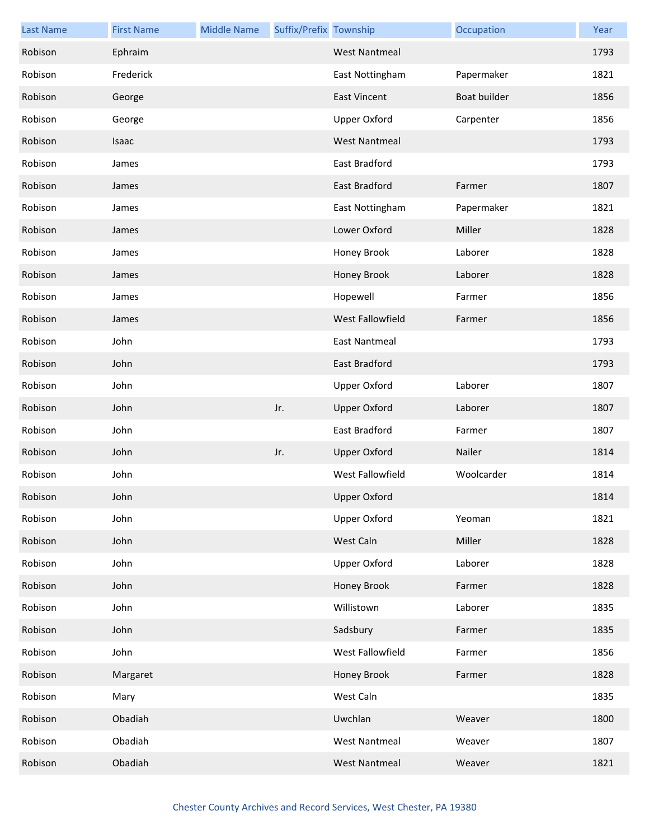| <b>Last Name</b> | <b>First Name</b> | <b>Middle Name</b> | Suffix/Prefix Township |                         | Occupation   | Year |
|------------------|-------------------|--------------------|------------------------|-------------------------|--------------|------|
| Robison          | Ephraim           |                    |                        | <b>West Nantmeal</b>    |              | 1793 |
| Robison          | Frederick         |                    |                        | East Nottingham         | Papermaker   | 1821 |
| Robison          | George            |                    |                        | <b>East Vincent</b>     | Boat builder | 1856 |
| Robison          | George            |                    |                        | <b>Upper Oxford</b>     | Carpenter    | 1856 |
| Robison          | Isaac             |                    |                        | <b>West Nantmeal</b>    |              | 1793 |
| Robison          | James             |                    |                        | <b>East Bradford</b>    |              | 1793 |
| Robison          | James             |                    |                        | East Bradford           | Farmer       | 1807 |
| Robison          | James             |                    |                        | East Nottingham         | Papermaker   | 1821 |
| Robison          | James             |                    |                        | Lower Oxford            | Miller       | 1828 |
| Robison          | James             |                    |                        | Honey Brook             | Laborer      | 1828 |
| Robison          | James             |                    |                        | Honey Brook             | Laborer      | 1828 |
| Robison          | James             |                    |                        | Hopewell                | Farmer       | 1856 |
| Robison          | James             |                    |                        | <b>West Fallowfield</b> | Farmer       | 1856 |
| Robison          | John              |                    |                        | East Nantmeal           |              | 1793 |
| Robison          | John              |                    |                        | East Bradford           |              | 1793 |
| Robison          | John              |                    |                        | <b>Upper Oxford</b>     | Laborer      | 1807 |
| Robison          | John              |                    | Jr.                    | <b>Upper Oxford</b>     | Laborer      | 1807 |
| Robison          | John              |                    |                        | East Bradford           | Farmer       | 1807 |
| Robison          | John              |                    | Jr.                    | <b>Upper Oxford</b>     | Nailer       | 1814 |
| Robison          | John              |                    |                        | West Fallowfield        | Woolcarder   | 1814 |
| Robison          | John              |                    |                        | <b>Upper Oxford</b>     |              | 1814 |
| Robison          | John              |                    |                        | <b>Upper Oxford</b>     | Yeoman       | 1821 |
| Robison          | John              |                    |                        | West Caln               | Miller       | 1828 |
| Robison          | John              |                    |                        | <b>Upper Oxford</b>     | Laborer      | 1828 |
| Robison          | John              |                    |                        | Honey Brook             | Farmer       | 1828 |
| Robison          | John              |                    |                        | Willistown              | Laborer      | 1835 |
| Robison          | John              |                    |                        | Sadsbury                | Farmer       | 1835 |
| Robison          | John              |                    |                        | West Fallowfield        | Farmer       | 1856 |
| Robison          | Margaret          |                    |                        | Honey Brook             | Farmer       | 1828 |
| Robison          | Mary              |                    |                        | West Caln               |              | 1835 |
| Robison          | Obadiah           |                    |                        | Uwchlan                 | Weaver       | 1800 |
| Robison          | Obadiah           |                    |                        | <b>West Nantmeal</b>    | Weaver       | 1807 |
| Robison          | Obadiah           |                    |                        | <b>West Nantmeal</b>    | Weaver       | 1821 |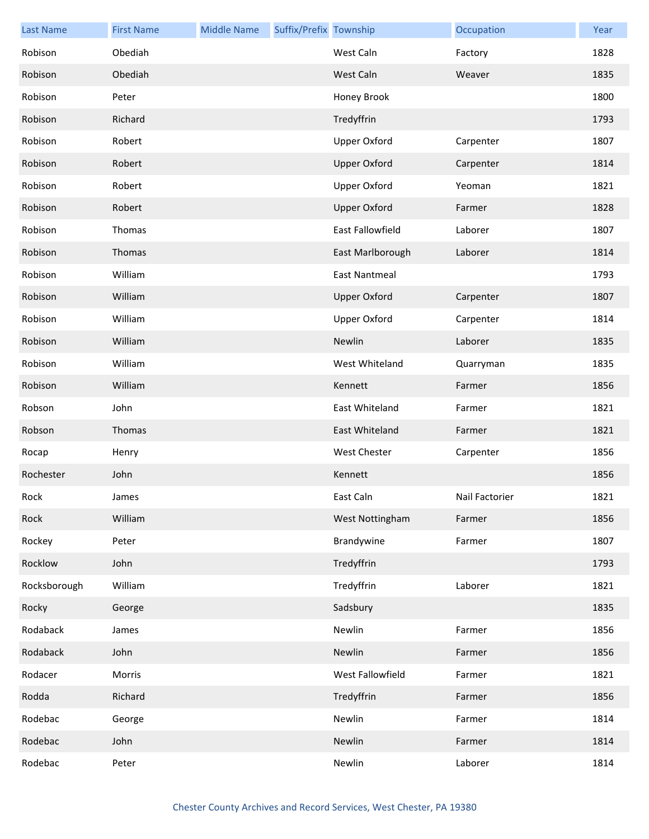| <b>Last Name</b> | <b>First Name</b> | <b>Middle Name</b> | Suffix/Prefix Township |                      | Occupation     | Year |
|------------------|-------------------|--------------------|------------------------|----------------------|----------------|------|
| Robison          | Obediah           |                    |                        | West Caln            | Factory        | 1828 |
| Robison          | Obediah           |                    |                        | West Caln            | Weaver         | 1835 |
| Robison          | Peter             |                    |                        | Honey Brook          |                | 1800 |
| Robison          | Richard           |                    |                        | Tredyffrin           |                | 1793 |
| Robison          | Robert            |                    |                        | <b>Upper Oxford</b>  | Carpenter      | 1807 |
| Robison          | Robert            |                    |                        | <b>Upper Oxford</b>  | Carpenter      | 1814 |
| Robison          | Robert            |                    |                        | <b>Upper Oxford</b>  | Yeoman         | 1821 |
| Robison          | Robert            |                    |                        | <b>Upper Oxford</b>  | Farmer         | 1828 |
| Robison          | Thomas            |                    |                        | East Fallowfield     | Laborer        | 1807 |
| Robison          | Thomas            |                    |                        | East Marlborough     | Laborer        | 1814 |
| Robison          | William           |                    |                        | <b>East Nantmeal</b> |                | 1793 |
| Robison          | William           |                    |                        | <b>Upper Oxford</b>  | Carpenter      | 1807 |
| Robison          | William           |                    |                        | Upper Oxford         | Carpenter      | 1814 |
| Robison          | William           |                    |                        | Newlin               | Laborer        | 1835 |
| Robison          | William           |                    |                        | West Whiteland       | Quarryman      | 1835 |
| Robison          | William           |                    |                        | Kennett              | Farmer         | 1856 |
| Robson           | John              |                    |                        | East Whiteland       | Farmer         | 1821 |
| Robson           | Thomas            |                    |                        | East Whiteland       | Farmer         | 1821 |
| Rocap            | Henry             |                    |                        | West Chester         | Carpenter      | 1856 |
| Rochester        | John              |                    |                        | Kennett              |                | 1856 |
| Rock             | James             |                    |                        | East Caln            | Nail Factorier | 1821 |
| Rock             | William           |                    |                        | West Nottingham      | Farmer         | 1856 |
| Rockey           | Peter             |                    |                        | Brandywine           | Farmer         | 1807 |
| Rocklow          | John              |                    |                        | Tredyffrin           |                | 1793 |
| Rocksborough     | William           |                    |                        | Tredyffrin           | Laborer        | 1821 |
| Rocky            | George            |                    |                        | Sadsbury             |                | 1835 |
| Rodaback         | James             |                    |                        | Newlin               | Farmer         | 1856 |
| Rodaback         | John              |                    |                        | Newlin               | Farmer         | 1856 |
| Rodacer          | Morris            |                    |                        | West Fallowfield     | Farmer         | 1821 |
| Rodda            | Richard           |                    |                        | Tredyffrin           | Farmer         | 1856 |
| Rodebac          | George            |                    |                        | Newlin               | Farmer         | 1814 |
| Rodebac          | John              |                    |                        | Newlin               | Farmer         | 1814 |
| Rodebac          | Peter             |                    |                        | Newlin               | Laborer        | 1814 |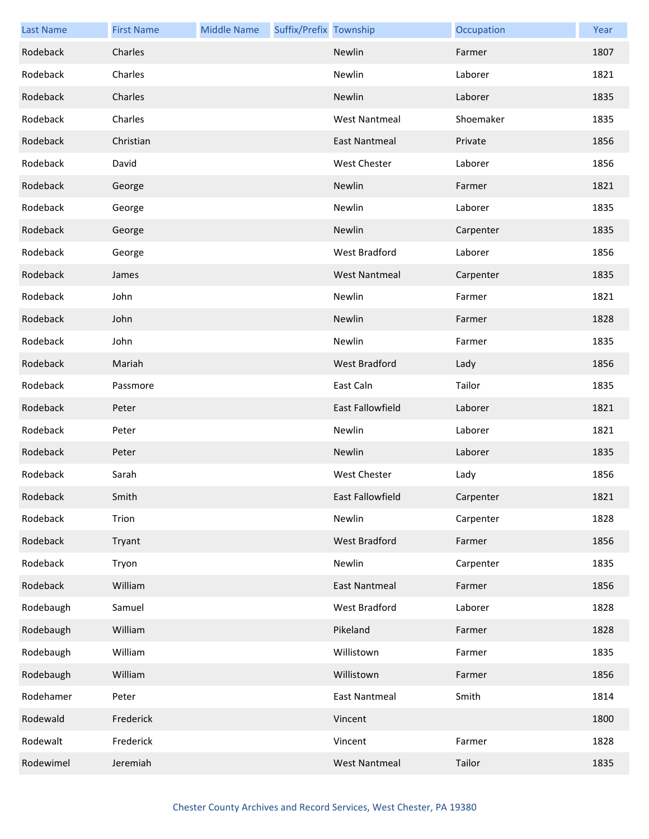| <b>Last Name</b> | <b>First Name</b> | <b>Middle Name</b> | Suffix/Prefix Township |                      | Occupation | Year |
|------------------|-------------------|--------------------|------------------------|----------------------|------------|------|
| Rodeback         | Charles           |                    |                        | Newlin               | Farmer     | 1807 |
| Rodeback         | Charles           |                    |                        | Newlin               | Laborer    | 1821 |
| Rodeback         | Charles           |                    |                        | Newlin               | Laborer    | 1835 |
| Rodeback         | Charles           |                    |                        | <b>West Nantmeal</b> | Shoemaker  | 1835 |
| Rodeback         | Christian         |                    |                        | <b>East Nantmeal</b> | Private    | 1856 |
| Rodeback         | David             |                    |                        | <b>West Chester</b>  | Laborer    | 1856 |
| Rodeback         | George            |                    |                        | Newlin               | Farmer     | 1821 |
| Rodeback         | George            |                    |                        | Newlin               | Laborer    | 1835 |
| Rodeback         | George            |                    |                        | Newlin               | Carpenter  | 1835 |
| Rodeback         | George            |                    |                        | West Bradford        | Laborer    | 1856 |
| Rodeback         | James             |                    |                        | <b>West Nantmeal</b> | Carpenter  | 1835 |
| Rodeback         | John              |                    |                        | Newlin               | Farmer     | 1821 |
| Rodeback         | John              |                    |                        | Newlin               | Farmer     | 1828 |
| Rodeback         | John              |                    |                        | Newlin               | Farmer     | 1835 |
| Rodeback         | Mariah            |                    |                        | West Bradford        | Lady       | 1856 |
| Rodeback         | Passmore          |                    |                        | East Caln            | Tailor     | 1835 |
| Rodeback         | Peter             |                    |                        | East Fallowfield     | Laborer    | 1821 |
| Rodeback         | Peter             |                    |                        | Newlin               | Laborer    | 1821 |
| Rodeback         | Peter             |                    |                        | Newlin               | Laborer    | 1835 |
| Rodeback         | Sarah             |                    |                        | <b>West Chester</b>  | Lady       | 1856 |
| Rodeback         | Smith             |                    |                        | East Fallowfield     | Carpenter  | 1821 |
| Rodeback         | Trion             |                    |                        | Newlin               | Carpenter  | 1828 |
| Rodeback         | Tryant            |                    |                        | West Bradford        | Farmer     | 1856 |
| Rodeback         | Tryon             |                    |                        | Newlin               | Carpenter  | 1835 |
| Rodeback         | William           |                    |                        | <b>East Nantmeal</b> | Farmer     | 1856 |
| Rodebaugh        | Samuel            |                    |                        | West Bradford        | Laborer    | 1828 |
| Rodebaugh        | William           |                    |                        | Pikeland             | Farmer     | 1828 |
| Rodebaugh        | William           |                    |                        | Willistown           | Farmer     | 1835 |
| Rodebaugh        | William           |                    |                        | Willistown           | Farmer     | 1856 |
| Rodehamer        | Peter             |                    |                        | <b>East Nantmeal</b> | Smith      | 1814 |
| Rodewald         | Frederick         |                    |                        | Vincent              |            | 1800 |
| Rodewalt         | Frederick         |                    |                        | Vincent              | Farmer     | 1828 |
| Rodewimel        | Jeremiah          |                    |                        | <b>West Nantmeal</b> | Tailor     | 1835 |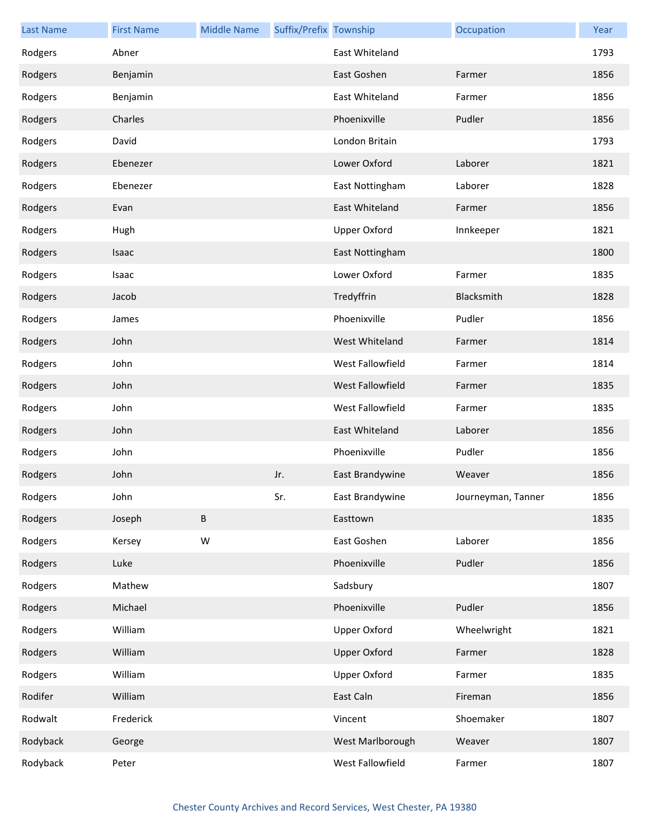| <b>Last Name</b> | <b>First Name</b> | <b>Middle Name</b> | Suffix/Prefix Township |                        | Occupation         | Year |
|------------------|-------------------|--------------------|------------------------|------------------------|--------------------|------|
| Rodgers          | Abner             |                    |                        | East Whiteland         |                    | 1793 |
| Rodgers          | Benjamin          |                    |                        | East Goshen            | Farmer             | 1856 |
| Rodgers          | Benjamin          |                    |                        | East Whiteland         | Farmer             | 1856 |
| Rodgers          | Charles           |                    |                        | Phoenixville           | Pudler             | 1856 |
| Rodgers          | David             |                    |                        | London Britain         |                    | 1793 |
| Rodgers          | Ebenezer          |                    |                        | Lower Oxford           | Laborer            | 1821 |
| Rodgers          | Ebenezer          |                    |                        | East Nottingham        | Laborer            | 1828 |
| Rodgers          | Evan              |                    |                        | East Whiteland         | Farmer             | 1856 |
| Rodgers          | Hugh              |                    |                        | <b>Upper Oxford</b>    | Innkeeper          | 1821 |
| Rodgers          | Isaac             |                    |                        | East Nottingham        |                    | 1800 |
| Rodgers          | Isaac             |                    |                        | Lower Oxford           | Farmer             | 1835 |
| Rodgers          | Jacob             |                    |                        | Tredyffrin             | Blacksmith         | 1828 |
| Rodgers          | James             |                    |                        | Phoenixville           | Pudler             | 1856 |
| Rodgers          | John              |                    |                        | West Whiteland         | Farmer             | 1814 |
| Rodgers          | John              |                    |                        | West Fallowfield       | Farmer             | 1814 |
| Rodgers          | John              |                    |                        | West Fallowfield       | Farmer             | 1835 |
| Rodgers          | John              |                    |                        | West Fallowfield       | Farmer             | 1835 |
| Rodgers          | John              |                    |                        | East Whiteland         | Laborer            | 1856 |
| Rodgers          | John              |                    |                        | Phoenixville           | Pudler             | 1856 |
| Rodgers          | John              |                    | Jr.                    | <b>East Brandywine</b> | Weaver             | 1856 |
| Rodgers          | John              |                    | Sr.                    | East Brandywine        | Journeyman, Tanner | 1856 |
| Rodgers          | Joseph            | B                  |                        | Easttown               |                    | 1835 |
| Rodgers          | Kersey            | W                  |                        | East Goshen            | Laborer            | 1856 |
| Rodgers          | Luke              |                    |                        | Phoenixville           | Pudler             | 1856 |
| Rodgers          | Mathew            |                    |                        | Sadsbury               |                    | 1807 |
| Rodgers          | Michael           |                    |                        | Phoenixville           | Pudler             | 1856 |
| Rodgers          | William           |                    |                        | <b>Upper Oxford</b>    | Wheelwright        | 1821 |
| Rodgers          | William           |                    |                        | <b>Upper Oxford</b>    | Farmer             | 1828 |
| Rodgers          | William           |                    |                        | Upper Oxford           | Farmer             | 1835 |
| Rodifer          | William           |                    |                        | East Caln              | Fireman            | 1856 |
| Rodwalt          | Frederick         |                    |                        | Vincent                | Shoemaker          | 1807 |
| Rodyback         | George            |                    |                        | West Marlborough       | Weaver             | 1807 |
| Rodyback         | Peter             |                    |                        | West Fallowfield       | Farmer             | 1807 |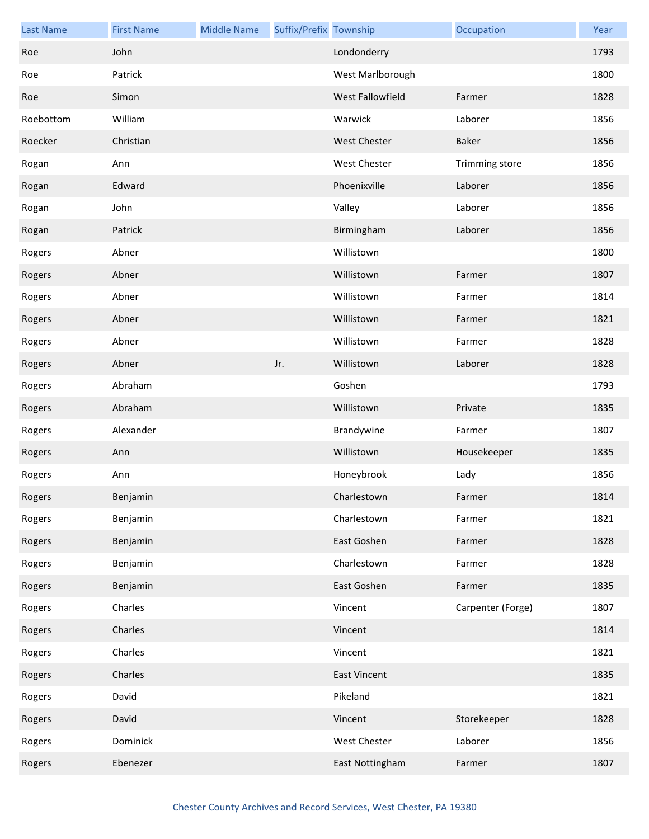| <b>Last Name</b> | <b>First Name</b> | <b>Middle Name</b> | Suffix/Prefix Township |                     | Occupation        | Year |
|------------------|-------------------|--------------------|------------------------|---------------------|-------------------|------|
| Roe              | John              |                    |                        | Londonderry         |                   | 1793 |
| Roe              | Patrick           |                    |                        | West Marlborough    |                   | 1800 |
| Roe              | Simon             |                    |                        | West Fallowfield    | Farmer            | 1828 |
| Roebottom        | William           |                    |                        | Warwick             | Laborer           | 1856 |
| Roecker          | Christian         |                    |                        | <b>West Chester</b> | <b>Baker</b>      | 1856 |
| Rogan            | Ann               |                    |                        | West Chester        | Trimming store    | 1856 |
| Rogan            | Edward            |                    |                        | Phoenixville        | Laborer           | 1856 |
| Rogan            | John              |                    |                        | Valley              | Laborer           | 1856 |
| Rogan            | Patrick           |                    |                        | Birmingham          | Laborer           | 1856 |
| Rogers           | Abner             |                    |                        | Willistown          |                   | 1800 |
| Rogers           | Abner             |                    |                        | Willistown          | Farmer            | 1807 |
| Rogers           | Abner             |                    |                        | Willistown          | Farmer            | 1814 |
| Rogers           | Abner             |                    |                        | Willistown          | Farmer            | 1821 |
| Rogers           | Abner             |                    |                        | Willistown          | Farmer            | 1828 |
| Rogers           | Abner             |                    | Jr.                    | Willistown          | Laborer           | 1828 |
| Rogers           | Abraham           |                    |                        | Goshen              |                   | 1793 |
| Rogers           | Abraham           |                    |                        | Willistown          | Private           | 1835 |
| Rogers           | Alexander         |                    |                        | Brandywine          | Farmer            | 1807 |
| Rogers           | Ann               |                    |                        | Willistown          | Housekeeper       | 1835 |
| Rogers           | Ann               |                    |                        | Honeybrook          | Lady              | 1856 |
| Rogers           | Benjamin          |                    |                        | Charlestown         | Farmer            | 1814 |
| Rogers           | Benjamin          |                    |                        | Charlestown         | Farmer            | 1821 |
| Rogers           | Benjamin          |                    |                        | East Goshen         | Farmer            | 1828 |
| Rogers           | Benjamin          |                    |                        | Charlestown         | Farmer            | 1828 |
| Rogers           | Benjamin          |                    |                        | East Goshen         | Farmer            | 1835 |
| Rogers           | Charles           |                    |                        | Vincent             | Carpenter (Forge) | 1807 |
| Rogers           | Charles           |                    |                        | Vincent             |                   | 1814 |
| Rogers           | Charles           |                    |                        | Vincent             |                   | 1821 |
| Rogers           | Charles           |                    |                        | <b>East Vincent</b> |                   | 1835 |
| Rogers           | David             |                    |                        | Pikeland            |                   | 1821 |
| Rogers           | David             |                    |                        | Vincent             | Storekeeper       | 1828 |
| Rogers           | Dominick          |                    |                        | West Chester        | Laborer           | 1856 |
| Rogers           | Ebenezer          |                    |                        | East Nottingham     | Farmer            | 1807 |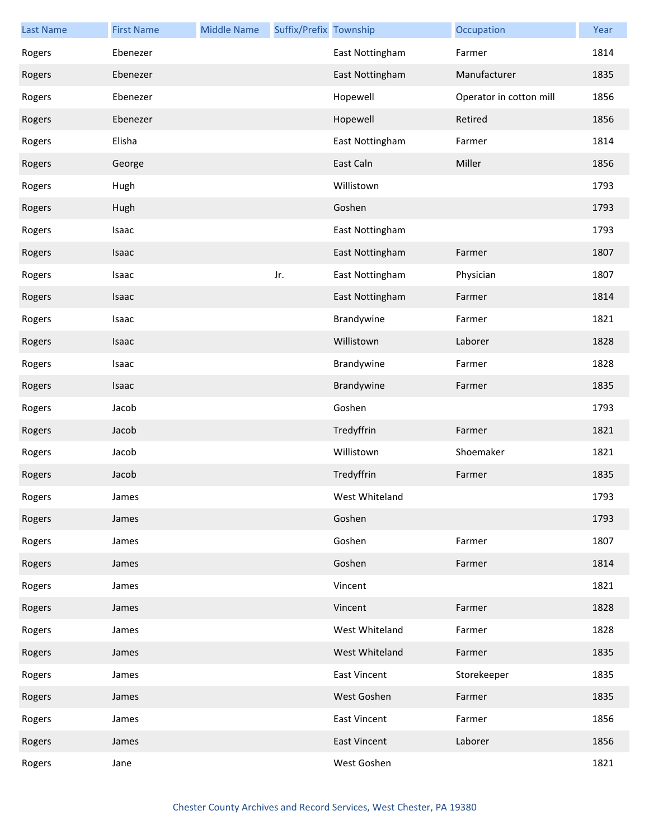| <b>Last Name</b> | <b>First Name</b> | <b>Middle Name</b> | Suffix/Prefix Township |                     | Occupation              | Year |
|------------------|-------------------|--------------------|------------------------|---------------------|-------------------------|------|
| Rogers           | Ebenezer          |                    |                        | East Nottingham     | Farmer                  | 1814 |
| Rogers           | Ebenezer          |                    |                        | East Nottingham     | Manufacturer            | 1835 |
| Rogers           | Ebenezer          |                    |                        | Hopewell            | Operator in cotton mill | 1856 |
| Rogers           | Ebenezer          |                    |                        | Hopewell            | Retired                 | 1856 |
| Rogers           | Elisha            |                    |                        | East Nottingham     | Farmer                  | 1814 |
| Rogers           | George            |                    |                        | East Caln           | Miller                  | 1856 |
| Rogers           | Hugh              |                    |                        | Willistown          |                         | 1793 |
| Rogers           | Hugh              |                    |                        | Goshen              |                         | 1793 |
| Rogers           | Isaac             |                    |                        | East Nottingham     |                         | 1793 |
| Rogers           | Isaac             |                    |                        | East Nottingham     | Farmer                  | 1807 |
| Rogers           | Isaac             |                    | Jr.                    | East Nottingham     | Physician               | 1807 |
| Rogers           | Isaac             |                    |                        | East Nottingham     | Farmer                  | 1814 |
| Rogers           | Isaac             |                    |                        | Brandywine          | Farmer                  | 1821 |
| Rogers           | Isaac             |                    |                        | Willistown          | Laborer                 | 1828 |
| Rogers           | Isaac             |                    |                        | Brandywine          | Farmer                  | 1828 |
| Rogers           | Isaac             |                    |                        | Brandywine          | Farmer                  | 1835 |
| Rogers           | Jacob             |                    |                        | Goshen              |                         | 1793 |
| Rogers           | Jacob             |                    |                        | Tredyffrin          | Farmer                  | 1821 |
| Rogers           | Jacob             |                    |                        | Willistown          | Shoemaker               | 1821 |
| Rogers           | Jacob             |                    |                        | Tredyffrin          | Farmer                  | 1835 |
| Rogers           | James             |                    |                        | West Whiteland      |                         | 1793 |
| Rogers           | James             |                    |                        | Goshen              |                         | 1793 |
| Rogers           | James             |                    |                        | Goshen              | Farmer                  | 1807 |
| Rogers           | James             |                    |                        | Goshen              | Farmer                  | 1814 |
| Rogers           | James             |                    |                        | Vincent             |                         | 1821 |
| Rogers           | James             |                    |                        | Vincent             | Farmer                  | 1828 |
| Rogers           | James             |                    |                        | West Whiteland      | Farmer                  | 1828 |
| Rogers           | James             |                    |                        | West Whiteland      | Farmer                  | 1835 |
| Rogers           | James             |                    |                        | East Vincent        | Storekeeper             | 1835 |
| Rogers           | James             |                    |                        | West Goshen         | Farmer                  | 1835 |
| Rogers           | James             |                    |                        | East Vincent        | Farmer                  | 1856 |
| Rogers           | James             |                    |                        | <b>East Vincent</b> | Laborer                 | 1856 |
| Rogers           | Jane              |                    |                        | West Goshen         |                         | 1821 |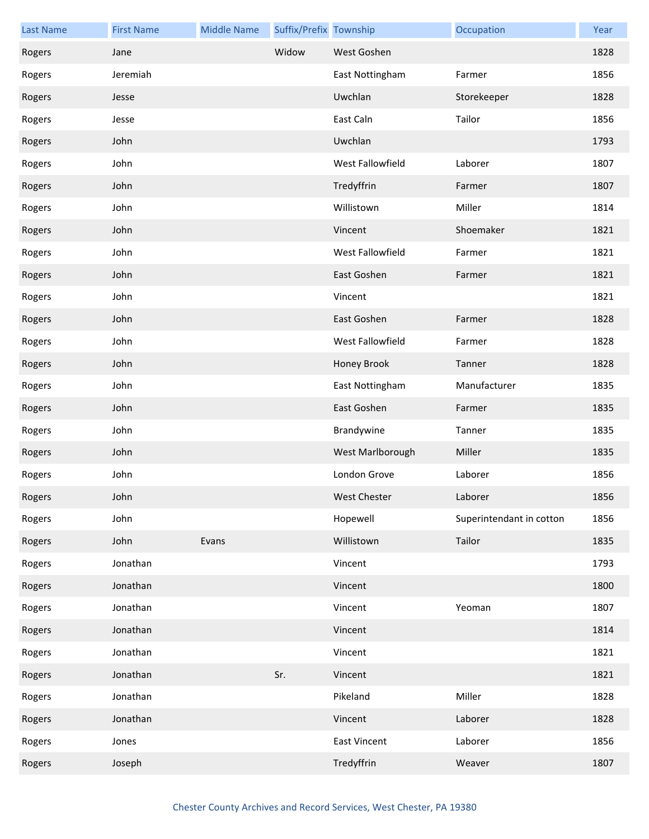| <b>Last Name</b> | <b>First Name</b> | <b>Middle Name</b> | Suffix/Prefix Township |                     | Occupation               | Year |
|------------------|-------------------|--------------------|------------------------|---------------------|--------------------------|------|
| Rogers           | Jane              |                    | Widow                  | West Goshen         |                          | 1828 |
| Rogers           | Jeremiah          |                    |                        | East Nottingham     | Farmer                   | 1856 |
| Rogers           | Jesse             |                    |                        | Uwchlan             | Storekeeper              | 1828 |
| Rogers           | Jesse             |                    |                        | East Caln           | Tailor                   | 1856 |
| Rogers           | John              |                    |                        | Uwchlan             |                          | 1793 |
| Rogers           | John              |                    |                        | West Fallowfield    | Laborer                  | 1807 |
| Rogers           | John              |                    |                        | Tredyffrin          | Farmer                   | 1807 |
| Rogers           | John              |                    |                        | Willistown          | Miller                   | 1814 |
| Rogers           | John              |                    |                        | Vincent             | Shoemaker                | 1821 |
| Rogers           | John              |                    |                        | West Fallowfield    | Farmer                   | 1821 |
| Rogers           | John              |                    |                        | East Goshen         | Farmer                   | 1821 |
| Rogers           | John              |                    |                        | Vincent             |                          | 1821 |
| Rogers           | John              |                    |                        | East Goshen         | Farmer                   | 1828 |
| Rogers           | John              |                    |                        | West Fallowfield    | Farmer                   | 1828 |
| Rogers           | John              |                    |                        | Honey Brook         | Tanner                   | 1828 |
| Rogers           | John              |                    |                        | East Nottingham     | Manufacturer             | 1835 |
| Rogers           | John              |                    |                        | East Goshen         | Farmer                   | 1835 |
| Rogers           | John              |                    |                        | Brandywine          | Tanner                   | 1835 |
| Rogers           | John              |                    |                        | West Marlborough    | Miller                   | 1835 |
| Rogers           | John              |                    |                        | London Grove        | Laborer                  | 1856 |
| Rogers           | John              |                    |                        | West Chester        | Laborer                  | 1856 |
| Rogers           | John              |                    |                        | Hopewell            | Superintendant in cotton | 1856 |
| Rogers           | John              | Evans              |                        | Willistown          | Tailor                   | 1835 |
| Rogers           | Jonathan          |                    |                        | Vincent             |                          | 1793 |
| Rogers           | Jonathan          |                    |                        | Vincent             |                          | 1800 |
| Rogers           | Jonathan          |                    |                        | Vincent             | Yeoman                   | 1807 |
| Rogers           | Jonathan          |                    |                        | Vincent             |                          | 1814 |
| Rogers           | Jonathan          |                    |                        | Vincent             |                          | 1821 |
| Rogers           | Jonathan          |                    | Sr.                    | Vincent             |                          | 1821 |
| Rogers           | Jonathan          |                    |                        | Pikeland            | Miller                   | 1828 |
| Rogers           | Jonathan          |                    |                        | Vincent             | Laborer                  | 1828 |
| Rogers           | Jones             |                    |                        | <b>East Vincent</b> | Laborer                  | 1856 |
| Rogers           | Joseph            |                    |                        | Tredyffrin          | Weaver                   | 1807 |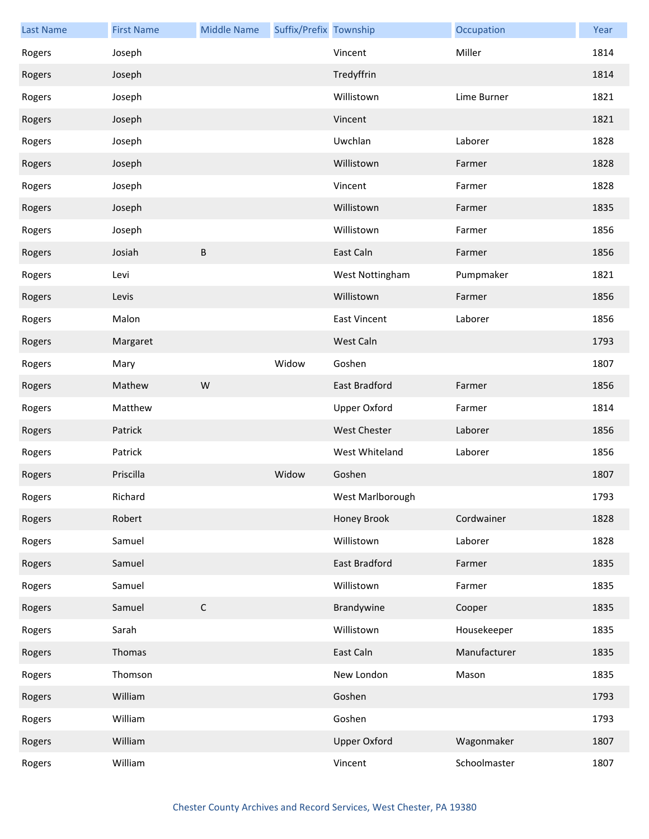| <b>Last Name</b> | <b>First Name</b> | <b>Middle Name</b> | Suffix/Prefix Township |                     | Occupation   | Year |
|------------------|-------------------|--------------------|------------------------|---------------------|--------------|------|
| Rogers           | Joseph            |                    |                        | Vincent             | Miller       | 1814 |
| Rogers           | Joseph            |                    |                        | Tredyffrin          |              | 1814 |
| Rogers           | Joseph            |                    |                        | Willistown          | Lime Burner  | 1821 |
| Rogers           | Joseph            |                    |                        | Vincent             |              | 1821 |
| Rogers           | Joseph            |                    |                        | Uwchlan             | Laborer      | 1828 |
| Rogers           | Joseph            |                    |                        | Willistown          | Farmer       | 1828 |
| Rogers           | Joseph            |                    |                        | Vincent             | Farmer       | 1828 |
| Rogers           | Joseph            |                    |                        | Willistown          | Farmer       | 1835 |
| Rogers           | Joseph            |                    |                        | Willistown          | Farmer       | 1856 |
| Rogers           | Josiah            | В                  |                        | East Caln           | Farmer       | 1856 |
| Rogers           | Levi              |                    |                        | West Nottingham     | Pumpmaker    | 1821 |
| Rogers           | Levis             |                    |                        | Willistown          | Farmer       | 1856 |
| Rogers           | Malon             |                    |                        | <b>East Vincent</b> | Laborer      | 1856 |
| Rogers           | Margaret          |                    |                        | West Caln           |              | 1793 |
| Rogers           | Mary              |                    | Widow                  | Goshen              |              | 1807 |
| Rogers           | Mathew            | W                  |                        | East Bradford       | Farmer       | 1856 |
| Rogers           | Matthew           |                    |                        | <b>Upper Oxford</b> | Farmer       | 1814 |
| Rogers           | Patrick           |                    |                        | West Chester        | Laborer      | 1856 |
| Rogers           | Patrick           |                    |                        | West Whiteland      | Laborer      | 1856 |
| Rogers           | Priscilla         |                    | Widow                  | Goshen              |              | 1807 |
| Rogers           | Richard           |                    |                        | West Marlborough    |              | 1793 |
| Rogers           | Robert            |                    |                        | Honey Brook         | Cordwainer   | 1828 |
| Rogers           | Samuel            |                    |                        | Willistown          | Laborer      | 1828 |
| Rogers           | Samuel            |                    |                        | East Bradford       | Farmer       | 1835 |
| Rogers           | Samuel            |                    |                        | Willistown          | Farmer       | 1835 |
| Rogers           | Samuel            | $\mathsf C$        |                        | Brandywine          | Cooper       | 1835 |
| Rogers           | Sarah             |                    |                        | Willistown          | Housekeeper  | 1835 |
| Rogers           | Thomas            |                    |                        | East Caln           | Manufacturer | 1835 |
| Rogers           | Thomson           |                    |                        | New London          | Mason        | 1835 |
| Rogers           | William           |                    |                        | Goshen              |              | 1793 |
| Rogers           | William           |                    |                        | Goshen              |              | 1793 |
| Rogers           | William           |                    |                        | <b>Upper Oxford</b> | Wagonmaker   | 1807 |
| Rogers           | William           |                    |                        | Vincent             | Schoolmaster | 1807 |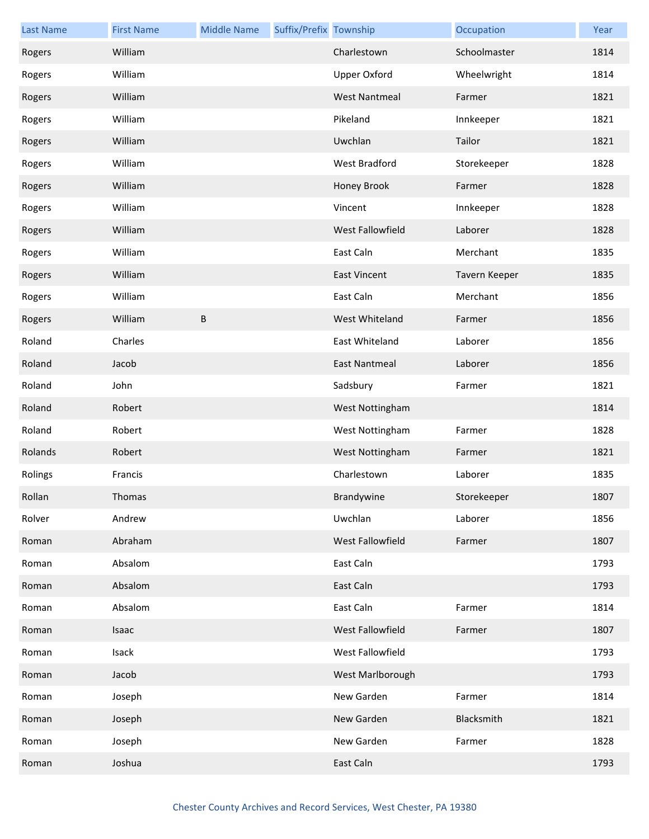| <b>Last Name</b> | <b>First Name</b> | <b>Middle Name</b> | Suffix/Prefix Township |                         | Occupation    | Year |
|------------------|-------------------|--------------------|------------------------|-------------------------|---------------|------|
| Rogers           | William           |                    |                        | Charlestown             | Schoolmaster  | 1814 |
| Rogers           | William           |                    |                        | <b>Upper Oxford</b>     | Wheelwright   | 1814 |
| Rogers           | William           |                    |                        | <b>West Nantmeal</b>    | Farmer        | 1821 |
| Rogers           | William           |                    |                        | Pikeland                | Innkeeper     | 1821 |
| Rogers           | William           |                    |                        | Uwchlan                 | Tailor        | 1821 |
| Rogers           | William           |                    |                        | West Bradford           | Storekeeper   | 1828 |
| Rogers           | William           |                    |                        | Honey Brook             | Farmer        | 1828 |
| Rogers           | William           |                    |                        | Vincent                 | Innkeeper     | 1828 |
| Rogers           | William           |                    |                        | <b>West Fallowfield</b> | Laborer       | 1828 |
| Rogers           | William           |                    |                        | East Caln               | Merchant      | 1835 |
| Rogers           | William           |                    |                        | <b>East Vincent</b>     | Tavern Keeper | 1835 |
| Rogers           | William           |                    |                        | East Caln               | Merchant      | 1856 |
| Rogers           | William           | $\sf B$            |                        | West Whiteland          | Farmer        | 1856 |
| Roland           | Charles           |                    |                        | East Whiteland          | Laborer       | 1856 |
| Roland           | Jacob             |                    |                        | <b>East Nantmeal</b>    | Laborer       | 1856 |
| Roland           | John              |                    |                        | Sadsbury                | Farmer        | 1821 |
| Roland           | Robert            |                    |                        | West Nottingham         |               | 1814 |
| Roland           | Robert            |                    |                        | West Nottingham         | Farmer        | 1828 |
| Rolands          | Robert            |                    |                        | West Nottingham         | Farmer        | 1821 |
| Rolings          | Francis           |                    |                        | Charlestown             | Laborer       | 1835 |
| Rollan           | Thomas            |                    |                        | Brandywine              | Storekeeper   | 1807 |
| Rolver           | Andrew            |                    |                        | Uwchlan                 | Laborer       | 1856 |
| Roman            | Abraham           |                    |                        | West Fallowfield        | Farmer        | 1807 |
| Roman            | Absalom           |                    |                        | East Caln               |               | 1793 |
| Roman            | Absalom           |                    |                        | East Caln               |               | 1793 |
| Roman            | Absalom           |                    |                        | East Caln               | Farmer        | 1814 |
| Roman            | Isaac             |                    |                        | West Fallowfield        | Farmer        | 1807 |
| Roman            | Isack             |                    |                        | West Fallowfield        |               | 1793 |
| Roman            | Jacob             |                    |                        | West Marlborough        |               | 1793 |
| Roman            | Joseph            |                    |                        | New Garden              | Farmer        | 1814 |
| Roman            | Joseph            |                    |                        | New Garden              | Blacksmith    | 1821 |
| Roman            | Joseph            |                    |                        | New Garden              | Farmer        | 1828 |
| Roman            | Joshua            |                    |                        | East Caln               |               | 1793 |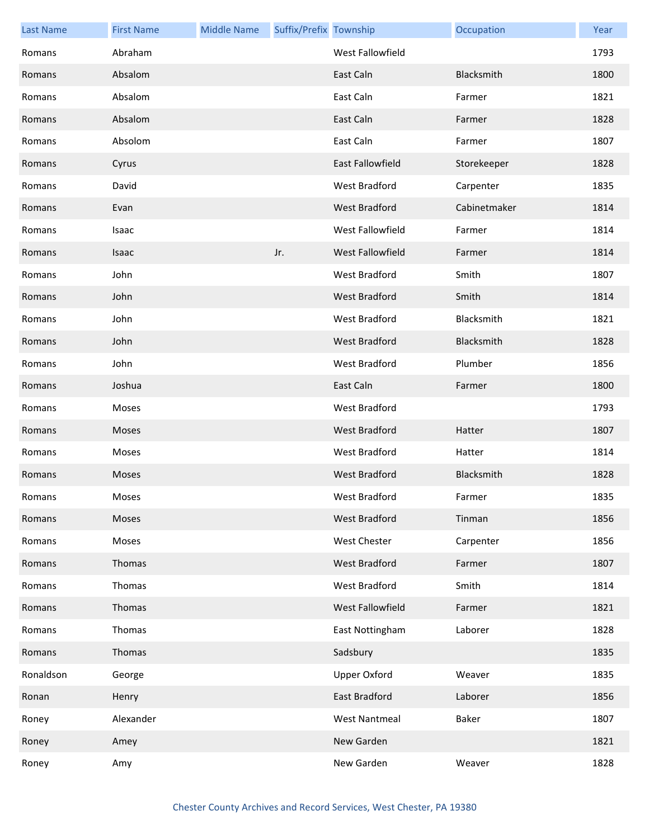| <b>Last Name</b> | <b>First Name</b> | <b>Middle Name</b> | Suffix/Prefix Township |                         | Occupation   | Year |
|------------------|-------------------|--------------------|------------------------|-------------------------|--------------|------|
| Romans           | Abraham           |                    |                        | West Fallowfield        |              | 1793 |
| Romans           | Absalom           |                    |                        | East Caln               | Blacksmith   | 1800 |
| Romans           | Absalom           |                    |                        | East Caln               | Farmer       | 1821 |
| Romans           | Absalom           |                    |                        | East Caln               | Farmer       | 1828 |
| Romans           | Absolom           |                    |                        | East Caln               | Farmer       | 1807 |
| Romans           | Cyrus             |                    |                        | <b>East Fallowfield</b> | Storekeeper  | 1828 |
| Romans           | David             |                    |                        | West Bradford           | Carpenter    | 1835 |
| Romans           | Evan              |                    |                        | West Bradford           | Cabinetmaker | 1814 |
| Romans           | Isaac             |                    |                        | West Fallowfield        | Farmer       | 1814 |
| Romans           | Isaac             |                    | Jr.                    | West Fallowfield        | Farmer       | 1814 |
| Romans           | John              |                    |                        | <b>West Bradford</b>    | Smith        | 1807 |
| Romans           | John              |                    |                        | <b>West Bradford</b>    | Smith        | 1814 |
| Romans           | John              |                    |                        | West Bradford           | Blacksmith   | 1821 |
| Romans           | John              |                    |                        | West Bradford           | Blacksmith   | 1828 |
| Romans           | John              |                    |                        | <b>West Bradford</b>    | Plumber      | 1856 |
| Romans           | Joshua            |                    |                        | East Caln               | Farmer       | 1800 |
| Romans           | Moses             |                    |                        | West Bradford           |              | 1793 |
| Romans           | Moses             |                    |                        | West Bradford           | Hatter       | 1807 |
| Romans           | Moses             |                    |                        | West Bradford           | Hatter       | 1814 |
| Romans           | Moses             |                    |                        | <b>West Bradford</b>    | Blacksmith   | 1828 |
| Romans           | Moses             |                    |                        | West Bradford           | Farmer       | 1835 |
| Romans           | Moses             |                    |                        | West Bradford           | Tinman       | 1856 |
| Romans           | Moses             |                    |                        | West Chester            | Carpenter    | 1856 |
| Romans           | Thomas            |                    |                        | West Bradford           | Farmer       | 1807 |
| Romans           | Thomas            |                    |                        | West Bradford           | Smith        | 1814 |
| Romans           | Thomas            |                    |                        | West Fallowfield        | Farmer       | 1821 |
| Romans           | Thomas            |                    |                        | East Nottingham         | Laborer      | 1828 |
| Romans           | Thomas            |                    |                        | Sadsbury                |              | 1835 |
| Ronaldson        | George            |                    |                        | <b>Upper Oxford</b>     | Weaver       | 1835 |
| Ronan            | Henry             |                    |                        | East Bradford           | Laborer      | 1856 |
| Roney            | Alexander         |                    |                        | <b>West Nantmeal</b>    | Baker        | 1807 |
| Roney            | Amey              |                    |                        | New Garden              |              | 1821 |
| Roney            | Amy               |                    |                        | New Garden              | Weaver       | 1828 |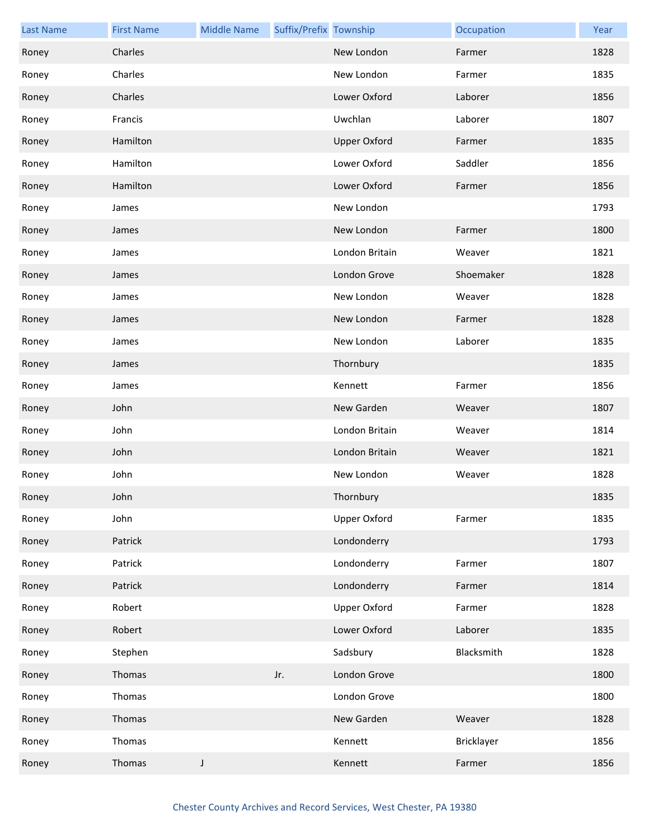| <b>Last Name</b> | <b>First Name</b> | <b>Middle Name</b> | Suffix/Prefix Township |                     | Occupation | Year |
|------------------|-------------------|--------------------|------------------------|---------------------|------------|------|
| Roney            | Charles           |                    |                        | New London          | Farmer     | 1828 |
| Roney            | Charles           |                    |                        | New London          | Farmer     | 1835 |
| Roney            | Charles           |                    |                        | Lower Oxford        | Laborer    | 1856 |
| Roney            | Francis           |                    |                        | Uwchlan             | Laborer    | 1807 |
| Roney            | Hamilton          |                    |                        | <b>Upper Oxford</b> | Farmer     | 1835 |
| Roney            | Hamilton          |                    |                        | Lower Oxford        | Saddler    | 1856 |
| Roney            | Hamilton          |                    |                        | Lower Oxford        | Farmer     | 1856 |
| Roney            | James             |                    |                        | New London          |            | 1793 |
| Roney            | James             |                    |                        | New London          | Farmer     | 1800 |
| Roney            | James             |                    |                        | London Britain      | Weaver     | 1821 |
| Roney            | James             |                    |                        | London Grove        | Shoemaker  | 1828 |
| Roney            | James             |                    |                        | New London          | Weaver     | 1828 |
| Roney            | James             |                    |                        | New London          | Farmer     | 1828 |
| Roney            | James             |                    |                        | New London          | Laborer    | 1835 |
| Roney            | James             |                    |                        | Thornbury           |            | 1835 |
| Roney            | James             |                    |                        | Kennett             | Farmer     | 1856 |
| Roney            | John              |                    |                        | New Garden          | Weaver     | 1807 |
| Roney            | John              |                    |                        | London Britain      | Weaver     | 1814 |
| Roney            | John              |                    |                        | London Britain      | Weaver     | 1821 |
| Roney            | John              |                    |                        | New London          | Weaver     | 1828 |
| Roney            | John              |                    |                        | Thornbury           |            | 1835 |
| Roney            | John              |                    |                        | <b>Upper Oxford</b> | Farmer     | 1835 |
| Roney            | Patrick           |                    |                        | Londonderry         |            | 1793 |
| Roney            | Patrick           |                    |                        | Londonderry         | Farmer     | 1807 |
| Roney            | Patrick           |                    |                        | Londonderry         | Farmer     | 1814 |
| Roney            | Robert            |                    |                        | <b>Upper Oxford</b> | Farmer     | 1828 |
| Roney            | Robert            |                    |                        | Lower Oxford        | Laborer    | 1835 |
| Roney            | Stephen           |                    |                        | Sadsbury            | Blacksmith | 1828 |
| Roney            | Thomas            |                    | Jr.                    | London Grove        |            | 1800 |
| Roney            | Thomas            |                    |                        | London Grove        |            | 1800 |
| Roney            | Thomas            |                    |                        | New Garden          | Weaver     | 1828 |
| Roney            | Thomas            |                    |                        | Kennett             | Bricklayer | 1856 |
| Roney            | Thomas            | J                  |                        | Kennett             | Farmer     | 1856 |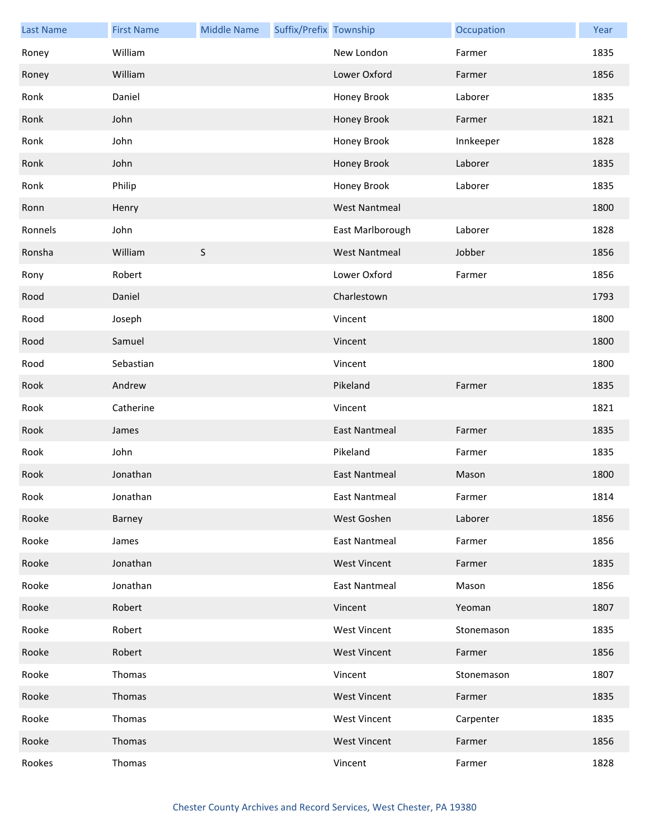| <b>Last Name</b> | <b>First Name</b> | <b>Middle Name</b> | Suffix/Prefix Township |                      | Occupation | Year |
|------------------|-------------------|--------------------|------------------------|----------------------|------------|------|
| Roney            | William           |                    |                        | New London           | Farmer     | 1835 |
| Roney            | William           |                    |                        | Lower Oxford         | Farmer     | 1856 |
| Ronk             | Daniel            |                    |                        | Honey Brook          | Laborer    | 1835 |
| Ronk             | John              |                    |                        | Honey Brook          | Farmer     | 1821 |
| Ronk             | John              |                    |                        | Honey Brook          | Innkeeper  | 1828 |
| Ronk             | John              |                    |                        | Honey Brook          | Laborer    | 1835 |
| Ronk             | Philip            |                    |                        | Honey Brook          | Laborer    | 1835 |
| Ronn             | Henry             |                    |                        | <b>West Nantmeal</b> |            | 1800 |
| Ronnels          | John              |                    |                        | East Marlborough     | Laborer    | 1828 |
| Ronsha           | William           | $\sf S$            |                        | <b>West Nantmeal</b> | Jobber     | 1856 |
| Rony             | Robert            |                    |                        | Lower Oxford         | Farmer     | 1856 |
| Rood             | Daniel            |                    |                        | Charlestown          |            | 1793 |
| Rood             | Joseph            |                    |                        | Vincent              |            | 1800 |
| Rood             | Samuel            |                    |                        | Vincent              |            | 1800 |
| Rood             | Sebastian         |                    |                        | Vincent              |            | 1800 |
| Rook             | Andrew            |                    |                        | Pikeland             | Farmer     | 1835 |
| Rook             | Catherine         |                    |                        | Vincent              |            | 1821 |
| Rook             | James             |                    |                        | <b>East Nantmeal</b> | Farmer     | 1835 |
| Rook             | John              |                    |                        | Pikeland             | Farmer     | 1835 |
| Rook             | Jonathan          |                    |                        | East Nantmeal        | Mason      | 1800 |
| Rook             | Jonathan          |                    |                        | East Nantmeal        | Farmer     | 1814 |
| Rooke            | Barney            |                    |                        | West Goshen          | Laborer    | 1856 |
| Rooke            | James             |                    |                        | <b>East Nantmeal</b> | Farmer     | 1856 |
| Rooke            | Jonathan          |                    |                        | <b>West Vincent</b>  | Farmer     | 1835 |
| Rooke            | Jonathan          |                    |                        | East Nantmeal        | Mason      | 1856 |
| Rooke            | Robert            |                    |                        | Vincent              | Yeoman     | 1807 |
| Rooke            | Robert            |                    |                        | <b>West Vincent</b>  | Stonemason | 1835 |
| Rooke            | Robert            |                    |                        | <b>West Vincent</b>  | Farmer     | 1856 |
| Rooke            | Thomas            |                    |                        | Vincent              | Stonemason | 1807 |
| Rooke            | Thomas            |                    |                        | <b>West Vincent</b>  | Farmer     | 1835 |
| Rooke            | Thomas            |                    |                        | <b>West Vincent</b>  | Carpenter  | 1835 |
| Rooke            | Thomas            |                    |                        | <b>West Vincent</b>  | Farmer     | 1856 |
| Rookes           | Thomas            |                    |                        | Vincent              | Farmer     | 1828 |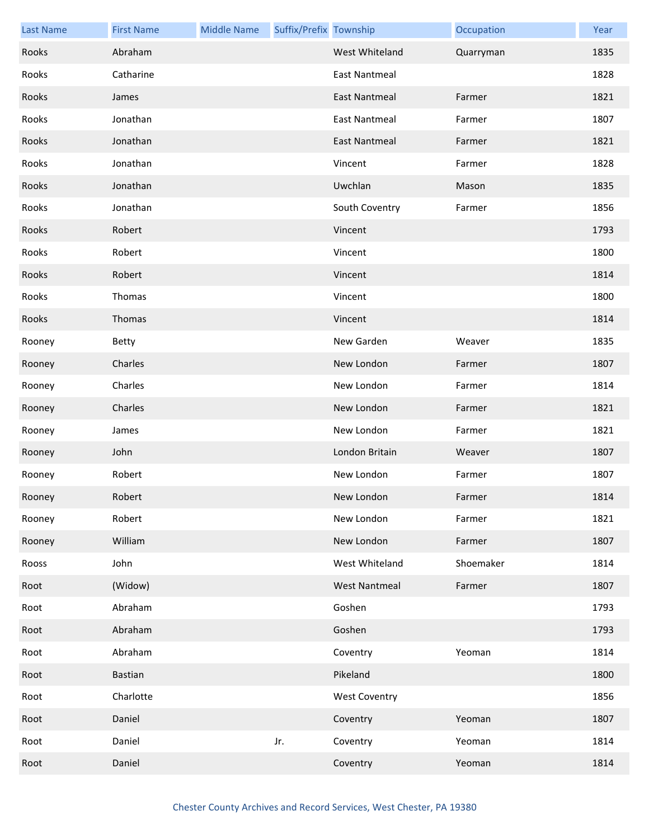| <b>Last Name</b> | <b>First Name</b> | <b>Middle Name</b> | Suffix/Prefix Township |                      | Occupation | Year |
|------------------|-------------------|--------------------|------------------------|----------------------|------------|------|
| Rooks            | Abraham           |                    |                        | West Whiteland       | Quarryman  | 1835 |
| Rooks            | Catharine         |                    |                        | <b>East Nantmeal</b> |            | 1828 |
| Rooks            | James             |                    |                        | <b>East Nantmeal</b> | Farmer     | 1821 |
| Rooks            | Jonathan          |                    |                        | <b>East Nantmeal</b> | Farmer     | 1807 |
| Rooks            | Jonathan          |                    |                        | <b>East Nantmeal</b> | Farmer     | 1821 |
| Rooks            | Jonathan          |                    |                        | Vincent              | Farmer     | 1828 |
| Rooks            | Jonathan          |                    |                        | Uwchlan              | Mason      | 1835 |
| Rooks            | Jonathan          |                    |                        | South Coventry       | Farmer     | 1856 |
| Rooks            | Robert            |                    |                        | Vincent              |            | 1793 |
| Rooks            | Robert            |                    |                        | Vincent              |            | 1800 |
| Rooks            | Robert            |                    |                        | Vincent              |            | 1814 |
| Rooks            | Thomas            |                    |                        | Vincent              |            | 1800 |
| Rooks            | Thomas            |                    |                        | Vincent              |            | 1814 |
| Rooney           | Betty             |                    |                        | New Garden           | Weaver     | 1835 |
| Rooney           | Charles           |                    |                        | New London           | Farmer     | 1807 |
| Rooney           | Charles           |                    |                        | New London           | Farmer     | 1814 |
| Rooney           | Charles           |                    |                        | New London           | Farmer     | 1821 |
| Rooney           | James             |                    |                        | New London           | Farmer     | 1821 |
| Rooney           | John              |                    |                        | London Britain       | Weaver     | 1807 |
| Rooney           | Robert            |                    |                        | New London           | Farmer     | 1807 |
| Rooney           | Robert            |                    |                        | New London           | Farmer     | 1814 |
| Rooney           | Robert            |                    |                        | New London           | Farmer     | 1821 |
| Rooney           | William           |                    |                        | New London           | Farmer     | 1807 |
| Rooss            | John              |                    |                        | West Whiteland       | Shoemaker  | 1814 |
| Root             | (Widow)           |                    |                        | <b>West Nantmeal</b> | Farmer     | 1807 |
| Root             | Abraham           |                    |                        | Goshen               |            | 1793 |
| Root             | Abraham           |                    |                        | Goshen               |            | 1793 |
| Root             | Abraham           |                    |                        | Coventry             | Yeoman     | 1814 |
| Root             | Bastian           |                    |                        | Pikeland             |            | 1800 |
| Root             | Charlotte         |                    |                        | <b>West Coventry</b> |            | 1856 |
| Root             | Daniel            |                    |                        | Coventry             | Yeoman     | 1807 |
| Root             | Daniel            |                    | Jr.                    | Coventry             | Yeoman     | 1814 |
| Root             | Daniel            |                    |                        | Coventry             | Yeoman     | 1814 |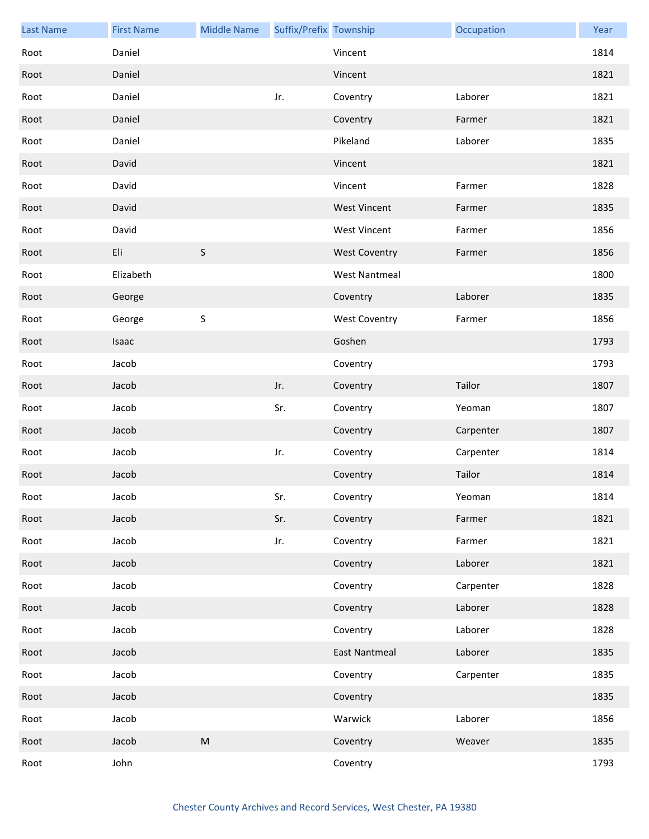| <b>Last Name</b> | <b>First Name</b> | <b>Middle Name</b> | Suffix/Prefix Township |                      | Occupation | Year |
|------------------|-------------------|--------------------|------------------------|----------------------|------------|------|
| Root             | Daniel            |                    |                        | Vincent              |            | 1814 |
| Root             | Daniel            |                    |                        | Vincent              |            | 1821 |
| Root             | Daniel            |                    | Jr.                    | Coventry             | Laborer    | 1821 |
| Root             | Daniel            |                    |                        | Coventry             | Farmer     | 1821 |
| Root             | Daniel            |                    |                        | Pikeland             | Laborer    | 1835 |
| Root             | David             |                    |                        | Vincent              |            | 1821 |
| Root             | David             |                    |                        | Vincent              | Farmer     | 1828 |
| Root             | David             |                    |                        | <b>West Vincent</b>  | Farmer     | 1835 |
| Root             | David             |                    |                        | <b>West Vincent</b>  | Farmer     | 1856 |
| Root             | Eli               | $\mathsf S$        |                        | <b>West Coventry</b> | Farmer     | 1856 |
| Root             | Elizabeth         |                    |                        | <b>West Nantmeal</b> |            | 1800 |
| Root             | George            |                    |                        | Coventry             | Laborer    | 1835 |
| Root             | George            | $\sf S$            |                        | <b>West Coventry</b> | Farmer     | 1856 |
| Root             | Isaac             |                    |                        | Goshen               |            | 1793 |
| Root             | Jacob             |                    |                        | Coventry             |            | 1793 |
| Root             | Jacob             |                    | Jr.                    | Coventry             | Tailor     | 1807 |
| Root             | Jacob             |                    | Sr.                    | Coventry             | Yeoman     | 1807 |
| Root             | Jacob             |                    |                        | Coventry             | Carpenter  | 1807 |
| Root             | Jacob             |                    | Jr.                    | Coventry             | Carpenter  | 1814 |
| Root             | Jacob             |                    |                        | Coventry             | Tailor     | 1814 |
| Root             | Jacob             |                    | Sr.                    | Coventry             | Yeoman     | 1814 |
| Root             | Jacob             |                    | Sr.                    | Coventry             | Farmer     | 1821 |
| Root             | Jacob             |                    | Jr.                    | Coventry             | Farmer     | 1821 |
| Root             | Jacob             |                    |                        | Coventry             | Laborer    | 1821 |
| Root             | Jacob             |                    |                        | Coventry             | Carpenter  | 1828 |
| Root             | Jacob             |                    |                        | Coventry             | Laborer    | 1828 |
| Root             | Jacob             |                    |                        | Coventry             | Laborer    | 1828 |
| Root             | Jacob             |                    |                        | <b>East Nantmeal</b> | Laborer    | 1835 |
| Root             | Jacob             |                    |                        | Coventry             | Carpenter  | 1835 |
| Root             | Jacob             |                    |                        | Coventry             |            | 1835 |
| Root             | Jacob             |                    |                        | Warwick              | Laborer    | 1856 |
| Root             | Jacob             | ${\sf M}$          |                        | Coventry             | Weaver     | 1835 |
| Root             | John              |                    |                        | Coventry             |            | 1793 |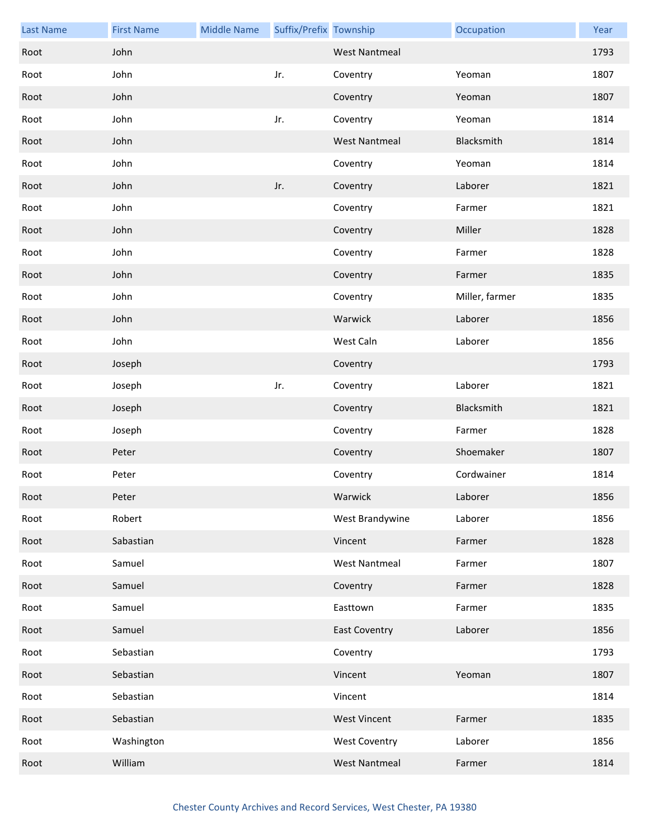| <b>Last Name</b> | <b>First Name</b> | <b>Middle Name</b> | Suffix/Prefix Township |                      | Occupation     | Year |
|------------------|-------------------|--------------------|------------------------|----------------------|----------------|------|
| Root             | John              |                    |                        | <b>West Nantmeal</b> |                | 1793 |
| Root             | John              |                    | Jr.                    | Coventry             | Yeoman         | 1807 |
| Root             | John              |                    |                        | Coventry             | Yeoman         | 1807 |
| Root             | John              |                    | Jr.                    | Coventry             | Yeoman         | 1814 |
| Root             | John              |                    |                        | <b>West Nantmeal</b> | Blacksmith     | 1814 |
| Root             | John              |                    |                        | Coventry             | Yeoman         | 1814 |
| Root             | John              |                    | Jr.                    | Coventry             | Laborer        | 1821 |
| Root             | John              |                    |                        | Coventry             | Farmer         | 1821 |
| Root             | John              |                    |                        | Coventry             | Miller         | 1828 |
| Root             | John              |                    |                        | Coventry             | Farmer         | 1828 |
| Root             | John              |                    |                        | Coventry             | Farmer         | 1835 |
| Root             | John              |                    |                        | Coventry             | Miller, farmer | 1835 |
| Root             | John              |                    |                        | Warwick              | Laborer        | 1856 |
| Root             | John              |                    |                        | West Caln            | Laborer        | 1856 |
| Root             | Joseph            |                    |                        | Coventry             |                | 1793 |
| Root             | Joseph            |                    | Jr.                    | Coventry             | Laborer        | 1821 |
| Root             | Joseph            |                    |                        | Coventry             | Blacksmith     | 1821 |
| Root             | Joseph            |                    |                        | Coventry             | Farmer         | 1828 |
| Root             | Peter             |                    |                        | Coventry             | Shoemaker      | 1807 |
| Root             | Peter             |                    |                        | Coventry             | Cordwainer     | 1814 |
| Root             | Peter             |                    |                        | Warwick              | Laborer        | 1856 |
| Root             | Robert            |                    |                        | West Brandywine      | Laborer        | 1856 |
| Root             | Sabastian         |                    |                        | Vincent              | Farmer         | 1828 |
| Root             | Samuel            |                    |                        | <b>West Nantmeal</b> | Farmer         | 1807 |
| Root             | Samuel            |                    |                        | Coventry             | Farmer         | 1828 |
| Root             | Samuel            |                    |                        | Easttown             | Farmer         | 1835 |
| Root             | Samuel            |                    |                        | <b>East Coventry</b> | Laborer        | 1856 |
| Root             | Sebastian         |                    |                        | Coventry             |                | 1793 |
| Root             | Sebastian         |                    |                        | Vincent              | Yeoman         | 1807 |
| Root             | Sebastian         |                    |                        | Vincent              |                | 1814 |
| Root             | Sebastian         |                    |                        | <b>West Vincent</b>  | Farmer         | 1835 |
| Root             | Washington        |                    |                        | <b>West Coventry</b> | Laborer        | 1856 |
| Root             | William           |                    |                        | <b>West Nantmeal</b> | Farmer         | 1814 |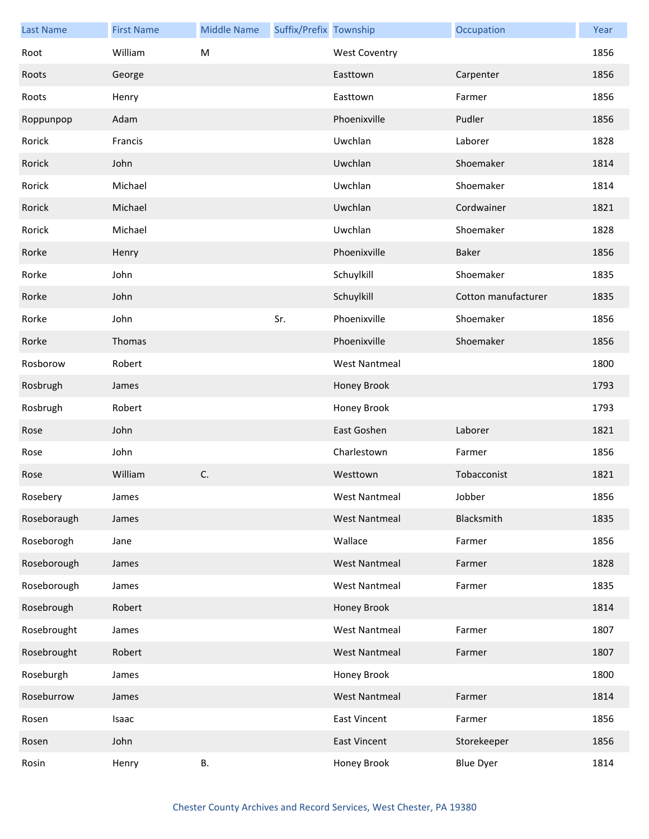| <b>Last Name</b> | <b>First Name</b> | <b>Middle Name</b> | Suffix/Prefix Township |                      | Occupation          | Year |
|------------------|-------------------|--------------------|------------------------|----------------------|---------------------|------|
| Root             | William           | M                  |                        | <b>West Coventry</b> |                     | 1856 |
| Roots            | George            |                    |                        | Easttown             | Carpenter           | 1856 |
| Roots            | Henry             |                    |                        | Easttown             | Farmer              | 1856 |
| Roppunpop        | Adam              |                    |                        | Phoenixville         | Pudler              | 1856 |
| Rorick           | Francis           |                    |                        | Uwchlan              | Laborer             | 1828 |
| Rorick           | John              |                    |                        | Uwchlan              | Shoemaker           | 1814 |
| Rorick           | Michael           |                    |                        | Uwchlan              | Shoemaker           | 1814 |
| Rorick           | Michael           |                    |                        | Uwchlan              | Cordwainer          | 1821 |
| Rorick           | Michael           |                    |                        | Uwchlan              | Shoemaker           | 1828 |
| Rorke            | Henry             |                    |                        | Phoenixville         | <b>Baker</b>        | 1856 |
| Rorke            | John              |                    |                        | Schuylkill           | Shoemaker           | 1835 |
| Rorke            | John              |                    |                        | Schuylkill           | Cotton manufacturer | 1835 |
| Rorke            | John              |                    | Sr.                    | Phoenixville         | Shoemaker           | 1856 |
| Rorke            | Thomas            |                    |                        | Phoenixville         | Shoemaker           | 1856 |
| Rosborow         | Robert            |                    |                        | <b>West Nantmeal</b> |                     | 1800 |
| Rosbrugh         | James             |                    |                        | Honey Brook          |                     | 1793 |
| Rosbrugh         | Robert            |                    |                        | Honey Brook          |                     | 1793 |
| Rose             | John              |                    |                        | East Goshen          | Laborer             | 1821 |
| Rose             | John              |                    |                        | Charlestown          | Farmer              | 1856 |
| Rose             | William           | C.                 |                        | Westtown             | Tobacconist         | 1821 |
| Rosebery         | James             |                    |                        | West Nantmeal        | Jobber              | 1856 |
| Roseboraugh      | James             |                    |                        | <b>West Nantmeal</b> | Blacksmith          | 1835 |
| Roseborogh       | Jane              |                    |                        | Wallace              | Farmer              | 1856 |
| Roseborough      | James             |                    |                        | <b>West Nantmeal</b> | Farmer              | 1828 |
| Roseborough      | James             |                    |                        | <b>West Nantmeal</b> | Farmer              | 1835 |
| Rosebrough       | Robert            |                    |                        | Honey Brook          |                     | 1814 |
| Rosebrought      | James             |                    |                        | <b>West Nantmeal</b> | Farmer              | 1807 |
| Rosebrought      | Robert            |                    |                        | <b>West Nantmeal</b> | Farmer              | 1807 |
| Roseburgh        | James             |                    |                        | Honey Brook          |                     | 1800 |
| Roseburrow       | James             |                    |                        | <b>West Nantmeal</b> | Farmer              | 1814 |
| Rosen            | Isaac             |                    |                        | <b>East Vincent</b>  | Farmer              | 1856 |
| Rosen            | John              |                    |                        | <b>East Vincent</b>  | Storekeeper         | 1856 |
| Rosin            | Henry             | В.                 |                        | Honey Brook          | <b>Blue Dyer</b>    | 1814 |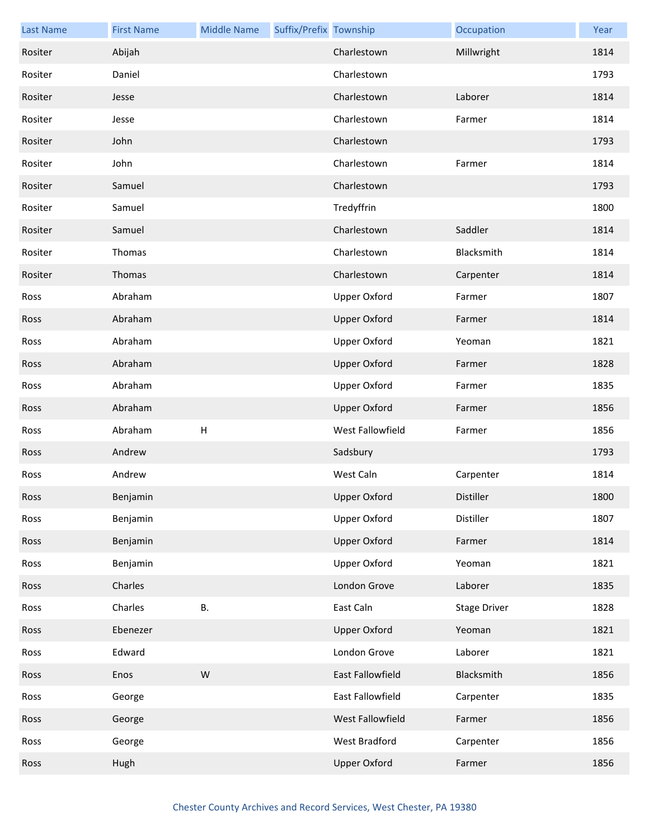| <b>Last Name</b> | <b>First Name</b> | <b>Middle Name</b>        | Suffix/Prefix Township |                     | Occupation          | Year |
|------------------|-------------------|---------------------------|------------------------|---------------------|---------------------|------|
| Rositer          | Abijah            |                           |                        | Charlestown         | Millwright          | 1814 |
| Rositer          | Daniel            |                           |                        | Charlestown         |                     | 1793 |
| Rositer          | Jesse             |                           |                        | Charlestown         | Laborer             | 1814 |
| Rositer          | Jesse             |                           |                        | Charlestown         | Farmer              | 1814 |
| Rositer          | John              |                           |                        | Charlestown         |                     | 1793 |
| Rositer          | John              |                           |                        | Charlestown         | Farmer              | 1814 |
| Rositer          | Samuel            |                           |                        | Charlestown         |                     | 1793 |
| Rositer          | Samuel            |                           |                        | Tredyffrin          |                     | 1800 |
| Rositer          | Samuel            |                           |                        | Charlestown         | Saddler             | 1814 |
| Rositer          | Thomas            |                           |                        | Charlestown         | Blacksmith          | 1814 |
| Rositer          | Thomas            |                           |                        | Charlestown         | Carpenter           | 1814 |
| Ross             | Abraham           |                           |                        | <b>Upper Oxford</b> | Farmer              | 1807 |
| Ross             | Abraham           |                           |                        | <b>Upper Oxford</b> | Farmer              | 1814 |
| Ross             | Abraham           |                           |                        | Upper Oxford        | Yeoman              | 1821 |
| Ross             | Abraham           |                           |                        | <b>Upper Oxford</b> | Farmer              | 1828 |
| Ross             | Abraham           |                           |                        | <b>Upper Oxford</b> | Farmer              | 1835 |
| Ross             | Abraham           |                           |                        | <b>Upper Oxford</b> | Farmer              | 1856 |
| Ross             | Abraham           | $\boldsymbol{\mathsf{H}}$ |                        | West Fallowfield    | Farmer              | 1856 |
| Ross             | Andrew            |                           |                        | Sadsbury            |                     | 1793 |
| Ross             | Andrew            |                           |                        | West Caln           | Carpenter           | 1814 |
| Ross             | Benjamin          |                           |                        | Upper Oxford        | Distiller           | 1800 |
| Ross             | Benjamin          |                           |                        | <b>Upper Oxford</b> | Distiller           | 1807 |
| Ross             | Benjamin          |                           |                        | <b>Upper Oxford</b> | Farmer              | 1814 |
| Ross             | Benjamin          |                           |                        | <b>Upper Oxford</b> | Yeoman              | 1821 |
| Ross             | Charles           |                           |                        | London Grove        | Laborer             | 1835 |
| Ross             | Charles           | <b>B.</b>                 |                        | East Caln           | <b>Stage Driver</b> | 1828 |
| Ross             | Ebenezer          |                           |                        | <b>Upper Oxford</b> | Yeoman              | 1821 |
| Ross             | Edward            |                           |                        | London Grove        | Laborer             | 1821 |
| Ross             | Enos              | W                         |                        | East Fallowfield    | Blacksmith          | 1856 |
| Ross             | George            |                           |                        | East Fallowfield    | Carpenter           | 1835 |
| Ross             | George            |                           |                        | West Fallowfield    | Farmer              | 1856 |
| Ross             | George            |                           |                        | West Bradford       | Carpenter           | 1856 |
| Ross             | Hugh              |                           |                        | <b>Upper Oxford</b> | Farmer              | 1856 |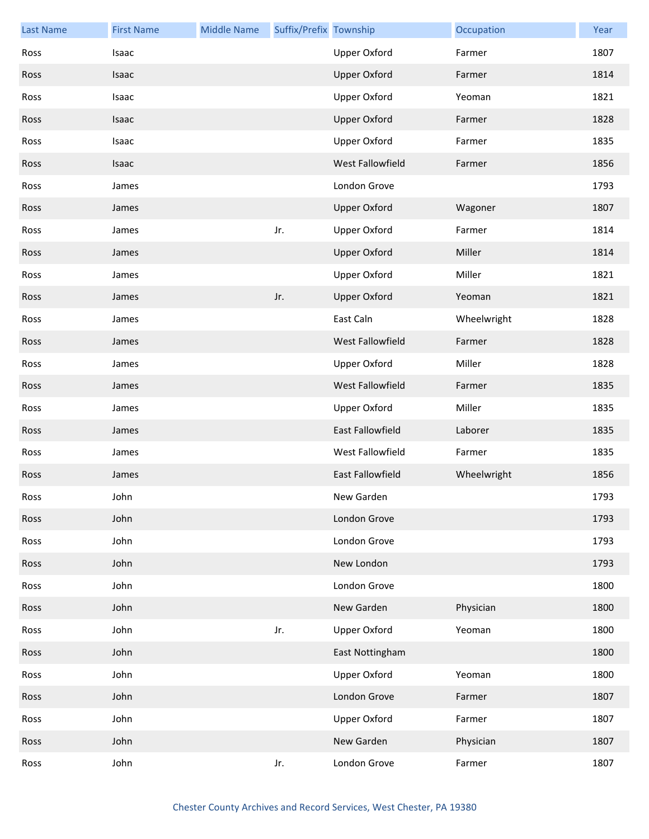| <b>Last Name</b> | <b>First Name</b> | <b>Middle Name</b> | Suffix/Prefix Township |                         | Occupation  | Year |
|------------------|-------------------|--------------------|------------------------|-------------------------|-------------|------|
| Ross             | Isaac             |                    |                        | <b>Upper Oxford</b>     | Farmer      | 1807 |
| Ross             | Isaac             |                    |                        | <b>Upper Oxford</b>     | Farmer      | 1814 |
| Ross             | Isaac             |                    |                        | <b>Upper Oxford</b>     | Yeoman      | 1821 |
| Ross             | Isaac             |                    |                        | <b>Upper Oxford</b>     | Farmer      | 1828 |
| Ross             | Isaac             |                    |                        | <b>Upper Oxford</b>     | Farmer      | 1835 |
| Ross             | Isaac             |                    |                        | West Fallowfield        | Farmer      | 1856 |
| Ross             | James             |                    |                        | London Grove            |             | 1793 |
| Ross             | James             |                    |                        | <b>Upper Oxford</b>     | Wagoner     | 1807 |
| Ross             | James             |                    | Jr.                    | <b>Upper Oxford</b>     | Farmer      | 1814 |
| Ross             | James             |                    |                        | <b>Upper Oxford</b>     | Miller      | 1814 |
| Ross             | James             |                    |                        | <b>Upper Oxford</b>     | Miller      | 1821 |
| Ross             | James             |                    | Jr.                    | <b>Upper Oxford</b>     | Yeoman      | 1821 |
| Ross             | James             |                    |                        | East Caln               | Wheelwright | 1828 |
| Ross             | James             |                    |                        | West Fallowfield        | Farmer      | 1828 |
| Ross             | James             |                    |                        | <b>Upper Oxford</b>     | Miller      | 1828 |
| Ross             | James             |                    |                        | <b>West Fallowfield</b> | Farmer      | 1835 |
| Ross             | James             |                    |                        | <b>Upper Oxford</b>     | Miller      | 1835 |
| Ross             | James             |                    |                        | East Fallowfield        | Laborer     | 1835 |
| Ross             | James             |                    |                        | West Fallowfield        | Farmer      | 1835 |
| Ross             | James             |                    |                        | East Fallowfield        | Wheelwright | 1856 |
| Ross             | John              |                    |                        | New Garden              |             | 1793 |
| Ross             | John              |                    |                        | London Grove            |             | 1793 |
| Ross             | John              |                    |                        | London Grove            |             | 1793 |
| Ross             | John              |                    |                        | New London              |             | 1793 |
| Ross             | John              |                    |                        | London Grove            |             | 1800 |
| Ross             | John              |                    |                        | New Garden              | Physician   | 1800 |
| Ross             | John              |                    | Jr.                    | <b>Upper Oxford</b>     | Yeoman      | 1800 |
| Ross             | John              |                    |                        | East Nottingham         |             | 1800 |
| Ross             | John              |                    |                        | <b>Upper Oxford</b>     | Yeoman      | 1800 |
| Ross             | John              |                    |                        | London Grove            | Farmer      | 1807 |
| Ross             | John              |                    |                        | <b>Upper Oxford</b>     | Farmer      | 1807 |
| Ross             | John              |                    |                        | New Garden              | Physician   | 1807 |
| Ross             | John              |                    | Jr.                    | London Grove            | Farmer      | 1807 |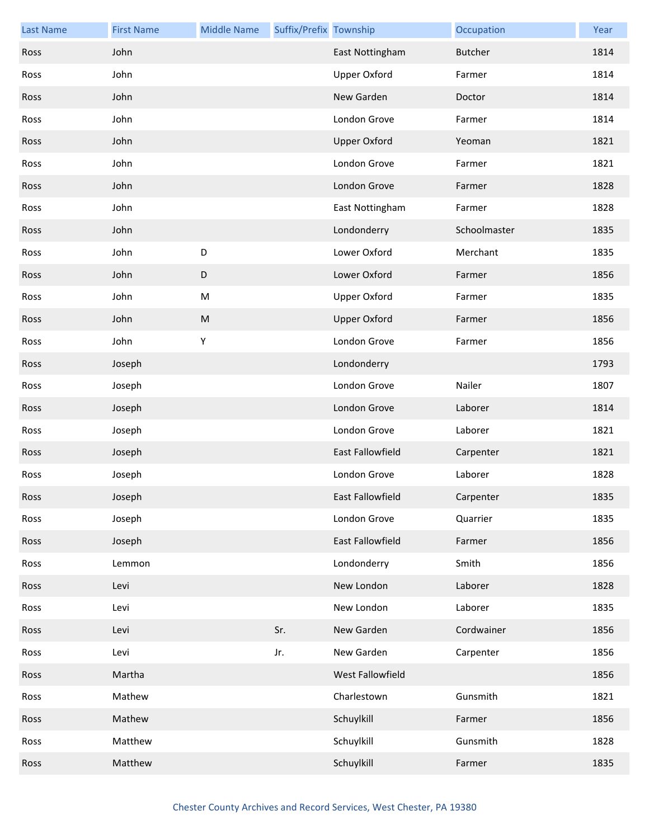| <b>Last Name</b> | <b>First Name</b> | <b>Middle Name</b> | Suffix/Prefix Township |                     | Occupation     | Year |
|------------------|-------------------|--------------------|------------------------|---------------------|----------------|------|
| Ross             | John              |                    |                        | East Nottingham     | <b>Butcher</b> | 1814 |
| Ross             | John              |                    |                        | <b>Upper Oxford</b> | Farmer         | 1814 |
| Ross             | John              |                    |                        | New Garden          | Doctor         | 1814 |
| Ross             | John              |                    |                        | London Grove        | Farmer         | 1814 |
| Ross             | John              |                    |                        | <b>Upper Oxford</b> | Yeoman         | 1821 |
| Ross             | John              |                    |                        | London Grove        | Farmer         | 1821 |
| Ross             | John              |                    |                        | London Grove        | Farmer         | 1828 |
| Ross             | John              |                    |                        | East Nottingham     | Farmer         | 1828 |
| Ross             | John              |                    |                        | Londonderry         | Schoolmaster   | 1835 |
| Ross             | John              | D                  |                        | Lower Oxford        | Merchant       | 1835 |
| Ross             | John              | D                  |                        | Lower Oxford        | Farmer         | 1856 |
| Ross             | John              | ${\sf M}$          |                        | <b>Upper Oxford</b> | Farmer         | 1835 |
| Ross             | John              | ${\sf M}$          |                        | <b>Upper Oxford</b> | Farmer         | 1856 |
| Ross             | John              | Υ                  |                        | London Grove        | Farmer         | 1856 |
| Ross             | Joseph            |                    |                        | Londonderry         |                | 1793 |
| Ross             | Joseph            |                    |                        | London Grove        | Nailer         | 1807 |
| Ross             | Joseph            |                    |                        | London Grove        | Laborer        | 1814 |
| Ross             | Joseph            |                    |                        | London Grove        | Laborer        | 1821 |
| Ross             | Joseph            |                    |                        | East Fallowfield    | Carpenter      | 1821 |
| Ross             | Joseph            |                    |                        | London Grove        | Laborer        | 1828 |
| Ross             | Joseph            |                    |                        | East Fallowfield    | Carpenter      | 1835 |
| Ross             | Joseph            |                    |                        | London Grove        | Quarrier       | 1835 |
| Ross             | Joseph            |                    |                        | East Fallowfield    | Farmer         | 1856 |
| Ross             | Lemmon            |                    |                        | Londonderry         | Smith          | 1856 |
| Ross             | Levi              |                    |                        | New London          | Laborer        | 1828 |
| Ross             | Levi              |                    |                        | New London          | Laborer        | 1835 |
| Ross             | Levi              |                    | Sr.                    | New Garden          | Cordwainer     | 1856 |
| Ross             | Levi              |                    | Jr.                    | New Garden          | Carpenter      | 1856 |
| Ross             | Martha            |                    |                        | West Fallowfield    |                | 1856 |
| Ross             | Mathew            |                    |                        | Charlestown         | Gunsmith       | 1821 |
| Ross             | Mathew            |                    |                        | Schuylkill          | Farmer         | 1856 |
| Ross             | Matthew           |                    |                        | Schuylkill          | Gunsmith       | 1828 |
| Ross             | Matthew           |                    |                        | Schuylkill          | Farmer         | 1835 |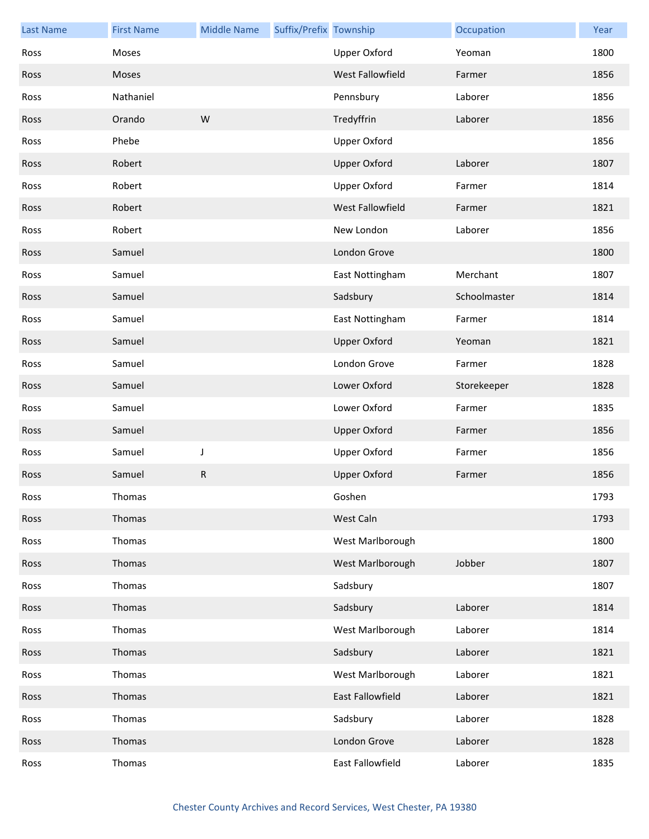| <b>Last Name</b> | <b>First Name</b> | <b>Middle Name</b> | Suffix/Prefix Township |                     | Occupation   | Year |
|------------------|-------------------|--------------------|------------------------|---------------------|--------------|------|
| Ross             | <b>Moses</b>      |                    |                        | <b>Upper Oxford</b> | Yeoman       | 1800 |
| Ross             | Moses             |                    |                        | West Fallowfield    | Farmer       | 1856 |
| Ross             | Nathaniel         |                    |                        | Pennsbury           | Laborer      | 1856 |
| Ross             | Orando            | W                  |                        | Tredyffrin          | Laborer      | 1856 |
| Ross             | Phebe             |                    |                        | <b>Upper Oxford</b> |              | 1856 |
| Ross             | Robert            |                    |                        | <b>Upper Oxford</b> | Laborer      | 1807 |
| Ross             | Robert            |                    |                        | <b>Upper Oxford</b> | Farmer       | 1814 |
| Ross             | Robert            |                    |                        | West Fallowfield    | Farmer       | 1821 |
| Ross             | Robert            |                    |                        | New London          | Laborer      | 1856 |
| Ross             | Samuel            |                    |                        | London Grove        |              | 1800 |
| Ross             | Samuel            |                    |                        | East Nottingham     | Merchant     | 1807 |
| Ross             | Samuel            |                    |                        | Sadsbury            | Schoolmaster | 1814 |
| Ross             | Samuel            |                    |                        | East Nottingham     | Farmer       | 1814 |
| Ross             | Samuel            |                    |                        | <b>Upper Oxford</b> | Yeoman       | 1821 |
| Ross             | Samuel            |                    |                        | London Grove        | Farmer       | 1828 |
| Ross             | Samuel            |                    |                        | Lower Oxford        | Storekeeper  | 1828 |
| Ross             | Samuel            |                    |                        | Lower Oxford        | Farmer       | 1835 |
| Ross             | Samuel            |                    |                        | <b>Upper Oxford</b> | Farmer       | 1856 |
| Ross             | Samuel            | J                  |                        | <b>Upper Oxford</b> | Farmer       | 1856 |
| Ross             | Samuel            | ${\sf R}$          |                        | <b>Upper Oxford</b> | Farmer       | 1856 |
| Ross             | Thomas            |                    |                        | Goshen              |              | 1793 |
| Ross             | Thomas            |                    |                        | West Caln           |              | 1793 |
| Ross             | Thomas            |                    |                        | West Marlborough    |              | 1800 |
| Ross             | Thomas            |                    |                        | West Marlborough    | Jobber       | 1807 |
| Ross             | Thomas            |                    |                        | Sadsbury            |              | 1807 |
| Ross             | Thomas            |                    |                        | Sadsbury            | Laborer      | 1814 |
| Ross             | Thomas            |                    |                        | West Marlborough    | Laborer      | 1814 |
| Ross             | Thomas            |                    |                        | Sadsbury            | Laborer      | 1821 |
| Ross             | Thomas            |                    |                        | West Marlborough    | Laborer      | 1821 |
| Ross             | Thomas            |                    |                        | East Fallowfield    | Laborer      | 1821 |
| Ross             | Thomas            |                    |                        | Sadsbury            | Laborer      | 1828 |
| Ross             | Thomas            |                    |                        | London Grove        | Laborer      | 1828 |
| Ross             | Thomas            |                    |                        | East Fallowfield    | Laborer      | 1835 |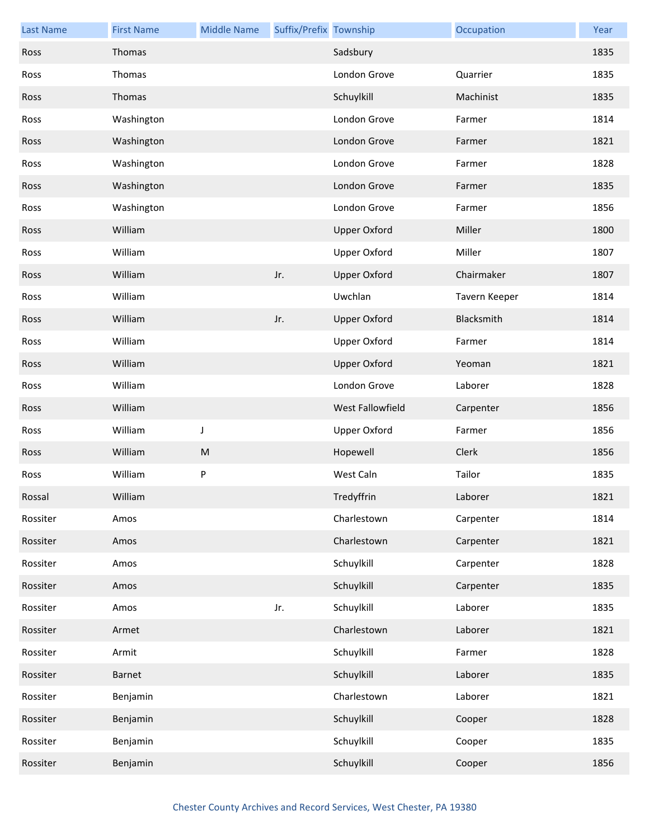| <b>Last Name</b> | <b>First Name</b> | <b>Middle Name</b> | Suffix/Prefix Township |                     | Occupation    | Year |
|------------------|-------------------|--------------------|------------------------|---------------------|---------------|------|
| Ross             | Thomas            |                    |                        | Sadsbury            |               | 1835 |
| Ross             | Thomas            |                    |                        | London Grove        | Quarrier      | 1835 |
| Ross             | Thomas            |                    |                        | Schuylkill          | Machinist     | 1835 |
| Ross             | Washington        |                    |                        | London Grove        | Farmer        | 1814 |
| Ross             | Washington        |                    |                        | London Grove        | Farmer        | 1821 |
| Ross             | Washington        |                    |                        | London Grove        | Farmer        | 1828 |
| Ross             | Washington        |                    |                        | London Grove        | Farmer        | 1835 |
| Ross             | Washington        |                    |                        | London Grove        | Farmer        | 1856 |
| Ross             | William           |                    |                        | <b>Upper Oxford</b> | Miller        | 1800 |
| Ross             | William           |                    |                        | <b>Upper Oxford</b> | Miller        | 1807 |
| Ross             | William           |                    | Jr.                    | <b>Upper Oxford</b> | Chairmaker    | 1807 |
| Ross             | William           |                    |                        | Uwchlan             | Tavern Keeper | 1814 |
| Ross             | William           |                    | Jr.                    | <b>Upper Oxford</b> | Blacksmith    | 1814 |
| Ross             | William           |                    |                        | <b>Upper Oxford</b> | Farmer        | 1814 |
| Ross             | William           |                    |                        | <b>Upper Oxford</b> | Yeoman        | 1821 |
| Ross             | William           |                    |                        | London Grove        | Laborer       | 1828 |
| Ross             | William           |                    |                        | West Fallowfield    | Carpenter     | 1856 |
| Ross             | William           | J                  |                        | <b>Upper Oxford</b> | Farmer        | 1856 |
| Ross             | William           | ${\sf M}$          |                        | Hopewell            | Clerk         | 1856 |
| Ross             | William           | P                  |                        | West Caln           | Tailor        | 1835 |
| Rossal           | William           |                    |                        | Tredyffrin          | Laborer       | 1821 |
| Rossiter         | Amos              |                    |                        | Charlestown         | Carpenter     | 1814 |
| Rossiter         | Amos              |                    |                        | Charlestown         | Carpenter     | 1821 |
| Rossiter         | Amos              |                    |                        | Schuylkill          | Carpenter     | 1828 |
| Rossiter         | Amos              |                    |                        | Schuylkill          | Carpenter     | 1835 |
| Rossiter         | Amos              |                    | Jr.                    | Schuylkill          | Laborer       | 1835 |
| Rossiter         | Armet             |                    |                        | Charlestown         | Laborer       | 1821 |
| Rossiter         | Armit             |                    |                        | Schuylkill          | Farmer        | 1828 |
| Rossiter         | Barnet            |                    |                        | Schuylkill          | Laborer       | 1835 |
| Rossiter         | Benjamin          |                    |                        | Charlestown         | Laborer       | 1821 |
| Rossiter         | Benjamin          |                    |                        | Schuylkill          | Cooper        | 1828 |
| Rossiter         | Benjamin          |                    |                        | Schuylkill          | Cooper        | 1835 |
| Rossiter         | Benjamin          |                    |                        | Schuylkill          | Cooper        | 1856 |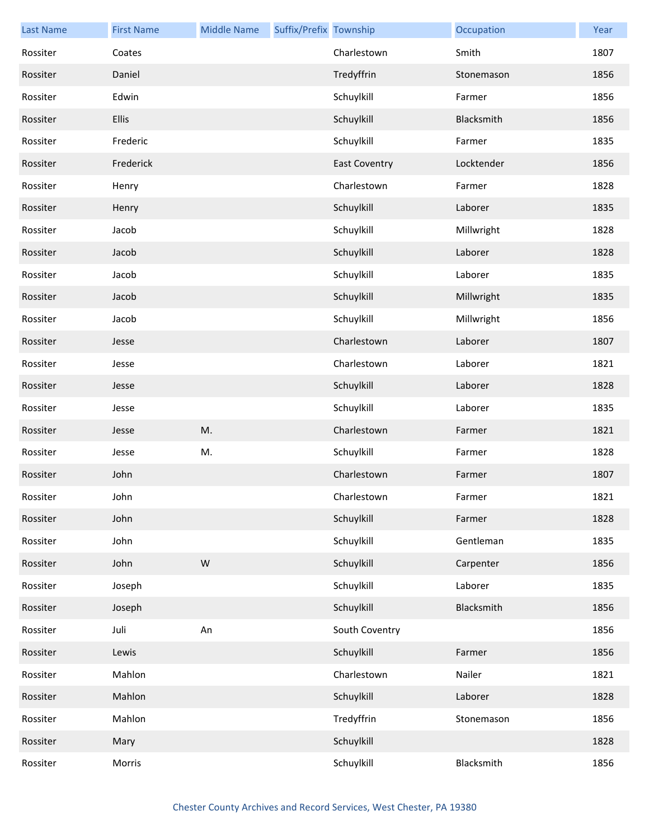| <b>Last Name</b> | <b>First Name</b> | <b>Middle Name</b> | Suffix/Prefix Township |                      | Occupation | Year |
|------------------|-------------------|--------------------|------------------------|----------------------|------------|------|
| Rossiter         | Coates            |                    |                        | Charlestown          | Smith      | 1807 |
| Rossiter         | Daniel            |                    |                        | Tredyffrin           | Stonemason | 1856 |
| Rossiter         | Edwin             |                    |                        | Schuylkill           | Farmer     | 1856 |
| Rossiter         | Ellis             |                    |                        | Schuylkill           | Blacksmith | 1856 |
| Rossiter         | Frederic          |                    |                        | Schuylkill           | Farmer     | 1835 |
| Rossiter         | Frederick         |                    |                        | <b>East Coventry</b> | Locktender | 1856 |
| Rossiter         | Henry             |                    |                        | Charlestown          | Farmer     | 1828 |
| Rossiter         | Henry             |                    |                        | Schuylkill           | Laborer    | 1835 |
| Rossiter         | Jacob             |                    |                        | Schuylkill           | Millwright | 1828 |
| Rossiter         | Jacob             |                    |                        | Schuylkill           | Laborer    | 1828 |
| Rossiter         | Jacob             |                    |                        | Schuylkill           | Laborer    | 1835 |
| Rossiter         | Jacob             |                    |                        | Schuylkill           | Millwright | 1835 |
| Rossiter         | Jacob             |                    |                        | Schuylkill           | Millwright | 1856 |
| Rossiter         | Jesse             |                    |                        | Charlestown          | Laborer    | 1807 |
| Rossiter         | Jesse             |                    |                        | Charlestown          | Laborer    | 1821 |
| Rossiter         | Jesse             |                    |                        | Schuylkill           | Laborer    | 1828 |
| Rossiter         | Jesse             |                    |                        | Schuylkill           | Laborer    | 1835 |
| Rossiter         | Jesse             | M.                 |                        | Charlestown          | Farmer     | 1821 |
| Rossiter         | Jesse             | M.                 |                        | Schuylkill           | Farmer     | 1828 |
| Rossiter         | John              |                    |                        | Charlestown          | Farmer     | 1807 |
| Rossiter         | John              |                    |                        | Charlestown          | Farmer     | 1821 |
| Rossiter         | John              |                    |                        | Schuylkill           | Farmer     | 1828 |
| Rossiter         | John              |                    |                        | Schuylkill           | Gentleman  | 1835 |
| Rossiter         | John              | ${\sf W}$          |                        | Schuylkill           | Carpenter  | 1856 |
| Rossiter         | Joseph            |                    |                        | Schuylkill           | Laborer    | 1835 |
| Rossiter         | Joseph            |                    |                        | Schuylkill           | Blacksmith | 1856 |
| Rossiter         | Juli              | An                 |                        | South Coventry       |            | 1856 |
| Rossiter         | Lewis             |                    |                        | Schuylkill           | Farmer     | 1856 |
| Rossiter         | Mahlon            |                    |                        | Charlestown          | Nailer     | 1821 |
| Rossiter         | Mahlon            |                    |                        | Schuylkill           | Laborer    | 1828 |
| Rossiter         | Mahlon            |                    |                        | Tredyffrin           | Stonemason | 1856 |
| Rossiter         | Mary              |                    |                        | Schuylkill           |            | 1828 |
| Rossiter         | Morris            |                    |                        | Schuylkill           | Blacksmith | 1856 |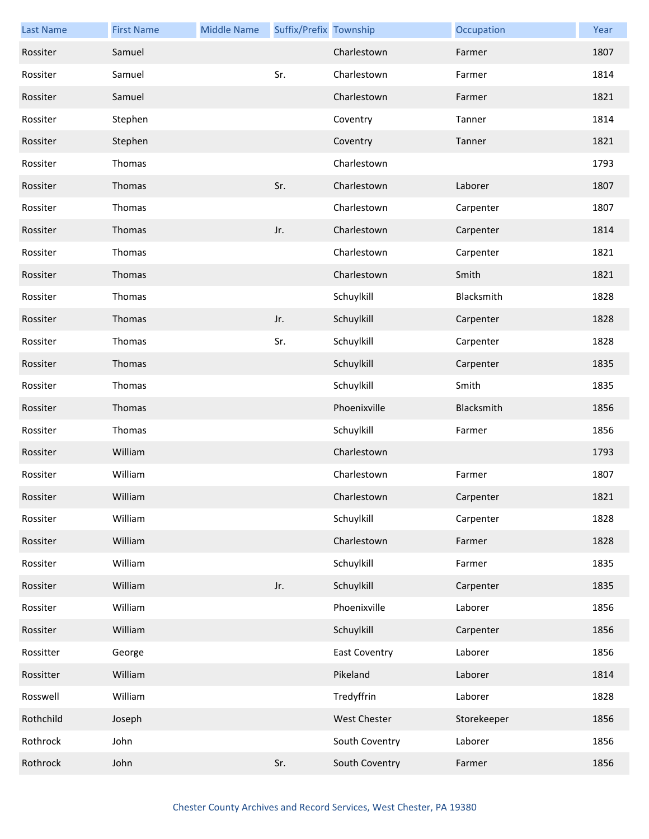| <b>Last Name</b> | <b>First Name</b> | <b>Middle Name</b> | Suffix/Prefix Township |                      | Occupation  | Year |
|------------------|-------------------|--------------------|------------------------|----------------------|-------------|------|
| Rossiter         | Samuel            |                    |                        | Charlestown          | Farmer      | 1807 |
| Rossiter         | Samuel            |                    | Sr.                    | Charlestown          | Farmer      | 1814 |
| Rossiter         | Samuel            |                    |                        | Charlestown          | Farmer      | 1821 |
| Rossiter         | Stephen           |                    |                        | Coventry             | Tanner      | 1814 |
| Rossiter         | Stephen           |                    |                        | Coventry             | Tanner      | 1821 |
| Rossiter         | Thomas            |                    |                        | Charlestown          |             | 1793 |
| Rossiter         | Thomas            |                    | Sr.                    | Charlestown          | Laborer     | 1807 |
| Rossiter         | Thomas            |                    |                        | Charlestown          | Carpenter   | 1807 |
| Rossiter         | Thomas            |                    | Jr.                    | Charlestown          | Carpenter   | 1814 |
| Rossiter         | Thomas            |                    |                        | Charlestown          | Carpenter   | 1821 |
| Rossiter         | Thomas            |                    |                        | Charlestown          | Smith       | 1821 |
| Rossiter         | Thomas            |                    |                        | Schuylkill           | Blacksmith  | 1828 |
| Rossiter         | Thomas            |                    | Jr.                    | Schuylkill           | Carpenter   | 1828 |
| Rossiter         | Thomas            |                    | Sr.                    | Schuylkill           | Carpenter   | 1828 |
| Rossiter         | Thomas            |                    |                        | Schuylkill           | Carpenter   | 1835 |
| Rossiter         | Thomas            |                    |                        | Schuylkill           | Smith       | 1835 |
| Rossiter         | Thomas            |                    |                        | Phoenixville         | Blacksmith  | 1856 |
| Rossiter         | Thomas            |                    |                        | Schuylkill           | Farmer      | 1856 |
| Rossiter         | William           |                    |                        | Charlestown          |             | 1793 |
| Rossiter         | William           |                    |                        | Charlestown          | Farmer      | 1807 |
| Rossiter         | William           |                    |                        | Charlestown          | Carpenter   | 1821 |
| Rossiter         | William           |                    |                        | Schuylkill           | Carpenter   | 1828 |
| Rossiter         | William           |                    |                        | Charlestown          | Farmer      | 1828 |
| Rossiter         | William           |                    |                        | Schuylkill           | Farmer      | 1835 |
| Rossiter         | William           |                    | Jr.                    | Schuylkill           | Carpenter   | 1835 |
| Rossiter         | William           |                    |                        | Phoenixville         | Laborer     | 1856 |
| Rossiter         | William           |                    |                        | Schuylkill           | Carpenter   | 1856 |
| Rossitter        | George            |                    |                        | <b>East Coventry</b> | Laborer     | 1856 |
| Rossitter        | William           |                    |                        | Pikeland             | Laborer     | 1814 |
| Rosswell         | William           |                    |                        | Tredyffrin           | Laborer     | 1828 |
| Rothchild        | Joseph            |                    |                        | West Chester         | Storekeeper | 1856 |
| Rothrock         | John              |                    |                        | South Coventry       | Laborer     | 1856 |
| Rothrock         | John              |                    | Sr.                    | South Coventry       | Farmer      | 1856 |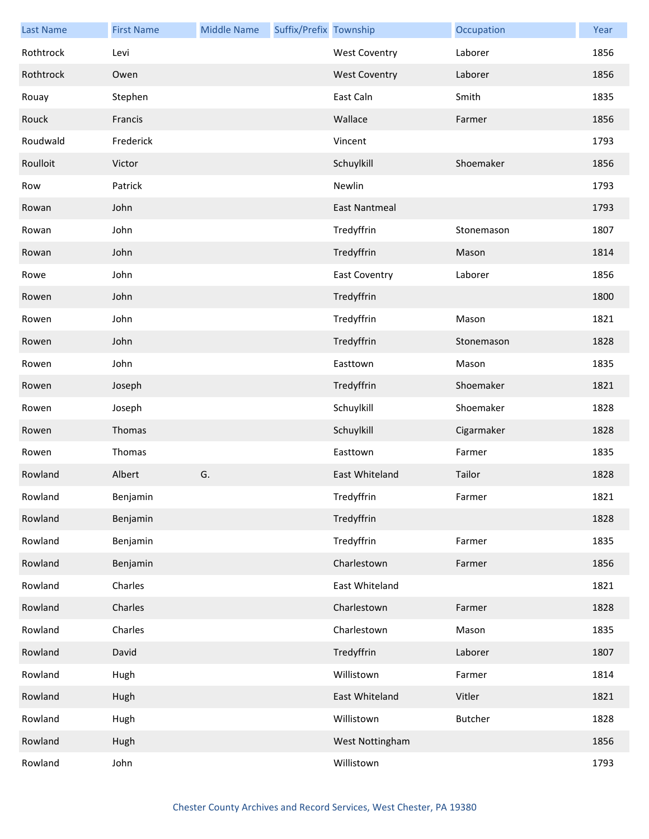| <b>Last Name</b> | <b>First Name</b> | <b>Middle Name</b> | Suffix/Prefix Township |                      | Occupation     | Year |
|------------------|-------------------|--------------------|------------------------|----------------------|----------------|------|
| Rothtrock        | Levi              |                    |                        | <b>West Coventry</b> | Laborer        | 1856 |
| Rothtrock        | Owen              |                    |                        | <b>West Coventry</b> | Laborer        | 1856 |
| Rouay            | Stephen           |                    |                        | East Caln            | Smith          | 1835 |
| Rouck            | Francis           |                    |                        | Wallace              | Farmer         | 1856 |
| Roudwald         | Frederick         |                    |                        | Vincent              |                | 1793 |
| Roulloit         | Victor            |                    |                        | Schuylkill           | Shoemaker      | 1856 |
| Row              | Patrick           |                    |                        | Newlin               |                | 1793 |
| Rowan            | John              |                    |                        | <b>East Nantmeal</b> |                | 1793 |
| Rowan            | John              |                    |                        | Tredyffrin           | Stonemason     | 1807 |
| Rowan            | John              |                    |                        | Tredyffrin           | Mason          | 1814 |
| Rowe             | John              |                    |                        | <b>East Coventry</b> | Laborer        | 1856 |
| Rowen            | John              |                    |                        | Tredyffrin           |                | 1800 |
| Rowen            | John              |                    |                        | Tredyffrin           | Mason          | 1821 |
| Rowen            | John              |                    |                        | Tredyffrin           | Stonemason     | 1828 |
| Rowen            | John              |                    |                        | Easttown             | Mason          | 1835 |
| Rowen            | Joseph            |                    |                        | Tredyffrin           | Shoemaker      | 1821 |
| Rowen            | Joseph            |                    |                        | Schuylkill           | Shoemaker      | 1828 |
| Rowen            | Thomas            |                    |                        | Schuylkill           | Cigarmaker     | 1828 |
| Rowen            | Thomas            |                    |                        | Easttown             | Farmer         | 1835 |
| Rowland          | Albert            | G.                 |                        | East Whiteland       | Tailor         | 1828 |
| Rowland          | Benjamin          |                    |                        | Tredyffrin           | Farmer         | 1821 |
| Rowland          | Benjamin          |                    |                        | Tredyffrin           |                | 1828 |
| Rowland          | Benjamin          |                    |                        | Tredyffrin           | Farmer         | 1835 |
| Rowland          | Benjamin          |                    |                        | Charlestown          | Farmer         | 1856 |
| Rowland          | Charles           |                    |                        | East Whiteland       |                | 1821 |
| Rowland          | Charles           |                    |                        | Charlestown          | Farmer         | 1828 |
| Rowland          | Charles           |                    |                        | Charlestown          | Mason          | 1835 |
| Rowland          | David             |                    |                        | Tredyffrin           | Laborer        | 1807 |
| Rowland          | Hugh              |                    |                        | Willistown           | Farmer         | 1814 |
| Rowland          | Hugh              |                    |                        | East Whiteland       | Vitler         | 1821 |
| Rowland          | Hugh              |                    |                        | Willistown           | <b>Butcher</b> | 1828 |
| Rowland          | Hugh              |                    |                        | West Nottingham      |                | 1856 |
| Rowland          | John              |                    |                        | Willistown           |                | 1793 |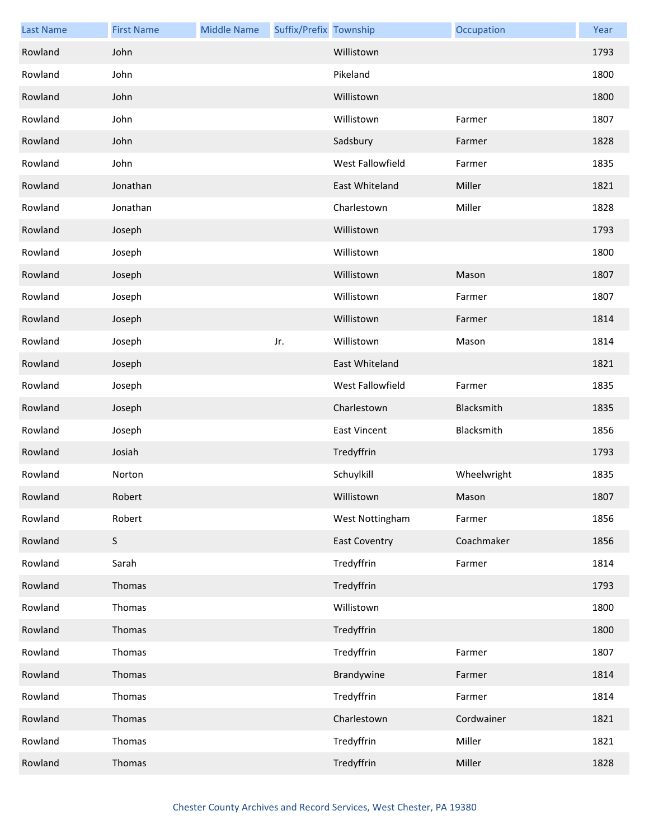| <b>Last Name</b> | <b>First Name</b> | <b>Middle Name</b> | Suffix/Prefix Township |                      | Occupation  | Year |
|------------------|-------------------|--------------------|------------------------|----------------------|-------------|------|
| Rowland          | John              |                    |                        | Willistown           |             | 1793 |
| Rowland          | John              |                    |                        | Pikeland             |             | 1800 |
| Rowland          | John              |                    |                        | Willistown           |             | 1800 |
| Rowland          | John              |                    |                        | Willistown           | Farmer      | 1807 |
| Rowland          | John              |                    |                        | Sadsbury             | Farmer      | 1828 |
| Rowland          | John              |                    |                        | West Fallowfield     | Farmer      | 1835 |
| Rowland          | Jonathan          |                    |                        | East Whiteland       | Miller      | 1821 |
| Rowland          | Jonathan          |                    |                        | Charlestown          | Miller      | 1828 |
| Rowland          | Joseph            |                    |                        | Willistown           |             | 1793 |
| Rowland          | Joseph            |                    |                        | Willistown           |             | 1800 |
| Rowland          | Joseph            |                    |                        | Willistown           | Mason       | 1807 |
| Rowland          | Joseph            |                    |                        | Willistown           | Farmer      | 1807 |
| Rowland          | Joseph            |                    |                        | Willistown           | Farmer      | 1814 |
| Rowland          | Joseph            |                    | Jr.                    | Willistown           | Mason       | 1814 |
| Rowland          | Joseph            |                    |                        | East Whiteland       |             | 1821 |
| Rowland          | Joseph            |                    |                        | West Fallowfield     | Farmer      | 1835 |
| Rowland          | Joseph            |                    |                        | Charlestown          | Blacksmith  | 1835 |
| Rowland          | Joseph            |                    |                        | <b>East Vincent</b>  | Blacksmith  | 1856 |
| Rowland          | Josiah            |                    |                        | Tredyffrin           |             | 1793 |
| Rowland          | Norton            |                    |                        | Schuylkill           | Wheelwright | 1835 |
| Rowland          | Robert            |                    |                        | Willistown           | Mason       | 1807 |
| Rowland          | Robert            |                    |                        | West Nottingham      | Farmer      | 1856 |
| Rowland          | $\sf S$           |                    |                        | <b>East Coventry</b> | Coachmaker  | 1856 |
| Rowland          | Sarah             |                    |                        | Tredyffrin           | Farmer      | 1814 |
| Rowland          | Thomas            |                    |                        | Tredyffrin           |             | 1793 |
| Rowland          | Thomas            |                    |                        | Willistown           |             | 1800 |
| Rowland          | Thomas            |                    |                        | Tredyffrin           |             | 1800 |
| Rowland          | Thomas            |                    |                        | Tredyffrin           | Farmer      | 1807 |
| Rowland          | Thomas            |                    |                        | Brandywine           | Farmer      | 1814 |
| Rowland          | Thomas            |                    |                        | Tredyffrin           | Farmer      | 1814 |
| Rowland          | Thomas            |                    |                        | Charlestown          | Cordwainer  | 1821 |
| Rowland          | Thomas            |                    |                        | Tredyffrin           | Miller      | 1821 |
| Rowland          | Thomas            |                    |                        | Tredyffrin           | Miller      | 1828 |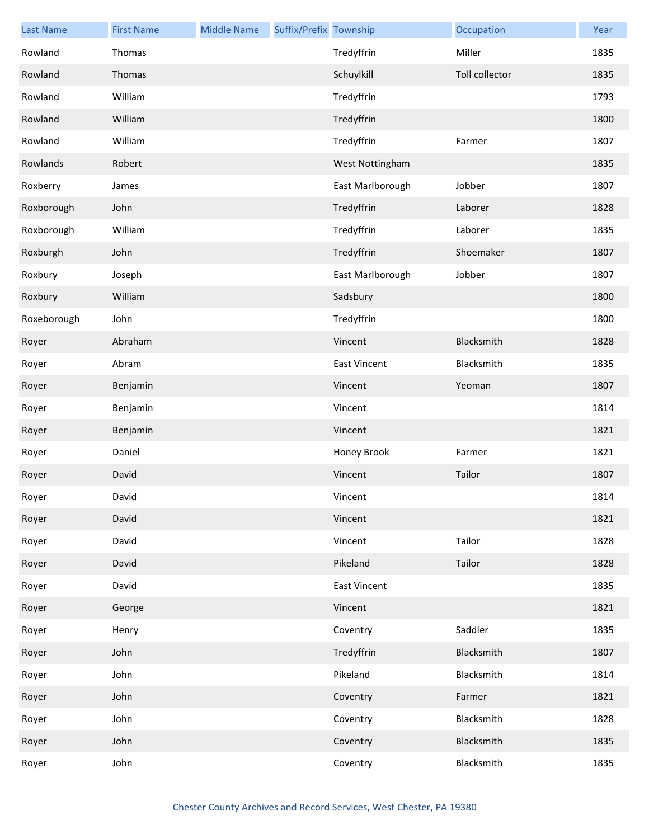| <b>Last Name</b> | <b>First Name</b> | <b>Middle Name</b> | Suffix/Prefix Township |                     | Occupation     | Year |
|------------------|-------------------|--------------------|------------------------|---------------------|----------------|------|
| Rowland          | Thomas            |                    |                        | Tredyffrin          | Miller         | 1835 |
| Rowland          | Thomas            |                    |                        | Schuylkill          | Toll collector | 1835 |
| Rowland          | William           |                    |                        | Tredyffrin          |                | 1793 |
| Rowland          | William           |                    |                        | Tredyffrin          |                | 1800 |
| Rowland          | William           |                    |                        | Tredyffrin          | Farmer         | 1807 |
| Rowlands         | Robert            |                    |                        | West Nottingham     |                | 1835 |
| Roxberry         | James             |                    |                        | East Marlborough    | Jobber         | 1807 |
| Roxborough       | John              |                    |                        | Tredyffrin          | Laborer        | 1828 |
| Roxborough       | William           |                    |                        | Tredyffrin          | Laborer        | 1835 |
| Roxburgh         | John              |                    |                        | Tredyffrin          | Shoemaker      | 1807 |
| Roxbury          | Joseph            |                    |                        | East Marlborough    | Jobber         | 1807 |
| Roxbury          | William           |                    |                        | Sadsbury            |                | 1800 |
| Roxeborough      | John              |                    |                        | Tredyffrin          |                | 1800 |
| Royer            | Abraham           |                    |                        | Vincent             | Blacksmith     | 1828 |
| Royer            | Abram             |                    |                        | <b>East Vincent</b> | Blacksmith     | 1835 |
| Royer            | Benjamin          |                    |                        | Vincent             | Yeoman         | 1807 |
| Royer            | Benjamin          |                    |                        | Vincent             |                | 1814 |
| Royer            | Benjamin          |                    |                        | Vincent             |                | 1821 |
| Royer            | Daniel            |                    |                        | Honey Brook         | Farmer         | 1821 |
| Royer            | David             |                    |                        | Vincent             | Tailor         | 1807 |
| Royer            | David             |                    |                        | Vincent             |                | 1814 |
| Royer            | David             |                    |                        | Vincent             |                | 1821 |
| Royer            | David             |                    |                        | Vincent             | Tailor         | 1828 |
| Royer            | David             |                    |                        | Pikeland            | Tailor         | 1828 |
| Royer            | David             |                    |                        | <b>East Vincent</b> |                | 1835 |
| Royer            | George            |                    |                        | Vincent             |                | 1821 |
| Royer            | Henry             |                    |                        | Coventry            | Saddler        | 1835 |
| Royer            | John              |                    |                        | Tredyffrin          | Blacksmith     | 1807 |
| Royer            | John              |                    |                        | Pikeland            | Blacksmith     | 1814 |
| Royer            | John              |                    |                        | Coventry            | Farmer         | 1821 |
| Royer            | John              |                    |                        | Coventry            | Blacksmith     | 1828 |
| Royer            | John              |                    |                        | Coventry            | Blacksmith     | 1835 |
| Royer            | John              |                    |                        | Coventry            | Blacksmith     | 1835 |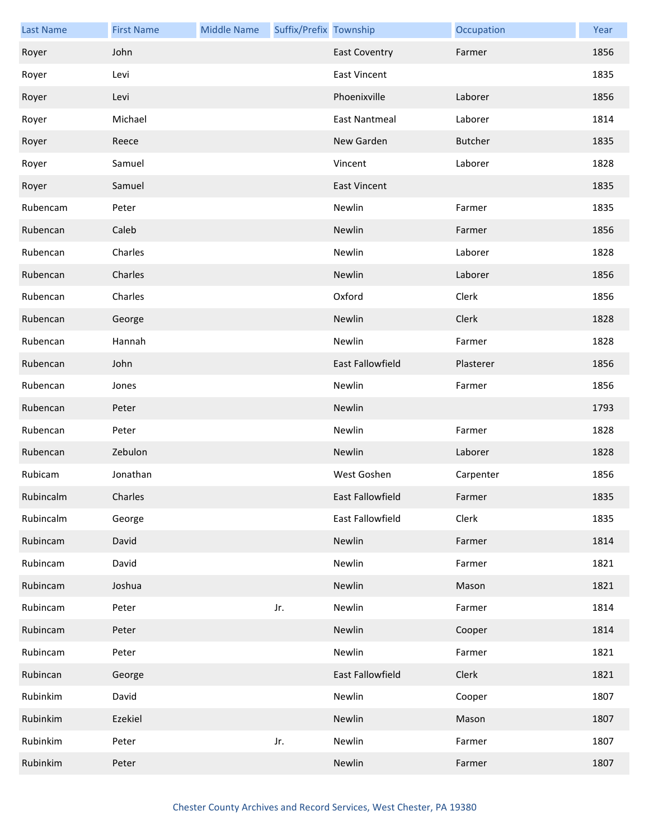| <b>Last Name</b> | <b>First Name</b> | <b>Middle Name</b> | Suffix/Prefix Township |                         | Occupation     | Year |
|------------------|-------------------|--------------------|------------------------|-------------------------|----------------|------|
| Royer            | John              |                    |                        | <b>East Coventry</b>    | Farmer         | 1856 |
| Royer            | Levi              |                    |                        | <b>East Vincent</b>     |                | 1835 |
| Royer            | Levi              |                    |                        | Phoenixville            | Laborer        | 1856 |
| Royer            | Michael           |                    |                        | <b>East Nantmeal</b>    | Laborer        | 1814 |
| Royer            | Reece             |                    |                        | New Garden              | <b>Butcher</b> | 1835 |
| Royer            | Samuel            |                    |                        | Vincent                 | Laborer        | 1828 |
| Royer            | Samuel            |                    |                        | <b>East Vincent</b>     |                | 1835 |
| Rubencam         | Peter             |                    |                        | Newlin                  | Farmer         | 1835 |
| Rubencan         | Caleb             |                    |                        | Newlin                  | Farmer         | 1856 |
| Rubencan         | Charles           |                    |                        | Newlin                  | Laborer        | 1828 |
| Rubencan         | Charles           |                    |                        | Newlin                  | Laborer        | 1856 |
| Rubencan         | Charles           |                    |                        | Oxford                  | Clerk          | 1856 |
| Rubencan         | George            |                    |                        | Newlin                  | Clerk          | 1828 |
| Rubencan         | Hannah            |                    |                        | Newlin                  | Farmer         | 1828 |
| Rubencan         | John              |                    |                        | <b>East Fallowfield</b> | Plasterer      | 1856 |
| Rubencan         | Jones             |                    |                        | Newlin                  | Farmer         | 1856 |
| Rubencan         | Peter             |                    |                        | Newlin                  |                | 1793 |
| Rubencan         | Peter             |                    |                        | Newlin                  | Farmer         | 1828 |
| Rubencan         | Zebulon           |                    |                        | Newlin                  | Laborer        | 1828 |
| Rubicam          | Jonathan          |                    |                        | West Goshen             | Carpenter      | 1856 |
| Rubincalm        | Charles           |                    |                        | East Fallowfield        | Farmer         | 1835 |
| Rubincalm        | George            |                    |                        | East Fallowfield        | Clerk          | 1835 |
| Rubincam         | David             |                    |                        | Newlin                  | Farmer         | 1814 |
| Rubincam         | David             |                    |                        | Newlin                  | Farmer         | 1821 |
| Rubincam         | Joshua            |                    |                        | Newlin                  | Mason          | 1821 |
| Rubincam         | Peter             |                    | Jr.                    | Newlin                  | Farmer         | 1814 |
| Rubincam         | Peter             |                    |                        | Newlin                  | Cooper         | 1814 |
| Rubincam         | Peter             |                    |                        | Newlin                  | Farmer         | 1821 |
| Rubincan         | George            |                    |                        | East Fallowfield        | Clerk          | 1821 |
| Rubinkim         | David             |                    |                        | Newlin                  | Cooper         | 1807 |
| Rubinkim         | Ezekiel           |                    |                        | Newlin                  | Mason          | 1807 |
| Rubinkim         | Peter             |                    | Jr.                    | Newlin                  | Farmer         | 1807 |
| Rubinkim         | Peter             |                    |                        | Newlin                  | Farmer         | 1807 |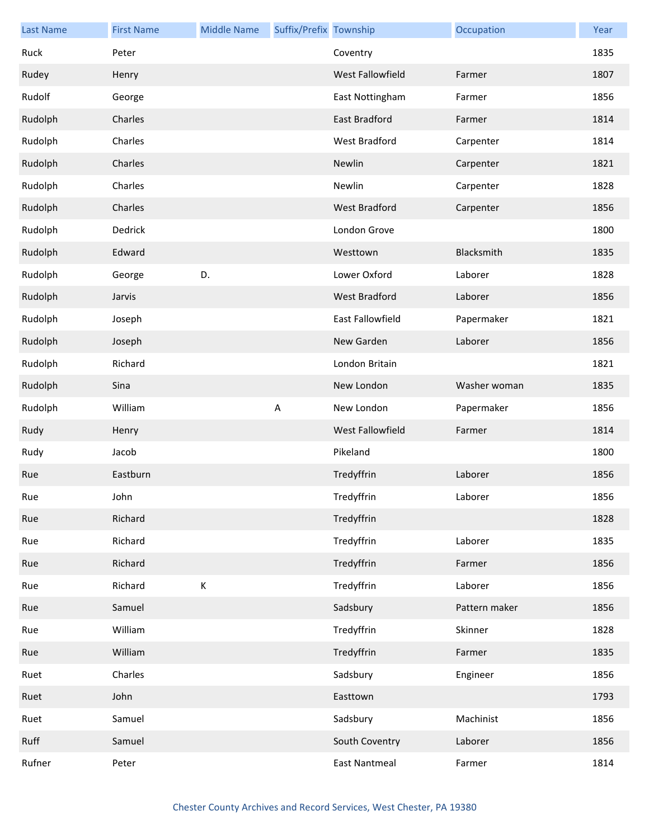| <b>Last Name</b> | <b>First Name</b> | <b>Middle Name</b> | Suffix/Prefix Township |                      | Occupation    | Year |
|------------------|-------------------|--------------------|------------------------|----------------------|---------------|------|
| Ruck             | Peter             |                    |                        | Coventry             |               | 1835 |
| Rudey            | Henry             |                    |                        | West Fallowfield     | Farmer        | 1807 |
| Rudolf           | George            |                    |                        | East Nottingham      | Farmer        | 1856 |
| Rudolph          | Charles           |                    |                        | East Bradford        | Farmer        | 1814 |
| Rudolph          | Charles           |                    |                        | West Bradford        | Carpenter     | 1814 |
| Rudolph          | Charles           |                    |                        | Newlin               | Carpenter     | 1821 |
| Rudolph          | Charles           |                    |                        | Newlin               | Carpenter     | 1828 |
| Rudolph          | Charles           |                    |                        | <b>West Bradford</b> | Carpenter     | 1856 |
| Rudolph          | Dedrick           |                    |                        | London Grove         |               | 1800 |
| Rudolph          | Edward            |                    |                        | Westtown             | Blacksmith    | 1835 |
| Rudolph          | George            | D.                 |                        | Lower Oxford         | Laborer       | 1828 |
| Rudolph          | Jarvis            |                    |                        | <b>West Bradford</b> | Laborer       | 1856 |
| Rudolph          | Joseph            |                    |                        | East Fallowfield     | Papermaker    | 1821 |
| Rudolph          | Joseph            |                    |                        | New Garden           | Laborer       | 1856 |
| Rudolph          | Richard           |                    |                        | London Britain       |               | 1821 |
| Rudolph          | Sina              |                    |                        | New London           | Washer woman  | 1835 |
| Rudolph          | William           |                    | $\sf A$                | New London           | Papermaker    | 1856 |
| Rudy             | Henry             |                    |                        | West Fallowfield     | Farmer        | 1814 |
| Rudy             | Jacob             |                    |                        | Pikeland             |               | 1800 |
| Rue              | Eastburn          |                    |                        | Tredyffrin           | Laborer       | 1856 |
| Rue              | John              |                    |                        | Tredyffrin           | Laborer       | 1856 |
| Rue              | Richard           |                    |                        | Tredyffrin           |               | 1828 |
| Rue              | Richard           |                    |                        | Tredyffrin           | Laborer       | 1835 |
| Rue              | Richard           |                    |                        | Tredyffrin           | Farmer        | 1856 |
| Rue              | Richard           | К                  |                        | Tredyffrin           | Laborer       | 1856 |
| Rue              | Samuel            |                    |                        | Sadsbury             | Pattern maker | 1856 |
| Rue              | William           |                    |                        | Tredyffrin           | Skinner       | 1828 |
| Rue              | William           |                    |                        | Tredyffrin           | Farmer        | 1835 |
| Ruet             | Charles           |                    |                        | Sadsbury             | Engineer      | 1856 |
| Ruet             | John              |                    |                        | Easttown             |               | 1793 |
| Ruet             | Samuel            |                    |                        | Sadsbury             | Machinist     | 1856 |
| Ruff             | Samuel            |                    |                        | South Coventry       | Laborer       | 1856 |
| Rufner           | Peter             |                    |                        | <b>East Nantmeal</b> | Farmer        | 1814 |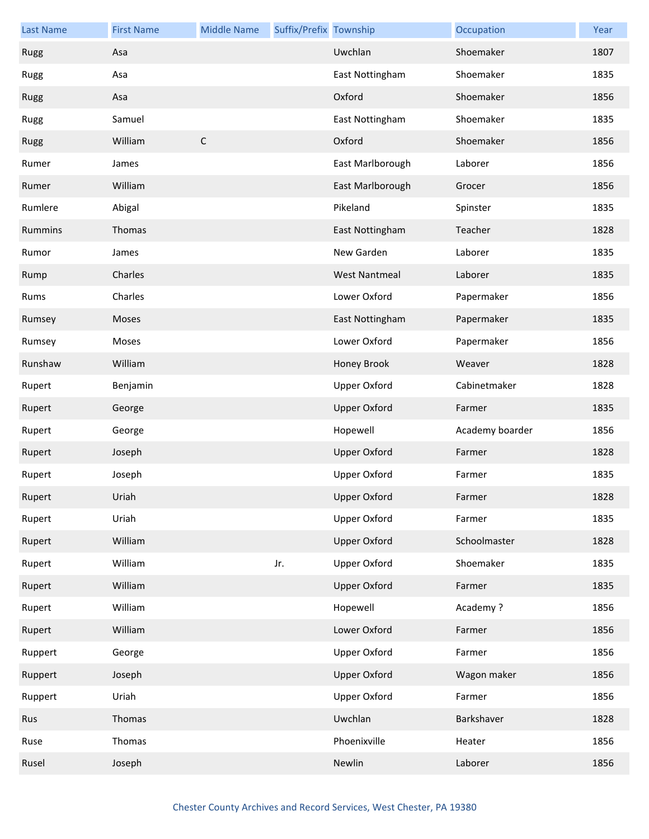| <b>Last Name</b> | <b>First Name</b> | <b>Middle Name</b> | Suffix/Prefix Township |                      | Occupation      | Year |
|------------------|-------------------|--------------------|------------------------|----------------------|-----------------|------|
| Rugg             | Asa               |                    |                        | Uwchlan              | Shoemaker       | 1807 |
| Rugg             | Asa               |                    |                        | East Nottingham      | Shoemaker       | 1835 |
| Rugg             | Asa               |                    |                        | Oxford               | Shoemaker       | 1856 |
| Rugg             | Samuel            |                    |                        | East Nottingham      | Shoemaker       | 1835 |
| Rugg             | William           | $\mathsf C$        |                        | Oxford               | Shoemaker       | 1856 |
| Rumer            | James             |                    |                        | East Marlborough     | Laborer         | 1856 |
| Rumer            | William           |                    |                        | East Marlborough     | Grocer          | 1856 |
| Rumlere          | Abigal            |                    |                        | Pikeland             | Spinster        | 1835 |
| Rummins          | Thomas            |                    |                        | East Nottingham      | Teacher         | 1828 |
| Rumor            | James             |                    |                        | New Garden           | Laborer         | 1835 |
| Rump             | Charles           |                    |                        | <b>West Nantmeal</b> | Laborer         | 1835 |
| Rums             | Charles           |                    |                        | Lower Oxford         | Papermaker      | 1856 |
| Rumsey           | Moses             |                    |                        | East Nottingham      | Papermaker      | 1835 |
| Rumsey           | Moses             |                    |                        | Lower Oxford         | Papermaker      | 1856 |
| Runshaw          | William           |                    |                        | Honey Brook          | Weaver          | 1828 |
| Rupert           | Benjamin          |                    |                        | <b>Upper Oxford</b>  | Cabinetmaker    | 1828 |
| Rupert           | George            |                    |                        | <b>Upper Oxford</b>  | Farmer          | 1835 |
| Rupert           | George            |                    |                        | Hopewell             | Academy boarder | 1856 |
| Rupert           | Joseph            |                    |                        | <b>Upper Oxford</b>  | Farmer          | 1828 |
| Rupert           | Joseph            |                    |                        | <b>Upper Oxford</b>  | Farmer          | 1835 |
| Rupert           | Uriah             |                    |                        | Upper Oxford         | Farmer          | 1828 |
| Rupert           | Uriah             |                    |                        | <b>Upper Oxford</b>  | Farmer          | 1835 |
| Rupert           | William           |                    |                        | <b>Upper Oxford</b>  | Schoolmaster    | 1828 |
| Rupert           | William           |                    | Jr.                    | Upper Oxford         | Shoemaker       | 1835 |
| Rupert           | William           |                    |                        | <b>Upper Oxford</b>  | Farmer          | 1835 |
| Rupert           | William           |                    |                        | Hopewell             | Academy?        | 1856 |
| Rupert           | William           |                    |                        | Lower Oxford         | Farmer          | 1856 |
| Ruppert          | George            |                    |                        | Upper Oxford         | Farmer          | 1856 |
| Ruppert          | Joseph            |                    |                        | <b>Upper Oxford</b>  | Wagon maker     | 1856 |
| Ruppert          | Uriah             |                    |                        | Upper Oxford         | Farmer          | 1856 |
| Rus              | Thomas            |                    |                        | Uwchlan              | Barkshaver      | 1828 |
| Ruse             | Thomas            |                    |                        | Phoenixville         | Heater          | 1856 |
| Rusel            | Joseph            |                    |                        | Newlin               | Laborer         | 1856 |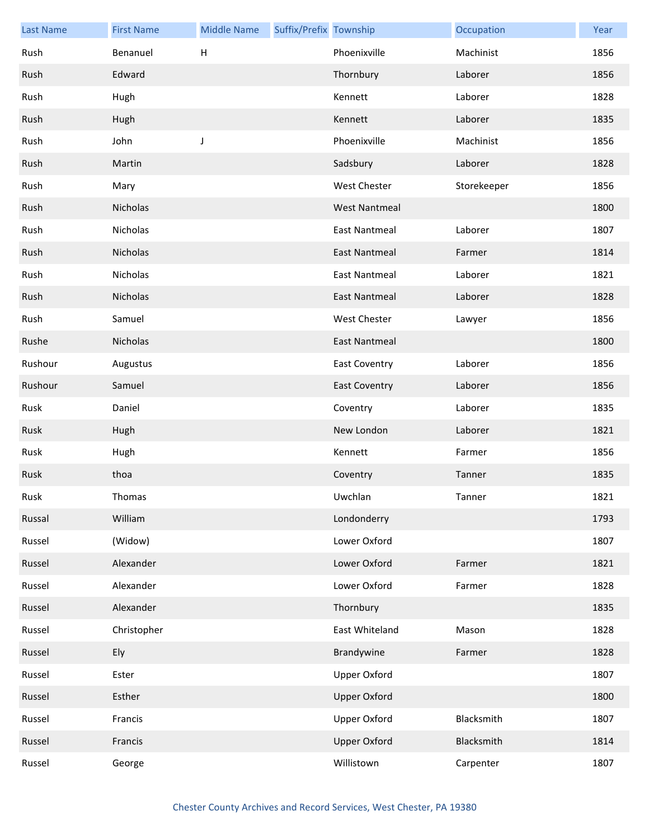| <b>Last Name</b> | <b>First Name</b> | <b>Middle Name</b>        | Suffix/Prefix Township |                      | Occupation  | Year |
|------------------|-------------------|---------------------------|------------------------|----------------------|-------------|------|
| Rush             | Benanuel          | $\boldsymbol{\mathsf{H}}$ |                        | Phoenixville         | Machinist   | 1856 |
| Rush             | Edward            |                           |                        | Thornbury            | Laborer     | 1856 |
| Rush             | Hugh              |                           |                        | Kennett              | Laborer     | 1828 |
| Rush             | Hugh              |                           |                        | Kennett              | Laborer     | 1835 |
| Rush             | John              | J                         |                        | Phoenixville         | Machinist   | 1856 |
| Rush             | Martin            |                           |                        | Sadsbury             | Laborer     | 1828 |
| Rush             | Mary              |                           |                        | <b>West Chester</b>  | Storekeeper | 1856 |
| Rush             | Nicholas          |                           |                        | <b>West Nantmeal</b> |             | 1800 |
| Rush             | Nicholas          |                           |                        | <b>East Nantmeal</b> | Laborer     | 1807 |
| Rush             | Nicholas          |                           |                        | <b>East Nantmeal</b> | Farmer      | 1814 |
| Rush             | Nicholas          |                           |                        | <b>East Nantmeal</b> | Laborer     | 1821 |
| Rush             | Nicholas          |                           |                        | <b>East Nantmeal</b> | Laborer     | 1828 |
| Rush             | Samuel            |                           |                        | West Chester         | Lawyer      | 1856 |
| Rushe            | Nicholas          |                           |                        | <b>East Nantmeal</b> |             | 1800 |
| Rushour          | Augustus          |                           |                        | <b>East Coventry</b> | Laborer     | 1856 |
| Rushour          | Samuel            |                           |                        | <b>East Coventry</b> | Laborer     | 1856 |
| Rusk             | Daniel            |                           |                        | Coventry             | Laborer     | 1835 |
| Rusk             | Hugh              |                           |                        | New London           | Laborer     | 1821 |
| Rusk             | Hugh              |                           |                        | Kennett              | Farmer      | 1856 |
| Rusk             | thoa              |                           |                        | Coventry             | Tanner      | 1835 |
| Rusk             | Thomas            |                           |                        | Uwchlan              | Tanner      | 1821 |
| Russal           | William           |                           |                        | Londonderry          |             | 1793 |
| Russel           | (Widow)           |                           |                        | Lower Oxford         |             | 1807 |
| Russel           | Alexander         |                           |                        | Lower Oxford         | Farmer      | 1821 |
| Russel           | Alexander         |                           |                        | Lower Oxford         | Farmer      | 1828 |
| Russel           | Alexander         |                           |                        | Thornbury            |             | 1835 |
| Russel           | Christopher       |                           |                        | East Whiteland       | Mason       | 1828 |
| Russel           | Ely               |                           |                        | Brandywine           | Farmer      | 1828 |
| Russel           | Ester             |                           |                        | <b>Upper Oxford</b>  |             | 1807 |
| Russel           | Esther            |                           |                        | <b>Upper Oxford</b>  |             | 1800 |
| Russel           | Francis           |                           |                        | <b>Upper Oxford</b>  | Blacksmith  | 1807 |
| Russel           | Francis           |                           |                        | <b>Upper Oxford</b>  | Blacksmith  | 1814 |
| Russel           | George            |                           |                        | Willistown           | Carpenter   | 1807 |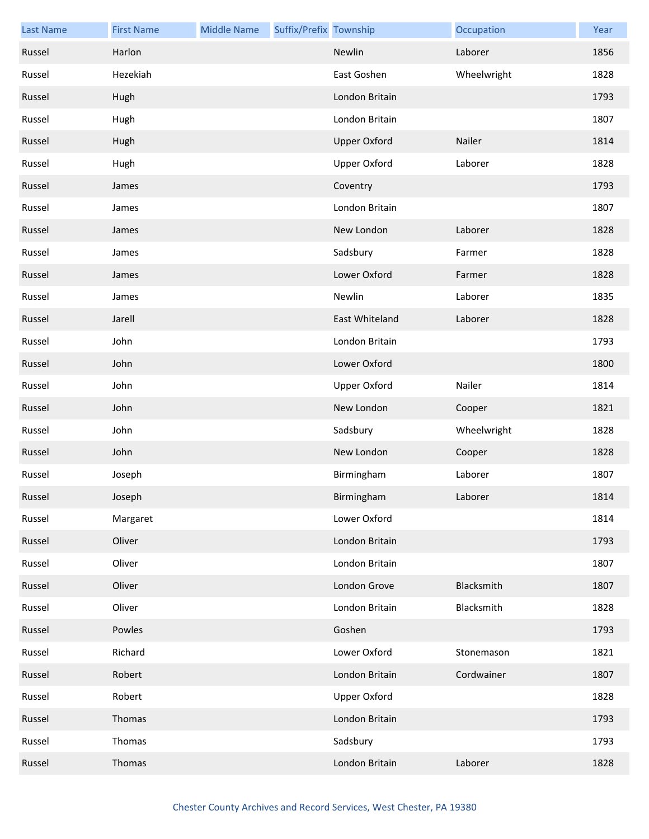| <b>Last Name</b> | <b>First Name</b> | <b>Middle Name</b> | Suffix/Prefix Township |                     | Occupation  | Year |
|------------------|-------------------|--------------------|------------------------|---------------------|-------------|------|
| Russel           | Harlon            |                    |                        | Newlin              | Laborer     | 1856 |
| Russel           | Hezekiah          |                    |                        | East Goshen         | Wheelwright | 1828 |
| Russel           | Hugh              |                    |                        | London Britain      |             | 1793 |
| Russel           | Hugh              |                    |                        | London Britain      |             | 1807 |
| Russel           | Hugh              |                    |                        | <b>Upper Oxford</b> | Nailer      | 1814 |
| Russel           | Hugh              |                    |                        | <b>Upper Oxford</b> | Laborer     | 1828 |
| Russel           | James             |                    |                        | Coventry            |             | 1793 |
| Russel           | James             |                    |                        | London Britain      |             | 1807 |
| Russel           | James             |                    |                        | New London          | Laborer     | 1828 |
| Russel           | James             |                    |                        | Sadsbury            | Farmer      | 1828 |
| Russel           | James             |                    |                        | Lower Oxford        | Farmer      | 1828 |
| Russel           | James             |                    |                        | Newlin              | Laborer     | 1835 |
| Russel           | Jarell            |                    |                        | East Whiteland      | Laborer     | 1828 |
| Russel           | John              |                    |                        | London Britain      |             | 1793 |
| Russel           | John              |                    |                        | Lower Oxford        |             | 1800 |
| Russel           | John              |                    |                        | <b>Upper Oxford</b> | Nailer      | 1814 |
| Russel           | John              |                    |                        | New London          | Cooper      | 1821 |
| Russel           | John              |                    |                        | Sadsbury            | Wheelwright | 1828 |
| Russel           | John              |                    |                        | New London          | Cooper      | 1828 |
| Russel           | Joseph            |                    |                        | Birmingham          | Laborer     | 1807 |
| Russel           | Joseph            |                    |                        | Birmingham          | Laborer     | 1814 |
| Russel           | Margaret          |                    |                        | Lower Oxford        |             | 1814 |
| Russel           | Oliver            |                    |                        | London Britain      |             | 1793 |
| Russel           | Oliver            |                    |                        | London Britain      |             | 1807 |
| Russel           | Oliver            |                    |                        | London Grove        | Blacksmith  | 1807 |
| Russel           | Oliver            |                    |                        | London Britain      | Blacksmith  | 1828 |
| Russel           | Powles            |                    |                        | Goshen              |             | 1793 |
| Russel           | Richard           |                    |                        | Lower Oxford        | Stonemason  | 1821 |
| Russel           | Robert            |                    |                        | London Britain      | Cordwainer  | 1807 |
| Russel           | Robert            |                    |                        | <b>Upper Oxford</b> |             | 1828 |
| Russel           | Thomas            |                    |                        | London Britain      |             | 1793 |
| Russel           | Thomas            |                    |                        | Sadsbury            |             | 1793 |
| Russel           | Thomas            |                    |                        | London Britain      | Laborer     | 1828 |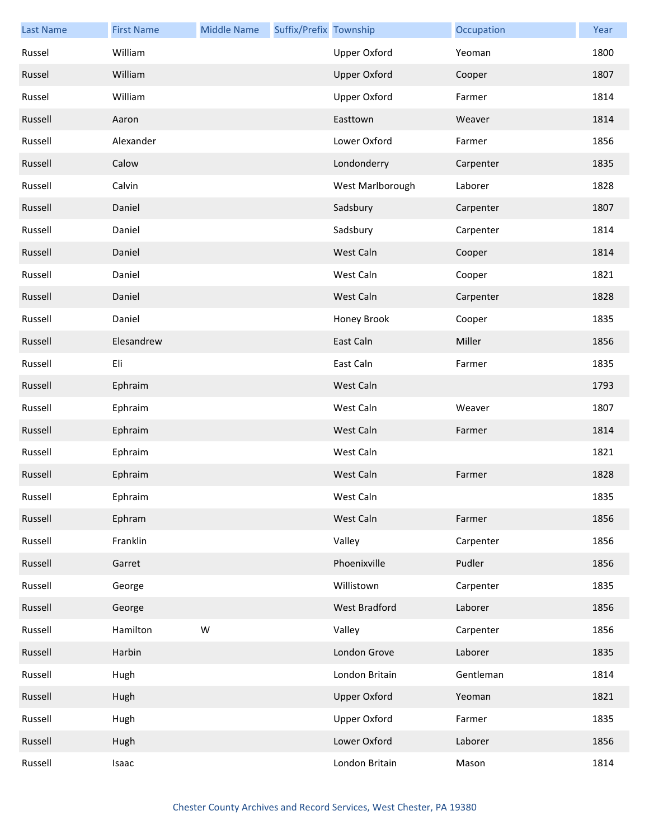| <b>Last Name</b> | <b>First Name</b> | <b>Middle Name</b> | Suffix/Prefix Township |                      | Occupation | Year |
|------------------|-------------------|--------------------|------------------------|----------------------|------------|------|
| Russel           | William           |                    |                        | Upper Oxford         | Yeoman     | 1800 |
| Russel           | William           |                    |                        | <b>Upper Oxford</b>  | Cooper     | 1807 |
| Russel           | William           |                    |                        | Upper Oxford         | Farmer     | 1814 |
| Russell          | Aaron             |                    |                        | Easttown             | Weaver     | 1814 |
| Russell          | Alexander         |                    |                        | Lower Oxford         | Farmer     | 1856 |
| Russell          | Calow             |                    |                        | Londonderry          | Carpenter  | 1835 |
| Russell          | Calvin            |                    |                        | West Marlborough     | Laborer    | 1828 |
| Russell          | Daniel            |                    |                        | Sadsbury             | Carpenter  | 1807 |
| Russell          | Daniel            |                    |                        | Sadsbury             | Carpenter  | 1814 |
| Russell          | Daniel            |                    |                        | West Caln            | Cooper     | 1814 |
| Russell          | Daniel            |                    |                        | West Caln            | Cooper     | 1821 |
| Russell          | Daniel            |                    |                        | West Caln            | Carpenter  | 1828 |
| Russell          | Daniel            |                    |                        | Honey Brook          | Cooper     | 1835 |
| Russell          | Elesandrew        |                    |                        | East Caln            | Miller     | 1856 |
| Russell          | Eli               |                    |                        | East Caln            | Farmer     | 1835 |
| Russell          | Ephraim           |                    |                        | West Caln            |            | 1793 |
| Russell          | Ephraim           |                    |                        | West Caln            | Weaver     | 1807 |
| Russell          | Ephraim           |                    |                        | West Caln            | Farmer     | 1814 |
| Russell          | Ephraim           |                    |                        | West Caln            |            | 1821 |
| Russell          | Ephraim           |                    |                        | West Caln            | Farmer     | 1828 |
| Russell          | Ephraim           |                    |                        | West Caln            |            | 1835 |
| Russell          | Ephram            |                    |                        | West Caln            | Farmer     | 1856 |
| Russell          | Franklin          |                    |                        | Valley               | Carpenter  | 1856 |
| Russell          | Garret            |                    |                        | Phoenixville         | Pudler     | 1856 |
| Russell          | George            |                    |                        | Willistown           | Carpenter  | 1835 |
| Russell          | George            |                    |                        | <b>West Bradford</b> | Laborer    | 1856 |
| Russell          | Hamilton          | W                  |                        | Valley               | Carpenter  | 1856 |
| Russell          | Harbin            |                    |                        | London Grove         | Laborer    | 1835 |
| Russell          | Hugh              |                    |                        | London Britain       | Gentleman  | 1814 |
| Russell          | Hugh              |                    |                        | <b>Upper Oxford</b>  | Yeoman     | 1821 |
| Russell          | Hugh              |                    |                        | Upper Oxford         | Farmer     | 1835 |
| Russell          | Hugh              |                    |                        | Lower Oxford         | Laborer    | 1856 |
| Russell          | Isaac             |                    |                        | London Britain       | Mason      | 1814 |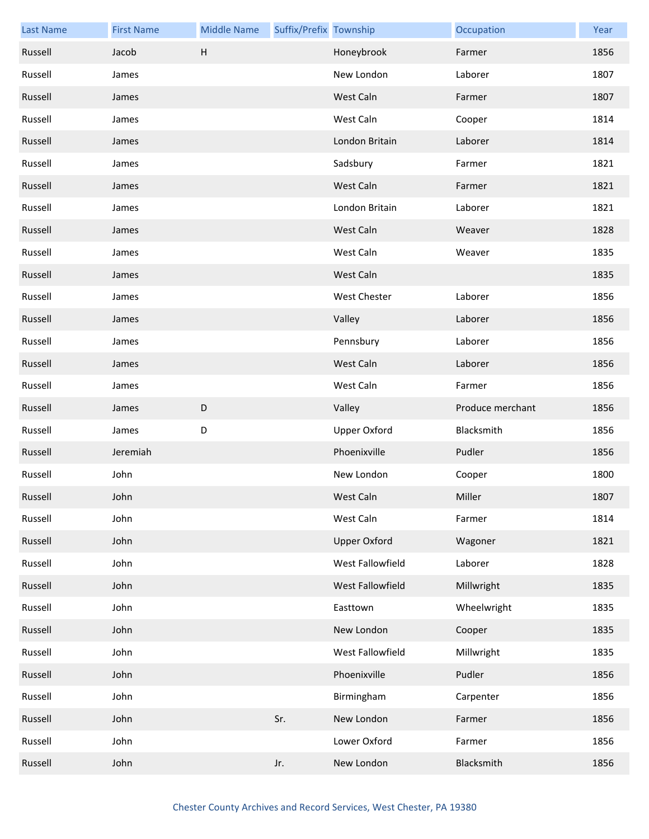| <b>Last Name</b> | <b>First Name</b> | <b>Middle Name</b>        | Suffix/Prefix Township |                     | Occupation       | Year |
|------------------|-------------------|---------------------------|------------------------|---------------------|------------------|------|
| Russell          | Jacob             | $\boldsymbol{\mathsf{H}}$ |                        | Honeybrook          | Farmer           | 1856 |
| Russell          | James             |                           |                        | New London          | Laborer          | 1807 |
| Russell          | James             |                           |                        | West Caln           | Farmer           | 1807 |
| Russell          | James             |                           |                        | West Caln           | Cooper           | 1814 |
| Russell          | James             |                           |                        | London Britain      | Laborer          | 1814 |
| Russell          | James             |                           |                        | Sadsbury            | Farmer           | 1821 |
| Russell          | James             |                           |                        | West Caln           | Farmer           | 1821 |
| Russell          | James             |                           |                        | London Britain      | Laborer          | 1821 |
| Russell          | James             |                           |                        | West Caln           | Weaver           | 1828 |
| Russell          | James             |                           |                        | West Caln           | Weaver           | 1835 |
| Russell          | James             |                           |                        | West Caln           |                  | 1835 |
| Russell          | James             |                           |                        | <b>West Chester</b> | Laborer          | 1856 |
| Russell          | James             |                           |                        | Valley              | Laborer          | 1856 |
| Russell          | James             |                           |                        | Pennsbury           | Laborer          | 1856 |
| Russell          | James             |                           |                        | West Caln           | Laborer          | 1856 |
| Russell          | James             |                           |                        | West Caln           | Farmer           | 1856 |
| Russell          | James             | $\mathsf D$               |                        | Valley              | Produce merchant | 1856 |
| Russell          | James             | D                         |                        | Upper Oxford        | Blacksmith       | 1856 |
| Russell          | Jeremiah          |                           |                        | Phoenixville        | Pudler           | 1856 |
|                  |                   |                           |                        |                     |                  |      |
| Russell          | John              |                           |                        | New London          | Cooper           | 1800 |
| Russell          | John              |                           |                        | West Caln           | Miller           | 1807 |
| Russell          | John              |                           |                        | West Caln           | Farmer           | 1814 |
| Russell          | John              |                           |                        | <b>Upper Oxford</b> | Wagoner          | 1821 |
| Russell          | John              |                           |                        | West Fallowfield    | Laborer          | 1828 |
| Russell          | John              |                           |                        | West Fallowfield    | Millwright       | 1835 |
| Russell          | John              |                           |                        | Easttown            | Wheelwright      | 1835 |
| Russell          | John              |                           |                        | New London          | Cooper           | 1835 |
| Russell          | John              |                           |                        | West Fallowfield    | Millwright       | 1835 |
| Russell          | John              |                           |                        | Phoenixville        | Pudler           | 1856 |
| Russell          | John              |                           |                        | Birmingham          | Carpenter        | 1856 |
| Russell          | John              |                           | Sr.                    | New London          | Farmer           | 1856 |
| Russell          | John              |                           |                        | Lower Oxford        | Farmer           | 1856 |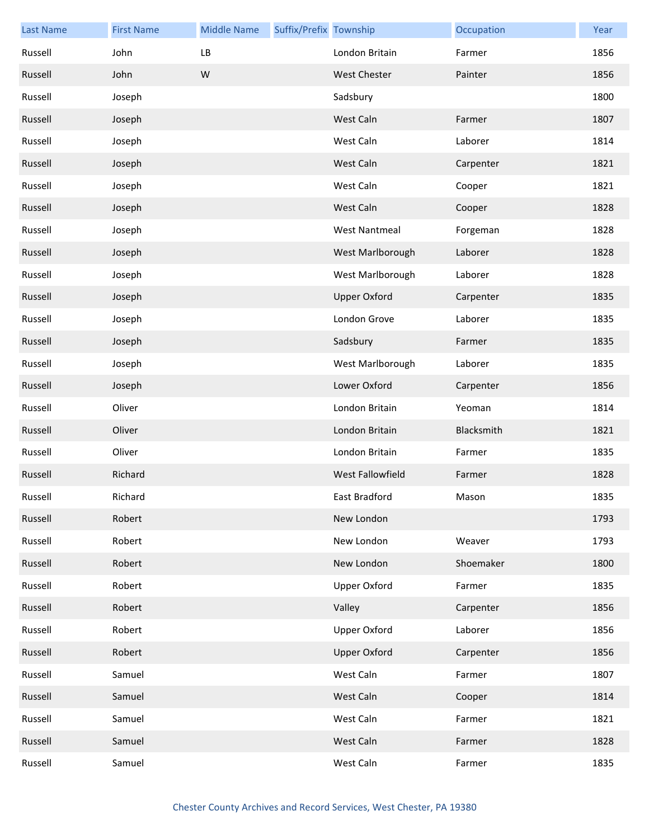| <b>Last Name</b> | <b>First Name</b> | <b>Middle Name</b> | Suffix/Prefix Township |                         | Occupation | Year |
|------------------|-------------------|--------------------|------------------------|-------------------------|------------|------|
| Russell          | John              | LB                 |                        | London Britain          | Farmer     | 1856 |
| Russell          | John              | ${\sf W}$          |                        | <b>West Chester</b>     | Painter    | 1856 |
| Russell          | Joseph            |                    |                        | Sadsbury                |            | 1800 |
| Russell          | Joseph            |                    |                        | West Caln               | Farmer     | 1807 |
| Russell          | Joseph            |                    |                        | West Caln               | Laborer    | 1814 |
| Russell          | Joseph            |                    |                        | West Caln               | Carpenter  | 1821 |
| Russell          | Joseph            |                    |                        | West Caln               | Cooper     | 1821 |
| Russell          | Joseph            |                    |                        | West Caln               | Cooper     | 1828 |
| Russell          | Joseph            |                    |                        | <b>West Nantmeal</b>    | Forgeman   | 1828 |
| Russell          | Joseph            |                    |                        | West Marlborough        | Laborer    | 1828 |
| Russell          | Joseph            |                    |                        | West Marlborough        | Laborer    | 1828 |
| Russell          | Joseph            |                    |                        | <b>Upper Oxford</b>     | Carpenter  | 1835 |
| Russell          | Joseph            |                    |                        | London Grove            | Laborer    | 1835 |
| Russell          | Joseph            |                    |                        | Sadsbury                | Farmer     | 1835 |
| Russell          | Joseph            |                    |                        | West Marlborough        | Laborer    | 1835 |
| Russell          | Joseph            |                    |                        | Lower Oxford            | Carpenter  | 1856 |
| Russell          | Oliver            |                    |                        | London Britain          | Yeoman     | 1814 |
| Russell          | Oliver            |                    |                        | London Britain          | Blacksmith | 1821 |
| Russell          | Oliver            |                    |                        | London Britain          | Farmer     | 1835 |
| Russell          | Richard           |                    |                        | <b>West Fallowfield</b> | Farmer     | 1828 |
| Russell          | Richard           |                    |                        | East Bradford           | Mason      | 1835 |
| Russell          | Robert            |                    |                        | New London              |            | 1793 |
| Russell          | Robert            |                    |                        | New London              | Weaver     | 1793 |
| Russell          | Robert            |                    |                        | New London              | Shoemaker  | 1800 |
| Russell          | Robert            |                    |                        | <b>Upper Oxford</b>     | Farmer     | 1835 |
| Russell          | Robert            |                    |                        | Valley                  | Carpenter  | 1856 |
| Russell          | Robert            |                    |                        | <b>Upper Oxford</b>     | Laborer    | 1856 |
| Russell          | Robert            |                    |                        | <b>Upper Oxford</b>     | Carpenter  | 1856 |
| Russell          | Samuel            |                    |                        | West Caln               | Farmer     | 1807 |
| Russell          | Samuel            |                    |                        | West Caln               | Cooper     | 1814 |
| Russell          | Samuel            |                    |                        | West Caln               | Farmer     | 1821 |
| Russell          | Samuel            |                    |                        | West Caln               | Farmer     | 1828 |
| Russell          | Samuel            |                    |                        | West Caln               | Farmer     | 1835 |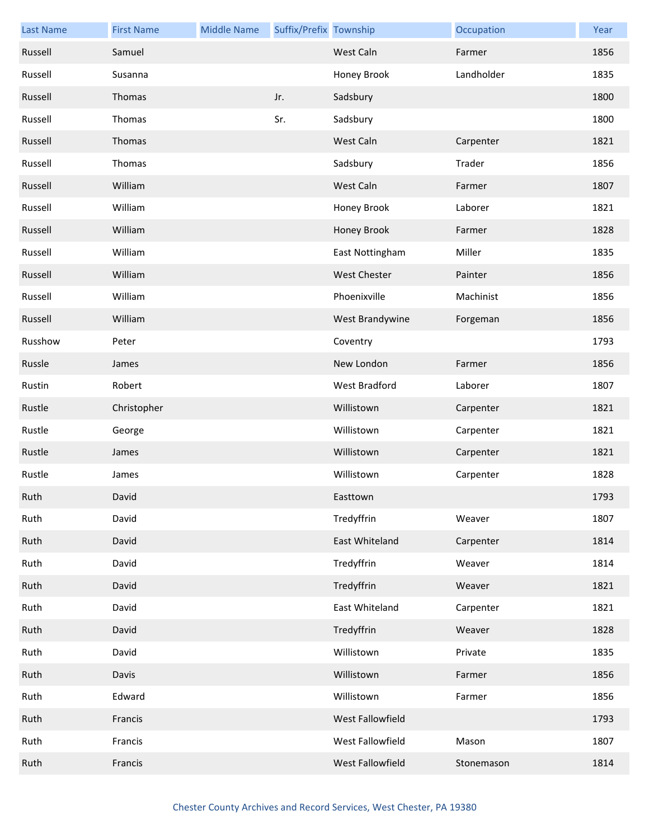| <b>Last Name</b> | <b>First Name</b> | <b>Middle Name</b> | Suffix/Prefix Township |                     | Occupation | Year |
|------------------|-------------------|--------------------|------------------------|---------------------|------------|------|
| Russell          | Samuel            |                    |                        | West Caln           | Farmer     | 1856 |
| Russell          | Susanna           |                    |                        | Honey Brook         | Landholder | 1835 |
| Russell          | Thomas            |                    | Jr.                    | Sadsbury            |            | 1800 |
| Russell          | Thomas            |                    | Sr.                    | Sadsbury            |            | 1800 |
| Russell          | Thomas            |                    |                        | West Caln           | Carpenter  | 1821 |
| Russell          | Thomas            |                    |                        | Sadsbury            | Trader     | 1856 |
| Russell          | William           |                    |                        | West Caln           | Farmer     | 1807 |
| Russell          | William           |                    |                        | Honey Brook         | Laborer    | 1821 |
| Russell          | William           |                    |                        | Honey Brook         | Farmer     | 1828 |
| Russell          | William           |                    |                        | East Nottingham     | Miller     | 1835 |
| Russell          | William           |                    |                        | <b>West Chester</b> | Painter    | 1856 |
| Russell          | William           |                    |                        | Phoenixville        | Machinist  | 1856 |
| Russell          | William           |                    |                        | West Brandywine     | Forgeman   | 1856 |
| Russhow          | Peter             |                    |                        | Coventry            |            | 1793 |
| Russle           | James             |                    |                        | New London          | Farmer     | 1856 |
| Rustin           | Robert            |                    |                        | West Bradford       | Laborer    | 1807 |
| Rustle           | Christopher       |                    |                        | Willistown          | Carpenter  | 1821 |
| Rustle           | George            |                    |                        | Willistown          | Carpenter  | 1821 |
| Rustle           | James             |                    |                        | Willistown          | Carpenter  | 1821 |
| Rustle           | James             |                    |                        | Willistown          | Carpenter  | 1828 |
| Ruth             | David             |                    |                        | Easttown            |            | 1793 |
| Ruth             | David             |                    |                        | Tredyffrin          | Weaver     | 1807 |
| Ruth             | David             |                    |                        | East Whiteland      | Carpenter  | 1814 |
| Ruth             | David             |                    |                        | Tredyffrin          | Weaver     | 1814 |
| Ruth             | David             |                    |                        | Tredyffrin          | Weaver     | 1821 |
| Ruth             | David             |                    |                        | East Whiteland      | Carpenter  | 1821 |
| Ruth             | David             |                    |                        | Tredyffrin          | Weaver     | 1828 |
| Ruth             | David             |                    |                        | Willistown          | Private    | 1835 |
| Ruth             | Davis             |                    |                        | Willistown          | Farmer     | 1856 |
| Ruth             | Edward            |                    |                        | Willistown          | Farmer     | 1856 |
| Ruth             | Francis           |                    |                        | West Fallowfield    |            | 1793 |
| Ruth             | Francis           |                    |                        | West Fallowfield    | Mason      | 1807 |
| Ruth             | Francis           |                    |                        | West Fallowfield    | Stonemason | 1814 |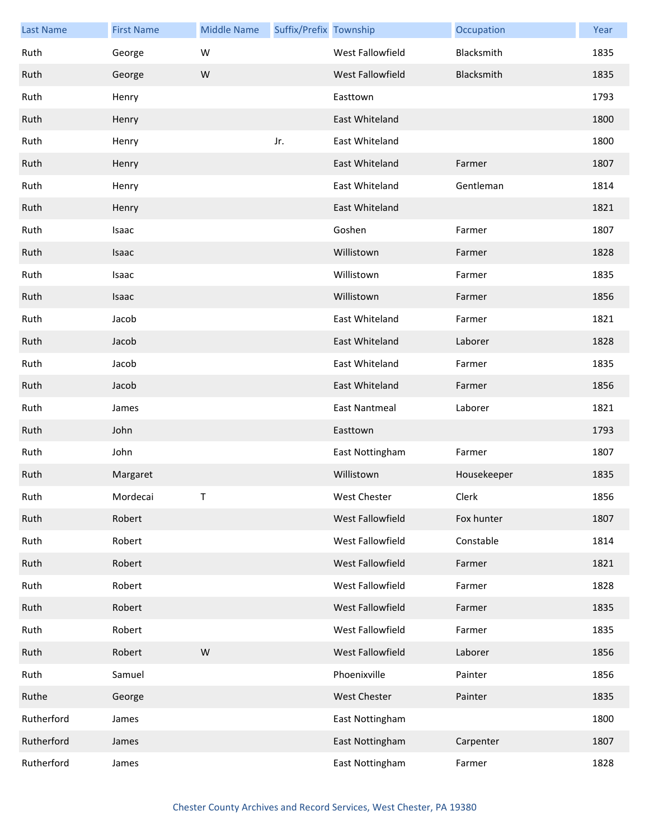| <b>Last Name</b> | <b>First Name</b> | <b>Middle Name</b> | Suffix/Prefix Township |                         | Occupation  | Year |
|------------------|-------------------|--------------------|------------------------|-------------------------|-------------|------|
| Ruth             | George            | W                  |                        | <b>West Fallowfield</b> | Blacksmith  | 1835 |
| Ruth             | George            | ${\sf W}$          |                        | West Fallowfield        | Blacksmith  | 1835 |
| Ruth             | Henry             |                    |                        | Easttown                |             | 1793 |
| Ruth             | Henry             |                    |                        | East Whiteland          |             | 1800 |
| Ruth             | Henry             |                    | Jr.                    | East Whiteland          |             | 1800 |
| Ruth             | Henry             |                    |                        | East Whiteland          | Farmer      | 1807 |
| Ruth             | Henry             |                    |                        | East Whiteland          | Gentleman   | 1814 |
| Ruth             | Henry             |                    |                        | East Whiteland          |             | 1821 |
| Ruth             | Isaac             |                    |                        | Goshen                  | Farmer      | 1807 |
| Ruth             | Isaac             |                    |                        | Willistown              | Farmer      | 1828 |
| Ruth             | Isaac             |                    |                        | Willistown              | Farmer      | 1835 |
| Ruth             | Isaac             |                    |                        | Willistown              | Farmer      | 1856 |
| Ruth             | Jacob             |                    |                        | East Whiteland          | Farmer      | 1821 |
| Ruth             | Jacob             |                    |                        | East Whiteland          | Laborer     | 1828 |
| Ruth             | Jacob             |                    |                        | East Whiteland          | Farmer      | 1835 |
| Ruth             | Jacob             |                    |                        | East Whiteland          | Farmer      | 1856 |
| Ruth             | James             |                    |                        | <b>East Nantmeal</b>    | Laborer     | 1821 |
| Ruth             | John              |                    |                        | Easttown                |             | 1793 |
| Ruth             | John              |                    |                        | East Nottingham         | Farmer      | 1807 |
| Ruth             | Margaret          |                    |                        | Willistown              | Housekeeper | 1835 |
| Ruth             | Mordecai          | T.                 |                        | West Chester            | Clerk       | 1856 |
| Ruth             | Robert            |                    |                        | West Fallowfield        | Fox hunter  | 1807 |
| Ruth             | Robert            |                    |                        | West Fallowfield        | Constable   | 1814 |
| Ruth             | Robert            |                    |                        | West Fallowfield        | Farmer      | 1821 |
| Ruth             | Robert            |                    |                        | West Fallowfield        | Farmer      | 1828 |
| Ruth             | Robert            |                    |                        | West Fallowfield        | Farmer      | 1835 |
| Ruth             | Robert            |                    |                        | West Fallowfield        | Farmer      | 1835 |
| Ruth             | Robert            | ${\sf W}$          |                        | West Fallowfield        | Laborer     | 1856 |
| Ruth             | Samuel            |                    |                        | Phoenixville            | Painter     | 1856 |
| Ruthe            | George            |                    |                        | <b>West Chester</b>     | Painter     | 1835 |
| Rutherford       | James             |                    |                        | East Nottingham         |             | 1800 |
| Rutherford       | James             |                    |                        | East Nottingham         | Carpenter   | 1807 |
| Rutherford       | James             |                    |                        | East Nottingham         | Farmer      | 1828 |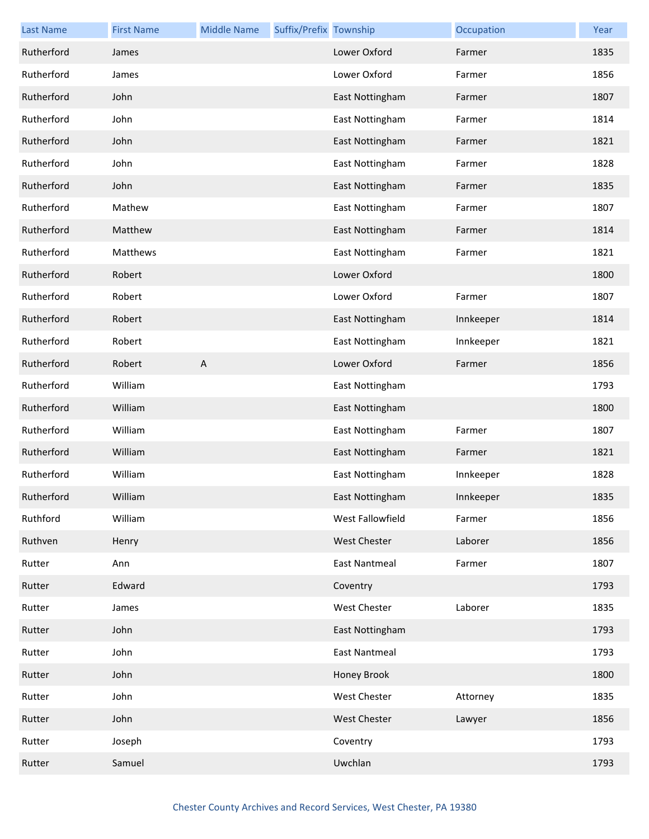| <b>Last Name</b> | <b>First Name</b> | <b>Middle Name</b>        | Suffix/Prefix Township |                      | Occupation | Year |
|------------------|-------------------|---------------------------|------------------------|----------------------|------------|------|
| Rutherford       | James             |                           |                        | Lower Oxford         | Farmer     | 1835 |
| Rutherford       | James             |                           |                        | Lower Oxford         | Farmer     | 1856 |
| Rutherford       | John              |                           |                        | East Nottingham      | Farmer     | 1807 |
| Rutherford       | John              |                           |                        | East Nottingham      | Farmer     | 1814 |
| Rutherford       | John              |                           |                        | East Nottingham      | Farmer     | 1821 |
| Rutherford       | John              |                           |                        | East Nottingham      | Farmer     | 1828 |
| Rutherford       | John              |                           |                        | East Nottingham      | Farmer     | 1835 |
| Rutherford       | Mathew            |                           |                        | East Nottingham      | Farmer     | 1807 |
| Rutherford       | Matthew           |                           |                        | East Nottingham      | Farmer     | 1814 |
| Rutherford       | Matthews          |                           |                        | East Nottingham      | Farmer     | 1821 |
| Rutherford       | Robert            |                           |                        | Lower Oxford         |            | 1800 |
| Rutherford       | Robert            |                           |                        | Lower Oxford         | Farmer     | 1807 |
| Rutherford       | Robert            |                           |                        | East Nottingham      | Innkeeper  | 1814 |
| Rutherford       | Robert            |                           |                        | East Nottingham      | Innkeeper  | 1821 |
| Rutherford       | Robert            | $\boldsymbol{\mathsf{A}}$ |                        | Lower Oxford         | Farmer     | 1856 |
| Rutherford       | William           |                           |                        | East Nottingham      |            | 1793 |
| Rutherford       | William           |                           |                        | East Nottingham      |            | 1800 |
| Rutherford       | William           |                           |                        | East Nottingham      | Farmer     | 1807 |
| Rutherford       | William           |                           |                        | East Nottingham      | Farmer     | 1821 |
| Rutherford       | William           |                           |                        | East Nottingham      | Innkeeper  | 1828 |
| Rutherford       | William           |                           |                        | East Nottingham      | Innkeeper  | 1835 |
| Ruthford         | William           |                           |                        | West Fallowfield     | Farmer     | 1856 |
| Ruthven          | Henry             |                           |                        | West Chester         | Laborer    | 1856 |
| Rutter           | Ann               |                           |                        | <b>East Nantmeal</b> | Farmer     | 1807 |
| Rutter           | Edward            |                           |                        | Coventry             |            | 1793 |
| Rutter           | James             |                           |                        | West Chester         | Laborer    | 1835 |
| Rutter           | John              |                           |                        | East Nottingham      |            | 1793 |
| Rutter           | John              |                           |                        | <b>East Nantmeal</b> |            | 1793 |
| Rutter           | John              |                           |                        | Honey Brook          |            | 1800 |
| Rutter           | John              |                           |                        | <b>West Chester</b>  | Attorney   | 1835 |
| Rutter           | John              |                           |                        | <b>West Chester</b>  | Lawyer     | 1856 |
| Rutter           | Joseph            |                           |                        | Coventry             |            | 1793 |
| Rutter           | Samuel            |                           |                        | Uwchlan              |            | 1793 |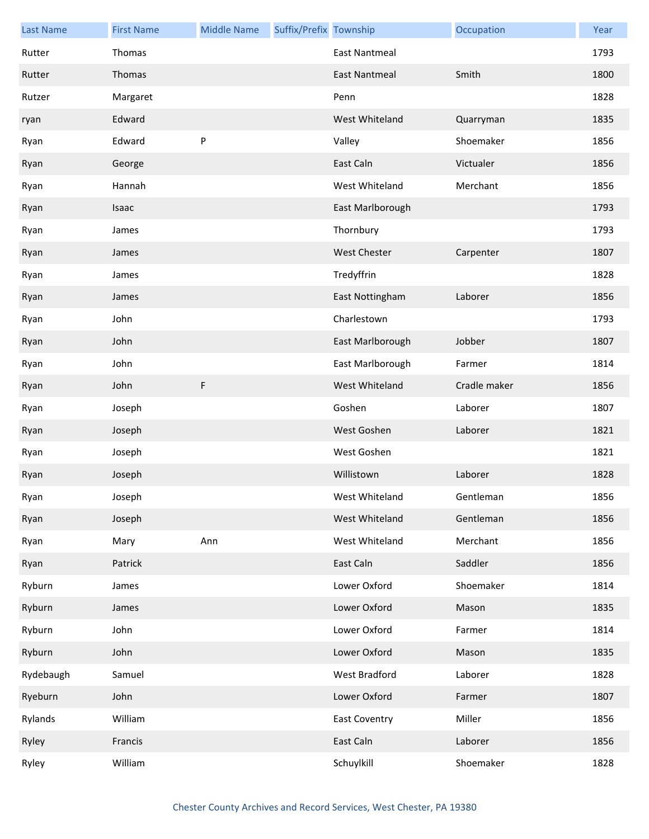| <b>Last Name</b> | <b>First Name</b> | <b>Middle Name</b> | Suffix/Prefix Township |                      | Occupation   | Year |
|------------------|-------------------|--------------------|------------------------|----------------------|--------------|------|
| Rutter           | Thomas            |                    |                        | <b>East Nantmeal</b> |              | 1793 |
| Rutter           | Thomas            |                    |                        | <b>East Nantmeal</b> | Smith        | 1800 |
| Rutzer           | Margaret          |                    |                        | Penn                 |              | 1828 |
| ryan             | Edward            |                    |                        | West Whiteland       | Quarryman    | 1835 |
| Ryan             | Edward            | P                  |                        | Valley               | Shoemaker    | 1856 |
| Ryan             | George            |                    |                        | East Caln            | Victualer    | 1856 |
| Ryan             | Hannah            |                    |                        | West Whiteland       | Merchant     | 1856 |
| Ryan             | Isaac             |                    |                        | East Marlborough     |              | 1793 |
| Ryan             | James             |                    |                        | Thornbury            |              | 1793 |
| Ryan             | James             |                    |                        | <b>West Chester</b>  | Carpenter    | 1807 |
| Ryan             | James             |                    |                        | Tredyffrin           |              | 1828 |
| Ryan             | James             |                    |                        | East Nottingham      | Laborer      | 1856 |
| Ryan             | John              |                    |                        | Charlestown          |              | 1793 |
| Ryan             | John              |                    |                        | East Marlborough     | Jobber       | 1807 |
| Ryan             | John              |                    |                        | East Marlborough     | Farmer       | 1814 |
| Ryan             | John              | $\mathsf F$        |                        | West Whiteland       | Cradle maker | 1856 |
| Ryan             | Joseph            |                    |                        | Goshen               | Laborer      | 1807 |
| Ryan             | Joseph            |                    |                        | West Goshen          | Laborer      | 1821 |
| Ryan             | Joseph            |                    |                        | West Goshen          |              | 1821 |
| Ryan             | Joseph            |                    |                        | Willistown           | Laborer      | 1828 |
| Ryan             | Joseph            |                    |                        | West Whiteland       | Gentleman    | 1856 |
| Ryan             | Joseph            |                    |                        | West Whiteland       | Gentleman    | 1856 |
| Ryan             | Mary              | Ann                |                        | West Whiteland       | Merchant     | 1856 |
| Ryan             | Patrick           |                    |                        | East Caln            | Saddler      | 1856 |
| Ryburn           | James             |                    |                        | Lower Oxford         | Shoemaker    | 1814 |
| Ryburn           | James             |                    |                        | Lower Oxford         | Mason        | 1835 |
| Ryburn           | John              |                    |                        | Lower Oxford         | Farmer       | 1814 |
| Ryburn           | John              |                    |                        | Lower Oxford         | Mason        | 1835 |
| Rydebaugh        | Samuel            |                    |                        | West Bradford        | Laborer      | 1828 |
| Ryeburn          | John              |                    |                        | Lower Oxford         | Farmer       | 1807 |
| Rylands          | William           |                    |                        | <b>East Coventry</b> | Miller       | 1856 |
| Ryley            | Francis           |                    |                        | East Caln            | Laborer      | 1856 |
| Ryley            | William           |                    |                        | Schuylkill           | Shoemaker    | 1828 |